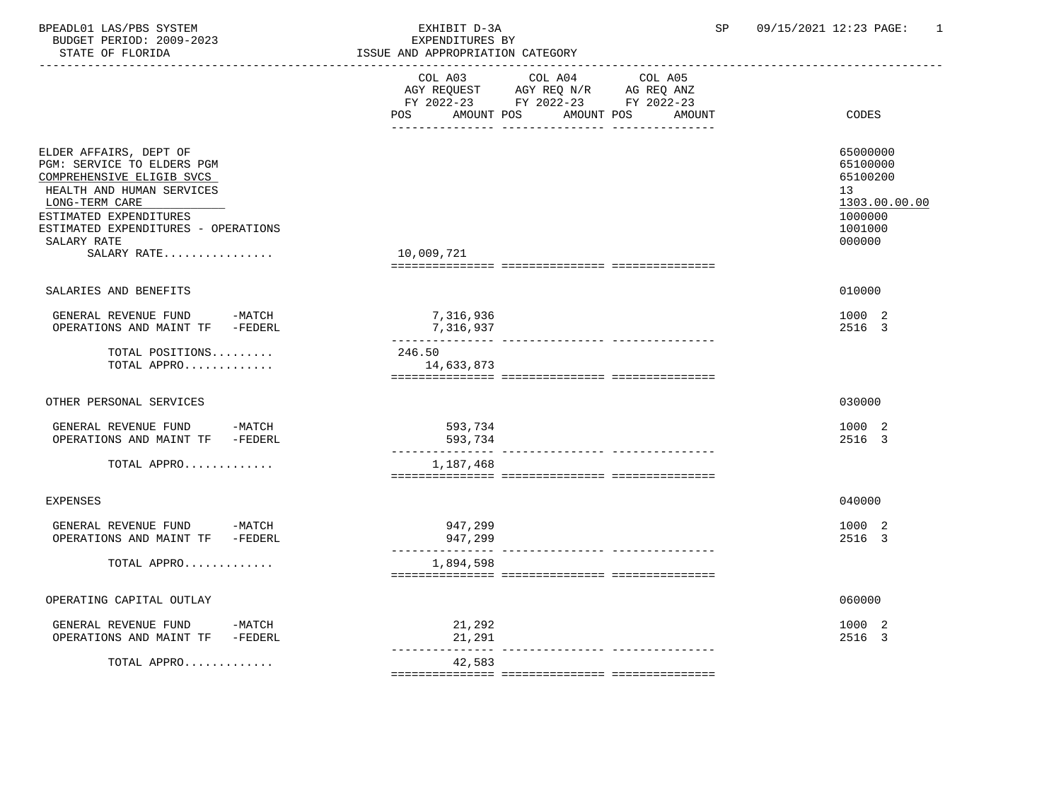| BPEADL01 LAS/PBS SYSTEM<br>BUDGET PERIOD: 2009-2023<br>STATE OF FLORIDA                                                                                                                                                         | EXHIBIT D-3A<br>EXPENDITURES BY<br>ISSUE AND APPROPRIATION CATEGORY<br>______________________________________                        | 09/15/2021 12:23 PAGE:<br>SP<br>-1                                                      |
|---------------------------------------------------------------------------------------------------------------------------------------------------------------------------------------------------------------------------------|--------------------------------------------------------------------------------------------------------------------------------------|-----------------------------------------------------------------------------------------|
|                                                                                                                                                                                                                                 | COL A03 COL A04 COL A05<br>AGY REQUEST AGY REQ N/R AG REQ ANZ<br>FY 2022-23 FY 2022-23 FY 2022-23<br>POS<br>AMOUNT POS<br>AMOUNT POS | CODES<br>AMOUNT                                                                         |
| ELDER AFFAIRS, DEPT OF<br>PGM: SERVICE TO ELDERS PGM<br>COMPREHENSIVE ELIGIB SVCS<br>HEALTH AND HUMAN SERVICES<br>LONG-TERM CARE<br>ESTIMATED EXPENDITURES<br>ESTIMATED EXPENDITURES - OPERATIONS<br>SALARY RATE<br>SALARY RATE | 10,009,721                                                                                                                           | 65000000<br>65100000<br>65100200<br>13<br>1303.00.00.00<br>1000000<br>1001000<br>000000 |
| SALARIES AND BENEFITS                                                                                                                                                                                                           |                                                                                                                                      | 010000                                                                                  |
| GENERAL REVENUE FUND -MATCH<br>OPERATIONS AND MAINT TF -FEDERL                                                                                                                                                                  | 7,316,936<br>7,316,937                                                                                                               | 1000 2<br>2516 3                                                                        |
| TOTAL POSITIONS<br>TOTAL APPRO                                                                                                                                                                                                  | 246.50<br>14,633,873                                                                                                                 |                                                                                         |
| OTHER PERSONAL SERVICES                                                                                                                                                                                                         |                                                                                                                                      | 030000                                                                                  |
| GENERAL REVENUE FUND<br>-MATCH<br>OPERATIONS AND MAINT TF -FEDERL                                                                                                                                                               | 593,734<br>593,734                                                                                                                   | 1000 2<br>2516 3                                                                        |
| TOTAL APPRO                                                                                                                                                                                                                     | 1,187,468                                                                                                                            |                                                                                         |
| <b>EXPENSES</b>                                                                                                                                                                                                                 |                                                                                                                                      | 040000                                                                                  |
| GENERAL REVENUE FUND -MATCH<br>OPERATIONS AND MAINT TF -FEDERL                                                                                                                                                                  | 947,299<br>947,299<br>---------------- ----------------                                                                              | 1000 2<br>2516 3                                                                        |
| TOTAL APPRO                                                                                                                                                                                                                     | 1,894,598                                                                                                                            |                                                                                         |
| OPERATING CAPITAL OUTLAY                                                                                                                                                                                                        |                                                                                                                                      | 060000                                                                                  |
| GENERAL REVENUE FUND<br>$-MATCH$<br>OPERATIONS AND MAINT TF -FEDERL                                                                                                                                                             | 21,292<br>21,291<br>---------------                                                                                                  | 1000 2<br>2516 3                                                                        |
| TOTAL APPRO                                                                                                                                                                                                                     | 42,583                                                                                                                               |                                                                                         |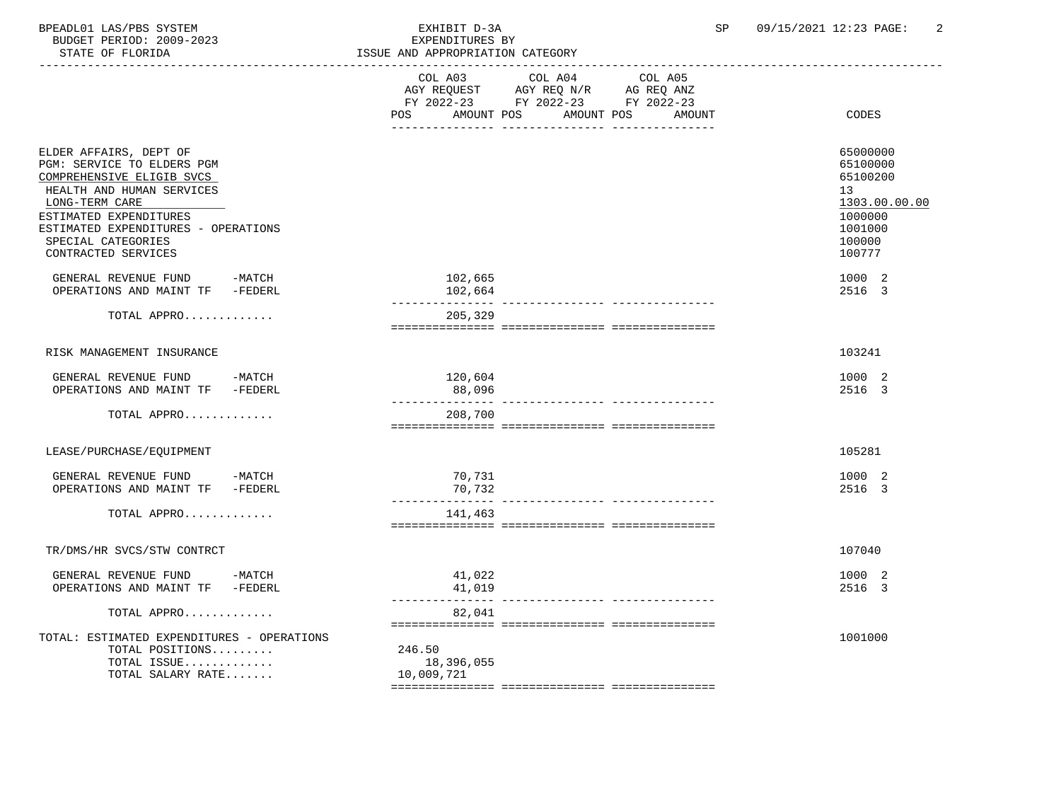BPEADL01 LAS/PBS SYSTEM EXHIBIT D-3A SP 09/15/2021 12:23 PAGE: 2 BUDGET PERIOD: 2009-2023<br>STATE OF FLORIDA

| STATE OF FLORIDA                                                                                                                                                                                                                               | ISSUE AND APPROPRIATION CATEGORY                                                                                                               |                                                                                                   |
|------------------------------------------------------------------------------------------------------------------------------------------------------------------------------------------------------------------------------------------------|------------------------------------------------------------------------------------------------------------------------------------------------|---------------------------------------------------------------------------------------------------|
|                                                                                                                                                                                                                                                | COL A03<br>COL A04<br>COL A05<br>AGY REQUEST AGY REQ N/R AG REQ ANZ<br>FY 2022-23 FY 2022-23 FY 2022-23<br>AMOUNT POS AMOUNT POS AMOUNT<br>POS | CODES                                                                                             |
| ELDER AFFAIRS, DEPT OF<br>PGM: SERVICE TO ELDERS PGM<br>COMPREHENSIVE ELIGIB SVCS<br>HEALTH AND HUMAN SERVICES<br>LONG-TERM CARE<br>ESTIMATED EXPENDITURES<br>ESTIMATED EXPENDITURES - OPERATIONS<br>SPECIAL CATEGORIES<br>CONTRACTED SERVICES |                                                                                                                                                | 65000000<br>65100000<br>65100200<br>13<br>1303.00.00.00<br>1000000<br>1001000<br>100000<br>100777 |
| GENERAL REVENUE FUND -MATCH<br>OPERATIONS AND MAINT TF -FEDERL                                                                                                                                                                                 | 102,665<br>102,664<br>_______________                                                                                                          | 1000 2<br>2516 3                                                                                  |
| TOTAL APPRO                                                                                                                                                                                                                                    | 205,329                                                                                                                                        |                                                                                                   |
| RISK MANAGEMENT INSURANCE                                                                                                                                                                                                                      |                                                                                                                                                | 103241                                                                                            |
| GENERAL REVENUE FUND -MATCH<br>OPERATIONS AND MAINT TF -FEDERL                                                                                                                                                                                 | 120,604<br>88,096                                                                                                                              | 1000 2<br>2516 3                                                                                  |
| TOTAL APPRO                                                                                                                                                                                                                                    | 208,700                                                                                                                                        |                                                                                                   |
| LEASE/PURCHASE/EQUIPMENT                                                                                                                                                                                                                       |                                                                                                                                                | 105281                                                                                            |
| GENERAL REVENUE FUND -MATCH<br>OPERATIONS AND MAINT TF -FEDERL                                                                                                                                                                                 | 70,731<br>70,732                                                                                                                               | 1000 2<br>2516 3                                                                                  |
| TOTAL APPRO                                                                                                                                                                                                                                    | 141,463                                                                                                                                        |                                                                                                   |
| TR/DMS/HR SVCS/STW CONTRCT                                                                                                                                                                                                                     |                                                                                                                                                | 107040                                                                                            |
| GENERAL REVENUE FUND -MATCH<br>OPERATIONS AND MAINT TF -FEDERL                                                                                                                                                                                 | 41,022<br>41,019                                                                                                                               | 1000 2<br>2516 3                                                                                  |
| TOTAL APPRO                                                                                                                                                                                                                                    | 82,041                                                                                                                                         |                                                                                                   |
| TOTAL: ESTIMATED EXPENDITURES - OPERATIONS<br>TOTAL POSITIONS<br>TOTAL ISSUE<br>TOTAL SALARY RATE                                                                                                                                              | 246.50<br>18,396,055<br>10,009,721                                                                                                             | 1001000                                                                                           |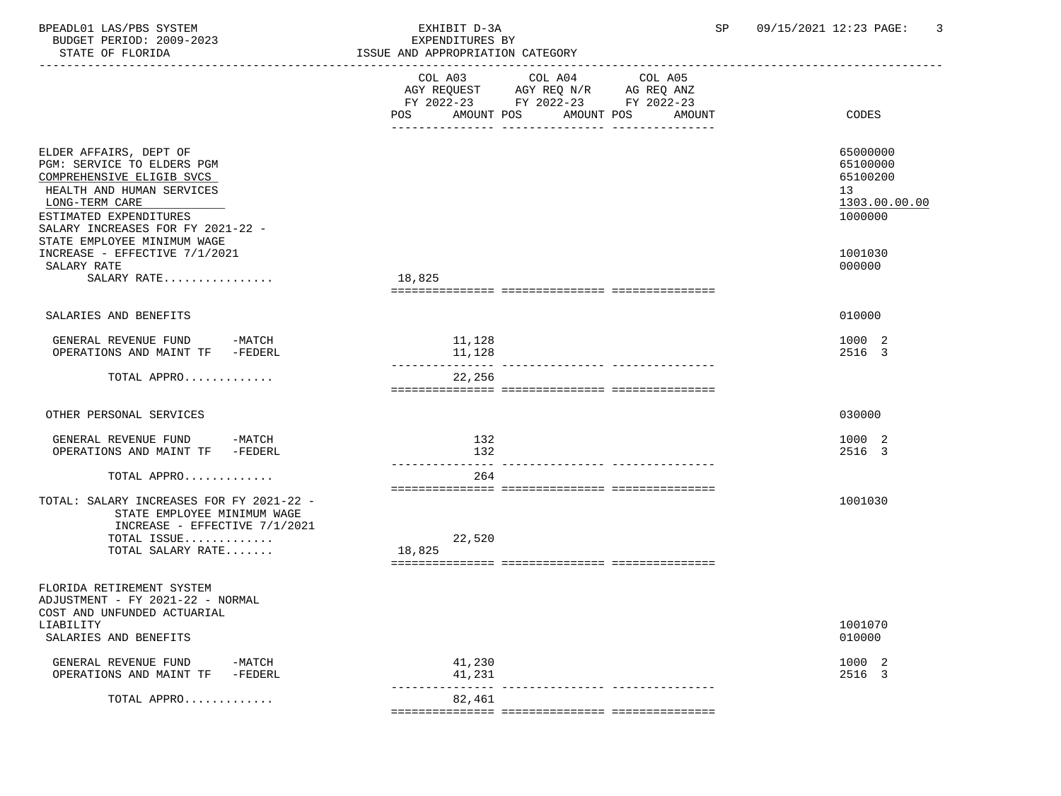| BPEADL01 LAS/PBS SYSTEM<br>BUDGET PERIOD: 2009-2023<br>STATE OF FLORIDA                                                                                                                                                        | EXHIBIT D-3A<br>EXPENDITURES BY<br>ISSUE AND APPROPRIATION CATEGORY<br>-----------------------                                                 | 09/15/2021 12:23 PAGE:<br>3<br>SP                                  |
|--------------------------------------------------------------------------------------------------------------------------------------------------------------------------------------------------------------------------------|------------------------------------------------------------------------------------------------------------------------------------------------|--------------------------------------------------------------------|
|                                                                                                                                                                                                                                | COL A04<br>COL A05<br>COL A03<br>AGY REQUEST AGY REQ N/R AG REQ ANZ<br>FY 2022-23 FY 2022-23 FY 2022-23<br>POS AMOUNT POS AMOUNT POS<br>AMOUNT | CODES                                                              |
| ELDER AFFAIRS, DEPT OF<br>PGM: SERVICE TO ELDERS PGM<br>COMPREHENSIVE ELIGIB SVCS<br>HEALTH AND HUMAN SERVICES<br>LONG-TERM CARE<br>ESTIMATED EXPENDITURES<br>SALARY INCREASES FOR FY 2021-22 -<br>STATE EMPLOYEE MINIMUM WAGE |                                                                                                                                                | 65000000<br>65100000<br>65100200<br>13<br>1303.00.00.00<br>1000000 |
| INCREASE - EFFECTIVE 7/1/2021<br>SALARY RATE<br>SALARY RATE                                                                                                                                                                    | 18,825                                                                                                                                         | 1001030<br>000000                                                  |
| SALARIES AND BENEFITS                                                                                                                                                                                                          |                                                                                                                                                | 010000                                                             |
| GENERAL REVENUE FUND -MATCH<br>OPERATIONS AND MAINT TF -FEDERL                                                                                                                                                                 | 11,128<br>11,128                                                                                                                               | 1000 2<br>2516 3                                                   |
| TOTAL APPRO                                                                                                                                                                                                                    | 22,256                                                                                                                                         |                                                                    |
| OTHER PERSONAL SERVICES                                                                                                                                                                                                        |                                                                                                                                                | 030000                                                             |
| GENERAL REVENUE FUND -MATCH<br>OPERATIONS AND MAINT TF -FEDERL                                                                                                                                                                 | 132<br>132<br>------------                                                                                                                     | 1000 2<br>2516 3                                                   |
| TOTAL APPRO                                                                                                                                                                                                                    | 264                                                                                                                                            |                                                                    |
| TOTAL: SALARY INCREASES FOR FY 2021-22 -<br>STATE EMPLOYEE MINIMUM WAGE<br>INCREASE - EFFECTIVE 7/1/2021<br>TOTAL ISSUE<br>TOTAL SALARY RATE                                                                                   | 22,520<br>18,825                                                                                                                               | 1001030                                                            |
| FLORIDA RETIREMENT SYSTEM<br>ADJUSTMENT - FY 2021-22 - NORMAL<br>COST AND UNFUNDED ACTUARIAL<br>LIABILITY<br>SALARIES AND BENEFITS                                                                                             |                                                                                                                                                | 1001070<br>010000                                                  |
| GENERAL REVENUE FUND<br>$-MATCH$<br>OPERATIONS AND MAINT TF<br>$-FEDERL$                                                                                                                                                       | 41,230<br>41,231<br>________ ________________                                                                                                  | 1000 2<br>2516 3                                                   |
| TOTAL APPRO                                                                                                                                                                                                                    | 82,461                                                                                                                                         |                                                                    |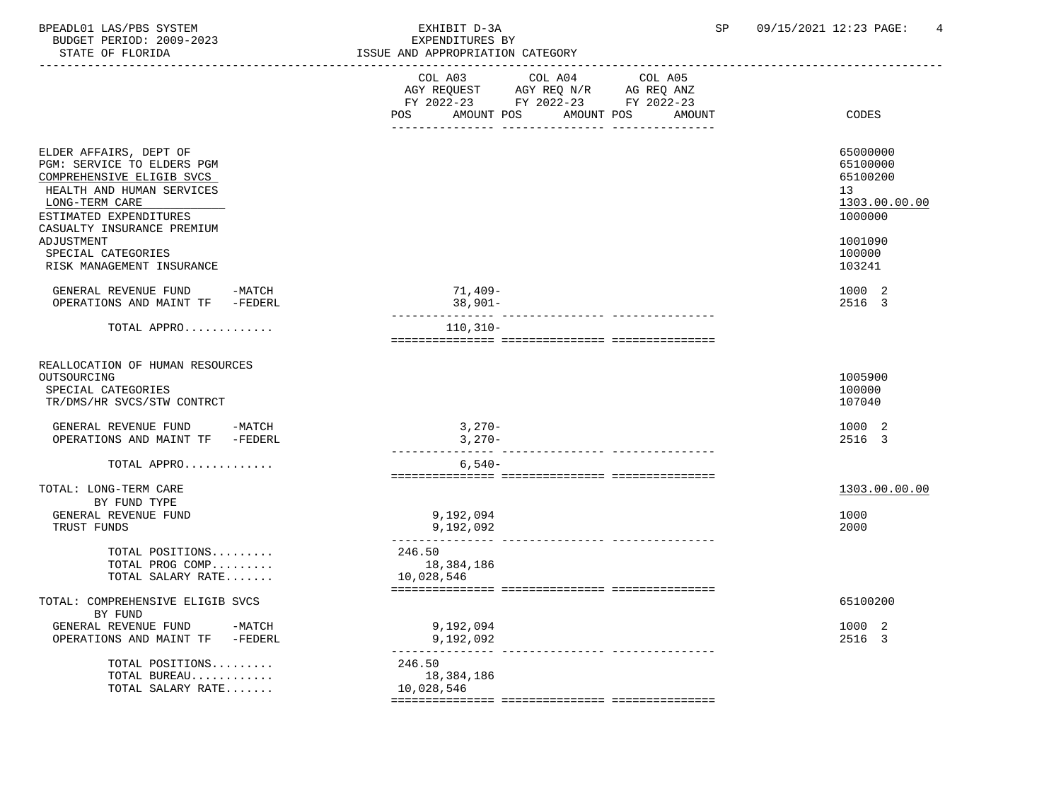BPEADL01 LAS/PBS SYSTEM EXHIBIT D-3A SP 09/15/2021 12:23 PAGE: 4 BUDGET PERIOD: 2009-2023

| STATE OF FLORIDA                                                                                                                                                                         | ISSUE AND APPROPRIATION CATEGORY                                                                                                               |                                                                    |
|------------------------------------------------------------------------------------------------------------------------------------------------------------------------------------------|------------------------------------------------------------------------------------------------------------------------------------------------|--------------------------------------------------------------------|
|                                                                                                                                                                                          | COL A03<br>COL A04<br>COL A05<br>AGY REQUEST AGY REQ N/R AG REQ ANZ<br>FY 2022-23 FY 2022-23 FY 2022-23<br>POS<br>AMOUNT POS AMOUNT POS AMOUNT | CODES                                                              |
| ELDER AFFAIRS, DEPT OF<br>PGM: SERVICE TO ELDERS PGM<br>COMPREHENSIVE ELIGIB SVCS<br>HEALTH AND HUMAN SERVICES<br>LONG-TERM CARE<br>ESTIMATED EXPENDITURES<br>CASUALTY INSURANCE PREMIUM |                                                                                                                                                | 65000000<br>65100000<br>65100200<br>13<br>1303.00.00.00<br>1000000 |
| ADJUSTMENT<br>SPECIAL CATEGORIES<br>RISK MANAGEMENT INSURANCE                                                                                                                            |                                                                                                                                                | 1001090<br>100000<br>103241                                        |
| GENERAL REVENUE FUND<br>-MATCH<br>OPERATIONS AND MAINT TF -FEDERL                                                                                                                        | 71,409-<br>$38,901 -$                                                                                                                          | 1000 2<br>2516 3                                                   |
| TOTAL APPRO                                                                                                                                                                              | $110, 310 -$                                                                                                                                   |                                                                    |
| REALLOCATION OF HUMAN RESOURCES<br>OUTSOURCING<br>SPECIAL CATEGORIES<br>TR/DMS/HR SVCS/STW CONTRCT<br>GENERAL REVENUE FUND -MATCH<br>OPERATIONS AND MAINT TF -FEDERL                     | $3,270-$<br>$3,270-$                                                                                                                           | 1005900<br>100000<br>107040<br>1000 2<br>2516 3                    |
| TOTAL APPRO                                                                                                                                                                              | $6,540-$                                                                                                                                       |                                                                    |
| TOTAL: LONG-TERM CARE<br>BY FUND TYPE<br>GENERAL REVENUE FUND<br>TRUST FUNDS                                                                                                             | 9,192,094<br>9,192,092                                                                                                                         | 1303.00.00.00<br>1000<br>2000                                      |
| TOTAL POSITIONS<br>TOTAL PROG COMP<br>TOTAL SALARY RATE                                                                                                                                  | 246.50<br>18,384,186<br>10,028,546                                                                                                             |                                                                    |
| TOTAL: COMPREHENSIVE ELIGIB SVCS<br>BY FUND                                                                                                                                              |                                                                                                                                                | 65100200                                                           |
| GENERAL REVENUE FUND -MATCH<br>OPERATIONS AND MAINT TF -FEDERL                                                                                                                           | 9,192,094<br>9,192,092<br>----------------                                                                                                     | 1000 2<br>2516 3                                                   |
| TOTAL POSITIONS<br>TOTAL BUREAU<br>TOTAL SALARY RATE                                                                                                                                     | 246.50<br>18,384,186<br>10,028,546                                                                                                             |                                                                    |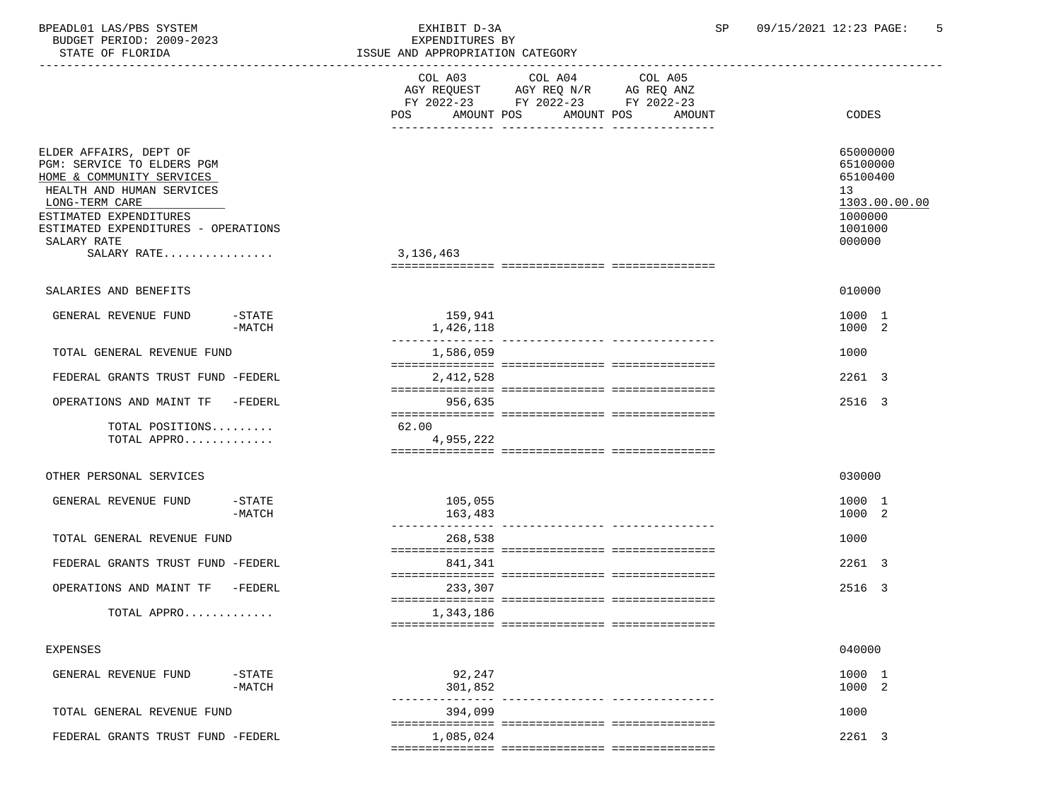| BPEADL01 LAS/PBS SYSTEM<br>BUDGET PERIOD: 2009-2023<br>STATE OF FLORIDA                                                                                                                                                         |                       | EXHIBIT D-3A<br>EXPENDITURES BY<br>ISSUE AND APPROPRIATION CATEGORY                                                                  | SP     | 09/15/2021 12:23 PAGE:<br>-5                                                            |
|---------------------------------------------------------------------------------------------------------------------------------------------------------------------------------------------------------------------------------|-----------------------|--------------------------------------------------------------------------------------------------------------------------------------|--------|-----------------------------------------------------------------------------------------|
|                                                                                                                                                                                                                                 |                       | COL A03<br>COL A04<br>COL A05<br>AGY REQUEST AGY REQ N/R AG REQ ANZ<br>FY 2022-23 FY 2022-23 FY 2022-23<br>POS AMOUNT POS AMOUNT POS | AMOUNT | CODES                                                                                   |
| ELDER AFFAIRS, DEPT OF<br>PGM: SERVICE TO ELDERS PGM<br>HOME & COMMUNITY SERVICES<br>HEALTH AND HUMAN SERVICES<br>LONG-TERM CARE<br>ESTIMATED EXPENDITURES<br>ESTIMATED EXPENDITURES - OPERATIONS<br>SALARY RATE<br>SALARY RATE |                       | 3,136,463                                                                                                                            |        | 65000000<br>65100000<br>65100400<br>13<br>1303.00.00.00<br>1000000<br>1001000<br>000000 |
| SALARIES AND BENEFITS                                                                                                                                                                                                           |                       |                                                                                                                                      |        | 010000                                                                                  |
| GENERAL REVENUE FUND                                                                                                                                                                                                            | $-$ STATE<br>$-MATCH$ | 159,941<br>1,426,118                                                                                                                 |        | 1000 1<br>1000 2                                                                        |
| TOTAL GENERAL REVENUE FUND                                                                                                                                                                                                      |                       | 1,586,059                                                                                                                            |        | 1000                                                                                    |
| FEDERAL GRANTS TRUST FUND -FEDERL                                                                                                                                                                                               |                       | 2,412,528                                                                                                                            |        | 2261 3                                                                                  |
| OPERATIONS AND MAINT TF -FEDERL                                                                                                                                                                                                 |                       | 956,635                                                                                                                              |        | 2516 3                                                                                  |
| TOTAL POSITIONS<br>TOTAL APPRO                                                                                                                                                                                                  |                       | 62.00<br>4,955,222                                                                                                                   |        |                                                                                         |
| OTHER PERSONAL SERVICES                                                                                                                                                                                                         |                       |                                                                                                                                      |        | 030000                                                                                  |
| GENERAL REVENUE FUND                                                                                                                                                                                                            | $-$ STATE<br>$-MATCH$ | 105,055<br>163,483                                                                                                                   |        | 1000 1<br>1000 2                                                                        |
| TOTAL GENERAL REVENUE FUND                                                                                                                                                                                                      |                       | 268,538                                                                                                                              |        | 1000                                                                                    |
| FEDERAL GRANTS TRUST FUND -FEDERL                                                                                                                                                                                               |                       | 841,341                                                                                                                              |        | 2261 3                                                                                  |
| OPERATIONS AND MAINT TF -FEDERL                                                                                                                                                                                                 |                       | 233,307                                                                                                                              |        | 2516 3                                                                                  |
| TOTAL APPRO                                                                                                                                                                                                                     |                       | 1,343,186                                                                                                                            |        |                                                                                         |
| <b>EXPENSES</b>                                                                                                                                                                                                                 |                       |                                                                                                                                      |        | 040000                                                                                  |
| GENERAL REVENUE FUND                                                                                                                                                                                                            | $-STATE$              | 92,247                                                                                                                               |        | 1000 1                                                                                  |

| FEDERAL GRANTS TRUST FUND -FEDERL |                  | 1,085,024             | 2261 3                                |  |
|-----------------------------------|------------------|-----------------------|---------------------------------------|--|
| TOTAL GENERAL REVENUE FUND        |                  | 394,099               | 1000                                  |  |
| GENERAL REVEROE FOND              | ىدىدىر<br>-MATCH | <i>,</i> 7<br>301,852 | $\bot$ $\cup$ $\cup$ $\bot$<br>1000 2 |  |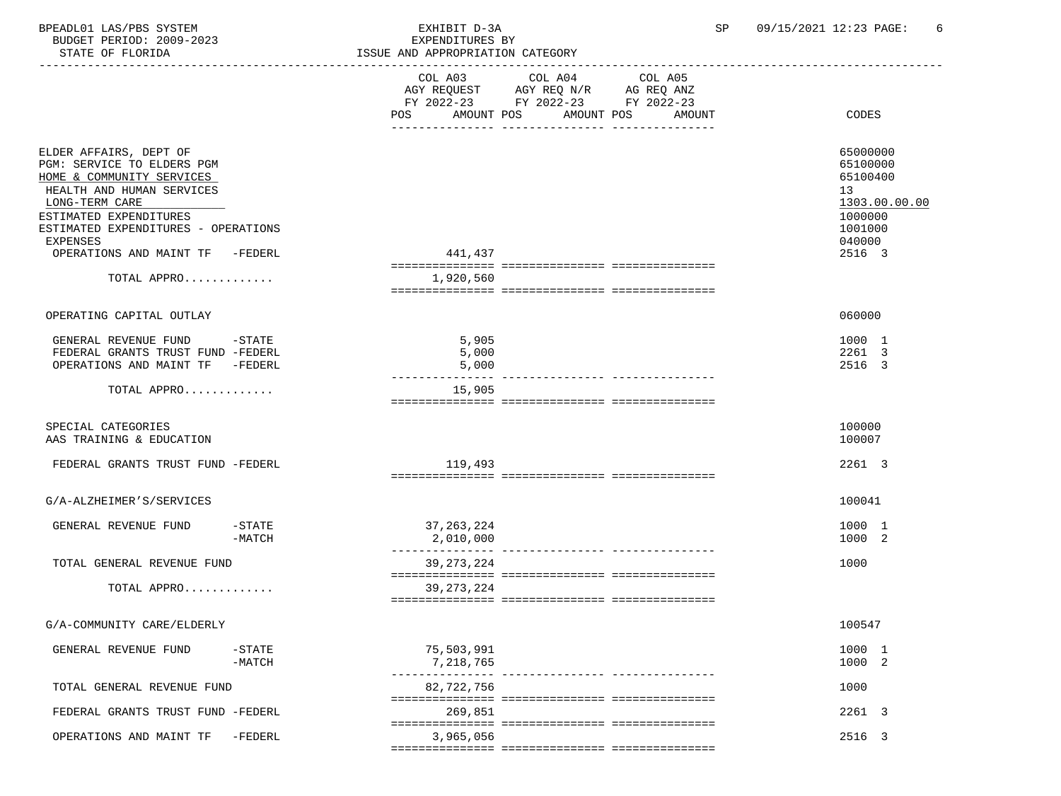| BPEADL01 LAS/PBS SYSTEM<br>BUDGET PERIOD: 2009-2023<br>STATE OF FLORIDA                                                                                                                                       | EXHIBIT D-3A<br>EXPENDITURES BY<br>ISSUE AND APPROPRIATION CATEGORY |                                                                                              | 09/15/2021 12:23 PAGE:<br>SP<br>6                                                                    |
|---------------------------------------------------------------------------------------------------------------------------------------------------------------------------------------------------------------|---------------------------------------------------------------------|----------------------------------------------------------------------------------------------|------------------------------------------------------------------------------------------------------|
|                                                                                                                                                                                                               | ----------------------------<br>COL A03                             | COL A04<br>COL A05<br>AGY REQUEST AGY REQ N/R AG REQ ANZ<br>FY 2022-23 FY 2022-23 FY 2022-23 |                                                                                                      |
|                                                                                                                                                                                                               |                                                                     | POS AMOUNT POS AMOUNT POS<br>AMOUNT                                                          | CODES                                                                                                |
| ELDER AFFAIRS, DEPT OF<br>PGM: SERVICE TO ELDERS PGM<br>HOME & COMMUNITY SERVICES<br>HEALTH AND HUMAN SERVICES<br>LONG-TERM CARE<br>ESTIMATED EXPENDITURES<br>ESTIMATED EXPENDITURES - OPERATIONS<br>EXPENSES |                                                                     |                                                                                              | 65000000<br>65100000<br>65100400<br>13 <sup>°</sup><br>1303.00.00.00<br>1000000<br>1001000<br>040000 |
| OPERATIONS AND MAINT TF -FEDERL                                                                                                                                                                               | 441,437                                                             |                                                                                              | 2516 3                                                                                               |
| TOTAL APPRO                                                                                                                                                                                                   | 1,920,560                                                           |                                                                                              |                                                                                                      |
| OPERATING CAPITAL OUTLAY                                                                                                                                                                                      |                                                                     |                                                                                              | 060000                                                                                               |
| GENERAL REVENUE FUND -STATE<br>FEDERAL GRANTS TRUST FUND -FEDERL<br>OPERATIONS AND MAINT TF -FEDERL                                                                                                           | 5,905<br>5,000<br>5,000                                             |                                                                                              | 1000 1<br>2261 3<br>2516 3                                                                           |
| TOTAL APPRO                                                                                                                                                                                                   | 15,905                                                              |                                                                                              |                                                                                                      |
| SPECIAL CATEGORIES<br>AAS TRAINING & EDUCATION                                                                                                                                                                |                                                                     |                                                                                              | 100000<br>100007                                                                                     |
| FEDERAL GRANTS TRUST FUND -FEDERL                                                                                                                                                                             | 119,493                                                             |                                                                                              | 2261 3                                                                                               |
| G/A-ALZHEIMER'S/SERVICES                                                                                                                                                                                      |                                                                     |                                                                                              | 100041                                                                                               |
| GENERAL REVENUE FUND<br>-STATE<br>$-MATCH$                                                                                                                                                                    | 37,263,224<br>2,010,000                                             |                                                                                              | 1000 1<br>1000 2                                                                                     |
| TOTAL GENERAL REVENUE FUND                                                                                                                                                                                    | 39, 273, 224                                                        |                                                                                              | 1000                                                                                                 |
| TOTAL APPRO                                                                                                                                                                                                   | 39, 273, 224                                                        |                                                                                              |                                                                                                      |
| G/A-COMMUNITY CARE/ELDERLY                                                                                                                                                                                    |                                                                     |                                                                                              | 100547                                                                                               |
| GENERAL REVENUE FUND<br>$-STATE$<br>$-MATCH$                                                                                                                                                                  | 75,503,991<br>7,218,765                                             |                                                                                              | 1000 1<br>1000 2                                                                                     |
| TOTAL GENERAL REVENUE FUND                                                                                                                                                                                    | 82,722,756                                                          | -------------- ------------                                                                  | 1000                                                                                                 |
| FEDERAL GRANTS TRUST FUND -FEDERL                                                                                                                                                                             | 269,851                                                             |                                                                                              | 2261 3                                                                                               |
| OPERATIONS AND MAINT TF<br>-FEDERL                                                                                                                                                                            | 3,965,056                                                           |                                                                                              | 2516 3                                                                                               |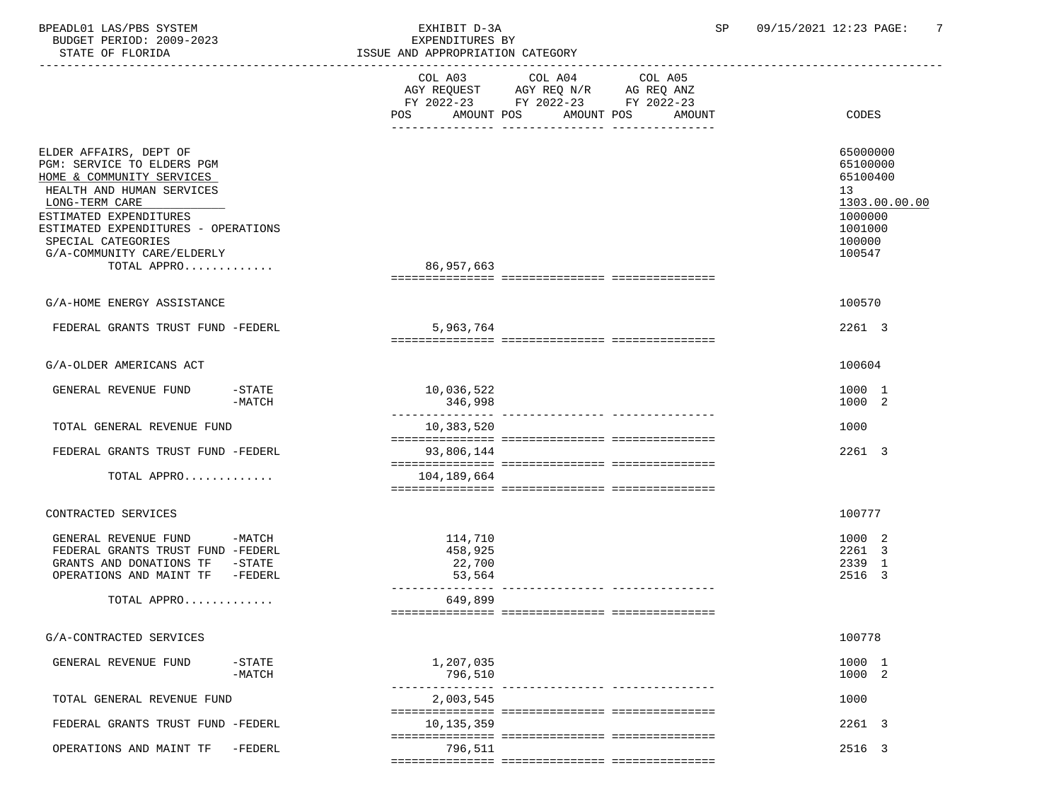BPEADL01 LAS/PBS SYSTEM EXHIBIT D-3A SP 09/15/2021 12:23 PAGE: 7 BUDGET PERIOD: 2009-2023<br>STATE OF FLORIDA

| STATE OF FLORIDA                                                                                                                                                                                                                                                     | ISSUE AND APPROPRIATION CATEGORY                                                                                                                  |                                                                                                   |
|----------------------------------------------------------------------------------------------------------------------------------------------------------------------------------------------------------------------------------------------------------------------|---------------------------------------------------------------------------------------------------------------------------------------------------|---------------------------------------------------------------------------------------------------|
|                                                                                                                                                                                                                                                                      | COL A03 COL A04<br>COL A05<br>AGY REQUEST AGY REQ N/R AG REQ ANZ<br>FY 2022-23 FY 2022-23 FY 2022-23<br>AMOUNT POS<br>AMOUNT POS<br>POS<br>AMOUNT | <b>CODES</b>                                                                                      |
|                                                                                                                                                                                                                                                                      |                                                                                                                                                   |                                                                                                   |
| ELDER AFFAIRS, DEPT OF<br>PGM: SERVICE TO ELDERS PGM<br>HOME & COMMUNITY SERVICES<br>HEALTH AND HUMAN SERVICES<br>LONG-TERM CARE<br>ESTIMATED EXPENDITURES<br>ESTIMATED EXPENDITURES - OPERATIONS<br>SPECIAL CATEGORIES<br>G/A-COMMUNITY CARE/ELDERLY<br>TOTAL APPRO | 86,957,663                                                                                                                                        | 65000000<br>65100000<br>65100400<br>13<br>1303.00.00.00<br>1000000<br>1001000<br>100000<br>100547 |
|                                                                                                                                                                                                                                                                      |                                                                                                                                                   |                                                                                                   |
| G/A-HOME ENERGY ASSISTANCE                                                                                                                                                                                                                                           |                                                                                                                                                   | 100570                                                                                            |
| FEDERAL GRANTS TRUST FUND -FEDERL                                                                                                                                                                                                                                    | 5,963,764                                                                                                                                         | 2261 3                                                                                            |
| G/A-OLDER AMERICANS ACT                                                                                                                                                                                                                                              |                                                                                                                                                   | 100604                                                                                            |
| $-$ STATE<br>GENERAL REVENUE FUND<br>-MATCH                                                                                                                                                                                                                          | 10,036,522<br>346,998                                                                                                                             | 1000 1<br>1000 2                                                                                  |
| TOTAL GENERAL REVENUE FUND                                                                                                                                                                                                                                           | 10,383,520                                                                                                                                        | 1000                                                                                              |
| FEDERAL GRANTS TRUST FUND -FEDERL                                                                                                                                                                                                                                    | 93,806,144                                                                                                                                        | 2261 3                                                                                            |
| TOTAL APPRO                                                                                                                                                                                                                                                          | 104,189,664                                                                                                                                       |                                                                                                   |
| CONTRACTED SERVICES                                                                                                                                                                                                                                                  |                                                                                                                                                   | 100777                                                                                            |
| GENERAL REVENUE FUND<br>$-MATCH$<br>FEDERAL GRANTS TRUST FUND -FEDERL<br>GRANTS AND DONATIONS TF<br>$-\mathtt{STATE}$<br>OPERATIONS AND MAINT TF -FEDERL<br>TOTAL APPRO                                                                                              | 114,710<br>458,925<br>22,700<br>53,564<br>---------------<br>649,899                                                                              | 1000 2<br>2261 3<br>2339 1<br>2516 3                                                              |
| G/A-CONTRACTED SERVICES                                                                                                                                                                                                                                              |                                                                                                                                                   | 100778                                                                                            |
| GENERAL REVENUE FUND<br>$-$ STATE<br>$-MATCH$                                                                                                                                                                                                                        | 1,207,035<br>796,510<br>------------- ----------------                                                                                            | 1000 1<br>1000 2                                                                                  |
| TOTAL GENERAL REVENUE FUND                                                                                                                                                                                                                                           | 2,003,545                                                                                                                                         | 1000                                                                                              |
| FEDERAL GRANTS TRUST FUND -FEDERL                                                                                                                                                                                                                                    | 10,135,359                                                                                                                                        | 2261 3                                                                                            |
| OPERATIONS AND MAINT TF<br>-FEDERL                                                                                                                                                                                                                                   | 796,511                                                                                                                                           | 2516 3                                                                                            |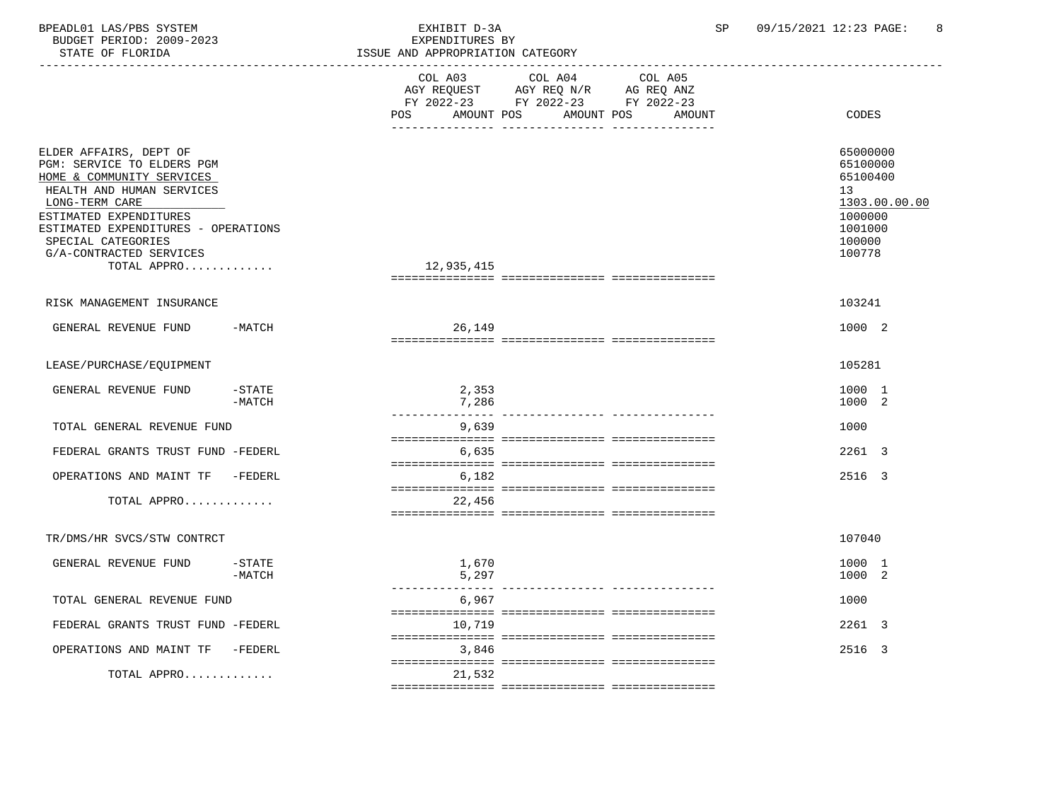| BPEADL01 LAS/PBS SYSTEM<br>BUDGET PERIOD: 2009-2023<br>STATE OF FLORIDA                                                                                                                                                                                           |                       | EXHIBIT D-3A<br>EXPENDITURES BY<br>ISSUE AND APPROPRIATION CATEGORY |                                                                                                                                 | SP. | 09/15/2021 12:23 PAGE:<br>8                                                                       |
|-------------------------------------------------------------------------------------------------------------------------------------------------------------------------------------------------------------------------------------------------------------------|-----------------------|---------------------------------------------------------------------|---------------------------------------------------------------------------------------------------------------------------------|-----|---------------------------------------------------------------------------------------------------|
|                                                                                                                                                                                                                                                                   |                       | COL A03<br>POS                                                      | COL A04 COL A05<br>AGY REQUEST AGY REQ N/R AG REQ ANZ<br>FY 2022-23 FY 2022-23 FY 2022-23<br>AMOUNT POS<br>AMOUNT POS<br>AMOUNT |     | CODES                                                                                             |
| ELDER AFFAIRS, DEPT OF<br>PGM: SERVICE TO ELDERS PGM<br>HOME & COMMUNITY SERVICES<br>HEALTH AND HUMAN SERVICES<br>LONG-TERM CARE<br>ESTIMATED EXPENDITURES<br>ESTIMATED EXPENDITURES - OPERATIONS<br>SPECIAL CATEGORIES<br>G/A-CONTRACTED SERVICES<br>TOTAL APPRO |                       | 12,935,415                                                          |                                                                                                                                 |     | 65000000<br>65100000<br>65100400<br>13<br>1303.00.00.00<br>1000000<br>1001000<br>100000<br>100778 |
| RISK MANAGEMENT INSURANCE                                                                                                                                                                                                                                         |                       |                                                                     |                                                                                                                                 |     | 103241                                                                                            |
| GENERAL REVENUE FUND                                                                                                                                                                                                                                              | $-MATCH$              | 26,149                                                              |                                                                                                                                 |     | 1000 2                                                                                            |
| LEASE/PURCHASE/EQUIPMENT                                                                                                                                                                                                                                          |                       |                                                                     |                                                                                                                                 |     | 105281                                                                                            |
| GENERAL REVENUE FUND                                                                                                                                                                                                                                              | -STATE<br>$-MATCH$    | 2,353<br>7,286                                                      |                                                                                                                                 |     | 1000 1<br>1000 2                                                                                  |
| TOTAL GENERAL REVENUE FUND                                                                                                                                                                                                                                        |                       | 9,639                                                               | --------------- ---------------                                                                                                 |     | 1000                                                                                              |
| FEDERAL GRANTS TRUST FUND -FEDERL                                                                                                                                                                                                                                 |                       | 6,635                                                               |                                                                                                                                 |     | 2261 3                                                                                            |
| OPERATIONS AND MAINT TF -FEDERL                                                                                                                                                                                                                                   |                       | 6,182                                                               |                                                                                                                                 |     | 2516 3                                                                                            |
| TOTAL APPRO                                                                                                                                                                                                                                                       |                       | 22,456                                                              |                                                                                                                                 |     |                                                                                                   |
| TR/DMS/HR SVCS/STW CONTRCT                                                                                                                                                                                                                                        |                       |                                                                     |                                                                                                                                 |     | 107040                                                                                            |
| GENERAL REVENUE FUND                                                                                                                                                                                                                                              | $-$ STATE<br>$-MATCH$ | 1,670<br>5,297<br>---------------                                   |                                                                                                                                 |     | 1000 1<br>1000 2                                                                                  |
| TOTAL GENERAL REVENUE FUND                                                                                                                                                                                                                                        |                       | 6,967                                                               |                                                                                                                                 |     | 1000                                                                                              |
| FEDERAL GRANTS TRUST FUND -FEDERL                                                                                                                                                                                                                                 |                       | 10,719                                                              |                                                                                                                                 |     | 2261 3                                                                                            |
| OPERATIONS AND MAINT TF                                                                                                                                                                                                                                           | -FEDERL               | 3,846                                                               |                                                                                                                                 |     | 2516 3                                                                                            |
| TOTAL APPRO                                                                                                                                                                                                                                                       |                       | 21,532                                                              |                                                                                                                                 |     |                                                                                                   |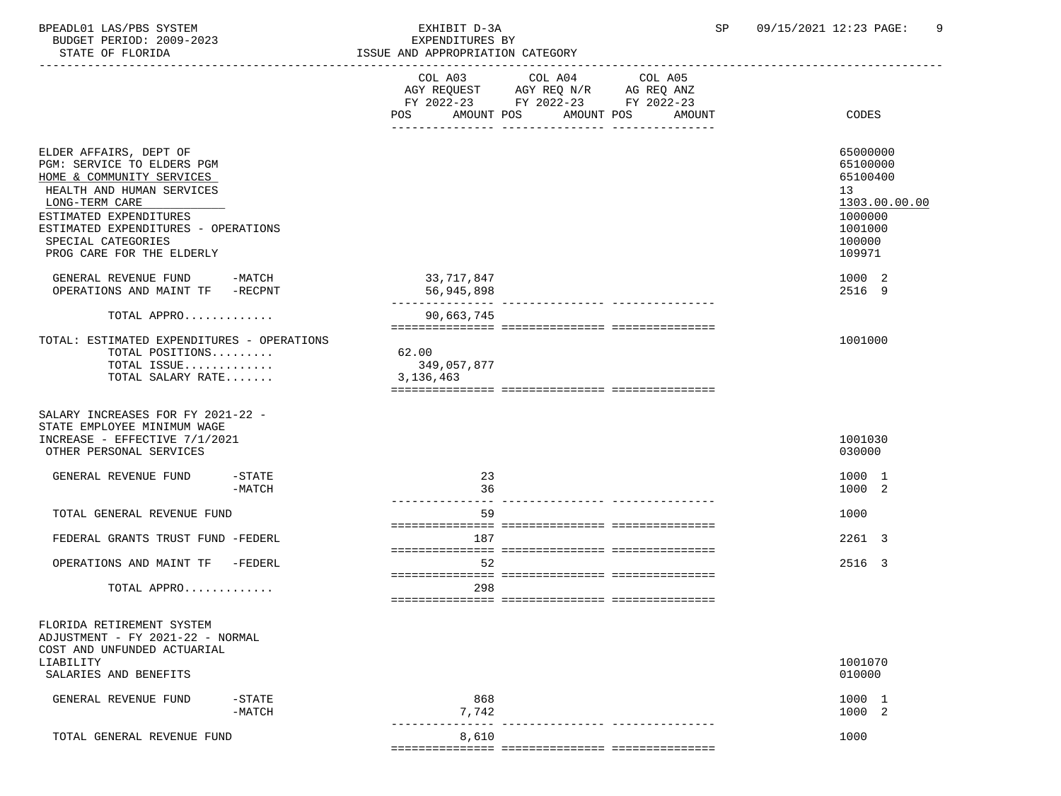BPEADL01 LAS/PBS SYSTEM EXHIBIT D-3A SP 09/15/2021 12:23 PAGE: 9 BUDGET PERIOD: 2009-2023

STATE OF FLORIDA ISSUE AND APPROPRIATION CATEGORY

| PIAIE OF FLORIDA                                                                                                                                                                                                                                     | ISSUE AND APPROPRIATION CATEGORY                                                                                                               |                                                                                                   |
|------------------------------------------------------------------------------------------------------------------------------------------------------------------------------------------------------------------------------------------------------|------------------------------------------------------------------------------------------------------------------------------------------------|---------------------------------------------------------------------------------------------------|
|                                                                                                                                                                                                                                                      | COL A03 COL A04 COL A05<br>AGY REQUEST AGY REQ N/R AG REQ ANZ<br>FY 2022-23 FY 2022-23 FY 2022-23<br>AMOUNT POS<br>AMOUNT POS<br>POS<br>AMOUNT | CODES                                                                                             |
| ELDER AFFAIRS, DEPT OF<br>PGM: SERVICE TO ELDERS PGM<br>HOME & COMMUNITY SERVICES<br>HEALTH AND HUMAN SERVICES<br>LONG-TERM CARE<br>ESTIMATED EXPENDITURES<br>ESTIMATED EXPENDITURES - OPERATIONS<br>SPECIAL CATEGORIES<br>PROG CARE FOR THE ELDERLY |                                                                                                                                                | 65000000<br>65100000<br>65100400<br>13<br>1303.00.00.00<br>1000000<br>1001000<br>100000<br>109971 |
| GENERAL REVENUE FUND -MATCH<br>OPERATIONS AND MAINT TF -RECPNT                                                                                                                                                                                       | 33,717,847<br>56,945,898                                                                                                                       | 1000 2<br>2516 9                                                                                  |
| TOTAL APPRO<br>TOTAL: ESTIMATED EXPENDITURES - OPERATIONS<br>TOTAL POSITIONS<br>TOTAL ISSUE<br>TOTAL SALARY RATE                                                                                                                                     | 90,663,745<br>62.00<br>349,057,877<br>3,136,463                                                                                                | 1001000                                                                                           |
| SALARY INCREASES FOR FY 2021-22 -<br>STATE EMPLOYEE MINIMUM WAGE<br>INCREASE - EFFECTIVE 7/1/2021<br>OTHER PERSONAL SERVICES                                                                                                                         |                                                                                                                                                | 1001030<br>030000                                                                                 |
| GENERAL REVENUE FUND<br>$-$ STATE<br>$-MATCH$                                                                                                                                                                                                        | 23<br>36                                                                                                                                       | 1000 1<br>1000 2                                                                                  |
| TOTAL GENERAL REVENUE FUND                                                                                                                                                                                                                           | 59                                                                                                                                             | 1000                                                                                              |
| FEDERAL GRANTS TRUST FUND -FEDERL                                                                                                                                                                                                                    | 187                                                                                                                                            | 2261 3                                                                                            |
| OPERATIONS AND MAINT TF -FEDERL<br>TOTAL APPRO                                                                                                                                                                                                       | 52<br>298                                                                                                                                      | 2516 3                                                                                            |
| FLORIDA RETIREMENT SYSTEM                                                                                                                                                                                                                            |                                                                                                                                                |                                                                                                   |
| ADJUSTMENT - FY 2021-22 - NORMAL<br>COST AND UNFUNDED ACTUARIAL<br>LIABILITY<br>SALARIES AND BENEFITS                                                                                                                                                |                                                                                                                                                | 1001070<br>010000                                                                                 |
| GENERAL REVENUE FUND<br>$-$ STATE<br>$-MATCH$                                                                                                                                                                                                        | 868<br>7,742                                                                                                                                   | 1000 1<br>1000 2                                                                                  |
| TOTAL GENERAL REVENUE FUND                                                                                                                                                                                                                           | 8,610                                                                                                                                          | 1000                                                                                              |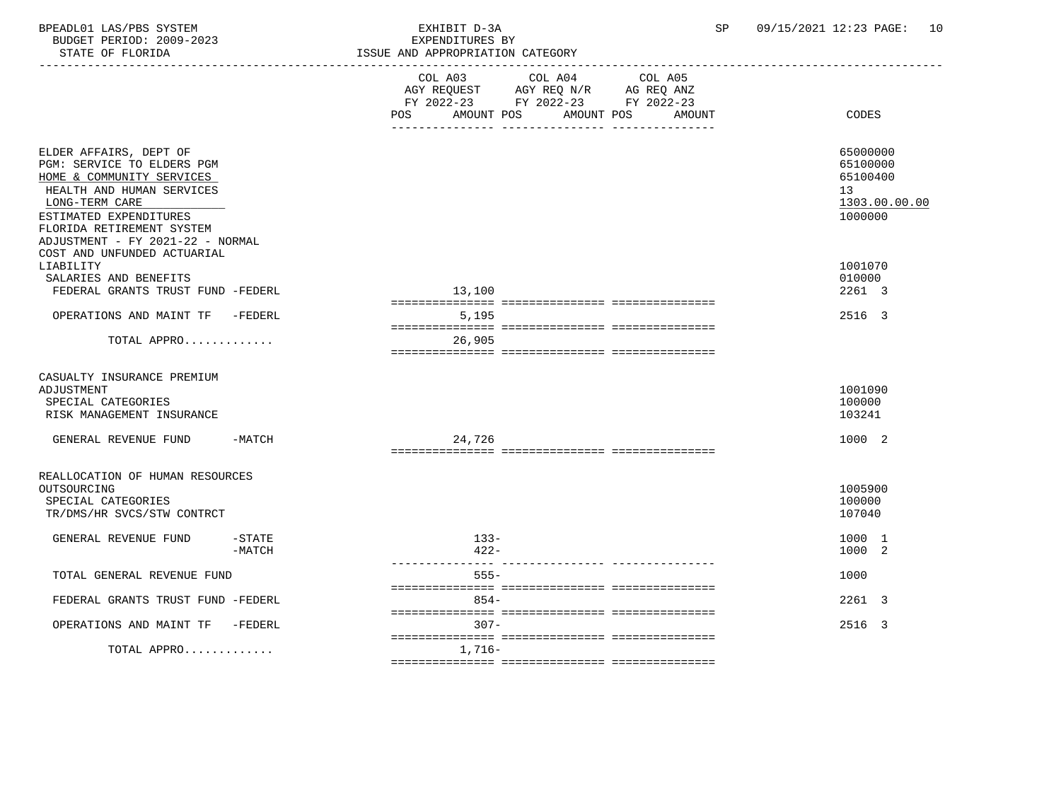BPEADL01 LAS/PBS SYSTEM EXHIBIT D-3A SP 09/15/2021 12:23 PAGE: 10 BUDGET PERIOD: 2009-2023<br>STATE OF FLORIDA

| STATE OF FLORIDA                                                                                                                                                                                                            |                       | ISSUE AND APPROPRIATION CATEGORY                                                                                                                     |                                                                    |
|-----------------------------------------------------------------------------------------------------------------------------------------------------------------------------------------------------------------------------|-----------------------|------------------------------------------------------------------------------------------------------------------------------------------------------|--------------------------------------------------------------------|
|                                                                                                                                                                                                                             |                       | COL A03<br>COL A04<br>COL A05<br>AGY REQUEST AGY REQ N/R AG REQ ANZ<br>FY 2022-23 FY 2022-23 FY 2022-23<br>AMOUNT POS<br>AMOUNT POS<br>POS<br>AMOUNT | <b>CODES</b>                                                       |
| ELDER AFFAIRS, DEPT OF<br>PGM: SERVICE TO ELDERS PGM<br>HOME & COMMUNITY SERVICES<br>HEALTH AND HUMAN SERVICES<br>LONG-TERM CARE<br>ESTIMATED EXPENDITURES<br>FLORIDA RETIREMENT SYSTEM<br>ADJUSTMENT - FY 2021-22 - NORMAL |                       |                                                                                                                                                      | 65000000<br>65100000<br>65100400<br>13<br>1303.00.00.00<br>1000000 |
| COST AND UNFUNDED ACTUARIAL<br>LIABILITY<br>SALARIES AND BENEFITS<br>FEDERAL GRANTS TRUST FUND -FEDERL<br>OPERATIONS AND MAINT TF -FEDERL                                                                                   |                       | 13,100<br>5,195                                                                                                                                      | 1001070<br>010000<br>2261 3<br>2516 3                              |
| TOTAL APPRO                                                                                                                                                                                                                 |                       | 26,905                                                                                                                                               |                                                                    |
| CASUALTY INSURANCE PREMIUM<br>ADJUSTMENT<br>SPECIAL CATEGORIES<br>RISK MANAGEMENT INSURANCE                                                                                                                                 |                       |                                                                                                                                                      | 1001090<br>100000<br>103241                                        |
| GENERAL REVENUE FUND -MATCH                                                                                                                                                                                                 |                       | 24,726                                                                                                                                               | 1000 2                                                             |
| REALLOCATION OF HUMAN RESOURCES<br>OUTSOURCING<br>SPECIAL CATEGORIES<br>TR/DMS/HR SVCS/STW CONTRCT                                                                                                                          |                       |                                                                                                                                                      | 1005900<br>100000<br>107040                                        |
| GENERAL REVENUE FUND                                                                                                                                                                                                        | $-$ STATE<br>$-MATCH$ | $133 -$<br>$422 -$                                                                                                                                   | 1000 1<br>1000 2                                                   |
| TOTAL GENERAL REVENUE FUND                                                                                                                                                                                                  |                       | $555 -$                                                                                                                                              | 1000                                                               |
| FEDERAL GRANTS TRUST FUND -FEDERL                                                                                                                                                                                           |                       | $854 -$                                                                                                                                              | 2261 3                                                             |
| OPERATIONS AND MAINT TF -FEDERL                                                                                                                                                                                             |                       | $307 -$                                                                                                                                              | 2516 3                                                             |
| TOTAL APPRO                                                                                                                                                                                                                 |                       | 1,716–                                                                                                                                               |                                                                    |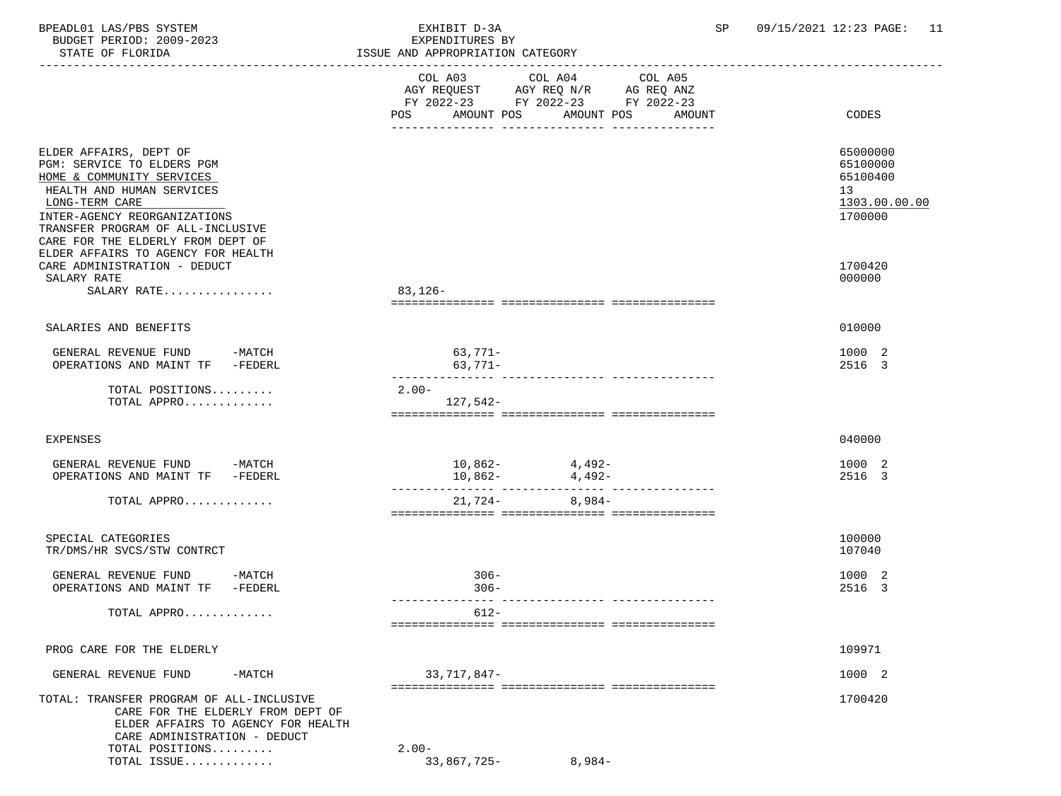BPEADL01 LAS/PBS SYSTEM EXHIBIT D-3A SP 09/15/2021 12:23 PAGE: 11 BUDGET PERIOD: 2009-2023<br>STATE OF FLORIDA

| STATE OF FLORIDA                                                                                                                                                                                                                           | ISSUE AND APPROPRIATION CATEGORY                                                                 |                                                                    |
|--------------------------------------------------------------------------------------------------------------------------------------------------------------------------------------------------------------------------------------------|--------------------------------------------------------------------------------------------------|--------------------------------------------------------------------|
|                                                                                                                                                                                                                                            | FY 2022-23 FY 2022-23 FY 2022-23<br>POS<br>AMOUNT POS<br>AMOUNT POS<br>AMOUNT<br>_______________ | CODES                                                              |
| ELDER AFFAIRS, DEPT OF<br>PGM: SERVICE TO ELDERS PGM<br>HOME & COMMUNITY SERVICES<br>HEALTH AND HUMAN SERVICES<br>LONG-TERM CARE<br>INTER-AGENCY REORGANIZATIONS<br>TRANSFER PROGRAM OF ALL-INCLUSIVE<br>CARE FOR THE ELDERLY FROM DEPT OF |                                                                                                  | 65000000<br>65100000<br>65100400<br>13<br>1303.00.00.00<br>1700000 |
| ELDER AFFAIRS TO AGENCY FOR HEALTH<br>CARE ADMINISTRATION - DEDUCT<br>SALARY RATE<br>SALARY RATE                                                                                                                                           | 83,126-                                                                                          | 1700420<br>000000                                                  |
| SALARIES AND BENEFITS                                                                                                                                                                                                                      |                                                                                                  | 010000                                                             |
| GENERAL REVENUE FUND<br>$-MATCH$<br>OPERATIONS AND MAINT TF -FEDERL                                                                                                                                                                        | 63,771-<br>$63,771-$                                                                             | 1000 2<br>2516 3                                                   |
| TOTAL POSITIONS<br>TOTAL APPRO                                                                                                                                                                                                             | $2.00 -$<br>$127,542-$                                                                           |                                                                    |
| EXPENSES                                                                                                                                                                                                                                   |                                                                                                  | 040000                                                             |
| GENERAL REVENUE FUND -MATCH<br>OPERATIONS AND MAINT TF -FEDERL                                                                                                                                                                             | $10,862-$ 4,492-<br>$10,862-$ 4,492-                                                             | 1000 2<br>2516 3                                                   |
| TOTAL APPRO                                                                                                                                                                                                                                | 21,724-<br>$8,984-$                                                                              |                                                                    |
| SPECIAL CATEGORIES<br>TR/DMS/HR SVCS/STW CONTRCT                                                                                                                                                                                           |                                                                                                  | 100000<br>107040                                                   |
| GENERAL REVENUE FUND<br>-MATCH<br>OPERATIONS AND MAINT TF -FEDERL                                                                                                                                                                          | $306 -$<br>$306 -$                                                                               | 1000 2<br>2516 3                                                   |
| TOTAL APPRO                                                                                                                                                                                                                                | $612 -$                                                                                          |                                                                    |
| PROG CARE FOR THE ELDERLY                                                                                                                                                                                                                  |                                                                                                  | 109971                                                             |
| GENERAL REVENUE FUND<br>-MATCH                                                                                                                                                                                                             | 33,717,847-                                                                                      | 1000 2                                                             |
| TOTAL: TRANSFER PROGRAM OF ALL-INCLUSIVE<br>CARE FOR THE ELDERLY FROM DEPT OF<br>ELDER AFFAIRS TO AGENCY FOR HEALTH<br>CARE ADMINISTRATION - DEDUCT                                                                                        |                                                                                                  | 1700420                                                            |

TOTAL POSITIONS.......... 2.00-<br>TOTAL ISSUE.............. 2.00-<br>33,867,725-TOTAL ISSUE............. 33,867,725- 8,984-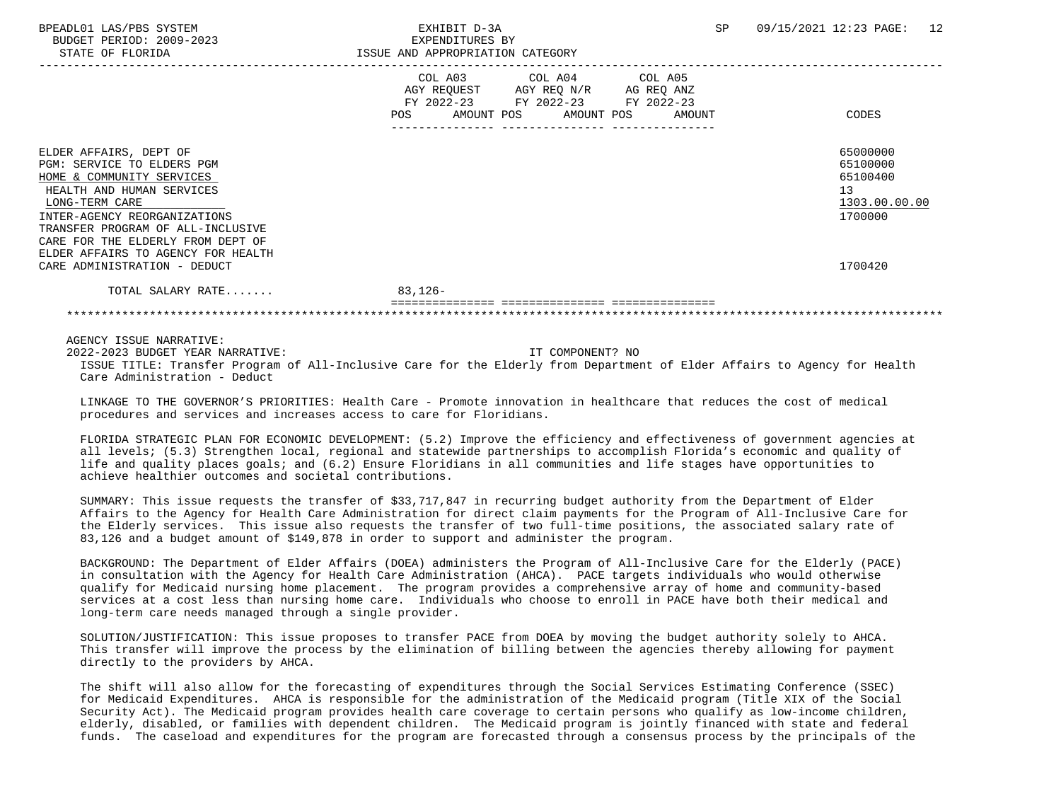BUDGET PERIOD: 2009-2023 EXPENDITURES BY STATE OF FLORIDA **ISSUE AND APPROPRIATION CATEGORY** 

|                                    |                          | COL A03 COL A04 COL A05 |        |               |
|------------------------------------|--------------------------|-------------------------|--------|---------------|
|                                    | AGY REQUEST              | AGY REQ N/R AG REQ ANZ  |        |               |
|                                    | FY 2022-23               | FY 2022-23 FY 2022-23   |        |               |
|                                    | AMOUNT POS<br><b>POS</b> | AMOUNT POS              | AMOUNT | CODES         |
|                                    |                          |                         |        |               |
| ELDER AFFAIRS, DEPT OF             |                          |                         |        | 65000000      |
| PGM: SERVICE TO ELDERS PGM         |                          |                         |        | 65100000      |
| HOME & COMMUNITY SERVICES          |                          |                         |        | 65100400      |
| HEALTH AND HUMAN SERVICES          |                          |                         |        | 13            |
|                                    |                          |                         |        | 1303.00.00.00 |
| LONG-TERM CARE                     |                          |                         |        |               |
| INTER-AGENCY REORGANIZATIONS       |                          |                         |        | 1700000       |
| TRANSFER PROGRAM OF ALL-INCLUSIVE  |                          |                         |        |               |
| CARE FOR THE ELDERLY FROM DEPT OF  |                          |                         |        |               |
| ELDER AFFAIRS TO AGENCY FOR HEALTH |                          |                         |        |               |
| CARE ADMINISTRATION - DEDUCT       |                          |                         |        | 1700420       |
| TOTAL SALARY RATE                  | $83,126-$                |                         |        |               |
|                                    |                          |                         |        |               |

\*\*\*\*\*\*\*\*\*\*\*\*\*\*\*\*\*\*\*\*\*\*\*\*\*\*\*\*\*\*\*\*\*\*\*\*\*\*\*\*\*\*\*\*\*\*\*\*\*\*\*\*\*\*\*\*\*\*\*\*\*\*\*\*\*\*\*\*\*\*\*\*\*\*\*\*\*\*\*\*\*\*\*\*\*\*\*\*\*\*\*\*\*\*\*\*\*\*\*\*\*\*\*\*\*\*\*\*\*\*\*\*\*\*\*\*\*\*\*\*\*\*\*\*\*\*\*

AGENCY ISSUE NARRATIVE:

 2022-2023 BUDGET YEAR NARRATIVE: IT COMPONENT? NO ISSUE TITLE: Transfer Program of All-Inclusive Care for the Elderly from Department of Elder Affairs to Agency for Health Care Administration - Deduct

 LINKAGE TO THE GOVERNOR'S PRIORITIES: Health Care - Promote innovation in healthcare that reduces the cost of medical procedures and services and increases access to care for Floridians.

 FLORIDA STRATEGIC PLAN FOR ECONOMIC DEVELOPMENT: (5.2) Improve the efficiency and effectiveness of government agencies at all levels; (5.3) Strengthen local, regional and statewide partnerships to accomplish Florida's economic and quality of life and quality places goals; and (6.2) Ensure Floridians in all communities and life stages have opportunities to achieve healthier outcomes and societal contributions.

 SUMMARY: This issue requests the transfer of \$33,717,847 in recurring budget authority from the Department of Elder Affairs to the Agency for Health Care Administration for direct claim payments for the Program of All-Inclusive Care for the Elderly services. This issue also requests the transfer of two full-time positions, the associated salary rate of 83,126 and a budget amount of \$149,878 in order to support and administer the program.

 BACKGROUND: The Department of Elder Affairs (DOEA) administers the Program of All-Inclusive Care for the Elderly (PACE) in consultation with the Agency for Health Care Administration (AHCA). PACE targets individuals who would otherwise qualify for Medicaid nursing home placement. The program provides a comprehensive array of home and community-based services at a cost less than nursing home care. Individuals who choose to enroll in PACE have both their medical and long-term care needs managed through a single provider.

 SOLUTION/JUSTIFICATION: This issue proposes to transfer PACE from DOEA by moving the budget authority solely to AHCA. This transfer will improve the process by the elimination of billing between the agencies thereby allowing for payment directly to the providers by AHCA.

 The shift will also allow for the forecasting of expenditures through the Social Services Estimating Conference (SSEC) for Medicaid Expenditures. AHCA is responsible for the administration of the Medicaid program (Title XIX of the Social Security Act). The Medicaid program provides health care coverage to certain persons who qualify as low-income children, elderly, disabled, or families with dependent children. The Medicaid program is jointly financed with state and federal funds. The caseload and expenditures for the program are forecasted through a consensus process by the principals of the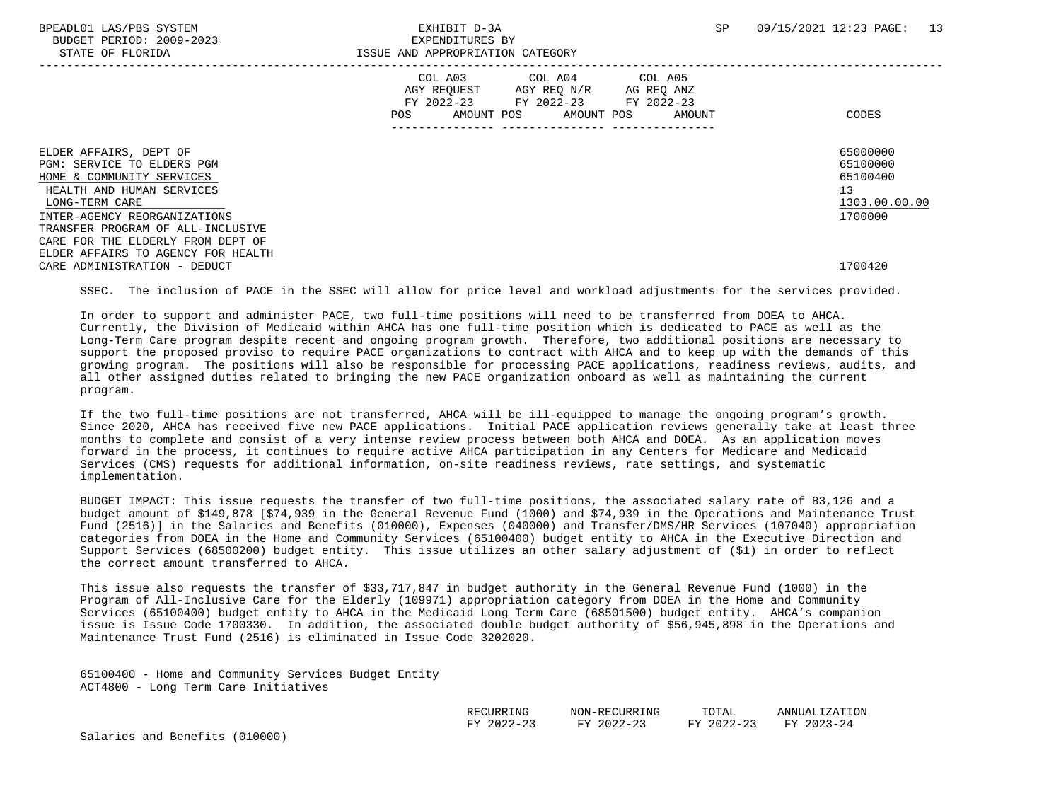BPEADL01 LAS/PBS SYSTEM SALL SALL STATES TO A SP 09/15/2021 12:23 PAGE: 13 BUDGET PERIOD: 2009-2023 EXPENDITURES BY STATE OF FLORIDA **ISSUE AND APPROPRIATION CATEGORY**  ----------------------------------------------------------------------------------------------------------------------------------- COL A03 COL A04 COL A05 AGY REQUEST AGY REQ N/R AG REQ ANZ FY 2022-23 FY 2022-23 FY 2022-23<br>POS AMOUNT POS AMOUNT POS AMOUNT POS AMOUNT POS AMOUNT POS AMOUNT CODES --------------- --------------- --------------- ELDER AFFAIRS, DEPT OF 65000000 PGM: SERVICE TO ELDERS PGM<br>HOME & COMMUNITY SERVICES 65100400 HOME & COMMUNITY SERVICES HEALTH AND HUMAN SERVICES 13  $\underline{\text{LONG-TERM CARE}}$   $\underline{\text{1303.00.00}}$  INTER-AGENCY REORGANIZATIONS 1700000 TRANSFER PROGRAM OF ALL-INCLUSIVE CARE FOR THE ELDERLY FROM DEPT OF ELDER AFFAIRS TO AGENCY FOR HEALTH CARE ADMINISTRATION - DEDUCT 1700420

SSEC. The inclusion of PACE in the SSEC will allow for price level and workload adjustments for the services provided.

 In order to support and administer PACE, two full-time positions will need to be transferred from DOEA to AHCA. Currently, the Division of Medicaid within AHCA has one full-time position which is dedicated to PACE as well as the Long-Term Care program despite recent and ongoing program growth. Therefore, two additional positions are necessary to support the proposed proviso to require PACE organizations to contract with AHCA and to keep up with the demands of this growing program. The positions will also be responsible for processing PACE applications, readiness reviews, audits, and all other assigned duties related to bringing the new PACE organization onboard as well as maintaining the current program.

 If the two full-time positions are not transferred, AHCA will be ill-equipped to manage the ongoing program's growth. Since 2020, AHCA has received five new PACE applications. Initial PACE application reviews generally take at least three months to complete and consist of a very intense review process between both AHCA and DOEA. As an application moves forward in the process, it continues to require active AHCA participation in any Centers for Medicare and Medicaid Services (CMS) requests for additional information, on-site readiness reviews, rate settings, and systematic implementation.

 BUDGET IMPACT: This issue requests the transfer of two full-time positions, the associated salary rate of 83,126 and a budget amount of \$149,878 [\$74,939 in the General Revenue Fund (1000) and \$74,939 in the Operations and Maintenance Trust Fund (2516)] in the Salaries and Benefits (010000), Expenses (040000) and Transfer/DMS/HR Services (107040) appropriation categories from DOEA in the Home and Community Services (65100400) budget entity to AHCA in the Executive Direction and Support Services (68500200) budget entity. This issue utilizes an other salary adjustment of (\$1) in order to reflect the correct amount transferred to AHCA.

 This issue also requests the transfer of \$33,717,847 in budget authority in the General Revenue Fund (1000) in the Program of All-Inclusive Care for the Elderly (109971) appropriation category from DOEA in the Home and Community Services (65100400) budget entity to AHCA in the Medicaid Long Term Care (68501500) budget entity. AHCA's companion issue is Issue Code 1700330. In addition, the associated double budget authority of \$56,945,898 in the Operations and Maintenance Trust Fund (2516) is eliminated in Issue Code 3202020.

 65100400 - Home and Community Services Budget Entity ACT4800 - Long Term Care Initiatives

| RECURRING  | NON-RECURRING    | TOTAL      | ZATION.<br>ANNUAL      |
|------------|------------------|------------|------------------------|
| FY 2022-23 | FY 2022-23<br>-- | FY 2022-23 | 2023-24<br><b>ਹਾ</b> ਰ |

Salaries and Benefits (010000)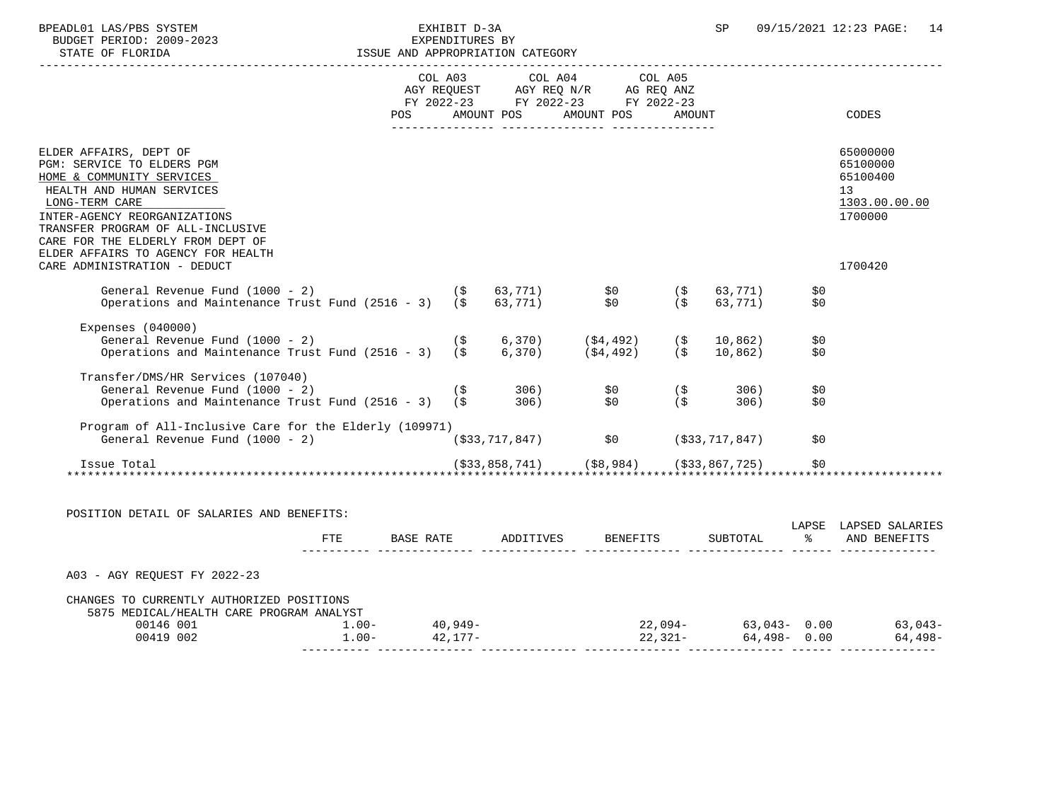| BPEADL01 LAS/PBS SYSTEM |                  |                          | EXHIBIT D-3A                     |  |
|-------------------------|------------------|--------------------------|----------------------------------|--|
|                         |                  | BUDGET PERIOD: 2009-2023 | EXPENDITURES BY                  |  |
|                         | STATE OF FLORIDA |                          | ISSUE AND APPROPRIATION CATEGORY |  |

|                                                                                                                                                                                                                                            |               | COL A03 COL A04 COL A05<br>AGY REQUEST AGY REQ N/R AG REQ ANZ<br>FY 2022-23 FY 2022-23 FY 2022-23 |                    |            |                                                                    |
|--------------------------------------------------------------------------------------------------------------------------------------------------------------------------------------------------------------------------------------------|---------------|---------------------------------------------------------------------------------------------------|--------------------|------------|--------------------------------------------------------------------|
|                                                                                                                                                                                                                                            |               | POS AMOUNT POS AMOUNT POS AMOUNT                                                                  |                    |            | CODES                                                              |
| ELDER AFFAIRS, DEPT OF<br>PGM: SERVICE TO ELDERS PGM<br>HOME & COMMUNITY SERVICES<br>HEALTH AND HUMAN SERVICES<br>LONG-TERM CARE<br>INTER-AGENCY REORGANIZATIONS<br>TRANSFER PROGRAM OF ALL-INCLUSIVE<br>CARE FOR THE ELDERLY FROM DEPT OF |               |                                                                                                   |                    |            | 65000000<br>65100000<br>65100400<br>13<br>1303.00.00.00<br>1700000 |
| ELDER AFFAIRS TO AGENCY FOR HEALTH<br>CARE ADMINISTRATION - DEDUCT                                                                                                                                                                         |               |                                                                                                   |                    |            | 1700420                                                            |
| General Revenue Fund (1000 - 2)<br>Operations and Maintenance Trust Fund $(2516 - 3)$ $($ \$ 63,771)                                                                                                                                       | $(\$$ 63,771) |                                                                                                   |                    | \$0<br>\$0 |                                                                    |
| Expenses $(040000)$<br>General Revenue Fund (1000 - 2)<br>Operations and Maintenance Trust Fund (2516 - 3) (\$ 6,370) (\$4,492) (\$                                                                                                        | (\$           | $(5, 370)$ $(54, 492)$ $(5, 10)$                                                                  | 10,862)<br>10,862) | \$0<br>\$0 |                                                                    |
| Transfer/DMS/HR Services (107040)<br>General Revenue Fund (1000 - 2)<br>Operations and Maintenance Trust Fund (2516 - 3) (\$ 306) \$0 (\$ )                                                                                                |               |                                                                                                   | 306)<br>306)       | \$0<br>\$0 |                                                                    |
| Program of All-Inclusive Care for the Elderly (109971)<br>General Revenue Fund (1000 - 2)                                                                                                                                                  |               | $( $33, 717, 847)$ $$0$ $( $33, 717, 847)$                                                        |                    | \$0        |                                                                    |
| Issue Total                                                                                                                                                                                                                                |               |                                                                                                   |                    |            |                                                                    |
| POSITION DETAIL OF SALARIES AND BENEFITS:                                                                                                                                                                                                  |               |                                                                                                   |                    |            | LAPSE LAPSED SALARIES                                              |
|                                                                                                                                                                                                                                            |               | FTE BASE RATE ADDITIVES BENEFITS                                                                  | SUBTOTAL           |            | % AND BENEFITS                                                     |
| A03 - AGY REQUEST FY 2022-23                                                                                                                                                                                                               |               |                                                                                                   |                    |            |                                                                    |
| CHANGES TO CURRENTLY AUTHORIZED POSITIONS                                                                                                                                                                                                  |               |                                                                                                   |                    |            |                                                                    |
| 5875 MEDICAL/HEALTH CARE PROGRAM ANALYST<br>$0.0146 \t0.01$<br>00419 002<br>00419 002<br>00419 002<br>00419 002                                                                                                                            |               |                                                                                                   |                    |            |                                                                    |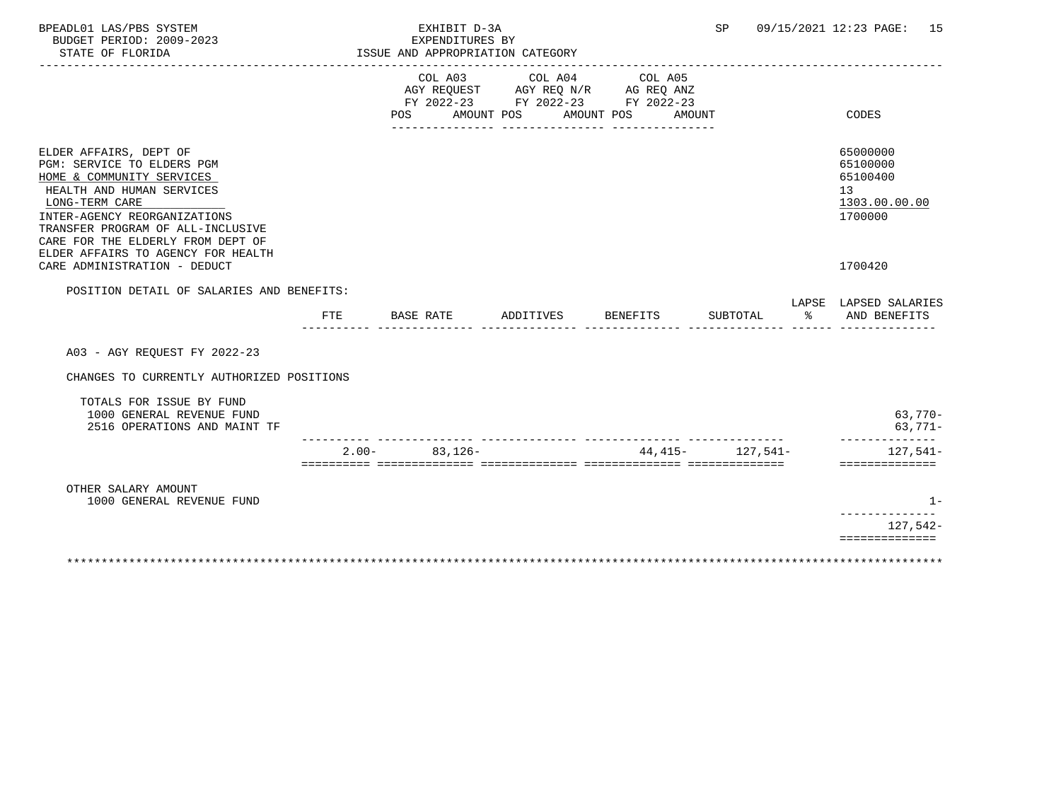| BPEADL01 LAS/PBS SYSTEM<br>BUDGET PERIOD: 2009-2023<br>STATE OF FLORIDA                                                                                                                                                                                                          |         | EXHIBIT D-3A<br>EXPENDITURES BY<br>ISSUE AND APPROPRIATION CATEGORY |                                                                                           |            | SP <sub>2</sub>      |       | 09/15/2021 12:23 PAGE: 15                                          |
|----------------------------------------------------------------------------------------------------------------------------------------------------------------------------------------------------------------------------------------------------------------------------------|---------|---------------------------------------------------------------------|-------------------------------------------------------------------------------------------|------------|----------------------|-------|--------------------------------------------------------------------|
|                                                                                                                                                                                                                                                                                  |         | COL A03<br>POS AMOUNT POS                                           | COL A04 COL A05<br>AGY REQUEST AGY REQ N/R AG REQ ANZ<br>FY 2022-23 FY 2022-23 FY 2022-23 | AMOUNT POS | AMOUNT               |       | CODES                                                              |
| ELDER AFFAIRS, DEPT OF<br>PGM: SERVICE TO ELDERS PGM<br>HOME & COMMUNITY SERVICES<br>HEALTH AND HUMAN SERVICES<br>LONG-TERM CARE<br>INTER-AGENCY REORGANIZATIONS<br>TRANSFER PROGRAM OF ALL-INCLUSIVE<br>CARE FOR THE ELDERLY FROM DEPT OF<br>ELDER AFFAIRS TO AGENCY FOR HEALTH |         |                                                                     |                                                                                           |            |                      |       | 65000000<br>65100000<br>65100400<br>13<br>1303.00.00.00<br>1700000 |
| CARE ADMINISTRATION - DEDUCT                                                                                                                                                                                                                                                     |         |                                                                     |                                                                                           |            |                      |       | 1700420                                                            |
| POSITION DETAIL OF SALARIES AND BENEFITS:<br>FTE                                                                                                                                                                                                                                 |         | BASE RATE                                                           | ADDITIVES BENEFITS                                                                        |            | SUBTOTAL             | ာ အော | LAPSE LAPSED SALARIES<br>AND BENEFITS                              |
| A03 - AGY REQUEST FY 2022-23                                                                                                                                                                                                                                                     |         |                                                                     |                                                                                           |            |                      |       |                                                                    |
| CHANGES TO CURRENTLY AUTHORIZED POSITIONS                                                                                                                                                                                                                                        |         |                                                                     |                                                                                           |            |                      |       |                                                                    |
| TOTALS FOR ISSUE BY FUND<br>1000 GENERAL REVENUE FUND<br>2516 OPERATIONS AND MAINT TF                                                                                                                                                                                            |         |                                                                     |                                                                                           |            |                      |       | $63,770-$<br>$63,771-$                                             |
|                                                                                                                                                                                                                                                                                  | $2.00-$ | $83,126-$                                                           |                                                                                           |            | $44.415 - 127.541 -$ |       | --------------<br>127,541-<br>==============                       |
| OTHER SALARY AMOUNT<br>1000 GENERAL REVENUE FUND                                                                                                                                                                                                                                 |         |                                                                     |                                                                                           |            |                      |       | $1 -$                                                              |
|                                                                                                                                                                                                                                                                                  |         |                                                                     |                                                                                           |            |                      |       | $127,542-$                                                         |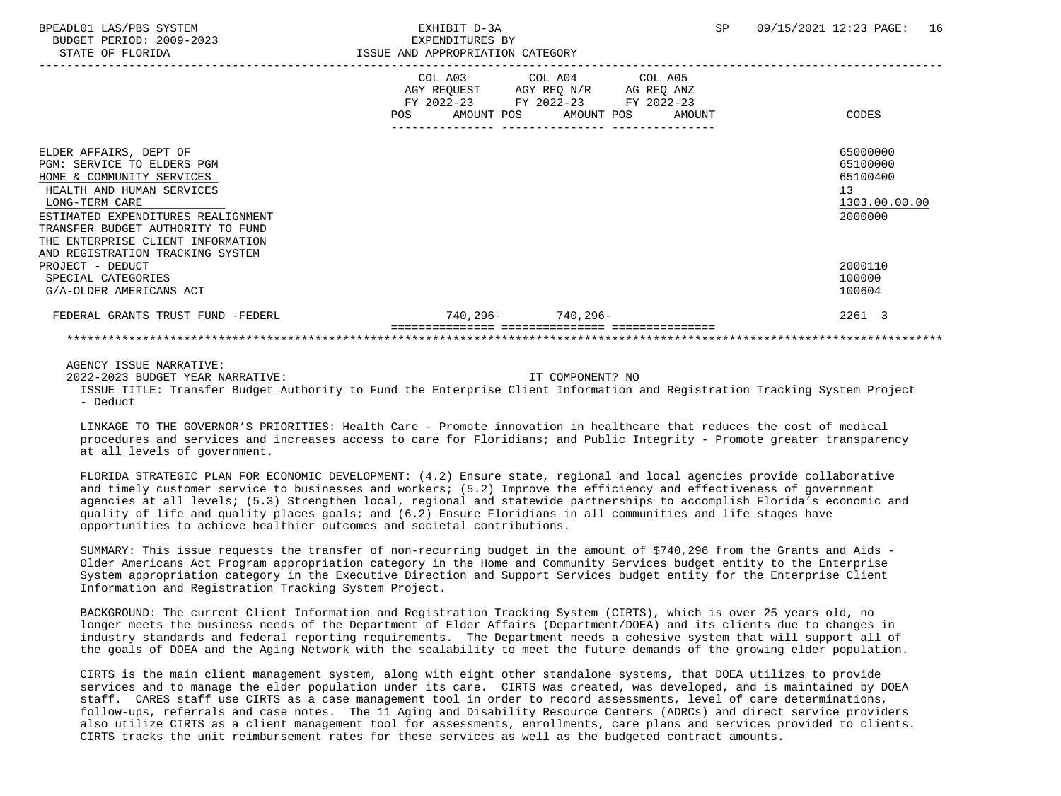BUDGET PERIOD: 2009-2023 EXPENDITURES BY STATE OF FLORIDA **ISSUE AND APPROPRIATION CATEGORY** 

|                                    |     | COL A03 COL A04 COL A05<br>AGY REQUEST | AGY REQ N/R AG REQ ANZ |        |               |
|------------------------------------|-----|----------------------------------------|------------------------|--------|---------------|
|                                    |     | FY 2022-23 FY 2022-23 FY 2022-23       |                        |        |               |
|                                    | POS | AMOUNT POS                             | AMOUNT POS             | AMOUNT | CODES         |
|                                    |     |                                        |                        |        |               |
| ELDER AFFAIRS, DEPT OF             |     |                                        |                        |        | 65000000      |
| PGM: SERVICE TO ELDERS PGM         |     |                                        |                        |        | 65100000      |
| HOME & COMMUNITY SERVICES          |     |                                        |                        |        | 65100400      |
| HEALTH AND HUMAN SERVICES          |     |                                        |                        |        | 13            |
| LONG-TERM CARE                     |     |                                        |                        |        | 1303.00.00.00 |
| ESTIMATED EXPENDITURES REALIGNMENT |     |                                        |                        |        | 2000000       |
| TRANSFER BUDGET AUTHORITY TO FUND  |     |                                        |                        |        |               |
| THE ENTERPRISE CLIENT INFORMATION  |     |                                        |                        |        |               |
| AND REGISTRATION TRACKING SYSTEM   |     |                                        |                        |        |               |
| PROJECT - DEDUCT                   |     |                                        |                        |        | 2000110       |
| SPECIAL CATEGORIES                 |     |                                        |                        |        | 100000        |
| G/A-OLDER AMERICANS ACT            |     |                                        |                        |        | 100604        |
|                                    |     |                                        |                        |        |               |
| FEDERAL GRANTS TRUST FUND -FEDERL  |     | 740,296- 740,296-                      |                        |        | 2261 3        |
|                                    |     |                                        |                        |        |               |

AGENCY ISSUE NARRATIVE:

2022-2023 BUDGET YEAR NARRATIVE: IT COMPONENT? NO

 ISSUE TITLE: Transfer Budget Authority to Fund the Enterprise Client Information and Registration Tracking System Project  $-$  Deduct

 LINKAGE TO THE GOVERNOR'S PRIORITIES: Health Care - Promote innovation in healthcare that reduces the cost of medical procedures and services and increases access to care for Floridians; and Public Integrity - Promote greater transparency at all levels of government.

 FLORIDA STRATEGIC PLAN FOR ECONOMIC DEVELOPMENT: (4.2) Ensure state, regional and local agencies provide collaborative and timely customer service to businesses and workers; (5.2) Improve the efficiency and effectiveness of government agencies at all levels; (5.3) Strengthen local, regional and statewide partnerships to accomplish Florida's economic and quality of life and quality places goals; and (6.2) Ensure Floridians in all communities and life stages have opportunities to achieve healthier outcomes and societal contributions.

 SUMMARY: This issue requests the transfer of non-recurring budget in the amount of \$740,296 from the Grants and Aids - Older Americans Act Program appropriation category in the Home and Community Services budget entity to the Enterprise System appropriation category in the Executive Direction and Support Services budget entity for the Enterprise Client Information and Registration Tracking System Project.

 BACKGROUND: The current Client Information and Registration Tracking System (CIRTS), which is over 25 years old, no longer meets the business needs of the Department of Elder Affairs (Department/DOEA) and its clients due to changes in industry standards and federal reporting requirements. The Department needs a cohesive system that will support all of the goals of DOEA and the Aging Network with the scalability to meet the future demands of the growing elder population.

 CIRTS is the main client management system, along with eight other standalone systems, that DOEA utilizes to provide services and to manage the elder population under its care. CIRTS was created, was developed, and is maintained by DOEA staff. CARES staff use CIRTS as a case management tool in order to record assessments, level of care determinations, follow-ups, referrals and case notes. The 11 Aging and Disability Resource Centers (ADRCs) and direct service providers also utilize CIRTS as a client management tool for assessments, enrollments, care plans and services provided to clients. CIRTS tracks the unit reimbursement rates for these services as well as the budgeted contract amounts.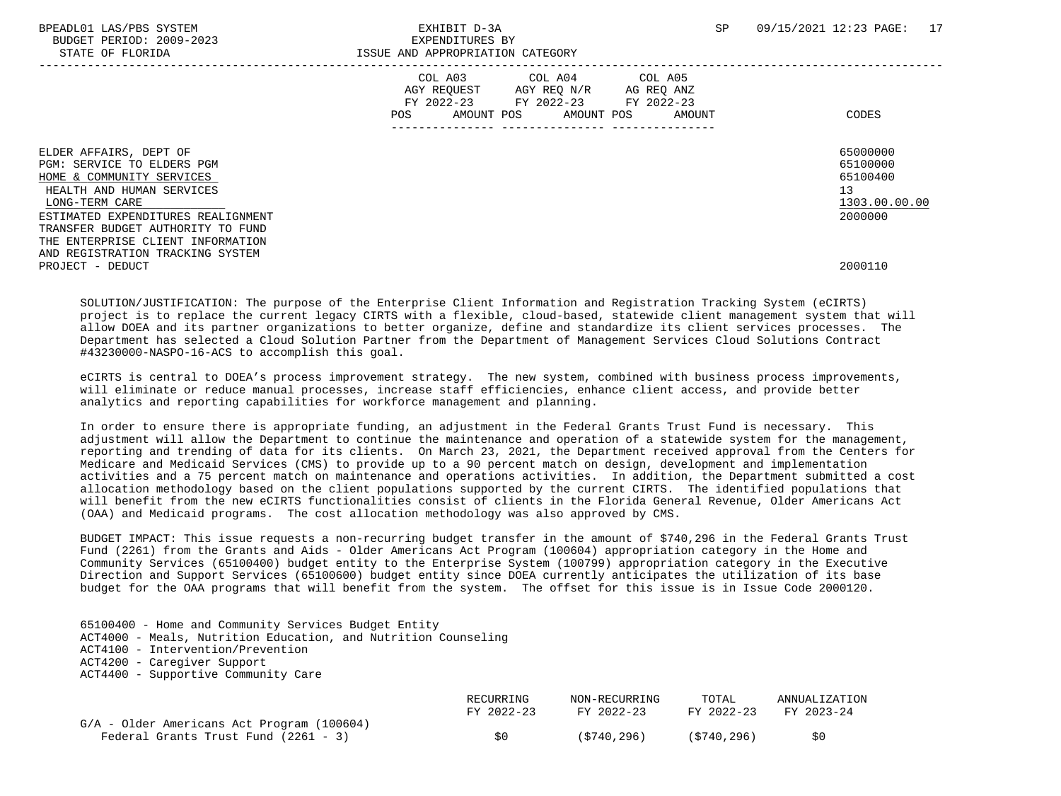BPEADL01 LAS/PBS SYSTEM SALL SERVICES TO THE SEXHIBIT D-3A SP 09/15/2021 12:23 PAGE: 17 BUDGET PERIOD: 2009-2023 EXPENDITURES BY STATE OF FLORIDA **ISSUE AND APPROPRIATION CATEGORY**  ----------------------------------------------------------------------------------------------------------------------------------- COL A03 COL A04 COL A05 AGY REQUEST AGY REQ N/R AG REQ ANZ FY 2022-23 FY 2022-23 FY 2022-23 POS AMOUNT POS AMOUNT POS AMOUNT CODES --------------- --------------- --------------- ELDER AFFAIRS, DEPT OF 65000000 ELDER AFFAIRS, DEPT OF 65000000 ELDER AFFAIRS, DEPT OF 65000000 ELDER AFFAIRS<br>PGM: SERVICE TO ELDERS PGM PGM: SERVICE TO ELDERS PGM<br>HOME & COMMUNITY SERVICES 65100000 HOME & COMMUNITY SERVICES HEALTH AND HUMAN SERVICES 13  $\underline{\text{LONG-TERM CARE}}$   $\underline{\text{1303.00.00}}$  ESTIMATED EXPENDITURES REALIGNMENT 2000000 TRANSFER BUDGET AUTHORITY TO FUND THE ENTERPRISE CLIENT INFORMATION AND REGISTRATION TRACKING SYSTEM PROJECT - DEDUCT 2000110

 SOLUTION/JUSTIFICATION: The purpose of the Enterprise Client Information and Registration Tracking System (eCIRTS) project is to replace the current legacy CIRTS with a flexible, cloud-based, statewide client management system that will allow DOEA and its partner organizations to better organize, define and standardize its client services processes. The Department has selected a Cloud Solution Partner from the Department of Management Services Cloud Solutions Contract #43230000-NASPO-16-ACS to accomplish this goal.

 eCIRTS is central to DOEA's process improvement strategy. The new system, combined with business process improvements, will eliminate or reduce manual processes, increase staff efficiencies, enhance client access, and provide better analytics and reporting capabilities for workforce management and planning.

 In order to ensure there is appropriate funding, an adjustment in the Federal Grants Trust Fund is necessary. This adjustment will allow the Department to continue the maintenance and operation of a statewide system for the management, reporting and trending of data for its clients. On March 23, 2021, the Department received approval from the Centers for Medicare and Medicaid Services (CMS) to provide up to a 90 percent match on design, development and implementation activities and a 75 percent match on maintenance and operations activities. In addition, the Department submitted a cost allocation methodology based on the client populations supported by the current CIRTS. The identified populations that will benefit from the new eCIRTS functionalities consist of clients in the Florida General Revenue, Older Americans Act (OAA) and Medicaid programs. The cost allocation methodology was also approved by CMS.

 BUDGET IMPACT: This issue requests a non-recurring budget transfer in the amount of \$740,296 in the Federal Grants Trust Fund (2261) from the Grants and Aids - Older Americans Act Program (100604) appropriation category in the Home and Community Services (65100400) budget entity to the Enterprise System (100799) appropriation category in the Executive Direction and Support Services (65100600) budget entity since DOEA currently anticipates the utilization of its base budget for the OAA programs that will benefit from the system. The offset for this issue is in Issue Code 2000120.

 65100400 - Home and Community Services Budget Entity ACT4000 - Meals, Nutrition Education, and Nutrition Counseling ACT4100 - Intervention/Prevention ACT4200 - Caregiver Support ACT4400 - Supportive Community Care

|                                              | RECURRING  | NON-RECURRING | TOTAL       | ANNUALIZATION |
|----------------------------------------------|------------|---------------|-------------|---------------|
|                                              | FY 2022-23 | FY 2022-23    | FY 2022-23  | FY 2023-24    |
| $G/A$ - Older Americans Act Program (100604) |            |               |             |               |
| Federal Grants Trust Fund (2261 - 3)         | SO.        | (5740.296)    | (S740, 296) | SO.           |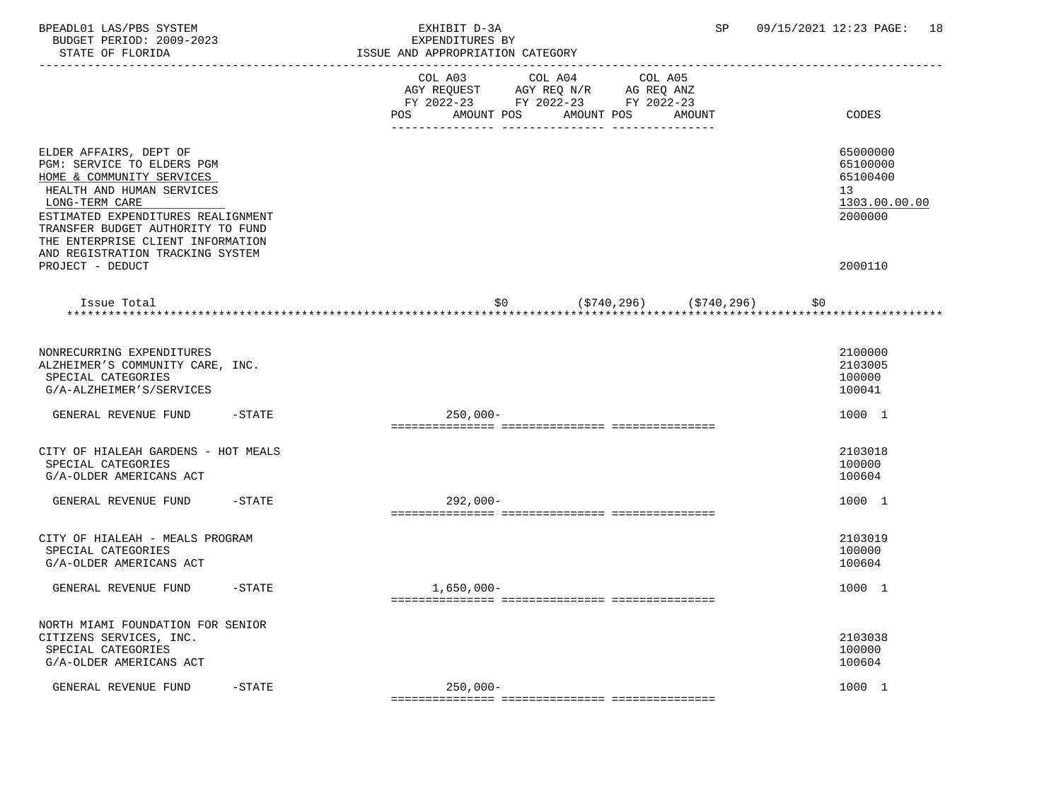| BPEADL01 LAS/PBS SYSTEM<br>BUDGET PERIOD: 2009-2023<br>STATE OF FLORIDA<br>--------------------                                                                                                                                                  | SP<br>EXHIBIT D-3A<br>EXPENDITURES BY<br>ISSUE AND APPROPRIATION CATEGORY                            | 09/15/2021 12:23 PAGE:<br>18                                       |
|--------------------------------------------------------------------------------------------------------------------------------------------------------------------------------------------------------------------------------------------------|------------------------------------------------------------------------------------------------------|--------------------------------------------------------------------|
|                                                                                                                                                                                                                                                  | COL A03<br>COL A04 COL A05<br>AGY REQUEST AGY REQ N/R AG REQ ANZ<br>FY 2022-23 FY 2022-23 FY 2022-23 |                                                                    |
|                                                                                                                                                                                                                                                  | AMOUNT POS<br>AMOUNT POS<br>POS<br>AMOUNT                                                            | CODES                                                              |
| ELDER AFFAIRS, DEPT OF<br>PGM: SERVICE TO ELDERS PGM<br>HOME & COMMUNITY SERVICES<br>HEALTH AND HUMAN SERVICES<br>LONG-TERM CARE<br>ESTIMATED EXPENDITURES REALIGNMENT<br>TRANSFER BUDGET AUTHORITY TO FUND<br>THE ENTERPRISE CLIENT INFORMATION |                                                                                                      | 65000000<br>65100000<br>65100400<br>13<br>1303.00.00.00<br>2000000 |
| AND REGISTRATION TRACKING SYSTEM<br>PROJECT - DEDUCT                                                                                                                                                                                             |                                                                                                      | 2000110                                                            |
| Issue Total                                                                                                                                                                                                                                      | $(\$740, 296)$ $(\$740, 296)$<br>\$0<br>\$0                                                          |                                                                    |
|                                                                                                                                                                                                                                                  |                                                                                                      |                                                                    |
| NONRECURRING EXPENDITURES<br>ALZHEIMER'S COMMUNITY CARE, INC.<br>SPECIAL CATEGORIES<br>G/A-ALZHEIMER'S/SERVICES                                                                                                                                  |                                                                                                      | 2100000<br>2103005<br>100000<br>100041                             |
| GENERAL REVENUE FUND<br>$-$ STATE                                                                                                                                                                                                                | $250,000-$                                                                                           | 1000 1                                                             |
| CITY OF HIALEAH GARDENS - HOT MEALS<br>SPECIAL CATEGORIES<br>G/A-OLDER AMERICANS ACT                                                                                                                                                             |                                                                                                      | 2103018<br>100000<br>100604                                        |
| $-$ STATE<br>GENERAL REVENUE FUND                                                                                                                                                                                                                | $292,000-$                                                                                           | 1000 1                                                             |
| CITY OF HIALEAH - MEALS PROGRAM<br>SPECIAL CATEGORIES<br>G/A-OLDER AMERICANS ACT                                                                                                                                                                 |                                                                                                      | 2103019<br>100000<br>100604                                        |
| GENERAL REVENUE FUND<br>$-$ STATE                                                                                                                                                                                                                | $1,650,000-$                                                                                         | 1000 1                                                             |
| NORTH MIAMI FOUNDATION FOR SENIOR<br>CITIZENS SERVICES, INC.<br>SPECIAL CATEGORIES<br>G/A-OLDER AMERICANS ACT                                                                                                                                    |                                                                                                      | 2103038<br>100000<br>100604                                        |
| GENERAL REVENUE FUND<br>$-$ STATE                                                                                                                                                                                                                | $250,000-$                                                                                           | 1000 1                                                             |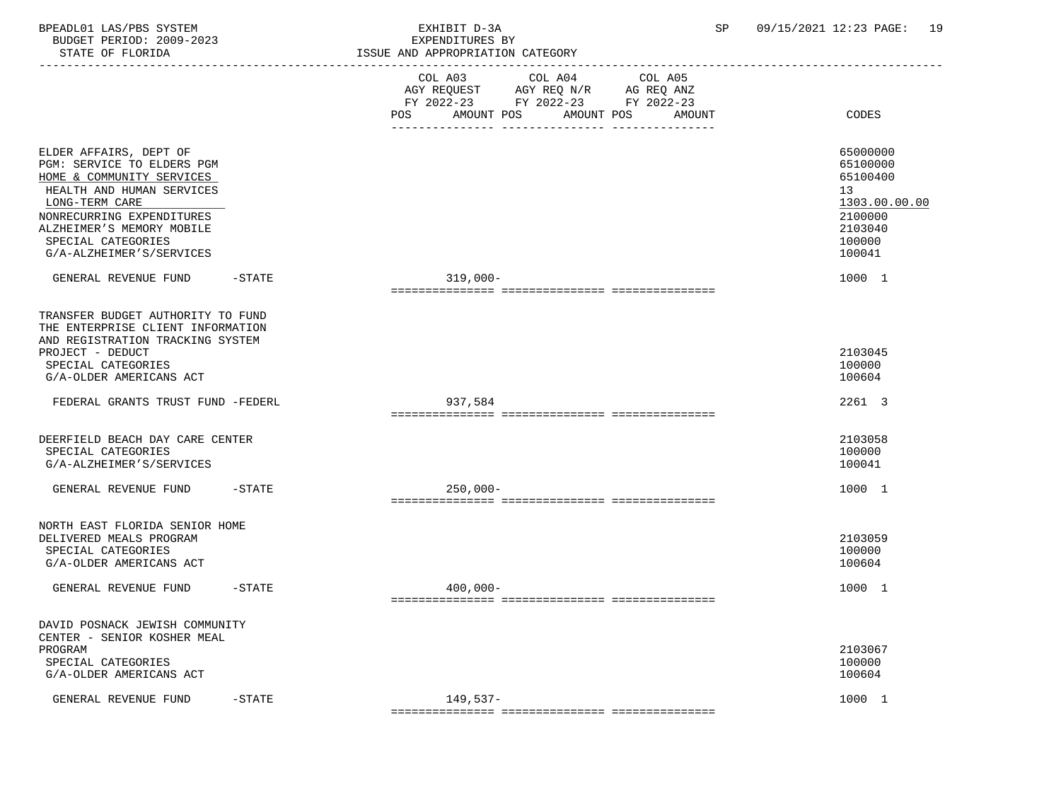BPEADL01 LAS/PBS SYSTEM EXHIBIT D-3A SP 09/15/2021 12:23 PAGE: 19 BUDGET PERIOD: 2009-2023<br>STATE OF FLORIDA STATE OF FLORIDA ISSUE AND APPROPRIATION CATEGORY

|                                                                                                                                                                                                                                              |           | ISSUE AND APPROPRIATION CAIEGORI                                                                                                                     |                                                                                                   |
|----------------------------------------------------------------------------------------------------------------------------------------------------------------------------------------------------------------------------------------------|-----------|------------------------------------------------------------------------------------------------------------------------------------------------------|---------------------------------------------------------------------------------------------------|
|                                                                                                                                                                                                                                              |           | COL A04<br>COL A03<br>COL A05<br>AGY REQUEST AGY REQ N/R AG REQ ANZ<br>FY 2022-23 FY 2022-23 FY 2022-23<br>AMOUNT POS<br>AMOUNT POS<br>POS<br>AMOUNT | CODES                                                                                             |
|                                                                                                                                                                                                                                              |           |                                                                                                                                                      |                                                                                                   |
| ELDER AFFAIRS, DEPT OF<br>PGM: SERVICE TO ELDERS PGM<br>HOME & COMMUNITY SERVICES<br>HEALTH AND HUMAN SERVICES<br>LONG-TERM CARE<br>NONRECURRING EXPENDITURES<br>ALZHEIMER'S MEMORY MOBILE<br>SPECIAL CATEGORIES<br>G/A-ALZHEIMER'S/SERVICES |           |                                                                                                                                                      | 65000000<br>65100000<br>65100400<br>13<br>1303.00.00.00<br>2100000<br>2103040<br>100000<br>100041 |
| GENERAL REVENUE FUND                                                                                                                                                                                                                         | $-$ STATE | $319,000-$                                                                                                                                           | 1000 1                                                                                            |
| TRANSFER BUDGET AUTHORITY TO FUND<br>THE ENTERPRISE CLIENT INFORMATION<br>AND REGISTRATION TRACKING SYSTEM<br>PROJECT - DEDUCT<br>SPECIAL CATEGORIES<br>G/A-OLDER AMERICANS ACT                                                              |           |                                                                                                                                                      | 2103045<br>100000<br>100604                                                                       |
| FEDERAL GRANTS TRUST FUND -FEDERL                                                                                                                                                                                                            |           | 937,584                                                                                                                                              | 2261 3                                                                                            |
| DEERFIELD BEACH DAY CARE CENTER<br>SPECIAL CATEGORIES<br>G/A-ALZHEIMER'S/SERVICES                                                                                                                                                            |           |                                                                                                                                                      | 2103058<br>100000<br>100041                                                                       |
| GENERAL REVENUE FUND                                                                                                                                                                                                                         | $-$ STATE | $250,000-$                                                                                                                                           | 1000 1                                                                                            |
| NORTH EAST FLORIDA SENIOR HOME<br>DELIVERED MEALS PROGRAM<br>SPECIAL CATEGORIES<br>G/A-OLDER AMERICANS ACT                                                                                                                                   |           |                                                                                                                                                      | 2103059<br>100000<br>100604                                                                       |
| GENERAL REVENUE FUND                                                                                                                                                                                                                         | $-STATE$  | $400,000 -$                                                                                                                                          | 1000 1                                                                                            |
| DAVID POSNACK JEWISH COMMUNITY<br>CENTER - SENIOR KOSHER MEAL<br>PROGRAM<br>SPECIAL CATEGORIES<br>G/A-OLDER AMERICANS ACT                                                                                                                    |           |                                                                                                                                                      | 2103067<br>100000<br>100604                                                                       |
| GENERAL REVENUE FUND                                                                                                                                                                                                                         | $-$ STATE | $149,537-$                                                                                                                                           | 1000 1                                                                                            |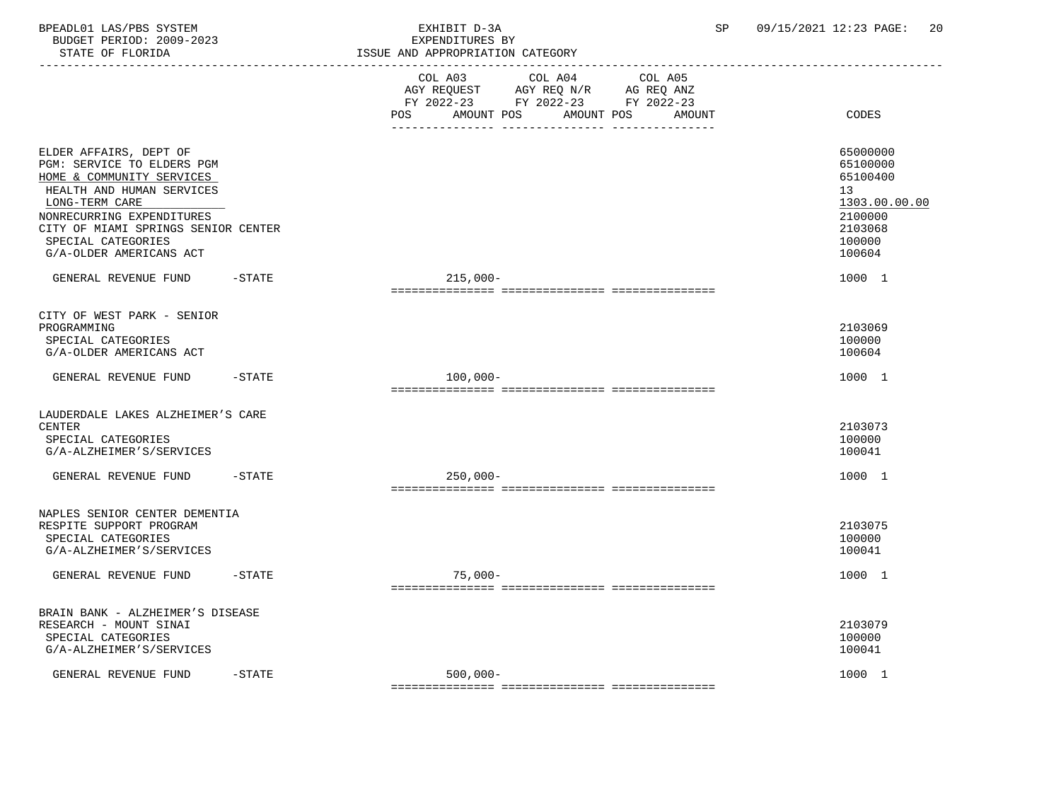BPEADL01 LAS/PBS SYSTEM EXHIBIT D-3A SP 09/15/2021 12:23 PAGE: 20 BUDGET PERIOD: 2009-2023<br>STATE OF FLORIDA

| STATE OF FLORIDA                                                                                                                                                                                                                                      |           | ISSUE AND APPROPRIATION CATEGORY                                                                                                                                                         |                                                                                                   |
|-------------------------------------------------------------------------------------------------------------------------------------------------------------------------------------------------------------------------------------------------------|-----------|------------------------------------------------------------------------------------------------------------------------------------------------------------------------------------------|---------------------------------------------------------------------------------------------------|
|                                                                                                                                                                                                                                                       |           | --------------------------------<br>COL A03<br>COL A04<br>COL A05<br>AGY REQUEST AGY REQ N/R AG REQ ANZ<br>FY 2022-23 FY 2022-23 FY 2022-23<br>AMOUNT POS<br>AMOUNT POS<br>POS<br>AMOUNT | CODES                                                                                             |
| ELDER AFFAIRS, DEPT OF<br>PGM: SERVICE TO ELDERS PGM<br>HOME & COMMUNITY SERVICES<br>HEALTH AND HUMAN SERVICES<br>LONG-TERM CARE<br>NONRECURRING EXPENDITURES<br>CITY OF MIAMI SPRINGS SENIOR CENTER<br>SPECIAL CATEGORIES<br>G/A-OLDER AMERICANS ACT |           |                                                                                                                                                                                          | 65000000<br>65100000<br>65100400<br>13<br>1303.00.00.00<br>2100000<br>2103068<br>100000<br>100604 |
| GENERAL REVENUE FUND                                                                                                                                                                                                                                  | $-STATE$  | $215,000-$                                                                                                                                                                               | 1000 1                                                                                            |
| CITY OF WEST PARK - SENIOR<br>PROGRAMMING<br>SPECIAL CATEGORIES<br>G/A-OLDER AMERICANS ACT                                                                                                                                                            |           |                                                                                                                                                                                          | 2103069<br>100000<br>100604                                                                       |
| GENERAL REVENUE FUND                                                                                                                                                                                                                                  | $-$ STATE | $100,000-$                                                                                                                                                                               | 1000 1                                                                                            |
| LAUDERDALE LAKES ALZHEIMER'S CARE<br><b>CENTER</b><br>SPECIAL CATEGORIES<br>G/A-ALZHEIMER'S/SERVICES                                                                                                                                                  |           |                                                                                                                                                                                          | 2103073<br>100000<br>100041                                                                       |
| GENERAL REVENUE FUND                                                                                                                                                                                                                                  | $-STATE$  | $250,000 -$                                                                                                                                                                              | 1000 1                                                                                            |
| NAPLES SENIOR CENTER DEMENTIA<br>RESPITE SUPPORT PROGRAM<br>SPECIAL CATEGORIES<br>G/A-ALZHEIMER'S/SERVICES                                                                                                                                            |           |                                                                                                                                                                                          | 2103075<br>100000<br>100041                                                                       |
| GENERAL REVENUE FUND                                                                                                                                                                                                                                  | $-$ STATE | $75.000 -$                                                                                                                                                                               | 1000 1                                                                                            |
| BRAIN BANK - ALZHEIMER'S DISEASE<br>RESEARCH - MOUNT SINAI<br>SPECIAL CATEGORIES<br>G/A-ALZHEIMER'S/SERVICES                                                                                                                                          |           |                                                                                                                                                                                          | 2103079<br>100000<br>100041                                                                       |
| GENERAL REVENUE FUND                                                                                                                                                                                                                                  | $-STATE$  | $500,000 -$                                                                                                                                                                              | 1000 1                                                                                            |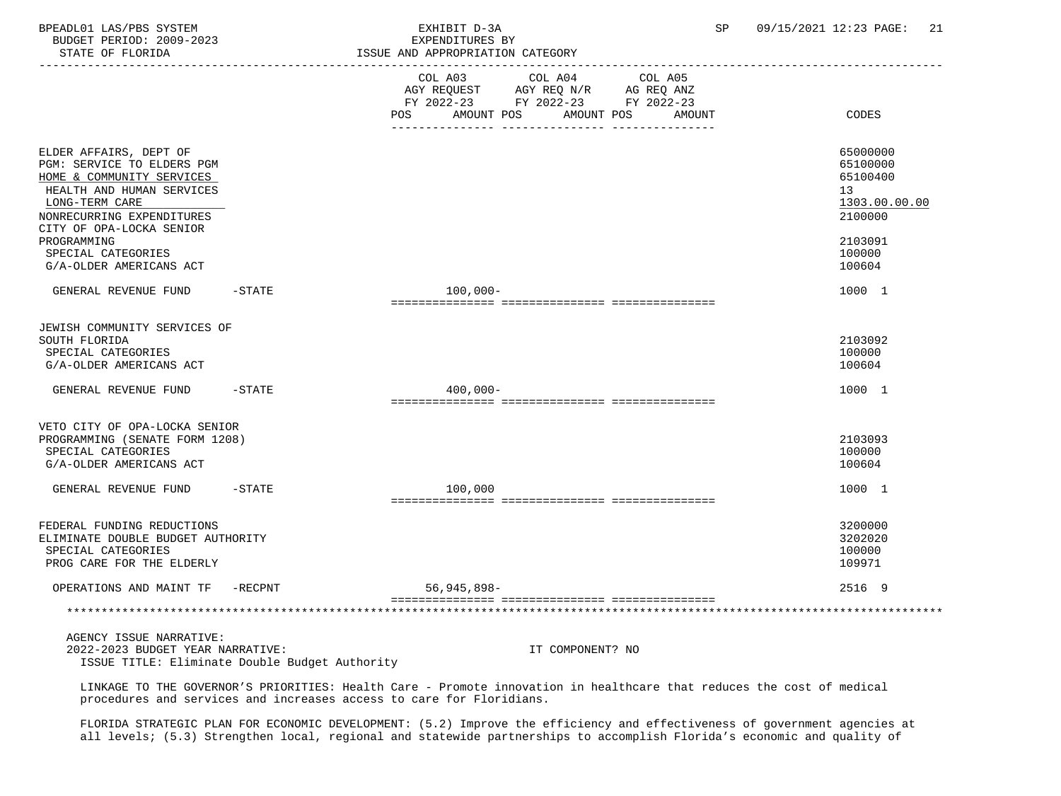| BPEADL01 LAS/PBS SYSTEM<br>BUDGET PERIOD: 2009-2023<br>STATE OF FLORIDA                                                                                                                   |        | EXHIBIT D-3A<br>EXPENDITURES BY<br>ISSUE AND APPROPRIATION CATEGORY                                                                        | SP     | 09/15/2021 12:23 PAGE:<br>21                                                    |
|-------------------------------------------------------------------------------------------------------------------------------------------------------------------------------------------|--------|--------------------------------------------------------------------------------------------------------------------------------------------|--------|---------------------------------------------------------------------------------|
|                                                                                                                                                                                           |        | COL A03<br>COL A04<br>COL A05<br>AGY REQUEST AGY REQ N/R AG REQ ANZ<br>FY 2022-23 FY 2022-23 FY 2022-23<br>AMOUNT POS<br>AMOUNT POS<br>POS | AMOUNT | CODES                                                                           |
| ELDER AFFAIRS, DEPT OF<br>PGM: SERVICE TO ELDERS PGM<br>HOME & COMMUNITY SERVICES<br>HEALTH AND HUMAN SERVICES<br>LONG-TERM CARE<br>NONRECURRING EXPENDITURES<br>CITY OF OPA-LOCKA SENIOR |        |                                                                                                                                            |        | 65000000<br>65100000<br>65100400<br>13 <sup>°</sup><br>1303.00.00.00<br>2100000 |
| PROGRAMMING<br>SPECIAL CATEGORIES<br>G/A-OLDER AMERICANS ACT                                                                                                                              |        |                                                                                                                                            |        | 2103091<br>100000<br>100604                                                     |
| GENERAL REVENUE FUND -STATE                                                                                                                                                               |        | $100,000 -$                                                                                                                                |        | 1000 1                                                                          |
| JEWISH COMMUNITY SERVICES OF<br>SOUTH FLORIDA<br>SPECIAL CATEGORIES<br>G/A-OLDER AMERICANS ACT                                                                                            |        |                                                                                                                                            |        | 2103092<br>100000<br>100604                                                     |
| GENERAL REVENUE FUND                                                                                                                                                                      | -STATE | $400,000 -$                                                                                                                                |        | 1000 1                                                                          |
| VETO CITY OF OPA-LOCKA SENIOR<br>PROGRAMMING (SENATE FORM 1208)<br>SPECIAL CATEGORIES<br>G/A-OLDER AMERICANS ACT                                                                          |        |                                                                                                                                            |        | 2103093<br>100000<br>100604                                                     |
| GENERAL REVENUE FUND -STATE                                                                                                                                                               |        | 100,000                                                                                                                                    |        | 1000 1                                                                          |
| FEDERAL FUNDING REDUCTIONS<br>ELIMINATE DOUBLE BUDGET AUTHORITY<br>SPECIAL CATEGORIES<br>PROG CARE FOR THE ELDERLY                                                                        |        |                                                                                                                                            |        | 3200000<br>3202020<br>100000<br>109971                                          |
| OPERATIONS AND MAINT TF -RECPNT                                                                                                                                                           |        | $56,945,898-$                                                                                                                              |        | 2516 9                                                                          |
|                                                                                                                                                                                           |        |                                                                                                                                            |        |                                                                                 |
|                                                                                                                                                                                           |        |                                                                                                                                            |        |                                                                                 |

 AGENCY ISSUE NARRATIVE: 2022-2023 BUDGET YEAR NARRATIVE: IT COMPONENT? NO ISSUE TITLE: Eliminate Double Budget Authority

 LINKAGE TO THE GOVERNOR'S PRIORITIES: Health Care - Promote innovation in healthcare that reduces the cost of medical procedures and services and increases access to care for Floridians.

 FLORIDA STRATEGIC PLAN FOR ECONOMIC DEVELOPMENT: (5.2) Improve the efficiency and effectiveness of government agencies at all levels; (5.3) Strengthen local, regional and statewide partnerships to accomplish Florida's economic and quality of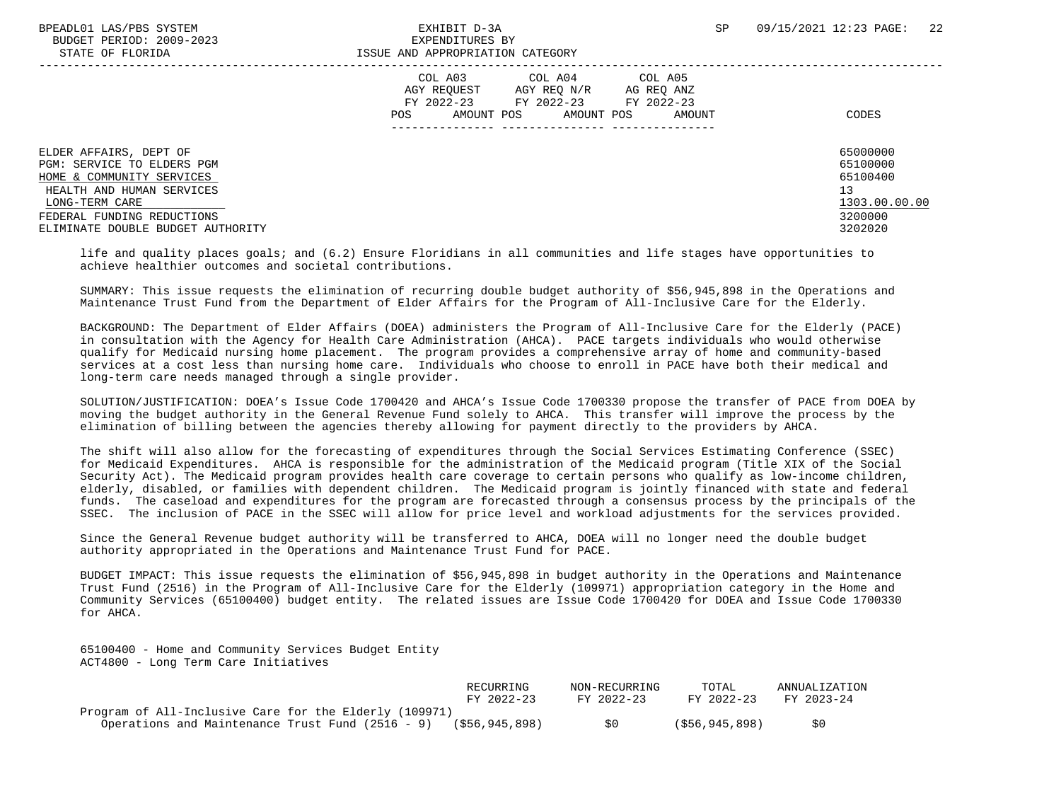BUDGET PERIOD: 2009-2023 EXPENDITURES BY STATE OF FLORIDA **ISSUE AND APPROPRIATION CATEGORY** 

|                                                                                                                                                                                                     | COL A03<br>COL A04<br>COL A05<br>AGY REQUEST<br>AGY REO N/R<br>AG REQ ANZ<br>FY 2022-23<br>FY 2022-23<br>FY 2022-23<br>AMOUNT POS<br>POS.<br>AMOUNT POS<br>AMOUNT | CODES                                                                         |
|-----------------------------------------------------------------------------------------------------------------------------------------------------------------------------------------------------|-------------------------------------------------------------------------------------------------------------------------------------------------------------------|-------------------------------------------------------------------------------|
| ELDER AFFAIRS, DEPT OF<br>PGM: SERVICE TO ELDERS PGM<br>HOME & COMMUNITY SERVICES<br>HEALTH AND HUMAN SERVICES<br>LONG-TERM CARE<br>FEDERAL FUNDING REDUCTIONS<br>ELIMINATE DOUBLE BUDGET AUTHORITY |                                                                                                                                                                   | 65000000<br>65100000<br>65100400<br>13<br>1303.00.00.00<br>3200000<br>3202020 |

 life and quality places goals; and (6.2) Ensure Floridians in all communities and life stages have opportunities to achieve healthier outcomes and societal contributions.

 SUMMARY: This issue requests the elimination of recurring double budget authority of \$56,945,898 in the Operations and Maintenance Trust Fund from the Department of Elder Affairs for the Program of All-Inclusive Care for the Elderly.

 BACKGROUND: The Department of Elder Affairs (DOEA) administers the Program of All-Inclusive Care for the Elderly (PACE) in consultation with the Agency for Health Care Administration (AHCA). PACE targets individuals who would otherwise qualify for Medicaid nursing home placement. The program provides a comprehensive array of home and community-based services at a cost less than nursing home care. Individuals who choose to enroll in PACE have both their medical and long-term care needs managed through a single provider.

 SOLUTION/JUSTIFICATION: DOEA's Issue Code 1700420 and AHCA's Issue Code 1700330 propose the transfer of PACE from DOEA by moving the budget authority in the General Revenue Fund solely to AHCA. This transfer will improve the process by the elimination of billing between the agencies thereby allowing for payment directly to the providers by AHCA.

 The shift will also allow for the forecasting of expenditures through the Social Services Estimating Conference (SSEC) for Medicaid Expenditures. AHCA is responsible for the administration of the Medicaid program (Title XIX of the Social Security Act). The Medicaid program provides health care coverage to certain persons who qualify as low-income children, elderly, disabled, or families with dependent children. The Medicaid program is jointly financed with state and federal funds. The caseload and expenditures for the program are forecasted through a consensus process by the principals of the SSEC. The inclusion of PACE in the SSEC will allow for price level and workload adjustments for the services provided.

 Since the General Revenue budget authority will be transferred to AHCA, DOEA will no longer need the double budget authority appropriated in the Operations and Maintenance Trust Fund for PACE.

 BUDGET IMPACT: This issue requests the elimination of \$56,945,898 in budget authority in the Operations and Maintenance Trust Fund (2516) in the Program of All-Inclusive Care for the Elderly (109971) appropriation category in the Home and Community Services (65100400) budget entity. The related issues are Issue Code 1700420 for DOEA and Issue Code 1700330 for AHCA.

 65100400 - Home and Community Services Budget Entity ACT4800 - Long Term Care Initiatives

|                                                        | RECURRING      | NON-RECURRING | TOTAL          | ANNUALIZATION |
|--------------------------------------------------------|----------------|---------------|----------------|---------------|
|                                                        | $FY$ 2022-23   | FY 2022-23    | FY 2022-23     | FY 2023-24    |
| Program of All-Inclusive Care for the Elderly (109971) |                |               |                |               |
| Operations and Maintenance Trust Fund (2516 - 9)       | (\$56,945,898) | SO.           | (\$56,945,898) | S0            |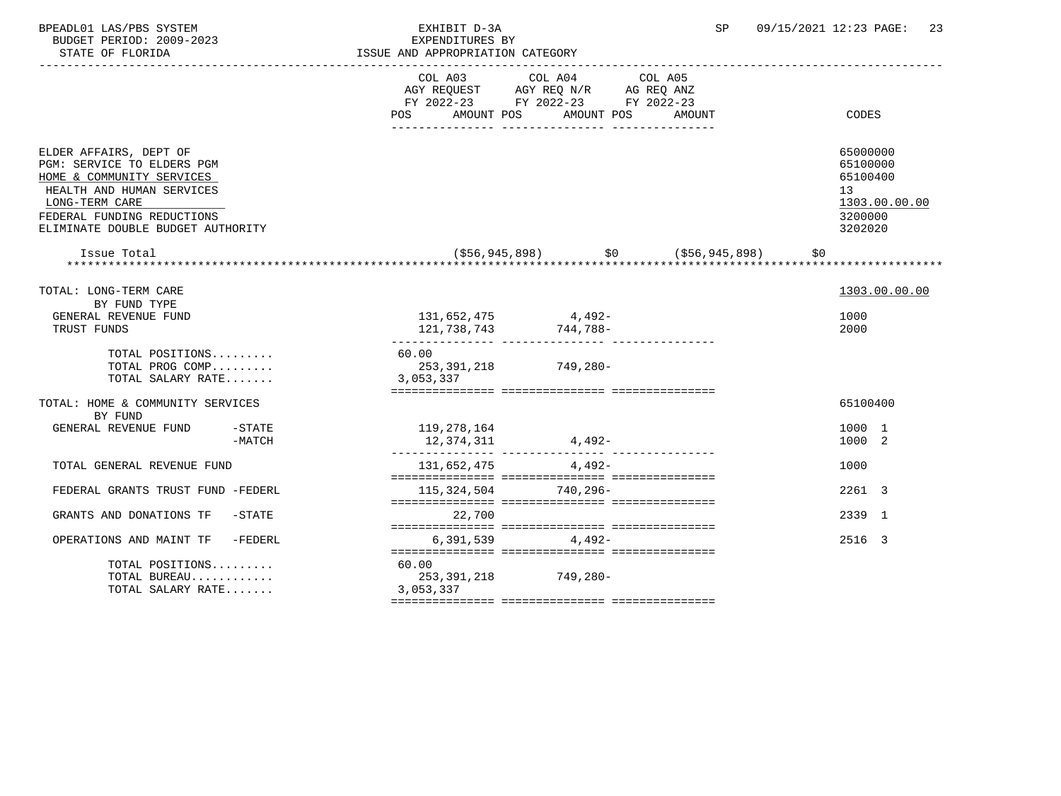| BPEADL01 LAS/PBS SYSTEM<br>BUDGET PERIOD: 2009-2023<br>STATE OF FLORIDA                                                                                                                             |                     | EXHIBIT D-3A<br>EXPENDITURES BY<br>ISSUE AND APPROPRIATION CATEGORY | ------------------------------------                                              | SP      | 09/15/2021 12:23 PAGE:<br>-23                                                 |
|-----------------------------------------------------------------------------------------------------------------------------------------------------------------------------------------------------|---------------------|---------------------------------------------------------------------|-----------------------------------------------------------------------------------|---------|-------------------------------------------------------------------------------|
|                                                                                                                                                                                                     |                     | COL A03<br>POS AMOUNT POS AMOUNT POS AMOUNT                         | COL A04<br>AGY REQUEST AGY REQ N/R AG REQ ANZ<br>FY 2022-23 FY 2022-23 FY 2022-23 | COL A05 | CODES                                                                         |
|                                                                                                                                                                                                     |                     |                                                                     |                                                                                   |         |                                                                               |
| ELDER AFFAIRS, DEPT OF<br>PGM: SERVICE TO ELDERS PGM<br>HOME & COMMUNITY SERVICES<br>HEALTH AND HUMAN SERVICES<br>LONG-TERM CARE<br>FEDERAL FUNDING REDUCTIONS<br>ELIMINATE DOUBLE BUDGET AUTHORITY |                     |                                                                     |                                                                                   |         | 65000000<br>65100000<br>65100400<br>13<br>1303.00.00.00<br>3200000<br>3202020 |
|                                                                                                                                                                                                     |                     |                                                                     |                                                                                   |         |                                                                               |
| TOTAL: LONG-TERM CARE                                                                                                                                                                               |                     |                                                                     |                                                                                   |         | 1303.00.00.00                                                                 |
| BY FUND TYPE<br>GENERAL REVENUE FUND<br>TRUST FUNDS                                                                                                                                                 |                     |                                                                     | $131,652,475$ 4,492-<br>121, 738, 743 744, 788-                                   |         | 1000<br>2000                                                                  |
| TOTAL POSITIONS<br>TOTAL PROG COMP<br>TOTAL SALARY RATE                                                                                                                                             |                     | 60.00<br>3,053,337                                                  | 253,391,218 749,280-                                                              |         |                                                                               |
| TOTAL: HOME & COMMUNITY SERVICES<br>BY FUND                                                                                                                                                         |                     |                                                                     |                                                                                   |         | 65100400                                                                      |
| GENERAL REVENUE FUND                                                                                                                                                                                | $-$ STATE<br>-MATCH | 119,278,164<br>12,374,311                                           | $4,492-$                                                                          |         | 1000 1<br>1000 2                                                              |
| TOTAL GENERAL REVENUE FUND                                                                                                                                                                          |                     |                                                                     | 131,652,475 4,492-                                                                |         | 1000                                                                          |
| FEDERAL GRANTS TRUST FUND -FEDERL                                                                                                                                                                   |                     |                                                                     | 115, 324, 504 740, 296-                                                           |         | 2261 3                                                                        |
| GRANTS AND DONATIONS TF                                                                                                                                                                             | -STATE              | 22,700                                                              |                                                                                   |         | 2339 1                                                                        |
| OPERATIONS AND MAINT TF -FEDERL                                                                                                                                                                     |                     |                                                                     | $6.391.539$ $4.492-$                                                              |         | 2516 3                                                                        |
| TOTAL POSITIONS<br>TOTAL BUREAU<br>TOTAL SALARY RATE                                                                                                                                                |                     | 60.00<br>3,053,337                                                  | 253, 391, 218 749, 280-                                                           |         |                                                                               |
|                                                                                                                                                                                                     |                     |                                                                     |                                                                                   |         |                                                                               |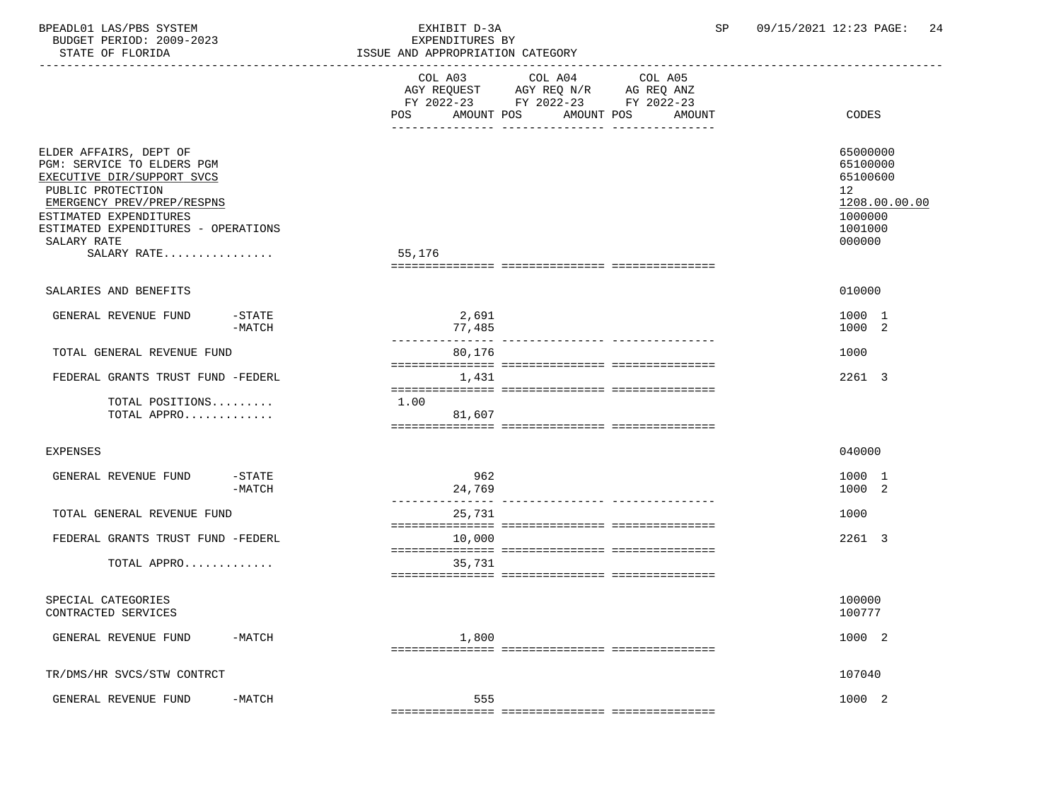| BPEADL01 LAS/PBS SYSTEM<br>BUDGET PERIOD: 2009-2023<br>STATE OF FLORIDA                                                                                                                                                              | EXHIBIT D-3A<br>EXPENDITURES BY<br>ISSUE AND APPROPRIATION CATEGORY<br>------------------------ | -------------                                                                                                                   | 09/15/2021 12:23 PAGE:<br>24<br>SP                                                                   |
|--------------------------------------------------------------------------------------------------------------------------------------------------------------------------------------------------------------------------------------|-------------------------------------------------------------------------------------------------|---------------------------------------------------------------------------------------------------------------------------------|------------------------------------------------------------------------------------------------------|
|                                                                                                                                                                                                                                      | COL A03<br>POS                                                                                  | COL A04<br>COL A05<br>AGY REQUEST AGY REQ N/R AG REQ ANZ<br>FY 2022-23 FY 2022-23 FY 2022-23<br>AMOUNT POS AMOUNT POS<br>AMOUNT | CODES                                                                                                |
| ELDER AFFAIRS, DEPT OF<br>PGM: SERVICE TO ELDERS PGM<br>EXECUTIVE DIR/SUPPORT SVCS<br>PUBLIC PROTECTION<br>EMERGENCY PREV/PREP/RESPNS<br>ESTIMATED EXPENDITURES<br>ESTIMATED EXPENDITURES - OPERATIONS<br>SALARY RATE<br>SALARY RATE | 55,176                                                                                          |                                                                                                                                 | 65000000<br>65100000<br>65100600<br>12 <sup>°</sup><br>1208.00.00.00<br>1000000<br>1001000<br>000000 |
| SALARIES AND BENEFITS                                                                                                                                                                                                                |                                                                                                 |                                                                                                                                 | 010000                                                                                               |
| -STATE<br>GENERAL REVENUE FUND<br>$-MATCH$                                                                                                                                                                                           | 2,691<br>77,485                                                                                 |                                                                                                                                 | 1000 1<br>1000 2                                                                                     |
| TOTAL GENERAL REVENUE FUND                                                                                                                                                                                                           | 80,176                                                                                          |                                                                                                                                 | 1000                                                                                                 |
| FEDERAL GRANTS TRUST FUND -FEDERL                                                                                                                                                                                                    | 1,431                                                                                           |                                                                                                                                 | 2261 3                                                                                               |
| TOTAL POSITIONS<br>TOTAL APPRO                                                                                                                                                                                                       | 1.00<br>81,607                                                                                  |                                                                                                                                 |                                                                                                      |
| EXPENSES                                                                                                                                                                                                                             |                                                                                                 |                                                                                                                                 | 040000                                                                                               |
| $-$ STATE<br>GENERAL REVENUE FUND<br>$-MATCH$                                                                                                                                                                                        | 962<br>24,769                                                                                   |                                                                                                                                 | 1000 1<br>1000 2                                                                                     |
| TOTAL GENERAL REVENUE FUND                                                                                                                                                                                                           | 25,731                                                                                          |                                                                                                                                 | 1000                                                                                                 |
| FEDERAL GRANTS TRUST FUND -FEDERL<br>TOTAL APPRO                                                                                                                                                                                     | 10,000<br>35,731                                                                                |                                                                                                                                 | 2261 3                                                                                               |
| SPECIAL CATEGORIES<br>CONTRACTED SERVICES                                                                                                                                                                                            |                                                                                                 |                                                                                                                                 | 100000<br>100777                                                                                     |
| GENERAL REVENUE FUND<br>$-MATCH$                                                                                                                                                                                                     | 1,800                                                                                           |                                                                                                                                 | 1000 2                                                                                               |
| TR/DMS/HR SVCS/STW CONTRCT                                                                                                                                                                                                           |                                                                                                 |                                                                                                                                 | 107040                                                                                               |
| GENERAL REVENUE FUND<br>$-MATCH$                                                                                                                                                                                                     | 555                                                                                             |                                                                                                                                 | 1000 2                                                                                               |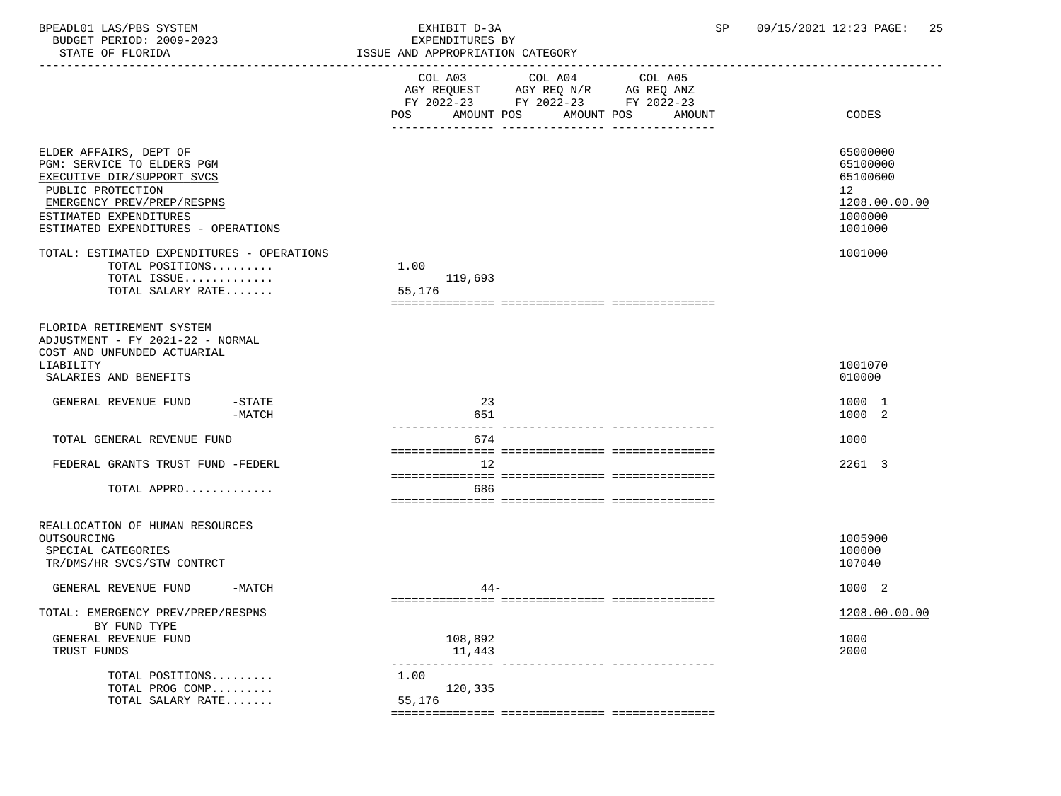| BPEADL01 LAS/PBS SYSTEM<br>BUDGET PERIOD: 2009-2023<br>STATE OF FLORIDA                                                                                                                                | EXHIBIT D-3A<br>SP.<br>EXPENDITURES BY<br>ISSUE AND APPROPRIATION CATEGORY                                                                        | 09/15/2021 12:23 PAGE:<br>-25                                                 |
|--------------------------------------------------------------------------------------------------------------------------------------------------------------------------------------------------------|---------------------------------------------------------------------------------------------------------------------------------------------------|-------------------------------------------------------------------------------|
|                                                                                                                                                                                                        | COL A04 COL A05<br>COL A03<br>AGY REQUEST AGY REQ N/R AG REQ ANZ<br>FY 2022-23 FY 2022-23 FY 2022-23<br>AMOUNT POS<br>AMOUNT POS<br>POS<br>AMOUNT | CODES                                                                         |
| ELDER AFFAIRS, DEPT OF<br>PGM: SERVICE TO ELDERS PGM<br>EXECUTIVE DIR/SUPPORT SVCS<br>PUBLIC PROTECTION<br>EMERGENCY PREV/PREP/RESPNS<br>ESTIMATED EXPENDITURES<br>ESTIMATED EXPENDITURES - OPERATIONS |                                                                                                                                                   | 65000000<br>65100000<br>65100600<br>12<br>1208.00.00.00<br>1000000<br>1001000 |
| TOTAL: ESTIMATED EXPENDITURES - OPERATIONS<br>TOTAL POSITIONS<br>TOTAL ISSUE<br>TOTAL SALARY RATE                                                                                                      | 1.00<br>119,693<br>55,176                                                                                                                         | 1001000                                                                       |
| FLORIDA RETIREMENT SYSTEM<br>ADJUSTMENT - FY 2021-22 - NORMAL<br>COST AND UNFUNDED ACTUARIAL<br>LIABILITY<br>SALARIES AND BENEFITS                                                                     |                                                                                                                                                   | 1001070<br>010000                                                             |
| $-$ STATE<br>GENERAL REVENUE FUND<br>$-MATCH$                                                                                                                                                          | 23<br>651                                                                                                                                         | 1000 1<br>1000 2                                                              |
| TOTAL GENERAL REVENUE FUND                                                                                                                                                                             | 674                                                                                                                                               | 1000                                                                          |
| FEDERAL GRANTS TRUST FUND -FEDERL<br>TOTAL APPRO                                                                                                                                                       | 12<br>686                                                                                                                                         | 2261 3                                                                        |
| REALLOCATION OF HUMAN RESOURCES<br>OUTSOURCING<br>SPECIAL CATEGORIES<br>TR/DMS/HR SVCS/STW CONTRCT                                                                                                     |                                                                                                                                                   | 1005900<br>100000<br>107040                                                   |
| $-MATCH$<br>GENERAL REVENUE FUND                                                                                                                                                                       | $44 -$                                                                                                                                            | 1000 2                                                                        |
| TOTAL: EMERGENCY PREV/PREP/RESPNS<br>BY FUND TYPE<br>GENERAL REVENUE FUND<br>TRUST FUNDS                                                                                                               | 108,892<br>11,443                                                                                                                                 | 1208.00.00.00<br>1000<br>2000                                                 |
| TOTAL POSITIONS<br>TOTAL PROG COMP<br>TOTAL SALARY RATE                                                                                                                                                | 1.00<br>120,335<br>55,176                                                                                                                         |                                                                               |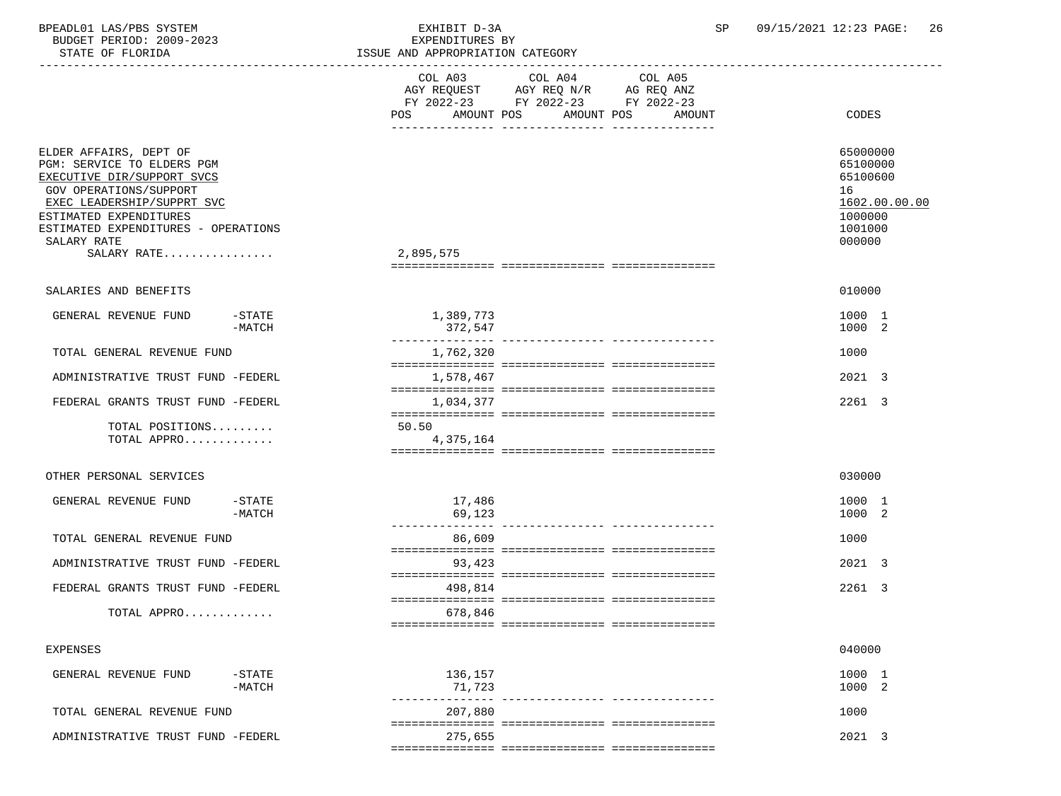| BPEADL01 LAS/PBS SYSTEM<br>BUDGET PERIOD: 2009-2023<br>STATE OF FLORIDA                                                                                                                                                                   | EXHIBIT D-3A<br>EXPENDITURES BY<br>ISSUE AND APPROPRIATION CATEGORY | SP                                                                                                                        | 09/15/2021 12:23 PAGE:<br>-26                                                           |  |  |
|-------------------------------------------------------------------------------------------------------------------------------------------------------------------------------------------------------------------------------------------|---------------------------------------------------------------------|---------------------------------------------------------------------------------------------------------------------------|-----------------------------------------------------------------------------------------|--|--|
|                                                                                                                                                                                                                                           | ----------------------------<br>AMOUNT POS<br>POS                   | COL A03 COL A04 COL A05<br>AGY REQUEST AGY REQ N/R AG REQ ANZ<br>FY 2022-23 FY 2022-23 FY 2022-23<br>AMOUNT POS<br>AMOUNT | CODES                                                                                   |  |  |
| ELDER AFFAIRS, DEPT OF<br>PGM: SERVICE TO ELDERS PGM<br>EXECUTIVE DIR/SUPPORT SVCS<br>GOV OPERATIONS/SUPPORT<br>EXEC LEADERSHIP/SUPPRT SVC<br>ESTIMATED EXPENDITURES<br>ESTIMATED EXPENDITURES - OPERATIONS<br>SALARY RATE<br>SALARY RATE | 2,895,575                                                           |                                                                                                                           | 65000000<br>65100000<br>65100600<br>16<br>1602.00.00.00<br>1000000<br>1001000<br>000000 |  |  |
| SALARIES AND BENEFITS                                                                                                                                                                                                                     |                                                                     |                                                                                                                           | 010000                                                                                  |  |  |
| GENERAL REVENUE FUND<br>$-$ STATE<br>$-MATCH$                                                                                                                                                                                             | 1,389,773<br>372,547                                                |                                                                                                                           | 1000 1<br>1000 2                                                                        |  |  |
| TOTAL GENERAL REVENUE FUND                                                                                                                                                                                                                | 1,762,320                                                           |                                                                                                                           | 1000                                                                                    |  |  |
| ADMINISTRATIVE TRUST FUND -FEDERL                                                                                                                                                                                                         | 1,578,467                                                           |                                                                                                                           | 2021 3                                                                                  |  |  |
| FEDERAL GRANTS TRUST FUND -FEDERL                                                                                                                                                                                                         | 1,034,377                                                           |                                                                                                                           | 2261 3                                                                                  |  |  |
| TOTAL POSITIONS<br>TOTAL APPRO                                                                                                                                                                                                            | 50.50<br>4,375,164                                                  |                                                                                                                           |                                                                                         |  |  |
| OTHER PERSONAL SERVICES                                                                                                                                                                                                                   |                                                                     |                                                                                                                           | 030000                                                                                  |  |  |
| $-$ STATE<br>GENERAL REVENUE FUND<br>$-MATCH$                                                                                                                                                                                             | 17,486<br>69,123                                                    |                                                                                                                           | 1000 1<br>1000 2                                                                        |  |  |
| TOTAL GENERAL REVENUE FUND                                                                                                                                                                                                                | 86,609                                                              |                                                                                                                           | 1000                                                                                    |  |  |
| ADMINISTRATIVE TRUST FUND -FEDERL                                                                                                                                                                                                         | 93,423                                                              |                                                                                                                           | 2021 3                                                                                  |  |  |
| FEDERAL GRANTS TRUST FUND -FEDERL                                                                                                                                                                                                         | 498,814                                                             |                                                                                                                           | 2261 3                                                                                  |  |  |
| TOTAL APPRO                                                                                                                                                                                                                               | 678,846                                                             |                                                                                                                           |                                                                                         |  |  |
| <b>EXPENSES</b>                                                                                                                                                                                                                           |                                                                     |                                                                                                                           | 040000                                                                                  |  |  |
| GENERAL REVENUE FUND<br>$-STATE$<br>$-MATCH$                                                                                                                                                                                              | 136,157<br>71,723                                                   |                                                                                                                           | 1000 1<br>1000 2                                                                        |  |  |
| TOTAL GENERAL REVENUE FUND                                                                                                                                                                                                                | 207,880                                                             |                                                                                                                           | 1000                                                                                    |  |  |
| ADMINISTRATIVE TRUST FUND -FEDERL                                                                                                                                                                                                         | 275,655                                                             |                                                                                                                           | 2021 3                                                                                  |  |  |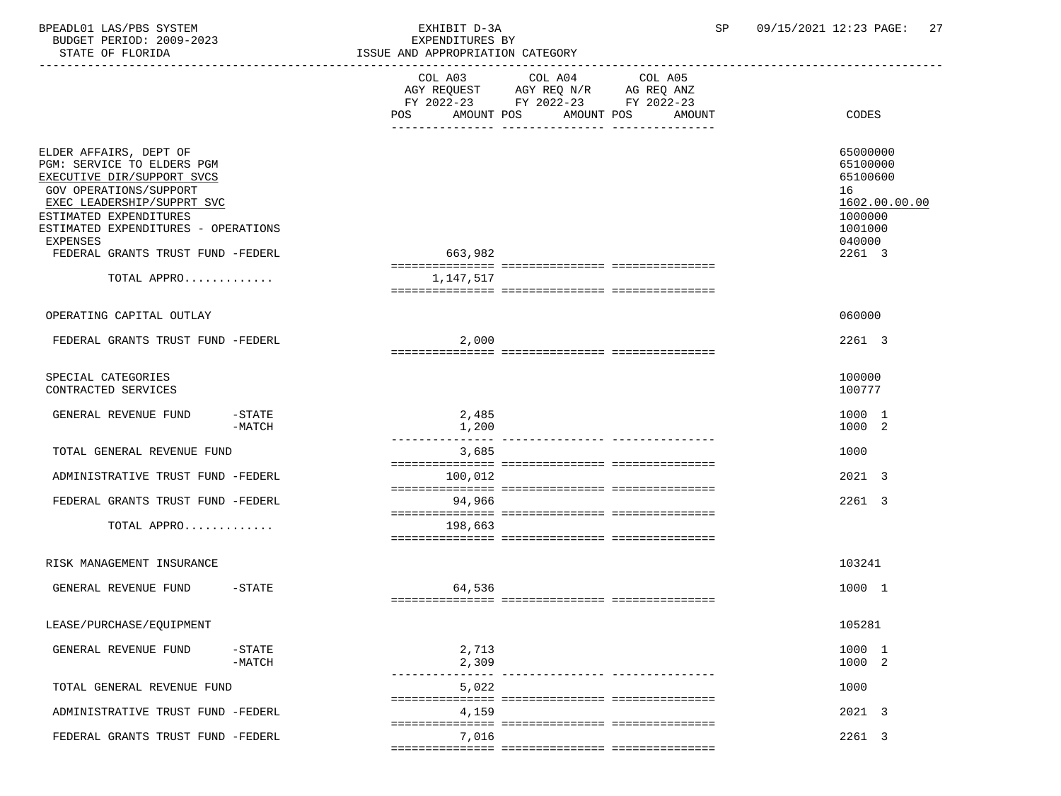BPEADL01 LAS/PBS SYSTEM EXHIBIT D-3A SP 09/15/2021 12:23 PAGE: 27 BUDGET PERIOD: 2009-2023<br>STATE OF FLORIDA

| STATE OF FLORIDA                                                                                                                                                                                                                                                                   | ISSUE AND APPROPRIATION CATEGORY                                                                                            |                                                                                                   |  |  |  |  |
|------------------------------------------------------------------------------------------------------------------------------------------------------------------------------------------------------------------------------------------------------------------------------------|-----------------------------------------------------------------------------------------------------------------------------|---------------------------------------------------------------------------------------------------|--|--|--|--|
|                                                                                                                                                                                                                                                                                    | ----------------------<br>FY 2022-23 FY 2022-23 FY 2022-23<br>POS<br>AMOUNT POS<br>AMOUNT POS<br>AMOUNT<br>-- ------------- | CODES                                                                                             |  |  |  |  |
| ELDER AFFAIRS, DEPT OF<br>PGM: SERVICE TO ELDERS PGM<br>EXECUTIVE DIR/SUPPORT SVCS<br><b>GOV OPERATIONS/SUPPORT</b><br>EXEC LEADERSHIP/SUPPRT SVC<br>ESTIMATED EXPENDITURES<br>ESTIMATED EXPENDITURES - OPERATIONS<br>EXPENSES<br>FEDERAL GRANTS TRUST FUND -FEDERL<br>TOTAL APPRO | 663,982<br>1,147,517                                                                                                        | 65000000<br>65100000<br>65100600<br>16<br>1602.00.00.00<br>1000000<br>1001000<br>040000<br>2261 3 |  |  |  |  |
|                                                                                                                                                                                                                                                                                    |                                                                                                                             |                                                                                                   |  |  |  |  |
| OPERATING CAPITAL OUTLAY                                                                                                                                                                                                                                                           |                                                                                                                             | 060000                                                                                            |  |  |  |  |
| FEDERAL GRANTS TRUST FUND -FEDERL                                                                                                                                                                                                                                                  | 2,000                                                                                                                       | 2261 3                                                                                            |  |  |  |  |
| SPECIAL CATEGORIES<br>CONTRACTED SERVICES                                                                                                                                                                                                                                          |                                                                                                                             | 100000<br>100777                                                                                  |  |  |  |  |
| GENERAL REVENUE FUND<br>$-$ STATE<br>$-MATCH$                                                                                                                                                                                                                                      | 2,485<br>1,200<br>------------- ----------------                                                                            | 1000 1<br>1000 2                                                                                  |  |  |  |  |
| TOTAL GENERAL REVENUE FUND                                                                                                                                                                                                                                                         | 3,685                                                                                                                       | 1000                                                                                              |  |  |  |  |
| ADMINISTRATIVE TRUST FUND -FEDERL                                                                                                                                                                                                                                                  | 100,012                                                                                                                     | 2021 3                                                                                            |  |  |  |  |
|                                                                                                                                                                                                                                                                                    |                                                                                                                             |                                                                                                   |  |  |  |  |
| FEDERAL GRANTS TRUST FUND -FEDERL                                                                                                                                                                                                                                                  | 94,966                                                                                                                      | 2261 3                                                                                            |  |  |  |  |
| TOTAL APPRO                                                                                                                                                                                                                                                                        | 198,663                                                                                                                     |                                                                                                   |  |  |  |  |
| RISK MANAGEMENT INSURANCE                                                                                                                                                                                                                                                          |                                                                                                                             | 103241                                                                                            |  |  |  |  |
| GENERAL REVENUE FUND<br>$-$ STATE                                                                                                                                                                                                                                                  | 64,536                                                                                                                      | 1000 1                                                                                            |  |  |  |  |
| LEASE/PURCHASE/EQUIPMENT                                                                                                                                                                                                                                                           |                                                                                                                             | 105281                                                                                            |  |  |  |  |
| GENERAL REVENUE FUND<br>$-$ STATE<br>$-MATCH$                                                                                                                                                                                                                                      | 2,713<br>2,309                                                                                                              | 1000 1<br>1000 2                                                                                  |  |  |  |  |
| TOTAL GENERAL REVENUE FUND                                                                                                                                                                                                                                                         | 5,022                                                                                                                       | 1000                                                                                              |  |  |  |  |
| ADMINISTRATIVE TRUST FUND -FEDERL                                                                                                                                                                                                                                                  | 4,159                                                                                                                       | 2021 3                                                                                            |  |  |  |  |
| FEDERAL GRANTS TRUST FUND -FEDERL                                                                                                                                                                                                                                                  | 7,016                                                                                                                       | 2261 3                                                                                            |  |  |  |  |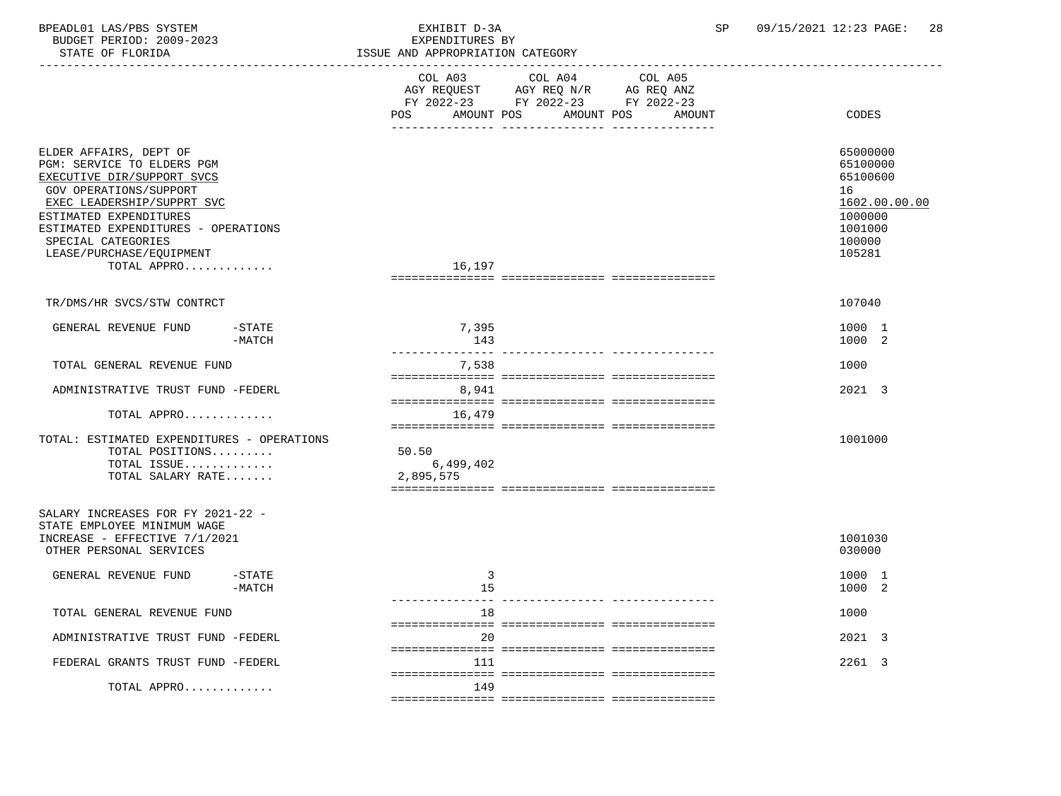| BPEADL01 LAS/PBS SYSTEM<br>BUDGET PERIOD: 2009-2023<br>STATE OF FLORIDA                                                                                                                                                                                                      |                       | EXHIBIT D-3A<br>EXPENDITURES BY<br>ISSUE AND APPROPRIATION CATEGORY                                                                     | SP     | 09/15/2021 12:23 PAGE:<br>28                                                                      |
|------------------------------------------------------------------------------------------------------------------------------------------------------------------------------------------------------------------------------------------------------------------------------|-----------------------|-----------------------------------------------------------------------------------------------------------------------------------------|--------|---------------------------------------------------------------------------------------------------|
|                                                                                                                                                                                                                                                                              |                       | COL A03<br>COL A04 COL A05<br>AGY REQUEST AGY REQ N/R AG REQ ANZ<br>FY 2022-23 FY 2022-23 FY 2022-23<br>AMOUNT POS<br>AMOUNT POS<br>POS | AMOUNT | CODES                                                                                             |
| ELDER AFFAIRS, DEPT OF<br>PGM: SERVICE TO ELDERS PGM<br>EXECUTIVE DIR/SUPPORT SVCS<br>GOV OPERATIONS/SUPPORT<br>EXEC LEADERSHIP/SUPPRT SVC<br>ESTIMATED EXPENDITURES<br>ESTIMATED EXPENDITURES - OPERATIONS<br>SPECIAL CATEGORIES<br>LEASE/PURCHASE/EQUIPMENT<br>TOTAL APPRO |                       | 16,197                                                                                                                                  |        | 65000000<br>65100000<br>65100600<br>16<br>1602.00.00.00<br>1000000<br>1001000<br>100000<br>105281 |
| TR/DMS/HR SVCS/STW CONTRCT                                                                                                                                                                                                                                                   |                       |                                                                                                                                         |        | 107040                                                                                            |
| GENERAL REVENUE FUND                                                                                                                                                                                                                                                         | $-$ STATE<br>$-MATCH$ | 7,395<br>143                                                                                                                            |        | 1000 1<br>1000 2                                                                                  |
| TOTAL GENERAL REVENUE FUND                                                                                                                                                                                                                                                   |                       | 7,538                                                                                                                                   |        | 1000                                                                                              |
| ADMINISTRATIVE TRUST FUND -FEDERL<br>TOTAL APPRO                                                                                                                                                                                                                             |                       | 8,941<br>16,479                                                                                                                         |        | 2021 3                                                                                            |
| TOTAL: ESTIMATED EXPENDITURES - OPERATIONS<br>TOTAL POSITIONS<br>TOTAL ISSUE<br>TOTAL SALARY RATE                                                                                                                                                                            |                       | 50.50<br>6,499,402<br>2,895,575                                                                                                         |        | 1001000                                                                                           |
| SALARY INCREASES FOR FY 2021-22 -<br>STATE EMPLOYEE MINIMUM WAGE<br>INCREASE - EFFECTIVE 7/1/2021<br>OTHER PERSONAL SERVICES                                                                                                                                                 |                       |                                                                                                                                         |        | 1001030<br>030000                                                                                 |
| GENERAL REVENUE FUND                                                                                                                                                                                                                                                         | $-$ STATE<br>$-MATCH$ | 3<br>15                                                                                                                                 |        | 1000 1<br>1000 2                                                                                  |
| TOTAL GENERAL REVENUE FUND                                                                                                                                                                                                                                                   |                       | 18                                                                                                                                      |        | 1000                                                                                              |
| ADMINISTRATIVE TRUST FUND -FEDERL                                                                                                                                                                                                                                            |                       | 20                                                                                                                                      |        | 2021 3                                                                                            |
| FEDERAL GRANTS TRUST FUND -FEDERL                                                                                                                                                                                                                                            |                       | 111                                                                                                                                     |        | 2261 3                                                                                            |
| TOTAL APPRO                                                                                                                                                                                                                                                                  |                       | 149                                                                                                                                     |        |                                                                                                   |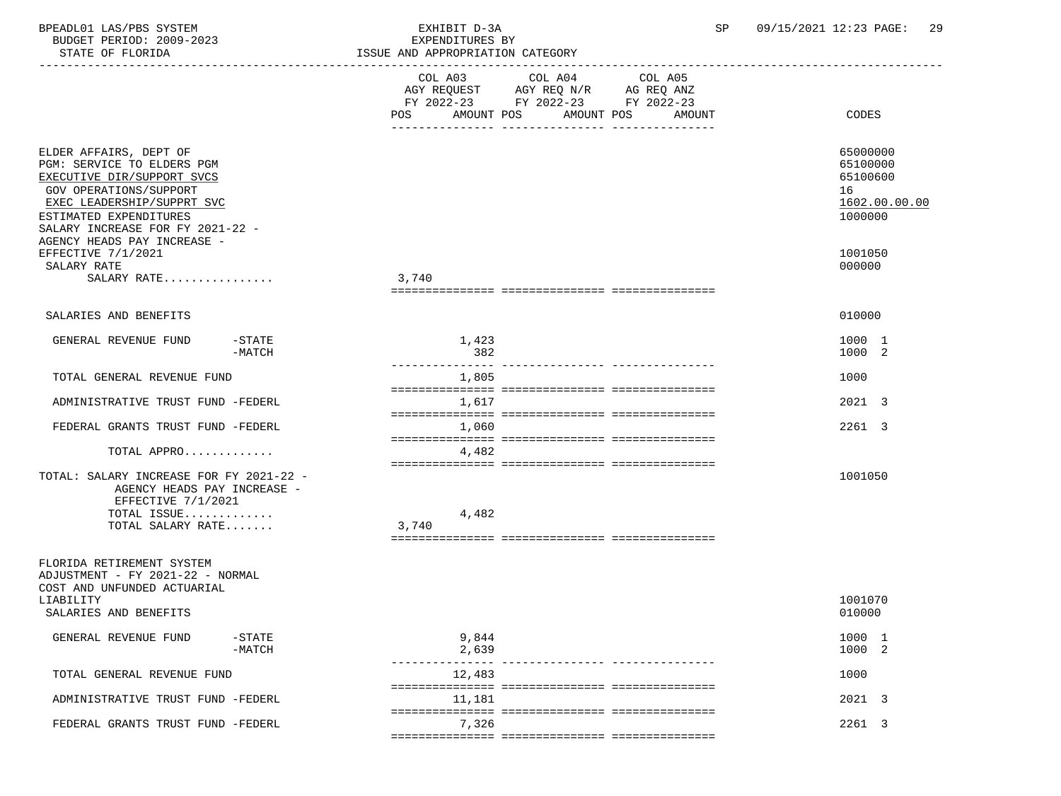| BPEADL01 LAS/PBS SYSTEM<br>BUDGET PERIOD: 2009-2023<br>STATE OF FLORIDA                                                                                                                                  |                             | EXHIBIT D-3A<br>SP<br>EXPENDITURES BY<br>ISSUE AND APPROPRIATION CATEGORY<br>---------------------------- |                                                                                           |                                  | 09/15/2021 12:23 PAGE:<br>-29                                      |
|----------------------------------------------------------------------------------------------------------------------------------------------------------------------------------------------------------|-----------------------------|-----------------------------------------------------------------------------------------------------------|-------------------------------------------------------------------------------------------|----------------------------------|--------------------------------------------------------------------|
|                                                                                                                                                                                                          |                             | COL A03                                                                                                   | COL A04 COL A05<br>AGY REQUEST AGY REQ N/R AG REQ ANZ<br>FY 2022-23 FY 2022-23 FY 2022-23 |                                  |                                                                    |
|                                                                                                                                                                                                          |                             |                                                                                                           |                                                                                           | POS AMOUNT POS AMOUNT POS AMOUNT | CODES                                                              |
| ELDER AFFAIRS, DEPT OF<br>PGM: SERVICE TO ELDERS PGM<br>EXECUTIVE DIR/SUPPORT SVCS<br>GOV OPERATIONS/SUPPORT<br>EXEC LEADERSHIP/SUPPRT SVC<br>ESTIMATED EXPENDITURES<br>SALARY INCREASE FOR FY 2021-22 - |                             |                                                                                                           |                                                                                           |                                  | 65000000<br>65100000<br>65100600<br>16<br>1602.00.00.00<br>1000000 |
| AGENCY HEADS PAY INCREASE -<br>EFFECTIVE 7/1/2021<br>SALARY RATE                                                                                                                                         |                             |                                                                                                           |                                                                                           |                                  | 1001050<br>000000                                                  |
| SALARY RATE                                                                                                                                                                                              |                             | 3,740                                                                                                     |                                                                                           |                                  |                                                                    |
| SALARIES AND BENEFITS                                                                                                                                                                                    |                             |                                                                                                           |                                                                                           |                                  | 010000                                                             |
| GENERAL REVENUE FUND                                                                                                                                                                                     | $-\mathtt{STATE}$<br>-MATCH | 1,423<br>382                                                                                              |                                                                                           |                                  | 1000 1<br>1000 2                                                   |
| TOTAL GENERAL REVENUE FUND                                                                                                                                                                               |                             | 1,805                                                                                                     |                                                                                           |                                  | 1000                                                               |
| ADMINISTRATIVE TRUST FUND -FEDERL                                                                                                                                                                        |                             | 1,617                                                                                                     |                                                                                           |                                  | 2021 3                                                             |
| FEDERAL GRANTS TRUST FUND -FEDERL                                                                                                                                                                        |                             | 1,060                                                                                                     |                                                                                           |                                  | 2261 3                                                             |
| TOTAL APPRO                                                                                                                                                                                              |                             | 4,482                                                                                                     |                                                                                           |                                  |                                                                    |
| TOTAL: SALARY INCREASE FOR FY 2021-22 -<br>AGENCY HEADS PAY INCREASE -<br>EFFECTIVE 7/1/2021<br>TOTAL ISSUE                                                                                              |                             | 4,482                                                                                                     |                                                                                           |                                  | 1001050                                                            |
| TOTAL SALARY RATE                                                                                                                                                                                        |                             | 3,740                                                                                                     |                                                                                           |                                  |                                                                    |
| FLORIDA RETIREMENT SYSTEM<br>ADJUSTMENT - FY 2021-22 - NORMAL<br>COST AND UNFUNDED ACTUARIAL<br>LIABILITY<br>SALARIES AND BENEFITS                                                                       |                             |                                                                                                           |                                                                                           |                                  | 1001070<br>010000                                                  |
| GENERAL REVENUE FUND                                                                                                                                                                                     | $-$ STATE<br>$-MATCH$       | 9,844<br>2,639                                                                                            |                                                                                           |                                  | 1000 1<br>1000 2                                                   |
| TOTAL GENERAL REVENUE FUND                                                                                                                                                                               |                             | 12,483                                                                                                    |                                                                                           | ------------- ---------------    | 1000                                                               |
| ADMINISTRATIVE TRUST FUND -FEDERL                                                                                                                                                                        |                             | 11,181                                                                                                    |                                                                                           |                                  | 2021 3                                                             |
| FEDERAL GRANTS TRUST FUND -FEDERL                                                                                                                                                                        |                             | 7,326                                                                                                     |                                                                                           |                                  | 2261 3                                                             |
|                                                                                                                                                                                                          |                             |                                                                                                           |                                                                                           |                                  |                                                                    |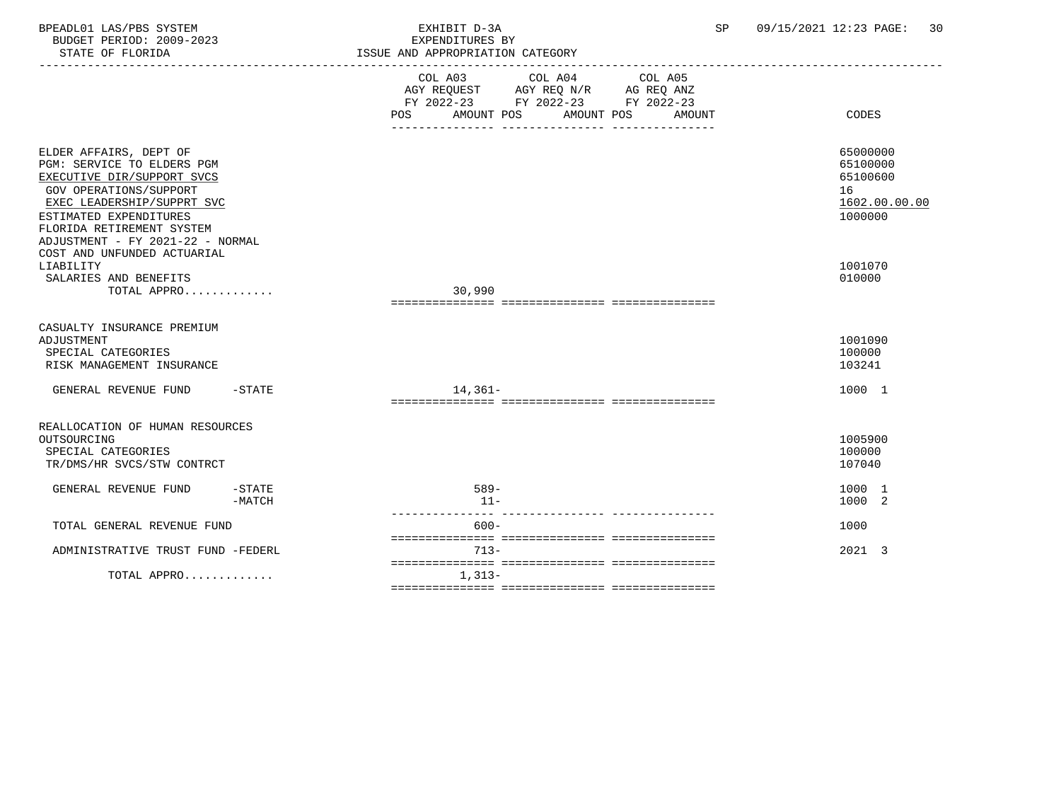| BPEADL01 LAS/PBS SYSTEM<br>BUDGET PERIOD: 2009-2023<br>STATE OF FLORIDA                                                                                                                                                                                              |                      | EXHIBIT D-3A<br>EXPENDITURES BY<br>ISSUE AND APPROPRIATION CATEGORY<br>________________________                                             | 09/15/2021 12:23 PAGE:<br>SP<br>30                                 |
|----------------------------------------------------------------------------------------------------------------------------------------------------------------------------------------------------------------------------------------------------------------------|----------------------|---------------------------------------------------------------------------------------------------------------------------------------------|--------------------------------------------------------------------|
|                                                                                                                                                                                                                                                                      |                      | COL A03 COL A04 COL A05<br>AGY REQUEST AGY REQ N/R AG REQ ANZ<br>FY 2022-23 FY 2022-23 FY 2022-23<br>AMOUNT POS AMOUNT POS<br>POS<br>AMOUNT | CODES                                                              |
| ELDER AFFAIRS, DEPT OF<br>PGM: SERVICE TO ELDERS PGM<br>EXECUTIVE DIR/SUPPORT SVCS<br>GOV OPERATIONS/SUPPORT<br>EXEC LEADERSHIP/SUPPRT SVC<br>ESTIMATED EXPENDITURES<br>FLORIDA RETIREMENT SYSTEM<br>ADJUSTMENT - FY 2021-22 - NORMAL<br>COST AND UNFUNDED ACTUARIAL |                      |                                                                                                                                             | 65000000<br>65100000<br>65100600<br>16<br>1602.00.00.00<br>1000000 |
| LIABILITY<br>SALARIES AND BENEFITS<br>TOTAL APPRO                                                                                                                                                                                                                    |                      | 30,990                                                                                                                                      | 1001070<br>010000                                                  |
| CASUALTY INSURANCE PREMIUM<br>ADJUSTMENT<br>SPECIAL CATEGORIES<br>RISK MANAGEMENT INSURANCE                                                                                                                                                                          |                      |                                                                                                                                             | 1001090<br>100000<br>103241                                        |
| GENERAL REVENUE FUND                                                                                                                                                                                                                                                 | $-STATE$             | $14,361-$                                                                                                                                   | 1000 1                                                             |
| REALLOCATION OF HUMAN RESOURCES<br>OUTSOURCING<br>SPECIAL CATEGORIES<br>TR/DMS/HR SVCS/STW CONTRCT                                                                                                                                                                   |                      |                                                                                                                                             | 1005900<br>100000<br>107040                                        |
| GENERAL REVENUE FUND                                                                                                                                                                                                                                                 | $-STATE$<br>$-MATCH$ | $589-$<br>$11 -$                                                                                                                            | 1000 1<br>1000 2                                                   |
| TOTAL GENERAL REVENUE FUND                                                                                                                                                                                                                                           |                      | $600 -$                                                                                                                                     | 1000                                                               |
| ADMINISTRATIVE TRUST FUND -FEDERL                                                                                                                                                                                                                                    |                      | $713-$                                                                                                                                      | 2021 3                                                             |
| TOTAL APPRO                                                                                                                                                                                                                                                          |                      | $1,313-$                                                                                                                                    |                                                                    |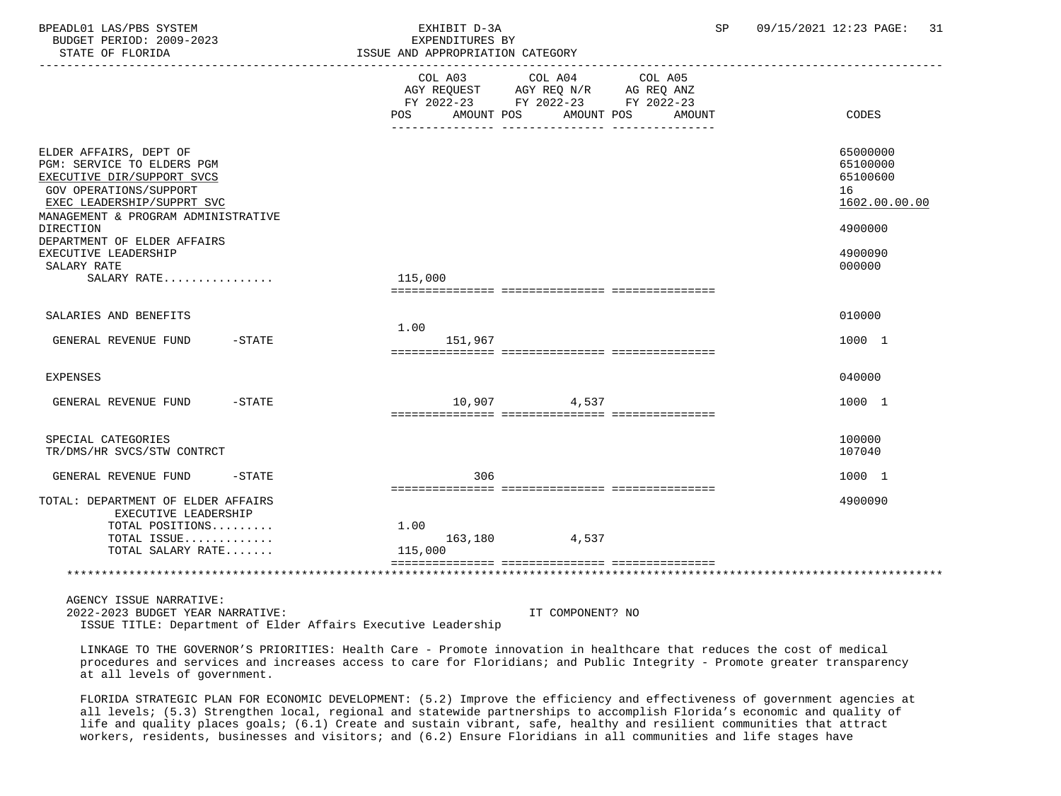| BPEADL01 LAS/PBS SYSTEM<br>BUDGET PERIOD: 2009-2023<br>STATE OF FLORIDA                                                                                                           | EXHIBIT D-3A<br>EXPENDITURES BY<br>ISSUE AND APPROPRIATION CATEGORY<br>-----------------------                                       | SP     | 09/15/2021 12:23 PAGE:<br>-31                           |
|-----------------------------------------------------------------------------------------------------------------------------------------------------------------------------------|--------------------------------------------------------------------------------------------------------------------------------------|--------|---------------------------------------------------------|
|                                                                                                                                                                                   | COL A03<br>COL A04<br>COL A05<br>AGY REQUEST AGY REQ N/R AG REQ ANZ<br>FY 2022-23 FY 2022-23 FY 2022-23<br>POS AMOUNT POS AMOUNT POS | AMOUNT | CODES                                                   |
| ELDER AFFAIRS, DEPT OF<br>PGM: SERVICE TO ELDERS PGM<br>EXECUTIVE DIR/SUPPORT SVCS<br>GOV OPERATIONS/SUPPORT<br>EXEC LEADERSHIP/SUPPRT SVC<br>MANAGEMENT & PROGRAM ADMINISTRATIVE |                                                                                                                                      |        | 65000000<br>65100000<br>65100600<br>16<br>1602.00.00.00 |
| DIRECTION<br>DEPARTMENT OF ELDER AFFAIRS<br>EXECUTIVE LEADERSHIP<br>SALARY RATE<br>SALARY RATE                                                                                    | 115,000                                                                                                                              |        | 4900000<br>4900090<br>000000                            |
| SALARIES AND BENEFITS<br>GENERAL REVENUE FUND<br>$-$ STATE                                                                                                                        | 1.00<br>151,967                                                                                                                      |        | 010000<br>1000 1                                        |
| EXPENSES                                                                                                                                                                          |                                                                                                                                      |        | 040000                                                  |
| GENERAL REVENUE FUND<br>$-STATE$                                                                                                                                                  | 10,907 4,537                                                                                                                         |        | 1000 1                                                  |
| SPECIAL CATEGORIES<br>TR/DMS/HR SVCS/STW CONTRCT                                                                                                                                  |                                                                                                                                      |        | 100000<br>107040                                        |
| GENERAL REVENUE FUND<br>$-STATE$                                                                                                                                                  | 306                                                                                                                                  |        | 1000 1                                                  |
| TOTAL: DEPARTMENT OF ELDER AFFAIRS<br>EXECUTIVE LEADERSHIP<br>TOTAL POSITIONS<br>TOTAL ISSUE<br>TOTAL SALARY RATE                                                                 | 1.00<br>4,537<br>163,180                                                                                                             |        | 4900090                                                 |
| AGENCY ISSUE NARRATIVE:                                                                                                                                                           | 115,000                                                                                                                              |        |                                                         |

 2022-2023 BUDGET YEAR NARRATIVE: IT COMPONENT? NO ISSUE TITLE: Department of Elder Affairs Executive Leadership

 LINKAGE TO THE GOVERNOR'S PRIORITIES: Health Care - Promote innovation in healthcare that reduces the cost of medical procedures and services and increases access to care for Floridians; and Public Integrity - Promote greater transparency at all levels of government.

 FLORIDA STRATEGIC PLAN FOR ECONOMIC DEVELOPMENT: (5.2) Improve the efficiency and effectiveness of government agencies at all levels; (5.3) Strengthen local, regional and statewide partnerships to accomplish Florida's economic and quality of life and quality places goals; (6.1) Create and sustain vibrant, safe, healthy and resilient communities that attract workers, residents, businesses and visitors; and (6.2) Ensure Floridians in all communities and life stages have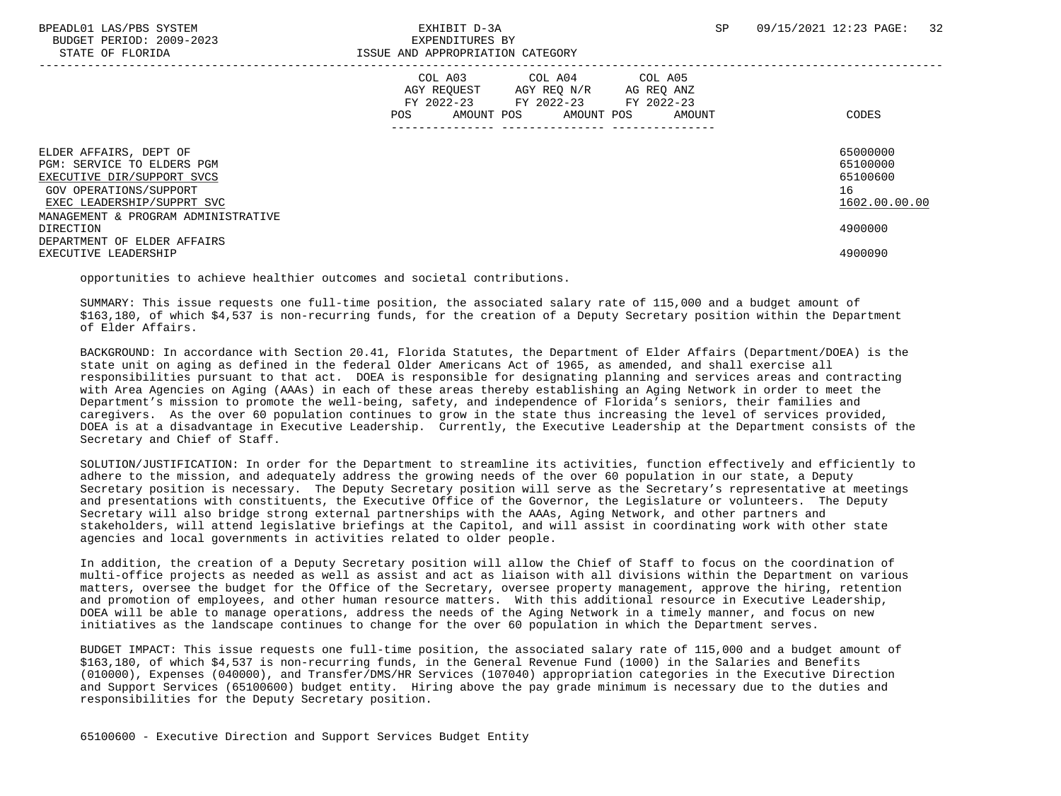BUDGET PERIOD: 2009-2023 EXPENDITURES BY

|                                                                                                                                                                                   | COL A03<br>COL A04<br>COL A05<br>AGY REQUEST<br>AGY REO N/R<br>AG REQ ANZ<br>FY 2022-23 FY 2022-23 FY 2022-23<br>AMOUNT POS<br><b>POS</b><br>AMOUNT POS<br>AMOUNT | CODES                                                   |
|-----------------------------------------------------------------------------------------------------------------------------------------------------------------------------------|-------------------------------------------------------------------------------------------------------------------------------------------------------------------|---------------------------------------------------------|
| ELDER AFFAIRS, DEPT OF<br>PGM: SERVICE TO ELDERS PGM<br>EXECUTIVE DIR/SUPPORT SVCS<br>GOV OPERATIONS/SUPPORT<br>EXEC LEADERSHIP/SUPPRT SVC<br>MANAGEMENT & PROGRAM ADMINISTRATIVE |                                                                                                                                                                   | 65000000<br>65100000<br>65100600<br>16<br>1602.00.00.00 |
| DIRECTION                                                                                                                                                                         |                                                                                                                                                                   | 4900000                                                 |
| DEPARTMENT OF ELDER AFFAIRS<br>EXECUTIVE LEADERSHIP                                                                                                                               |                                                                                                                                                                   | 4900090                                                 |
|                                                                                                                                                                                   |                                                                                                                                                                   |                                                         |

opportunities to achieve healthier outcomes and societal contributions.

 SUMMARY: This issue requests one full-time position, the associated salary rate of 115,000 and a budget amount of \$163,180, of which \$4,537 is non-recurring funds, for the creation of a Deputy Secretary position within the Department of Elder Affairs.

 BACKGROUND: In accordance with Section 20.41, Florida Statutes, the Department of Elder Affairs (Department/DOEA) is the state unit on aging as defined in the federal Older Americans Act of 1965, as amended, and shall exercise all responsibilities pursuant to that act. DOEA is responsible for designating planning and services areas and contracting with Area Agencies on Aging (AAAs) in each of these areas thereby establishing an Aging Network in order to meet the Department's mission to promote the well-being, safety, and independence of Florida's seniors, their families and caregivers. As the over 60 population continues to grow in the state thus increasing the level of services provided, DOEA is at a disadvantage in Executive Leadership. Currently, the Executive Leadership at the Department consists of the Secretary and Chief of Staff.

 SOLUTION/JUSTIFICATION: In order for the Department to streamline its activities, function effectively and efficiently to adhere to the mission, and adequately address the growing needs of the over 60 population in our state, a Deputy Secretary position is necessary. The Deputy Secretary position will serve as the Secretary's representative at meetings and presentations with constituents, the Executive Office of the Governor, the Legislature or volunteers. The Deputy Secretary will also bridge strong external partnerships with the AAAs, Aging Network, and other partners and stakeholders, will attend legislative briefings at the Capitol, and will assist in coordinating work with other state agencies and local governments in activities related to older people.

 In addition, the creation of a Deputy Secretary position will allow the Chief of Staff to focus on the coordination of multi-office projects as needed as well as assist and act as liaison with all divisions within the Department on various matters, oversee the budget for the Office of the Secretary, oversee property management, approve the hiring, retention and promotion of employees, and other human resource matters. With this additional resource in Executive Leadership, DOEA will be able to manage operations, address the needs of the Aging Network in a timely manner, and focus on new initiatives as the landscape continues to change for the over 60 population in which the Department serves.

 BUDGET IMPACT: This issue requests one full-time position, the associated salary rate of 115,000 and a budget amount of \$163,180, of which \$4,537 is non-recurring funds, in the General Revenue Fund (1000) in the Salaries and Benefits (010000), Expenses (040000), and Transfer/DMS/HR Services (107040) appropriation categories in the Executive Direction and Support Services (65100600) budget entity. Hiring above the pay grade minimum is necessary due to the duties and responsibilities for the Deputy Secretary position.

65100600 - Executive Direction and Support Services Budget Entity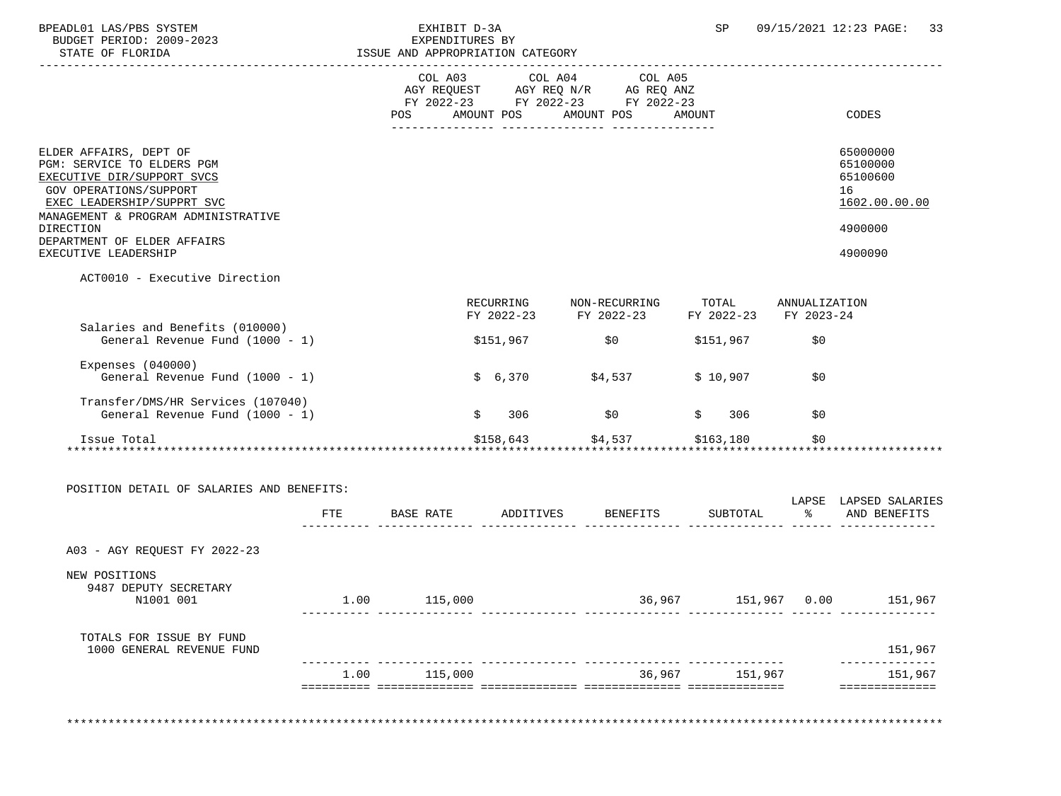| BPEADL01 LAS/PBS SYSTEM<br>BUDGET PERIOD: 2009-2023                                                                                                                                            |      | EXHIBIT D-3A | EXPENDITURES BY<br>ISSUE AND APPROPRIATION CATEGORY |                                                                                                                                       | SP and the set of the set of the set of the set of the set of the set of the set of the set of the set of the set of the set of the set of the set of the set of the set of the set of the set of the set of the set of the se |      | 09/15/2021 12:23 PAGE: 33                                          |
|------------------------------------------------------------------------------------------------------------------------------------------------------------------------------------------------|------|--------------|-----------------------------------------------------|---------------------------------------------------------------------------------------------------------------------------------------|--------------------------------------------------------------------------------------------------------------------------------------------------------------------------------------------------------------------------------|------|--------------------------------------------------------------------|
| STATE OF FLORIDA                                                                                                                                                                               |      |              |                                                     |                                                                                                                                       |                                                                                                                                                                                                                                |      |                                                                    |
|                                                                                                                                                                                                |      |              |                                                     | COL A03 COL A04 COL A05<br>AGY REQUEST AGY REQ N/R AG REQ ANZ<br>FY 2022-23 FY 2022-23 FY 2022-23<br>POS AMOUNT POS AMOUNT POS AMOUNT |                                                                                                                                                                                                                                |      | CODES                                                              |
| ELDER AFFAIRS, DEPT OF<br>PGM: SERVICE TO ELDERS PGM<br>EXECUTIVE DIR/SUPPORT SVCS<br>GOV OPERATIONS/SUPPORT<br>EXEC LEADERSHIP/SUPPRT SVC<br>MANAGEMENT & PROGRAM ADMINISTRATIVE<br>DIRECTION |      |              |                                                     |                                                                                                                                       |                                                                                                                                                                                                                                |      | 65000000<br>65100000<br>65100600<br>16<br>1602.00.00.00<br>4900000 |
| DEPARTMENT OF ELDER AFFAIRS<br>EXECUTIVE LEADERSHIP                                                                                                                                            |      |              |                                                     |                                                                                                                                       |                                                                                                                                                                                                                                |      | 4900090                                                            |
| ACT0010 - Executive Direction                                                                                                                                                                  |      |              |                                                     |                                                                                                                                       |                                                                                                                                                                                                                                |      |                                                                    |
|                                                                                                                                                                                                |      |              |                                                     | RECURRING NON-RECURRING TOTAL ANNUALIZATION<br>FY 2022-23 FY 2022-23 FY 2022-23 FY 2023-24                                            |                                                                                                                                                                                                                                |      |                                                                    |
| Salaries and Benefits (010000)<br>General Revenue Fund (1000 - 1)                                                                                                                              |      |              |                                                     | $$151,967$ \$0                                                                                                                        | \$151,967                                                                                                                                                                                                                      | \$0  |                                                                    |
| Expenses $(040000)$<br>General Revenue Fund $(1000 - 1)$                                                                                                                                       |      |              |                                                     | $$6,370$ $$4,537$                                                                                                                     | \$10,907                                                                                                                                                                                                                       | \$0  |                                                                    |
| Transfer/DMS/HR Services (107040)<br>General Revenue Fund $(1000 - 1)$                                                                                                                         |      |              | \$306                                               | \$0                                                                                                                                   | \$306                                                                                                                                                                                                                          | \$0  |                                                                    |
| Issue Total                                                                                                                                                                                    |      |              |                                                     | $$158,643$ $$4,537$ $$163,180$                                                                                                        |                                                                                                                                                                                                                                | \$0  |                                                                    |
|                                                                                                                                                                                                |      |              |                                                     |                                                                                                                                       |                                                                                                                                                                                                                                |      |                                                                    |
| POSITION DETAIL OF SALARIES AND BENEFITS:                                                                                                                                                      |      |              |                                                     |                                                                                                                                       |                                                                                                                                                                                                                                |      | LAPSE LAPSED SALARIES                                              |
|                                                                                                                                                                                                |      |              |                                                     | FTE BASE RATE ADDITIVES BENEFITS SUBTOTAL $\frac{1}{2}$ and BENEFITS                                                                  |                                                                                                                                                                                                                                |      |                                                                    |
| A03 - AGY REQUEST FY 2022-23                                                                                                                                                                   |      |              |                                                     |                                                                                                                                       |                                                                                                                                                                                                                                |      |                                                                    |
| NEW POSITIONS<br>9487 DEPUTY SECRETARY                                                                                                                                                         |      |              |                                                     |                                                                                                                                       |                                                                                                                                                                                                                                |      |                                                                    |
| N1001 001                                                                                                                                                                                      | 1.00 | 115,000      |                                                     | 36,967                                                                                                                                | 151,967                                                                                                                                                                                                                        | 0.00 | 151,967                                                            |
| TOTALS FOR ISSUE BY FUND<br>1000 GENERAL REVENUE FUND                                                                                                                                          |      |              |                                                     |                                                                                                                                       |                                                                                                                                                                                                                                |      | 151,967                                                            |
|                                                                                                                                                                                                | 1.00 | 115,000      |                                                     |                                                                                                                                       | 36,967 151,967                                                                                                                                                                                                                 |      | 151,967                                                            |
|                                                                                                                                                                                                |      |              |                                                     |                                                                                                                                       |                                                                                                                                                                                                                                |      | ==============                                                     |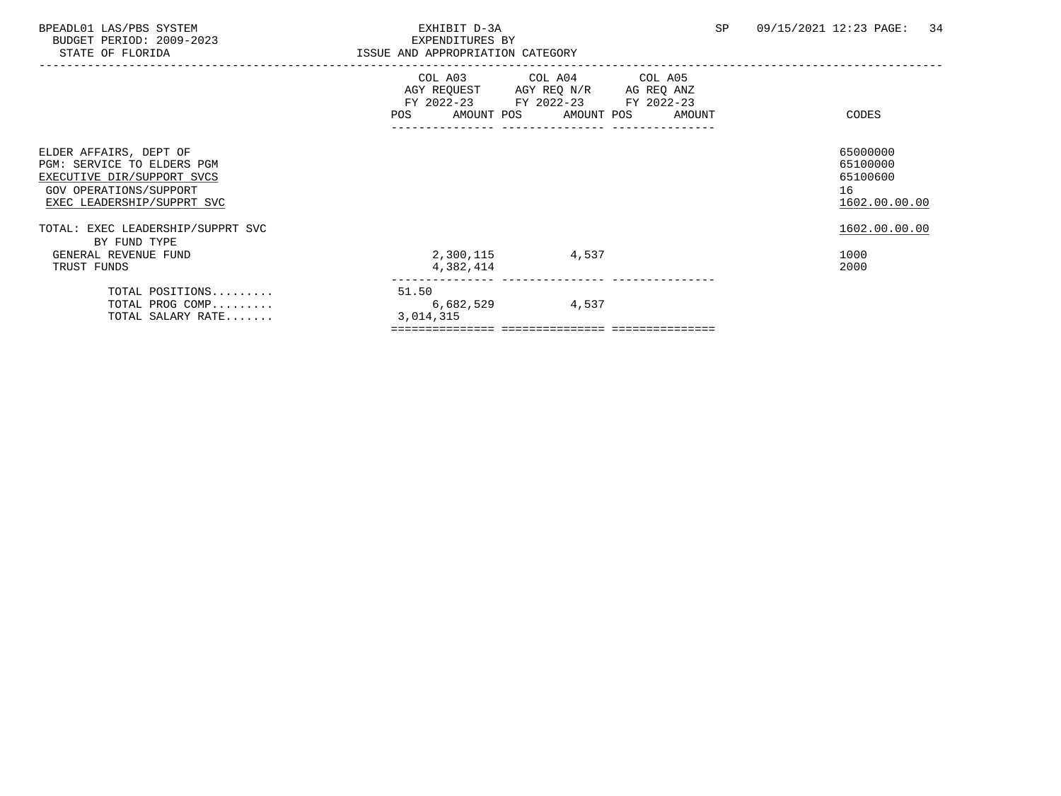| BPEADL01 LAS/PBS SYSTEM<br>BUDGET PERIOD: 2009-2023<br>STATE OF FLORIDA                                                                    | EXHIBIT D-3A<br>EXPENDITURES BY<br>ISSUE AND APPROPRIATION CATEGORY |                                                                                                                                       | SP | 09/15/2021 12:23 PAGE:<br>34                            |
|--------------------------------------------------------------------------------------------------------------------------------------------|---------------------------------------------------------------------|---------------------------------------------------------------------------------------------------------------------------------------|----|---------------------------------------------------------|
|                                                                                                                                            |                                                                     | COL A03 COL A04 COL A05<br>AGY REQUEST AGY REQ N/R AG REQ ANZ<br>FY 2022-23 FY 2022-23 FY 2022-23<br>POS AMOUNT POS AMOUNT POS AMOUNT |    | CODES                                                   |
| ELDER AFFAIRS, DEPT OF<br>PGM: SERVICE TO ELDERS PGM<br>EXECUTIVE DIR/SUPPORT SVCS<br>GOV OPERATIONS/SUPPORT<br>EXEC LEADERSHIP/SUPPRT SVC |                                                                     |                                                                                                                                       |    | 65000000<br>65100000<br>65100600<br>16<br>1602.00.00.00 |
| TOTAL: EXEC LEADERSHIP/SUPPRT SVC<br>BY FUND TYPE<br>GENERAL REVENUE FUND<br>TRUST FUNDS                                                   | 2,300,115 4,537<br>4,382,414                                        |                                                                                                                                       |    | 1602.00.00.00<br>1000<br>2000                           |
| TOTAL POSITIONS<br>TOTAL PROG COMP<br>TOTAL SALARY RATE                                                                                    | 51.50<br>6,682,529<br>3,014,315                                     | 4,537                                                                                                                                 |    |                                                         |
|                                                                                                                                            |                                                                     |                                                                                                                                       |    |                                                         |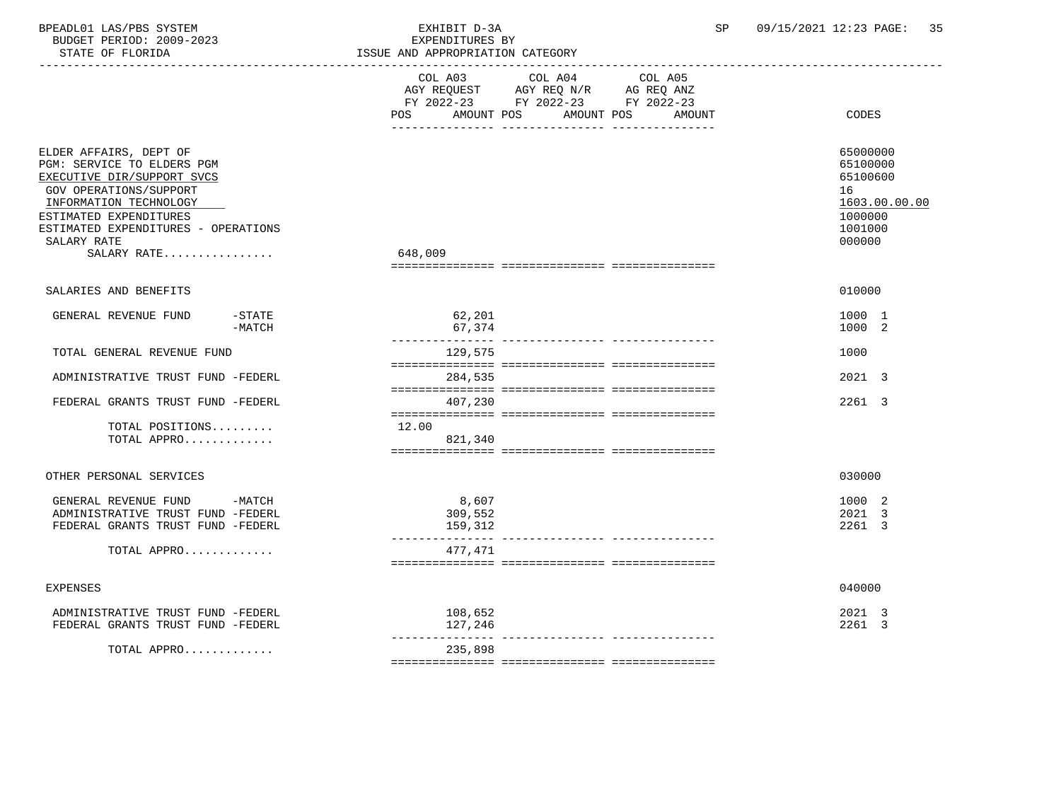| BPEADL01 LAS/PBS SYSTEM<br>BUDGET PERIOD: 2009-2023<br>STATE OF FLORIDA                                                                                                                                                               | EXHIBIT D-3A<br>EXPENDITURES BY<br>ISSUE AND APPROPRIATION CATEGORY                                                                            | SP | 09/15/2021 12:23 PAGE:<br>35                                                            |
|---------------------------------------------------------------------------------------------------------------------------------------------------------------------------------------------------------------------------------------|------------------------------------------------------------------------------------------------------------------------------------------------|----|-----------------------------------------------------------------------------------------|
|                                                                                                                                                                                                                                       | COL A03<br>COL A04<br>COL A05<br>AGY REQUEST AGY REQ N/R AG REQ ANZ<br>FY 2022-23 FY 2022-23 FY 2022-23<br>POS AMOUNT POS AMOUNT POS<br>AMOUNT |    | CODES                                                                                   |
| ELDER AFFAIRS, DEPT OF<br>PGM: SERVICE TO ELDERS PGM<br>EXECUTIVE DIR/SUPPORT SVCS<br>GOV OPERATIONS/SUPPORT<br>INFORMATION TECHNOLOGY<br>ESTIMATED EXPENDITURES<br>ESTIMATED EXPENDITURES - OPERATIONS<br>SALARY RATE<br>SALARY RATE | 648,009                                                                                                                                        |    | 65000000<br>65100000<br>65100600<br>16<br>1603.00.00.00<br>1000000<br>1001000<br>000000 |
| SALARIES AND BENEFITS                                                                                                                                                                                                                 |                                                                                                                                                |    | 010000                                                                                  |
| GENERAL REVENUE FUND<br>$-$ STATE<br>$-MATCH$                                                                                                                                                                                         | 62,201<br>67,374<br>---------------                                                                                                            |    | 1000 1<br>1000 2                                                                        |
| TOTAL GENERAL REVENUE FUND                                                                                                                                                                                                            | 129,575                                                                                                                                        |    | 1000                                                                                    |
| ADMINISTRATIVE TRUST FUND -FEDERL                                                                                                                                                                                                     | 284,535                                                                                                                                        |    | 2021 3                                                                                  |
| FEDERAL GRANTS TRUST FUND -FEDERL                                                                                                                                                                                                     | 407,230                                                                                                                                        |    | 2261 3                                                                                  |
| TOTAL POSITIONS<br>TOTAL APPRO                                                                                                                                                                                                        | 12.00<br>821,340                                                                                                                               |    |                                                                                         |
| OTHER PERSONAL SERVICES                                                                                                                                                                                                               |                                                                                                                                                |    | 030000                                                                                  |
| GENERAL REVENUE FUND -MATCH<br>ADMINISTRATIVE TRUST FUND -FEDERL<br>FEDERAL GRANTS TRUST FUND -FEDERL                                                                                                                                 | 8,607<br>309,552<br>159,312                                                                                                                    |    | 1000 2<br>2021 3<br>2261 3                                                              |
| TOTAL APPRO                                                                                                                                                                                                                           | 477,471                                                                                                                                        |    |                                                                                         |
| <b>EXPENSES</b>                                                                                                                                                                                                                       |                                                                                                                                                |    | 040000                                                                                  |
| ADMINISTRATIVE TRUST FUND -FEDERL<br>FEDERAL GRANTS TRUST FUND -FEDERL                                                                                                                                                                | 108,652<br>127,246                                                                                                                             |    | 2021 3<br>2261 3                                                                        |
| TOTAL APPRO                                                                                                                                                                                                                           | 235,898                                                                                                                                        |    |                                                                                         |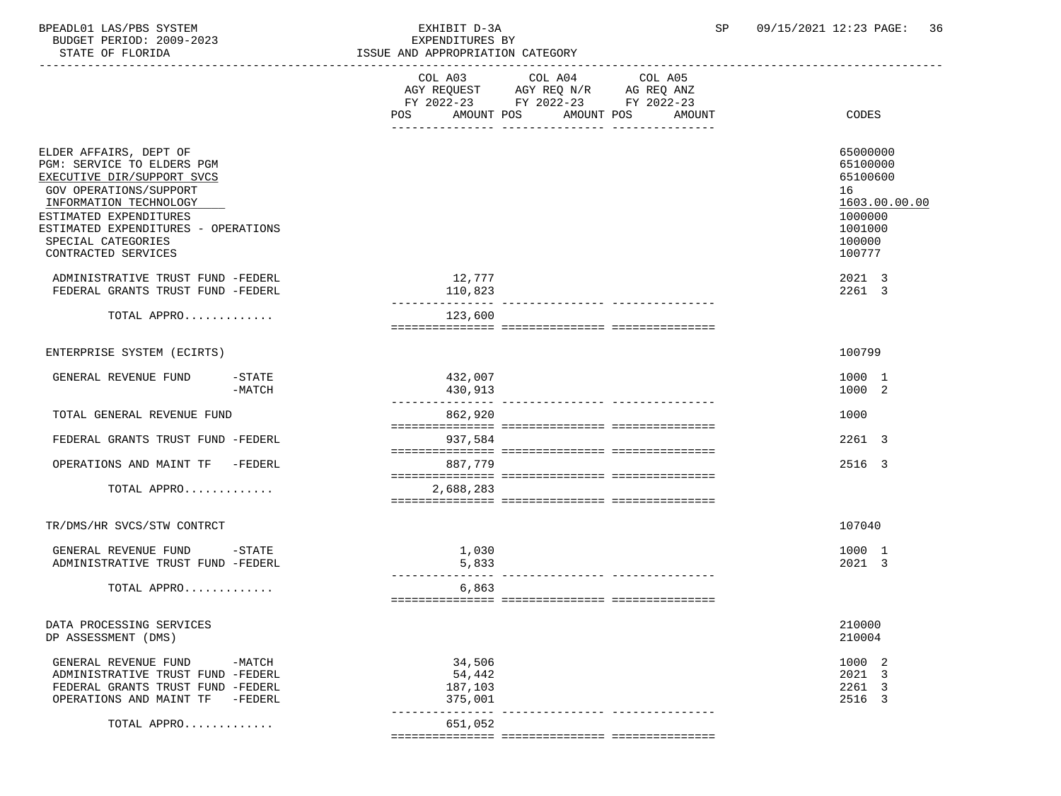BPEADL01 LAS/PBS SYSTEM EXHIBIT D-3A SP 09/15/2021 12:23 PAGE: 36 BUDGET PERIOD: 2000-2023

TOTAL  $APPRO$ .............

| RODGET PERTOD: 2009-2023<br>STATE OF FLORIDA                                                                                                                                                                                                                                                                                   |                    | EXPENDITURES BY<br>ISSUE AND APPROPRIATION CATEGORY                                                                                                      |                                                                                                                       |  |  |
|--------------------------------------------------------------------------------------------------------------------------------------------------------------------------------------------------------------------------------------------------------------------------------------------------------------------------------|--------------------|----------------------------------------------------------------------------------------------------------------------------------------------------------|-----------------------------------------------------------------------------------------------------------------------|--|--|
|                                                                                                                                                                                                                                                                                                                                |                    | COL A03 COL A04<br>COL A05<br>AGY REQUEST AGY REQ N/R AG REQ ANZ<br>FY 2022-23 FY 2022-23 FY 2022-23<br>AMOUNT POS<br>AMOUNT POS<br><b>AMOUNT</b><br>POS | CODES                                                                                                                 |  |  |
| ELDER AFFAIRS, DEPT OF<br>PGM: SERVICE TO ELDERS PGM<br>EXECUTIVE DIR/SUPPORT SVCS<br>GOV OPERATIONS/SUPPORT<br>INFORMATION TECHNOLOGY<br>ESTIMATED EXPENDITURES<br>ESTIMATED EXPENDITURES - OPERATIONS<br>SPECIAL CATEGORIES<br>CONTRACTED SERVICES<br>ADMINISTRATIVE TRUST FUND -FEDERL<br>FEDERAL GRANTS TRUST FUND -FEDERL |                    | 12,777<br>110,823                                                                                                                                        | 65000000<br>65100000<br>65100600<br>16<br>1603.00.00.00<br>1000000<br>1001000<br>100000<br>100777<br>2021 3<br>2261 3 |  |  |
| TOTAL APPRO                                                                                                                                                                                                                                                                                                                    |                    | 123,600                                                                                                                                                  |                                                                                                                       |  |  |
|                                                                                                                                                                                                                                                                                                                                |                    |                                                                                                                                                          |                                                                                                                       |  |  |
| ENTERPRISE SYSTEM (ECIRTS)                                                                                                                                                                                                                                                                                                     |                    |                                                                                                                                                          | 100799                                                                                                                |  |  |
| GENERAL REVENUE FUND                                                                                                                                                                                                                                                                                                           | -STATE<br>$-MATCH$ | 432,007<br>430,913                                                                                                                                       | 1000 1<br>1000 2                                                                                                      |  |  |
| TOTAL GENERAL REVENUE FUND                                                                                                                                                                                                                                                                                                     |                    | 862,920                                                                                                                                                  | 1000                                                                                                                  |  |  |
| FEDERAL GRANTS TRUST FUND -FEDERL                                                                                                                                                                                                                                                                                              |                    | 937,584                                                                                                                                                  | 2261 3                                                                                                                |  |  |
| OPERATIONS AND MAINT TF -FEDERL                                                                                                                                                                                                                                                                                                |                    | 887,779                                                                                                                                                  | 2516 3                                                                                                                |  |  |
| TOTAL APPRO                                                                                                                                                                                                                                                                                                                    |                    | 2,688,283                                                                                                                                                |                                                                                                                       |  |  |
| TR/DMS/HR SVCS/STW CONTRCT                                                                                                                                                                                                                                                                                                     |                    |                                                                                                                                                          | 107040                                                                                                                |  |  |
| GENERAL REVENUE FUND -STATE<br>ADMINISTRATIVE TRUST FUND -FEDERL                                                                                                                                                                                                                                                               |                    | 1,030<br>5,833                                                                                                                                           | 1000 1<br>2021 3                                                                                                      |  |  |
| TOTAL APPRO                                                                                                                                                                                                                                                                                                                    |                    | 6,863                                                                                                                                                    |                                                                                                                       |  |  |
| DATA PROCESSING SERVICES<br>DP ASSESSMENT (DMS)                                                                                                                                                                                                                                                                                |                    |                                                                                                                                                          | 210000<br>210004                                                                                                      |  |  |
| GENERAL REVENUE FUND -MATCH<br>ADMINISTRATIVE TRUST FUND -FEDERL<br>FEDERAL GRANTS TRUST FUND -FEDERL<br>OPERATIONS AND MAINT TF -FEDERL                                                                                                                                                                                       |                    | 34,506<br>54,442<br>187,103<br>375,001                                                                                                                   | 1000 2<br>2021 3<br>2261 3<br>2516 3                                                                                  |  |  |

--------------- --------------- ---------------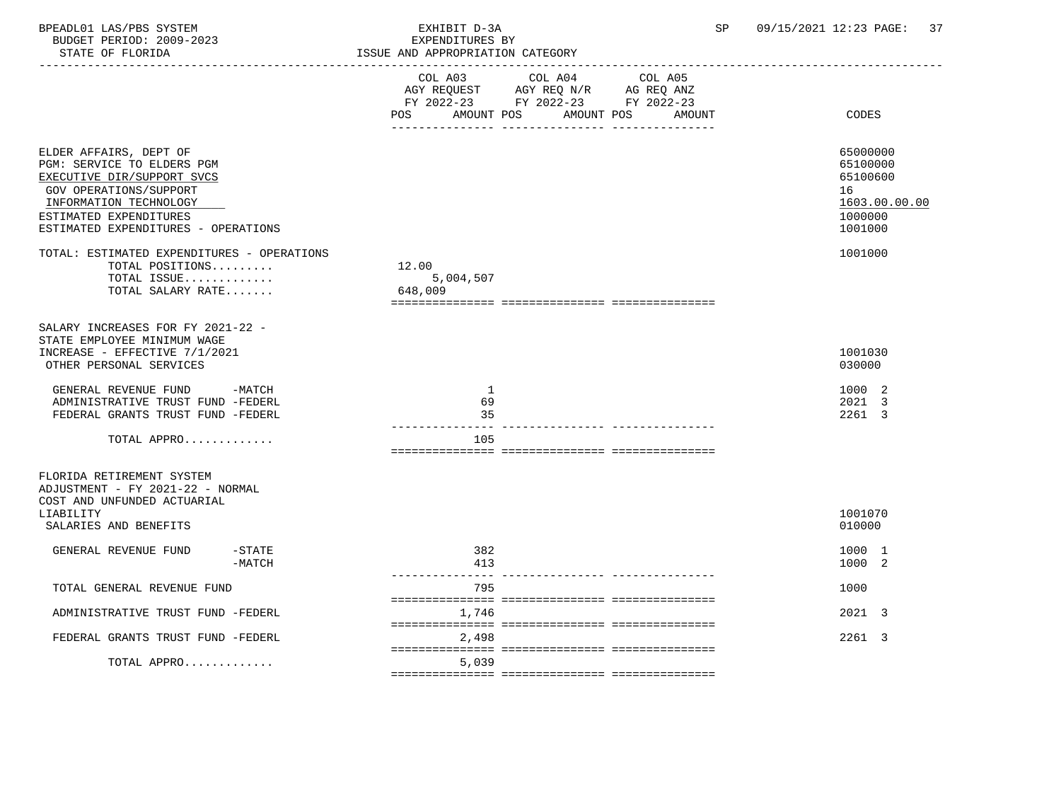| BPEADL01 LAS/PBS SYSTEM |                  |                          |  | EXHIBIT D-3A            |  |
|-------------------------|------------------|--------------------------|--|-------------------------|--|
|                         |                  | BUDGET PERIOD: 2009-2023 |  | EXPENDITURES BY         |  |
|                         | STATE OF FLORIDA |                          |  | ISSUE AND APPROPRIATION |  |

| STATE OF FLORIDA                                                                                                                                                                                        | ISSUE AND APPROPRIATION CATEGORY<br>______________                                                                                                |                                                                               |
|---------------------------------------------------------------------------------------------------------------------------------------------------------------------------------------------------------|---------------------------------------------------------------------------------------------------------------------------------------------------|-------------------------------------------------------------------------------|
|                                                                                                                                                                                                         | COL A04<br>COL A03<br>COL A05<br>AGY REQUEST AGY REQ N/R AG REQ ANZ<br>FY 2022-23 FY 2022-23 FY 2022-23<br>AMOUNT POS AMOUNT POS<br>POS<br>AMOUNT | CODES                                                                         |
| ELDER AFFAIRS, DEPT OF<br>PGM: SERVICE TO ELDERS PGM<br>EXECUTIVE DIR/SUPPORT SVCS<br>GOV OPERATIONS/SUPPORT<br>INFORMATION TECHNOLOGY<br>ESTIMATED EXPENDITURES<br>ESTIMATED EXPENDITURES - OPERATIONS |                                                                                                                                                   | 65000000<br>65100000<br>65100600<br>16<br>1603.00.00.00<br>1000000<br>1001000 |
| TOTAL: ESTIMATED EXPENDITURES - OPERATIONS<br>TOTAL POSITIONS<br>TOTAL ISSUE<br>TOTAL SALARY RATE                                                                                                       | 12.00<br>5,004,507<br>648,009                                                                                                                     | 1001000                                                                       |
| SALARY INCREASES FOR FY 2021-22 -<br>STATE EMPLOYEE MINIMUM WAGE<br>INCREASE - EFFECTIVE 7/1/2021<br>OTHER PERSONAL SERVICES                                                                            |                                                                                                                                                   | 1001030<br>030000                                                             |
| GENERAL REVENUE FUND -MATCH<br>ADMINISTRATIVE TRUST FUND -FEDERL<br>FEDERAL GRANTS TRUST FUND -FEDERL                                                                                                   | <sup>1</sup><br>69<br>35                                                                                                                          | 1000 2<br>2021 3<br>2261 3                                                    |
| TOTAL APPRO                                                                                                                                                                                             | 105                                                                                                                                               |                                                                               |
| FLORIDA RETIREMENT SYSTEM<br>ADJUSTMENT - FY 2021-22 - NORMAL<br>COST AND UNFUNDED ACTUARIAL<br>LIABILITY<br>SALARIES AND BENEFITS                                                                      |                                                                                                                                                   | 1001070<br>010000                                                             |
| GENERAL REVENUE FUND<br>-STATE<br>$-MATCH$                                                                                                                                                              | 382<br>413                                                                                                                                        | 1000 1<br>1000 2                                                              |
| TOTAL GENERAL REVENUE FUND                                                                                                                                                                              | 795                                                                                                                                               | 1000                                                                          |
| ADMINISTRATIVE TRUST FUND -FEDERL                                                                                                                                                                       | 1,746                                                                                                                                             | 2021 3                                                                        |
| FEDERAL GRANTS TRUST FUND -FEDERL                                                                                                                                                                       | 2,498                                                                                                                                             | 2261 3                                                                        |
| TOTAL APPRO                                                                                                                                                                                             | 5,039                                                                                                                                             |                                                                               |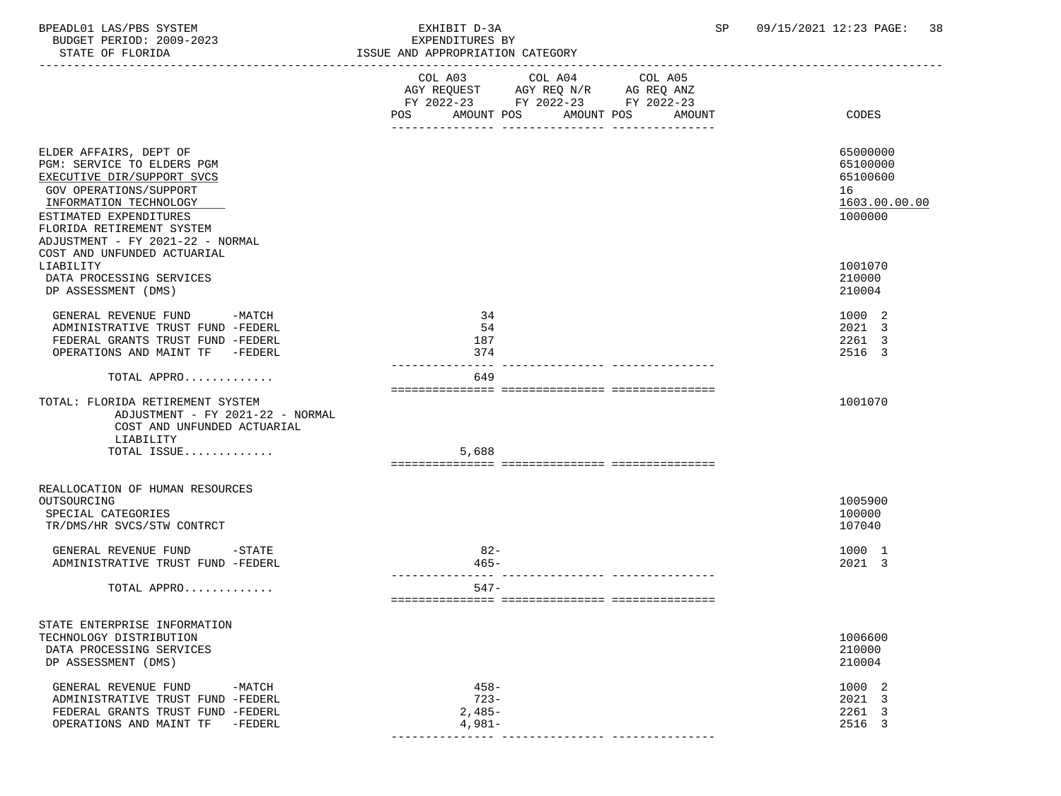BPEADL01 LAS/PBS SYSTEM EXHIBIT D-3A SP 09/15/2021 12:23 PAGE: 38 BUDGET PERIOD: 2009-2023<br>STATE OF FLORIDA

ISSUE AND APPROPRIATION CATEGORY

|                                                                                                                                                                                                                                   | COL A03 COL A04 COL A05<br>AGY REQUEST AGY REQ N/R AG REQ ANZ<br>FY 2022-23 FY 2022-23 FY 2022-23<br>AMOUNT POS<br>AMOUNT POS<br>POS<br>AMOUNT | CODES                                                              |
|-----------------------------------------------------------------------------------------------------------------------------------------------------------------------------------------------------------------------------------|------------------------------------------------------------------------------------------------------------------------------------------------|--------------------------------------------------------------------|
| ELDER AFFAIRS, DEPT OF<br>PGM: SERVICE TO ELDERS PGM<br>EXECUTIVE DIR/SUPPORT SVCS<br>GOV OPERATIONS/SUPPORT<br>INFORMATION TECHNOLOGY<br>ESTIMATED EXPENDITURES<br>FLORIDA RETIREMENT SYSTEM<br>ADJUSTMENT - FY 2021-22 - NORMAL |                                                                                                                                                | 65000000<br>65100000<br>65100600<br>16<br>1603.00.00.00<br>1000000 |
| COST AND UNFUNDED ACTUARIAL                                                                                                                                                                                                       |                                                                                                                                                |                                                                    |
| LIABILITY<br>DATA PROCESSING SERVICES<br>DP ASSESSMENT (DMS)                                                                                                                                                                      |                                                                                                                                                | 1001070<br>210000<br>210004                                        |
| GENERAL REVENUE FUND<br>$-MATCH$<br>ADMINISTRATIVE TRUST FUND -FEDERL<br>FEDERAL GRANTS TRUST FUND -FEDERL<br>OPERATIONS AND MAINT TF -FEDERL                                                                                     | 34<br>54<br>187<br>374                                                                                                                         | 1000 2<br>2021 3<br>2261 3<br>2516 3                               |
| TOTAL APPRO                                                                                                                                                                                                                       | 649                                                                                                                                            |                                                                    |
| TOTAL: FLORIDA RETIREMENT SYSTEM<br>ADJUSTMENT - FY 2021-22 - NORMAL<br>COST AND UNFUNDED ACTUARIAL<br>LIABILITY                                                                                                                  |                                                                                                                                                | 1001070                                                            |
| TOTAL ISSUE                                                                                                                                                                                                                       | 5,688                                                                                                                                          |                                                                    |
|                                                                                                                                                                                                                                   |                                                                                                                                                |                                                                    |
| REALLOCATION OF HUMAN RESOURCES<br>OUTSOURCING<br>SPECIAL CATEGORIES<br>TR/DMS/HR SVCS/STW CONTRCT                                                                                                                                |                                                                                                                                                | 1005900<br>100000<br>107040                                        |
| GENERAL REVENUE FUND -STATE<br>ADMINISTRATIVE TRUST FUND -FEDERL                                                                                                                                                                  | $82 -$<br>$465 -$                                                                                                                              | 1000 1<br>2021 3                                                   |
| TOTAL APPRO                                                                                                                                                                                                                       | $547-$                                                                                                                                         |                                                                    |
| STATE ENTERPRISE INFORMATION<br>TECHNOLOGY DISTRIBUTION<br>DATA PROCESSING SERVICES<br>DP ASSESSMENT (DMS)                                                                                                                        |                                                                                                                                                | 1006600<br>210000<br>210004                                        |
| GENERAL REVENUE FUND<br>$-MATCH$<br>ADMINISTRATIVE TRUST FUND -FEDERL<br>FEDERAL GRANTS TRUST FUND -FEDERL<br>OPERATIONS AND MAINT TF<br>$-FEDERL$                                                                                | $458 -$<br>$723 -$<br>$2,485-$<br>$4,981-$                                                                                                     | 1000 2<br>2021 3<br>2261 3<br>2516 3                               |

--------------- --------------- ---------------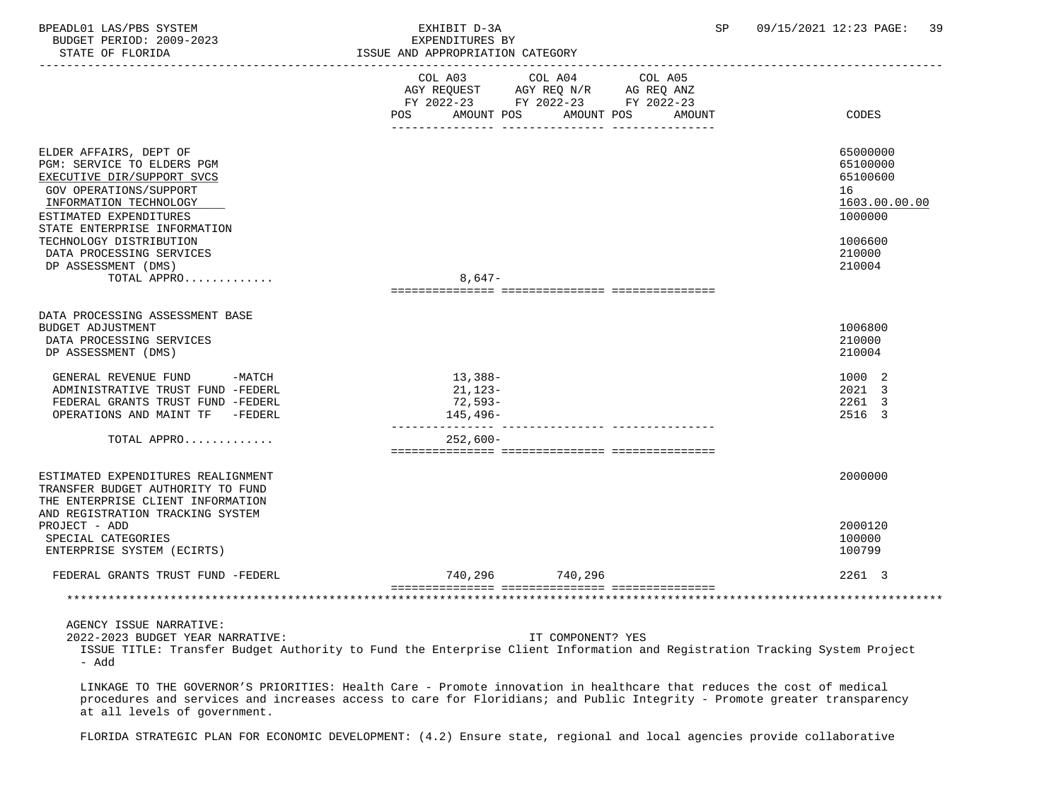BPEADL01 LAS/PBS SYSTEM SALL SALL SEXHIBIT D-3A SP 09/15/2021 12:23 PAGE: 39 BUDGET PERIOD: 2009-2023 EXPENDITURES BY STATE OF FLORIDA **ISSUE AND APPROPRIATION CATEGORY**  ----------------------------------------------------------------------------------------------------------------------------------- COL A03 COL A04 COL A05 AGY REQUEST AGY REQ N/R AG REQ ANZ FY 2022-23 FY 2022-23 FY 2022-23 POS AMOUNT POS AMOUNT POS AMOUNT CODES --------------- --------------- --------------- ELDER AFFAIRS, DEPT OF 65000000 PGM: SERVICE TO ELDERS PGM 65100000 EXECUTIVE DIR/SUPPORT SVCS GOV OPERATIONS/SUPPORT 16<br>
INFORMATION TECHNOLOGY 1603.00.00 POLOGY 1603.00.00 POLOGY 1603.00.00 POLOGY 1603.00.00  $\frac{\text{INFORMATION Technology}}{\text{IOD1} \text{IOD} } \text{IOD} \text{IOD} \text{IOD} \text{IOD} \text{IOD} \text{IOD} \text{IOD} \text{IOD} \text{IOD} \text{IOD} \text{IOD} \text{IOD} \text{IOD} \text{IOD} \text{IOD} \text{IOD} \text{IOD} \text{IOD} \text{IOD} \text{IOD} \text{IOD} \text{IOD} \text{IOD} \text{IOD} \text{IOD} \text{IOD} \text{IOD} \text{IOD} \text{IOD} \text{IOD} \text{IOD} \text{IOD} \text{IOD$ ESTIMATED EXPENDITURES STATE ENTERPRISE INFORMATION TECHNOLOGY DISTRIBUTION 1006600<br>DATA PROCESSING SERVICES 210000 DATA PROCESSING SERVICES 210000 DP ASSESSMENT (DMS) TOTAL APPRO............. 8,647- =============== =============== =============== DATA PROCESSING ASSESSMENT BASE BUDGET ADJUSTMENT 1006800<br>DATA PROCESSING SERVICES 10000 DATA PROCESSING SERVICES 210000 PROCESSING SERVICES 210000 PROCESSING SERVICES 210000 PROCESSING SERVICES 210000 PROCESSING SERVICES 210004 DP ASSESSMENT (DMS) GENERAL REVENUE FUND -MATCH 13,388- 1000 2 ADMINISTRATIVE TRUST FUND -FEDERL 21,123- 2021 3 FEDERAL GRANTS TRUST FUND -FEDERL 72,593- 2261 3 OPERATIONS AND MAINT TF -FEDERL 2516 3 --------------- --------------- --------------- TOTAL APPRO............. 252,600- =============== =============== =============== ESTIMATED EXPENDITURES REALIGNMENT 2000000 TRANSFER BUDGET AUTHORITY TO FUND THE ENTERPRISE CLIENT INFORMATION AND REGISTRATION TRACKING SYSTEM PROJECT - ADD 2000120 SPECIAL CATEGORIES 100000 PHOTOS (SPECIAL CATEGORIES 100000 PHOTOS) 200000 PHOTOS (SPECIAL CATEGORIES 100000 P<br>ENTERPRISE SYSTEM (ECIRTS) ENTERPRISE SYSTEM (ECIRTS) FEDERAL GRANTS TRUST FUND -FEDERL 740,296 740,296 2261 3 =============== =============== =============== \*\*\*\*\*\*\*\*\*\*\*\*\*\*\*\*\*\*\*\*\*\*\*\*\*\*\*\*\*\*\*\*\*\*\*\*\*\*\*\*\*\*\*\*\*\*\*\*\*\*\*\*\*\*\*\*\*\*\*\*\*\*\*\*\*\*\*\*\*\*\*\*\*\*\*\*\*\*\*\*\*\*\*\*\*\*\*\*\*\*\*\*\*\*\*\*\*\*\*\*\*\*\*\*\*\*\*\*\*\*\*\*\*\*\*\*\*\*\*\*\*\*\*\*\*\*\* AGENCY ISSUE NARRATIVE: 2022-2023 BUDGET YEAR NARRATIVE: IT COMPONENT? YES ISSUE TITLE: Transfer Budget Authority to Fund the Enterprise Client Information and Registration Tracking System Project - Add

 LINKAGE TO THE GOVERNOR'S PRIORITIES: Health Care - Promote innovation in healthcare that reduces the cost of medical procedures and services and increases access to care for Floridians; and Public Integrity - Promote greater transparency at all levels of government.

FLORIDA STRATEGIC PLAN FOR ECONOMIC DEVELOPMENT: (4.2) Ensure state, regional and local agencies provide collaborative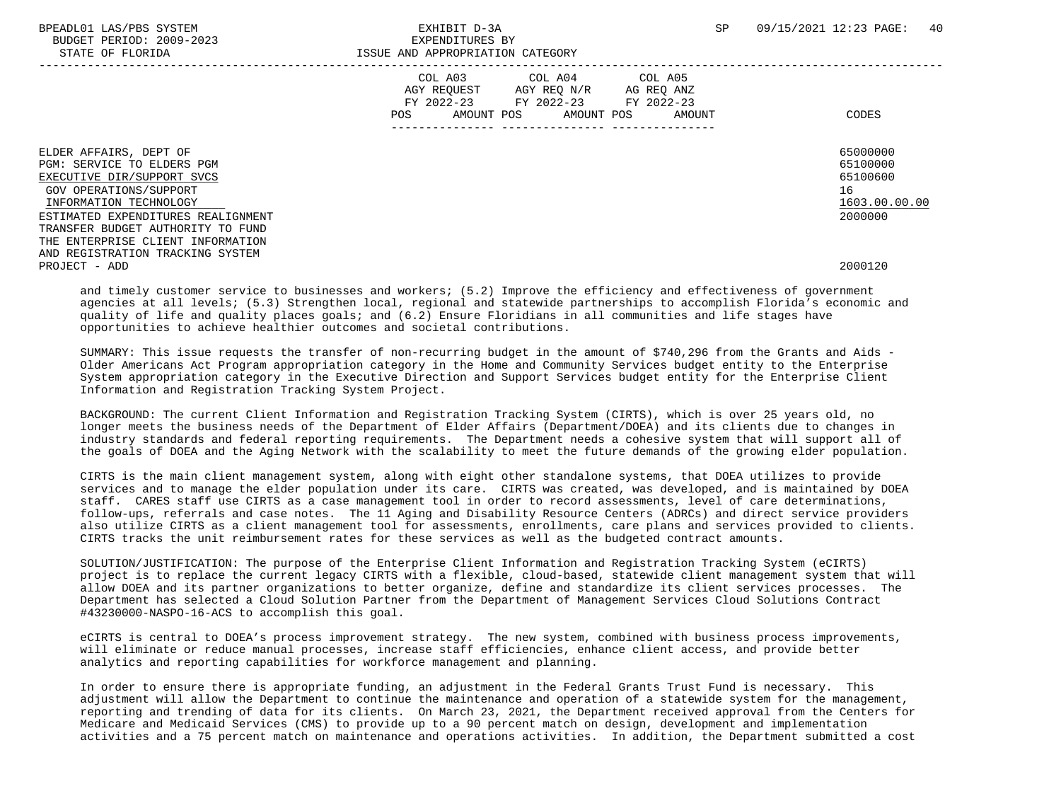|                                                                                                                                                                                                                                                        | COL A03<br>COL A04<br>COL A05<br>AGY REQUEST<br>AGY REQ N/R<br>AG REQ ANZ<br>FY 2022-23 FY 2022-23<br>FY 2022-23<br>AMOUNT POS<br>AMOUNT<br><b>POS</b><br>AMOUNT POS | CODES                                                              |
|--------------------------------------------------------------------------------------------------------------------------------------------------------------------------------------------------------------------------------------------------------|----------------------------------------------------------------------------------------------------------------------------------------------------------------------|--------------------------------------------------------------------|
| ELDER AFFAIRS, DEPT OF<br>PGM: SERVICE TO ELDERS PGM<br>EXECUTIVE DIR/SUPPORT SVCS<br>GOV OPERATIONS/SUPPORT<br>INFORMATION TECHNOLOGY<br>ESTIMATED EXPENDITURES REALIGNMENT<br>TRANSFER BUDGET AUTHORITY TO FUND<br>THE ENTERPRISE CLIENT INFORMATION |                                                                                                                                                                      | 65000000<br>65100000<br>65100600<br>16<br>1603.00.00.00<br>2000000 |
| AND REGISTRATION TRACKING SYSTEM<br>PROJECT - ADD                                                                                                                                                                                                      |                                                                                                                                                                      | 2000120                                                            |

 and timely customer service to businesses and workers; (5.2) Improve the efficiency and effectiveness of government agencies at all levels; (5.3) Strengthen local, regional and statewide partnerships to accomplish Florida's economic and quality of life and quality places goals; and (6.2) Ensure Floridians in all communities and life stages have opportunities to achieve healthier outcomes and societal contributions.

 SUMMARY: This issue requests the transfer of non-recurring budget in the amount of \$740,296 from the Grants and Aids - Older Americans Act Program appropriation category in the Home and Community Services budget entity to the Enterprise System appropriation category in the Executive Direction and Support Services budget entity for the Enterprise Client Information and Registration Tracking System Project.

 BACKGROUND: The current Client Information and Registration Tracking System (CIRTS), which is over 25 years old, no longer meets the business needs of the Department of Elder Affairs (Department/DOEA) and its clients due to changes in industry standards and federal reporting requirements. The Department needs a cohesive system that will support all of the goals of DOEA and the Aging Network with the scalability to meet the future demands of the growing elder population.

 CIRTS is the main client management system, along with eight other standalone systems, that DOEA utilizes to provide services and to manage the elder population under its care. CIRTS was created, was developed, and is maintained by DOEA staff. CARES staff use CIRTS as a case management tool in order to record assessments, level of care determinations, follow-ups, referrals and case notes. The 11 Aging and Disability Resource Centers (ADRCs) and direct service providers also utilize CIRTS as a client management tool for assessments, enrollments, care plans and services provided to clients. CIRTS tracks the unit reimbursement rates for these services as well as the budgeted contract amounts.

 SOLUTION/JUSTIFICATION: The purpose of the Enterprise Client Information and Registration Tracking System (eCIRTS) project is to replace the current legacy CIRTS with a flexible, cloud-based, statewide client management system that will allow DOEA and its partner organizations to better organize, define and standardize its client services processes. The Department has selected a Cloud Solution Partner from the Department of Management Services Cloud Solutions Contract #43230000-NASPO-16-ACS to accomplish this goal.

 eCIRTS is central to DOEA's process improvement strategy. The new system, combined with business process improvements, will eliminate or reduce manual processes, increase staff efficiencies, enhance client access, and provide better analytics and reporting capabilities for workforce management and planning.

 In order to ensure there is appropriate funding, an adjustment in the Federal Grants Trust Fund is necessary. This adjustment will allow the Department to continue the maintenance and operation of a statewide system for the management, reporting and trending of data for its clients. On March 23, 2021, the Department received approval from the Centers for Medicare and Medicaid Services (CMS) to provide up to a 90 percent match on design, development and implementation activities and a 75 percent match on maintenance and operations activities. In addition, the Department submitted a cost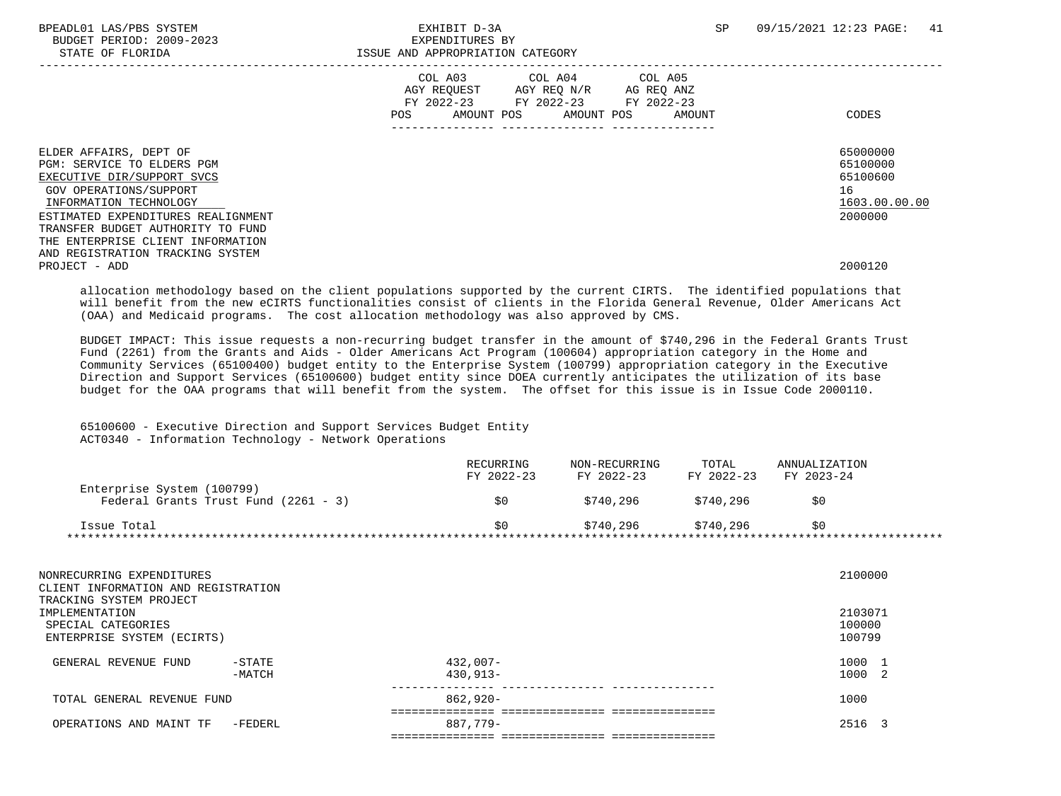BPEADL01 LAS/PBS SYSTEM  $\blacksquare$  EXHIBIT D-3A SP 09/15/2021 12:23 PAGE: 41 BUDGET PERIOD: 2009-2023 EXPENDITURES BY STATE OF FLORIDA **ISSUE AND APPROPRIATION CATEGORY**  ----------------------------------------------------------------------------------------------------------------------------------- COL A03 COL A04 AGY REQUEST AGY REQ N/R AG REQ ANZ FY 2022-23 FY 2022-23 FY 2022-23 POS AMOUNT POS AMOUNT POS AMOUNT CODES --------------- --------------- --------------- ELDER AFFAIRS, DEPT OF 65000000 ELDER AFFAIRS, DEPT OF 65000000 ENGLACIÓN EN ARTE OF 1999 EN 1999 EN 1999 EN 1<br>PGM: SERVICE TO ELDERS PGM PGM: SERVICE TO ELDERS PGM<br>EXECUTIVE DIR/SUPPORT SVCS 65100000<br>EXECUTIVE DIR/SUPPORT SVCS EXECUTIVE DIR/SUPPORT SVCS GOV OPERATIONS/SUPPORT 16  $\frac{\text{INFORMATION Technology}}{\text{1000000}}~~\frac{1603.00}{2000000}~~\frac{1603.00}{2000000}~~\frac{1603.00}{2000000}~~\frac{1603.00}{2000000}~~\frac{1603.00}{2000000}~~\frac{1603.00}{2000000}~~\frac{1603.00}{2000000}~~\frac{1603.00}{2000000}~~\frac{1603.00}{200000}~~\frac{1603.00}{200000}~~\$ ESTIMATED EXPENDITURES REALIGNMENT TRANSFER BUDGET AUTHORITY TO FUND THE ENTERPRISE CLIENT INFORMATION AND REGISTRATION TRACKING SYSTEM PROJECT - ADD 2000120

 allocation methodology based on the client populations supported by the current CIRTS. The identified populations that will benefit from the new eCIRTS functionalities consist of clients in the Florida General Revenue, Older Americans Act (OAA) and Medicaid programs. The cost allocation methodology was also approved by CMS.

 BUDGET IMPACT: This issue requests a non-recurring budget transfer in the amount of \$740,296 in the Federal Grants Trust Fund (2261) from the Grants and Aids - Older Americans Act Program (100604) appropriation category in the Home and Community Services (65100400) budget entity to the Enterprise System (100799) appropriation category in the Executive Direction and Support Services (65100600) budget entity since DOEA currently anticipates the utilization of its base budget for the OAA programs that will benefit from the system. The offset for this issue is in Issue Code 2000110.

## 65100600 - Executive Direction and Support Services Budget Entity ACT0340 - Information Technology - Network Operations

|                                                                    | RECURRING<br>FY 2022-23 | NON-RECURRING<br>FY 2022-23 | TOTAL<br>FY 2022-23 | ANNUALIZATION<br>FY 2023-24 |  |
|--------------------------------------------------------------------|-------------------------|-----------------------------|---------------------|-----------------------------|--|
| Enterprise System (100799)<br>Federal Grants Trust Fund (2261 - 3) | SO.                     | \$740.296                   | \$740.296           | \$0                         |  |
|                                                                    |                         |                             |                     |                             |  |
| Issue Total                                                        | SO.                     | \$740.296                   | \$740.296           | \$0                         |  |

| NONRECURRING EXPENDITURES<br>CLIENT INFORMATION AND REGISTRATION<br>TRACKING SYSTEM PROJECT |          |             | 2100000      |
|---------------------------------------------------------------------------------------------|----------|-------------|--------------|
| IMPLEMENTATION                                                                              |          |             | 2103071      |
| SPECIAL CATEGORIES                                                                          |          |             | 100000       |
| ENTERPRISE SYSTEM (ECIRTS)                                                                  |          |             | 100799       |
| GENERAL REVENUE FUND                                                                        | $-STATE$ | $432.007 -$ | 1000         |
|                                                                                             | $-MATCH$ | 430,913-    | 1000<br>- 2. |
| TOTAL GENERAL REVENUE FUND                                                                  |          | $862.920 -$ | 1000         |
|                                                                                             |          |             |              |
| OPERATIONS AND MAINT TF                                                                     | -FEDERL  | 887,779-    | 2516         |
|                                                                                             |          |             |              |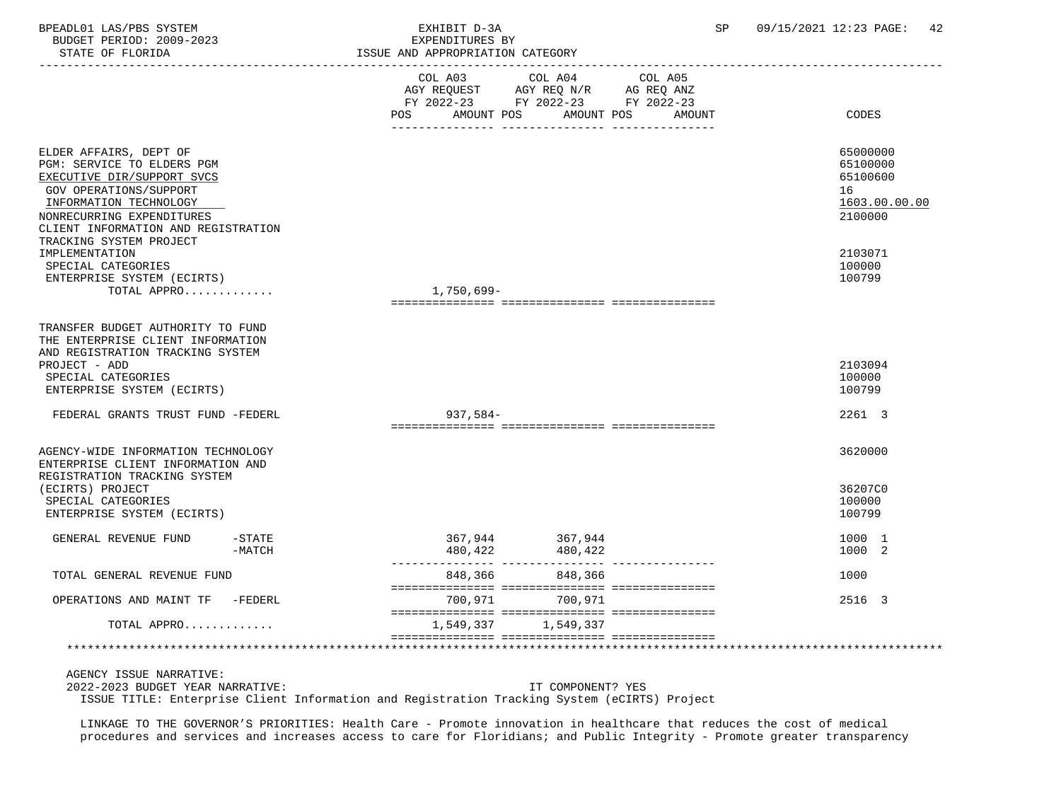BPEADL01 LAS/PBS SYSTEM EXHIBIT D-3A SP 09/15/2021 12:23 PAGE: 42 BUDGET PERIOD: 2009-2023 EXPENDITURES BY STATE OF FLORIDA **ISSUE AND APPROPRIATION CATEGORY**  ----------------------------------------------------------------------------------------------------------------------------------- COL A03 COL A04 COL A05 AGY REQUEST AGY REQ N/R AG REQ ANZ FY 2022-23 FY 2022-23 FY 2022-23 POS AMOUNT POS AMOUNT POS AMOUNT CODES --------------- --------------- ---------------

ELDER AFFAIRS, DEPT OF 65000000 ELDER AFFAIRS, DEPT OF 65000000 ENGLACIÓN EN ARTE OF 1999 EN 1999 EN 1999 EN 1<br>PGM: SERVICE TO ELDERS PGM PGM: SERVICE TO ELDERS PGM 65100000 EXECUTIVE DIR/SUPPORT SVCS GOV OPERATIONS/SUPPORT 16  $\frac{\text{INFORMATION}~\text{TECHNOLOGY}}{2100000} \qquad \qquad \frac{1603.00}{2100000}$ NONRECURRING EXPENDITURES CLIENT INFORMATION AND REGISTRATION TRACKING SYSTEM PROJECT IMPLEMENTATION 2103071 SPECIAL CATEGORIES 100000 PHOTOS (100000 PHOTOS SPECIAL CATEGORIES 100000 PHOTOS 100000 PHOTOS 100000 PHOTOS 100000 PHOTOS 100799 ENTERPRISE SYSTEM (ECIRTS) 100799 TOTAL APPRO............ =============== =============== ===============

|         |                                                            | 2103094                                                                          |
|---------|------------------------------------------------------------|----------------------------------------------------------------------------------|
|         |                                                            | 100000                                                                           |
|         |                                                            | 100799                                                                           |
|         |                                                            |                                                                                  |
|         |                                                            | 2261 3                                                                           |
|         |                                                            |                                                                                  |
|         |                                                            | 3620000                                                                          |
|         |                                                            |                                                                                  |
|         |                                                            | 36207C0                                                                          |
|         |                                                            | 100000                                                                           |
|         |                                                            | 100799                                                                           |
|         |                                                            |                                                                                  |
|         |                                                            | 1000 1                                                                           |
|         |                                                            | 1000 2                                                                           |
|         |                                                            | 1000                                                                             |
|         |                                                            |                                                                                  |
| 700,971 |                                                            | 2516 3                                                                           |
|         |                                                            |                                                                                  |
|         |                                                            |                                                                                  |
|         |                                                            |                                                                                  |
|         | $937,584-$<br>848,366<br>700,971<br>1,549,337<br>1,549,337 | 367,944 367,944<br>480,422 480,422<br>848,366<br>=============================== |

AGENCY ISSUE NARRATIVE:

TRANSFER BUDGET AUTHORITY TO FUND

2022-2023 BUDGET YEAR NARRATIVE: IT COMPONENT? YES

ISSUE TITLE: Enterprise Client Information and Registration Tracking System (eCIRTS) Project

 LINKAGE TO THE GOVERNOR'S PRIORITIES: Health Care - Promote innovation in healthcare that reduces the cost of medical procedures and services and increases access to care for Floridians; and Public Integrity - Promote greater transparency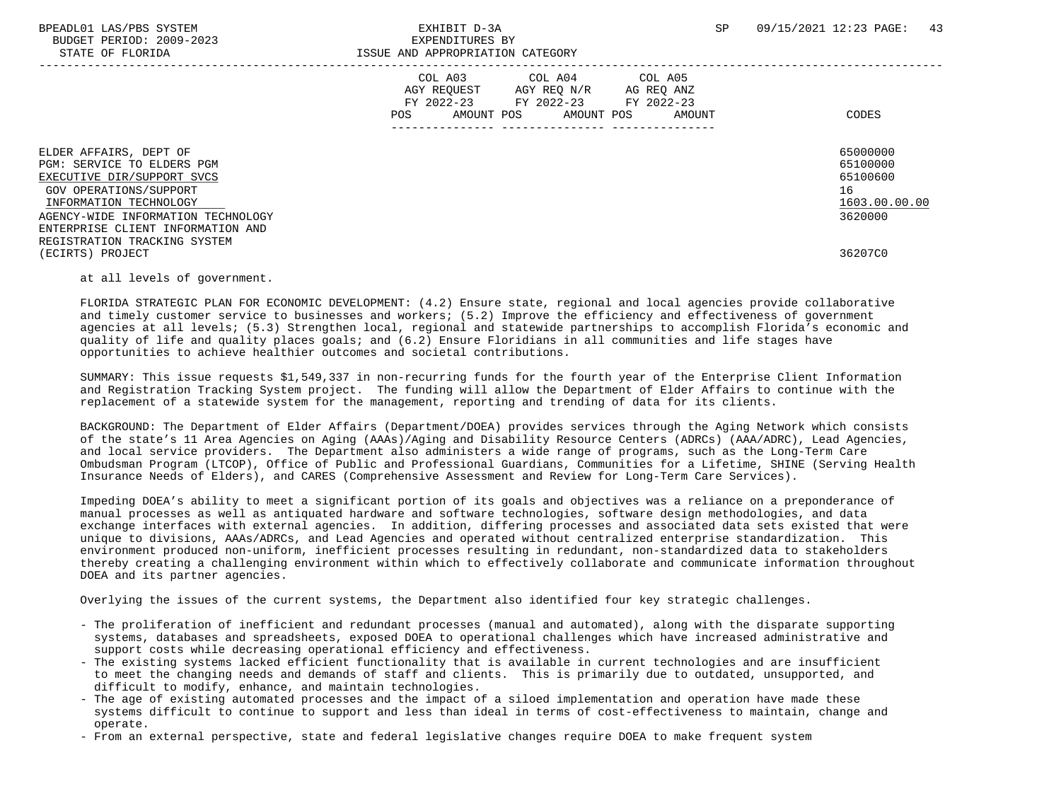BUDGET PERIOD: 2009-2023 EXPENDITURES BY

|                                                                                                                                                                                                                                                   | COL A03<br>COL A04<br>COL A05<br>AGY REQUEST<br>AGY REQ N/R<br>AG REQ ANZ<br>FY 2022-23<br>FY 2022-23<br>FY 2022-23<br>AMOUNT POS<br>AMOUNT POS<br>AMOUNT<br><b>POS</b> | CODES                                                              |
|---------------------------------------------------------------------------------------------------------------------------------------------------------------------------------------------------------------------------------------------------|-------------------------------------------------------------------------------------------------------------------------------------------------------------------------|--------------------------------------------------------------------|
| ELDER AFFAIRS, DEPT OF<br>PGM: SERVICE TO ELDERS PGM<br>EXECUTIVE DIR/SUPPORT SVCS<br>GOV OPERATIONS/SUPPORT<br>INFORMATION TECHNOLOGY<br>AGENCY-WIDE INFORMATION TECHNOLOGY<br>ENTERPRISE CLIENT INFORMATION AND<br>REGISTRATION TRACKING SYSTEM |                                                                                                                                                                         | 65000000<br>65100000<br>65100600<br>16<br>1603.00.00.00<br>3620000 |
| (ECIRTS) PROJECT                                                                                                                                                                                                                                  |                                                                                                                                                                         | 36207C0                                                            |

ISSUE AND APPROPRIATION CATEGORY

at all levels of government.

 FLORIDA STRATEGIC PLAN FOR ECONOMIC DEVELOPMENT: (4.2) Ensure state, regional and local agencies provide collaborative and timely customer service to businesses and workers; (5.2) Improve the efficiency and effectiveness of government agencies at all levels; (5.3) Strengthen local, regional and statewide partnerships to accomplish Florida's economic and quality of life and quality places goals; and (6.2) Ensure Floridians in all communities and life stages have opportunities to achieve healthier outcomes and societal contributions.

 SUMMARY: This issue requests \$1,549,337 in non-recurring funds for the fourth year of the Enterprise Client Information and Registration Tracking System project. The funding will allow the Department of Elder Affairs to continue with the replacement of a statewide system for the management, reporting and trending of data for its clients.

 BACKGROUND: The Department of Elder Affairs (Department/DOEA) provides services through the Aging Network which consists of the state's 11 Area Agencies on Aging (AAAs)/Aging and Disability Resource Centers (ADRCs) (AAA/ADRC), Lead Agencies, and local service providers. The Department also administers a wide range of programs, such as the Long-Term Care Ombudsman Program (LTCOP), Office of Public and Professional Guardians, Communities for a Lifetime, SHINE (Serving Health Insurance Needs of Elders), and CARES (Comprehensive Assessment and Review for Long-Term Care Services).

 Impeding DOEA's ability to meet a significant portion of its goals and objectives was a reliance on a preponderance of manual processes as well as antiquated hardware and software technologies, software design methodologies, and data exchange interfaces with external agencies. In addition, differing processes and associated data sets existed that were unique to divisions, AAAs/ADRCs, and Lead Agencies and operated without centralized enterprise standardization. This environment produced non-uniform, inefficient processes resulting in redundant, non-standardized data to stakeholders thereby creating a challenging environment within which to effectively collaborate and communicate information throughout DOEA and its partner agencies.

Overlying the issues of the current systems, the Department also identified four key strategic challenges.

- The proliferation of inefficient and redundant processes (manual and automated), along with the disparate supporting systems, databases and spreadsheets, exposed DOEA to operational challenges which have increased administrative and support costs while decreasing operational efficiency and effectiveness.
- The existing systems lacked efficient functionality that is available in current technologies and are insufficient to meet the changing needs and demands of staff and clients. This is primarily due to outdated, unsupported, and difficult to modify, enhance, and maintain technologies.
- The age of existing automated processes and the impact of a siloed implementation and operation have made these systems difficult to continue to support and less than ideal in terms of cost-effectiveness to maintain, change and operate.
- From an external perspective, state and federal legislative changes require DOEA to make frequent system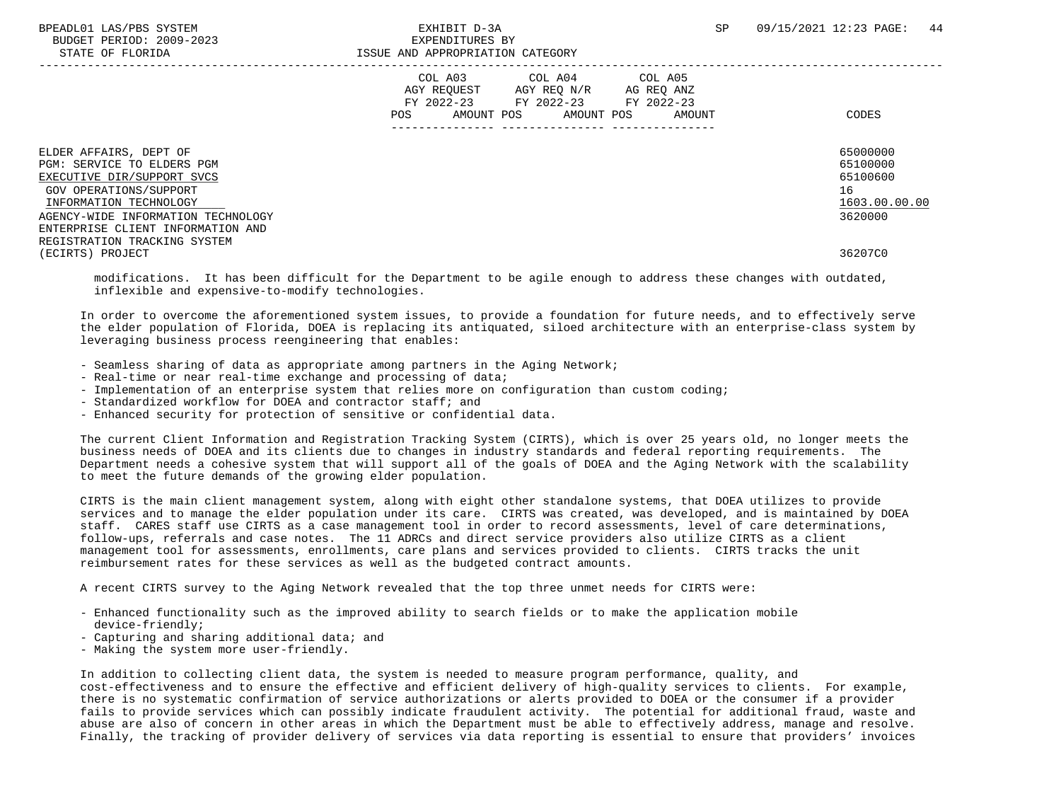|                                                                                                                                                                                                                   | COL A03<br>COL A04<br>AGY REQUEST<br>AGY REQ N/R<br>FY 2022-23<br>FY 2022-23 FY 2022-23<br>AMOUNT POS<br>AMOUNT POS<br>POS | COL A05<br>AG REQ ANZ<br>AMOUNT<br>CODES                           |
|-------------------------------------------------------------------------------------------------------------------------------------------------------------------------------------------------------------------|----------------------------------------------------------------------------------------------------------------------------|--------------------------------------------------------------------|
| ELDER AFFAIRS, DEPT OF<br>PGM: SERVICE TO ELDERS PGM<br>EXECUTIVE DIR/SUPPORT SVCS<br>GOV OPERATIONS/SUPPORT<br>INFORMATION TECHNOLOGY<br>AGENCY-WIDE INFORMATION TECHNOLOGY<br>ENTERPRISE CLIENT INFORMATION AND |                                                                                                                            | 65000000<br>65100000<br>65100600<br>16<br>1603.00.00.00<br>3620000 |
| REGISTRATION TRACKING SYSTEM<br>(ECIRTS) PROJECT                                                                                                                                                                  |                                                                                                                            | 36207C0                                                            |

 modifications. It has been difficult for the Department to be agile enough to address these changes with outdated, inflexible and expensive-to-modify technologies.

 In order to overcome the aforementioned system issues, to provide a foundation for future needs, and to effectively serve the elder population of Florida, DOEA is replacing its antiquated, siloed architecture with an enterprise-class system by leveraging business process reengineering that enables:

- Seamless sharing of data as appropriate among partners in the Aging Network;
- Real-time or near real-time exchange and processing of data;
- Implementation of an enterprise system that relies more on configuration than custom coding;
- Standardized workflow for DOEA and contractor staff; and
- Enhanced security for protection of sensitive or confidential data.

 The current Client Information and Registration Tracking System (CIRTS), which is over 25 years old, no longer meets the business needs of DOEA and its clients due to changes in industry standards and federal reporting requirements. The Department needs a cohesive system that will support all of the goals of DOEA and the Aging Network with the scalability to meet the future demands of the growing elder population.

 CIRTS is the main client management system, along with eight other standalone systems, that DOEA utilizes to provide services and to manage the elder population under its care. CIRTS was created, was developed, and is maintained by DOEA staff. CARES staff use CIRTS as a case management tool in order to record assessments, level of care determinations, follow-ups, referrals and case notes. The 11 ADRCs and direct service providers also utilize CIRTS as a client management tool for assessments, enrollments, care plans and services provided to clients. CIRTS tracks the unit reimbursement rates for these services as well as the budgeted contract amounts.

A recent CIRTS survey to the Aging Network revealed that the top three unmet needs for CIRTS were:

- Enhanced functionality such as the improved ability to search fields or to make the application mobile device-friendly;
- Capturing and sharing additional data; and
- Making the system more user-friendly.

 In addition to collecting client data, the system is needed to measure program performance, quality, and cost-effectiveness and to ensure the effective and efficient delivery of high-quality services to clients. For example, there is no systematic confirmation of service authorizations or alerts provided to DOEA or the consumer if a provider fails to provide services which can possibly indicate fraudulent activity. The potential for additional fraud, waste and abuse are also of concern in other areas in which the Department must be able to effectively address, manage and resolve. Finally, the tracking of provider delivery of services via data reporting is essential to ensure that providers' invoices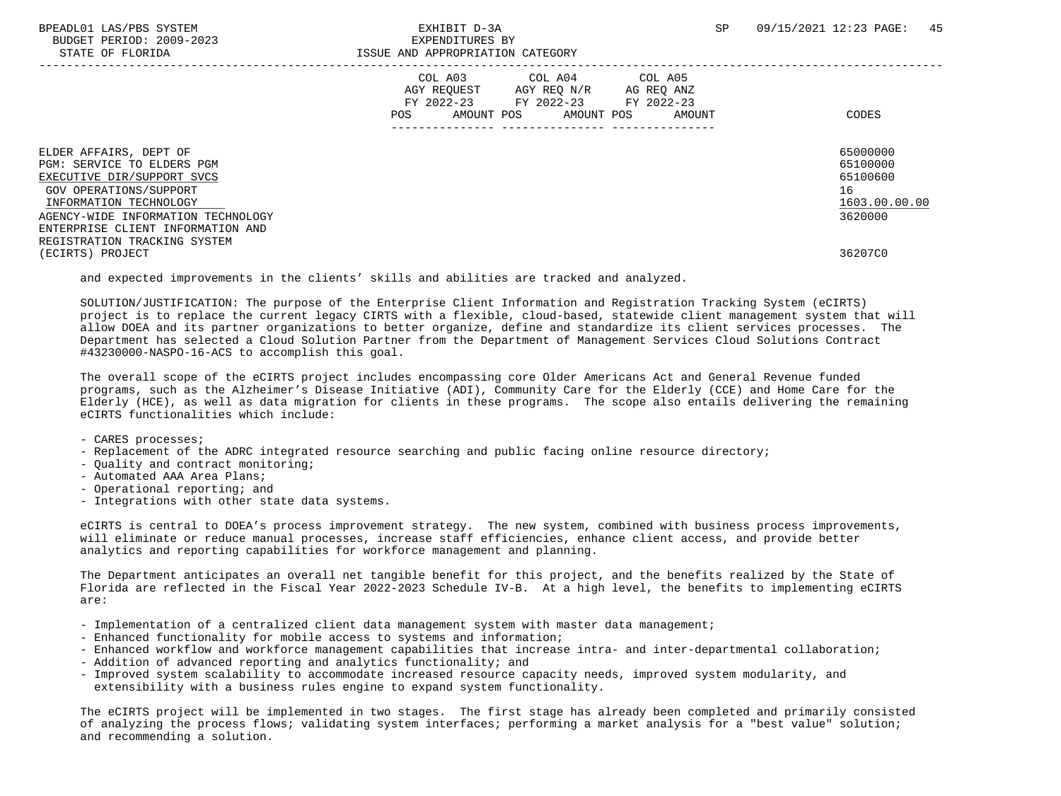|                                                                                                                                                                                                                   | COL A03 COL A04<br>COL A05<br>AGY REQUEST AGY REQ N/R<br>AG REQ ANZ<br>FY 2022-23 FY 2022-23 FY 2022-23<br>AMOUNT POS<br>POS<br>AMOUNT POS<br>AMOUNT<br>----------------------------------- | CODES                                                              |
|-------------------------------------------------------------------------------------------------------------------------------------------------------------------------------------------------------------------|---------------------------------------------------------------------------------------------------------------------------------------------------------------------------------------------|--------------------------------------------------------------------|
| ELDER AFFAIRS, DEPT OF<br>PGM: SERVICE TO ELDERS PGM<br>EXECUTIVE DIR/SUPPORT SVCS<br>GOV OPERATIONS/SUPPORT<br>INFORMATION TECHNOLOGY<br>AGENCY-WIDE INFORMATION TECHNOLOGY<br>ENTERPRISE CLIENT INFORMATION AND |                                                                                                                                                                                             | 65000000<br>65100000<br>65100600<br>16<br>1603.00.00.00<br>3620000 |
| REGISTRATION TRACKING SYSTEM<br>(ECIRTS) PROJECT                                                                                                                                                                  |                                                                                                                                                                                             | 36207C0                                                            |

and expected improvements in the clients' skills and abilities are tracked and analyzed.

 SOLUTION/JUSTIFICATION: The purpose of the Enterprise Client Information and Registration Tracking System (eCIRTS) project is to replace the current legacy CIRTS with a flexible, cloud-based, statewide client management system that will allow DOEA and its partner organizations to better organize, define and standardize its client services processes. The Department has selected a Cloud Solution Partner from the Department of Management Services Cloud Solutions Contract #43230000-NASPO-16-ACS to accomplish this goal.

 The overall scope of the eCIRTS project includes encompassing core Older Americans Act and General Revenue funded programs, such as the Alzheimer's Disease Initiative (ADI), Community Care for the Elderly (CCE) and Home Care for the Elderly (HCE), as well as data migration for clients in these programs. The scope also entails delivering the remaining eCIRTS functionalities which include:

- CARES processes;

- Replacement of the ADRC integrated resource searching and public facing online resource directory;
- Quality and contract monitoring;
- Automated AAA Area Plans;
- Operational reporting; and
- Integrations with other state data systems.

 eCIRTS is central to DOEA's process improvement strategy. The new system, combined with business process improvements, will eliminate or reduce manual processes, increase staff efficiencies, enhance client access, and provide better analytics and reporting capabilities for workforce management and planning.

 The Department anticipates an overall net tangible benefit for this project, and the benefits realized by the State of Florida are reflected in the Fiscal Year 2022-2023 Schedule IV-B. At a high level, the benefits to implementing eCIRTS are:

- Implementation of a centralized client data management system with master data management;
- Enhanced functionality for mobile access to systems and information;
- Enhanced workflow and workforce management capabilities that increase intra- and inter-departmental collaboration;
- Addition of advanced reporting and analytics functionality; and
- Improved system scalability to accommodate increased resource capacity needs, improved system modularity, and extensibility with a business rules engine to expand system functionality.

 The eCIRTS project will be implemented in two stages. The first stage has already been completed and primarily consisted of analyzing the process flows; validating system interfaces; performing a market analysis for a "best value" solution; and recommending a solution.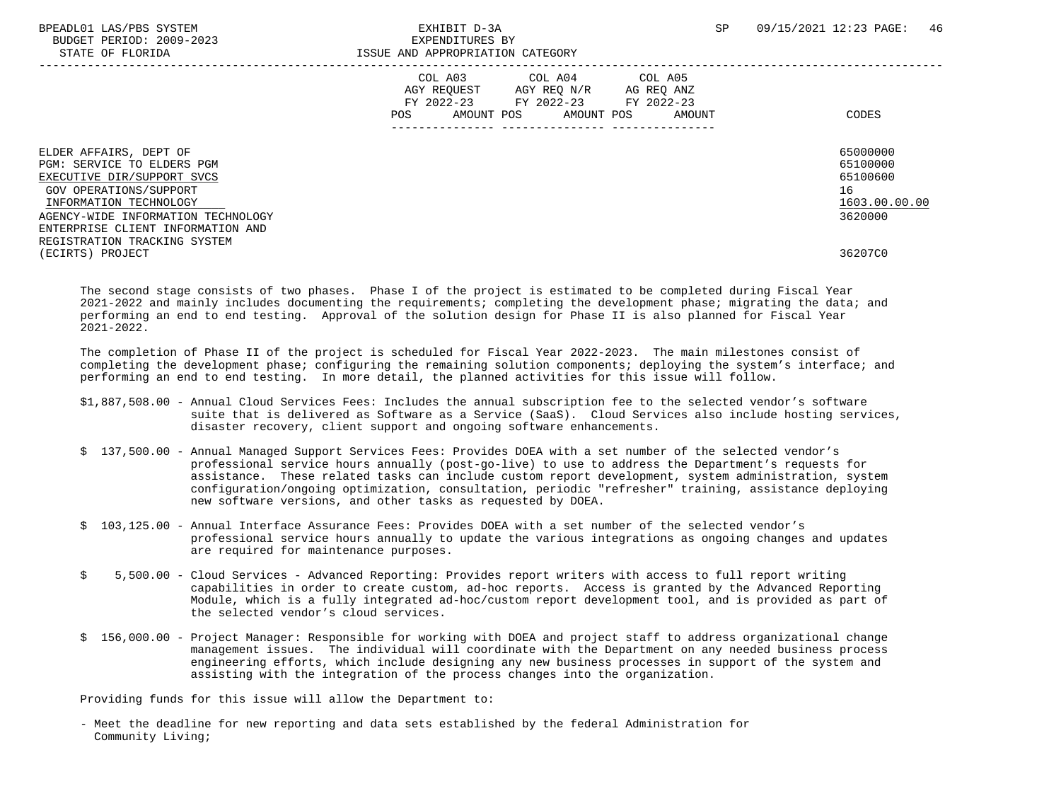BPEADL01 LAS/PBS SYSTEM  $\blacksquare$  SA SPEADL01 LAS/PBS SYSTEM  $\blacksquare$  46 BUDGET PERIOD: 2009-2023 EXPENDITURES BY STATE OF FLORIDA **ISSUE AND APPROPRIATION CATEGORY**  ----------------------------------------------------------------------------------------------------------------------------------- COL A03 COL A04 AGY REQUEST AGY REQ N/R AG REQ ANZ FY 2022-23 FY 2022-23 FY 2022-23 POS AMOUNT POS AMOUNT POS AMOUNT CODES --------------- --------------- --------------- ELDER AFFAIRS, DEPT OF 65000000 ELDER AFFAIRS, DEPT OF 65000000 ELDER AFFAIRS, DEPT OF 65000000 ELDER AFFAIRS<br>PGM: SERVICE TO ELDERS PGM PGM: SERVICE TO ELDERS PGM<br>EXECUTIVE DIR/SUPPORT SVCS 65100000<br>EXECUTIVE DIR/SUPPORT SVCS EXECUTIVE DIR/SUPPORT SVCS GOV OPERATIONS/SUPPORT 16  $\frac{\text{INFORMATION Technology}}{\text{111}\qquad \text{1603.00}} \qquad \qquad \frac{1603.00}{3620000} \qquad \qquad \frac{1603.00}{3620000}$ AGENCY-WIDE INFORMATION TECHNOLOGY ENTERPRISE CLIENT INFORMATION AND REGISTRATION TRACKING SYSTEM (ECIRTS) PROJECT 36207C0

 The second stage consists of two phases. Phase I of the project is estimated to be completed during Fiscal Year 2021-2022 and mainly includes documenting the requirements; completing the development phase; migrating the data; and performing an end to end testing. Approval of the solution design for Phase II is also planned for Fiscal Year 2021-2022.

 The completion of Phase II of the project is scheduled for Fiscal Year 2022-2023. The main milestones consist of completing the development phase; configuring the remaining solution components; deploying the system's interface; and performing an end to end testing. In more detail, the planned activities for this issue will follow.

- \$1,887,508.00 Annual Cloud Services Fees: Includes the annual subscription fee to the selected vendor's software suite that is delivered as Software as a Service (SaaS). Cloud Services also include hosting services, disaster recovery, client support and ongoing software enhancements.
- \$ 137,500.00 Annual Managed Support Services Fees: Provides DOEA with a set number of the selected vendor's professional service hours annually (post-go-live) to use to address the Department's requests for assistance. These related tasks can include custom report development, system administration, system configuration/ongoing optimization, consultation, periodic "refresher" training, assistance deploying new software versions, and other tasks as requested by DOEA.
- \$ 103,125.00 Annual Interface Assurance Fees: Provides DOEA with a set number of the selected vendor's professional service hours annually to update the various integrations as ongoing changes and updates are required for maintenance purposes.
- \$ 5,500.00 Cloud Services Advanced Reporting: Provides report writers with access to full report writing capabilities in order to create custom, ad-hoc reports. Access is granted by the Advanced Reporting Module, which is a fully integrated ad-hoc/custom report development tool, and is provided as part of the selected vendor's cloud services.
- \$ 156,000.00 Project Manager: Responsible for working with DOEA and project staff to address organizational change management issues. The individual will coordinate with the Department on any needed business process engineering efforts, which include designing any new business processes in support of the system and assisting with the integration of the process changes into the organization.

Providing funds for this issue will allow the Department to:

 - Meet the deadline for new reporting and data sets established by the federal Administration for Community Living;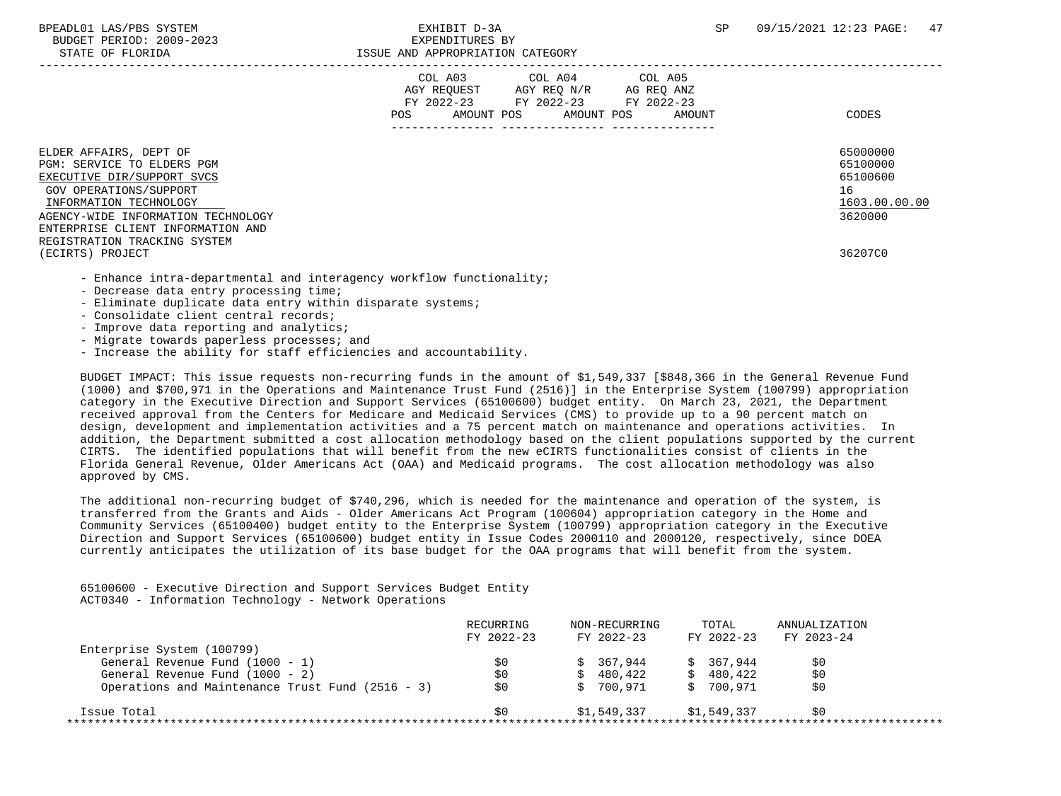|                                                                                                                                                                                                                                                   | COL A03<br>COL A04<br>COL A05<br>AGY REQUEST AGY REQ N/R<br>AG REQ ANZ<br>FY 2022-23<br>FY 2022-23<br>FY 2022-23<br>AMOUNT POS<br>AMOUNT POS<br>POS.<br>AMOUNT | CODES                                                              |
|---------------------------------------------------------------------------------------------------------------------------------------------------------------------------------------------------------------------------------------------------|----------------------------------------------------------------------------------------------------------------------------------------------------------------|--------------------------------------------------------------------|
| ELDER AFFAIRS, DEPT OF<br>PGM: SERVICE TO ELDERS PGM<br>EXECUTIVE DIR/SUPPORT SVCS<br>GOV OPERATIONS/SUPPORT<br>INFORMATION TECHNOLOGY<br>AGENCY-WIDE INFORMATION TECHNOLOGY<br>ENTERPRISE CLIENT INFORMATION AND<br>REGISTRATION TRACKING SYSTEM |                                                                                                                                                                | 65000000<br>65100000<br>65100600<br>16<br>1603.00.00.00<br>3620000 |
| (ECIRTS) PROJECT                                                                                                                                                                                                                                  |                                                                                                                                                                | 36207C0                                                            |
| - Enhance intra-departmental and interagency workflow functionality;<br>- Decrease data entry processing time;                                                                                                                                    |                                                                                                                                                                |                                                                    |

- Eliminate duplicate data entry within disparate systems;
- Consolidate client central records;
- Improve data reporting and analytics;
- Migrate towards paperless processes; and
- Increase the ability for staff efficiencies and accountability.

 BUDGET IMPACT: This issue requests non-recurring funds in the amount of \$1,549,337 [\$848,366 in the General Revenue Fund (1000) and \$700,971 in the Operations and Maintenance Trust Fund (2516)] in the Enterprise System (100799) appropriation category in the Executive Direction and Support Services (65100600) budget entity. On March 23, 2021, the Department received approval from the Centers for Medicare and Medicaid Services (CMS) to provide up to a 90 percent match on design, development and implementation activities and a 75 percent match on maintenance and operations activities. In addition, the Department submitted a cost allocation methodology based on the client populations supported by the current CIRTS. The identified populations that will benefit from the new eCIRTS functionalities consist of clients in the Florida General Revenue, Older Americans Act (OAA) and Medicaid programs. The cost allocation methodology was also approved by CMS.

 The additional non-recurring budget of \$740,296, which is needed for the maintenance and operation of the system, is transferred from the Grants and Aids - Older Americans Act Program (100604) appropriation category in the Home and Community Services (65100400) budget entity to the Enterprise System (100799) appropriation category in the Executive Direction and Support Services (65100600) budget entity in Issue Codes 2000110 and 2000120, respectively, since DOEA currently anticipates the utilization of its base budget for the OAA programs that will benefit from the system.

 65100600 - Executive Direction and Support Services Budget Entity ACT0340 - Information Technology - Network Operations

|                                                  | RECURRING<br>FY 2022-23 | NON-RECURRING<br>FY 2022-23 | TOTAL<br>FY 2022-23 | ANNUALIZATION<br>FY 2023-24 |
|--------------------------------------------------|-------------------------|-----------------------------|---------------------|-----------------------------|
| Enterprise System (100799)                       |                         |                             |                     |                             |
| General Revenue Fund (1000 - 1)                  | S0                      | 367.944                     | \$367.944           | S0                          |
| General Revenue Fund (1000 - 2)                  | \$0                     | 480,422<br>S.               | \$480.422           | \$0                         |
| Operations and Maintenance Trust Fund (2516 - 3) | \$0                     | 700,971                     | \$ 700.971          | S0                          |
| Issue Total                                      | S0                      | \$1,549,337                 | \$1,549,337         | \$0                         |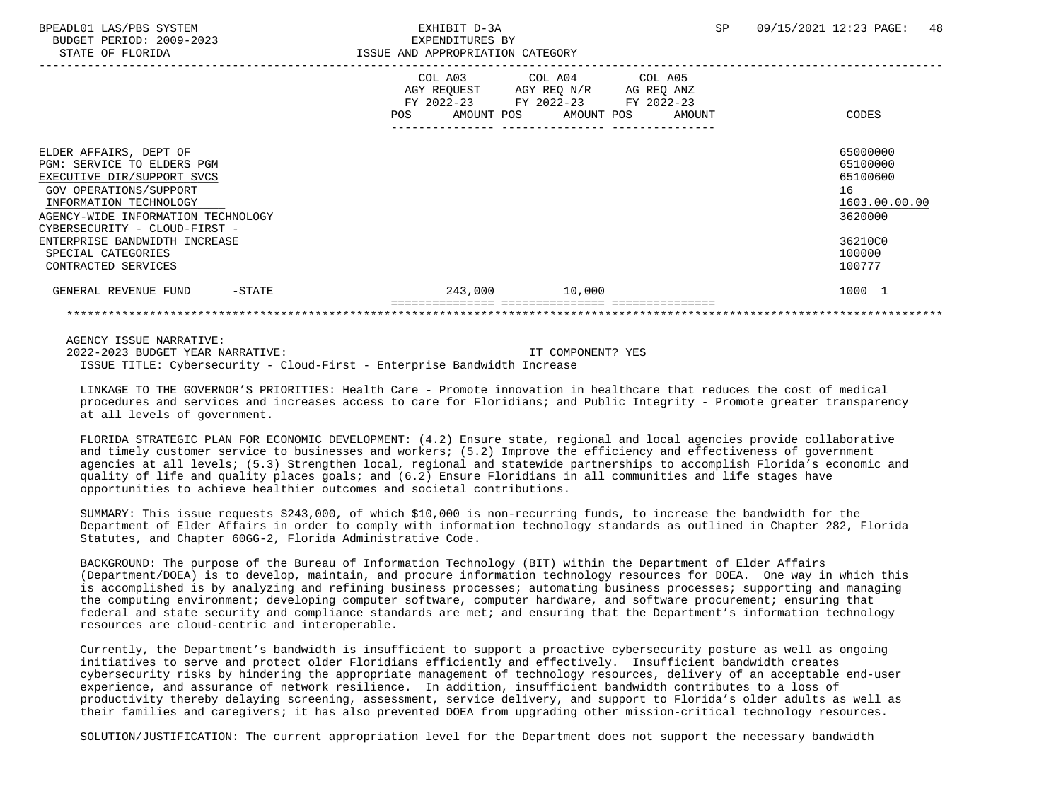BPEADL01 LAS/PBS SYSTEM  $\blacksquare$  SPEADL01 LAS/PBS SYSTEM  $\blacksquare$  3A SP 09/15/2021 12:23 PAGE: 48 BUDGET PERIOD: 2009-2023 EXPENDITURES BY STATE OF FLORIDA **ISSUE AND APPROPRIATION CATEGORY**  ----------------------------------------------------------------------------------------------------------------------------------- COL A03 COL A04 AGY REQUEST AGY REQ N/R AG REQ ANZ FY 2022-23 FY 2022-23 FY 2022-23 POS AMOUNT POS AMOUNT POS AMOUNT CODES --------------- --------------- --------------- ELDER AFFAIRS, DEPT OF 65000000 ELDER AFFAIRS, DEPT OF 65000000 ELDER AFFAIRS, DEPT OF 65000000 ELDER AFFAIRS<br>PGM: SERVICE TO ELDERS PGM PGM: SERVICE TO ELDERS PGM<br>EXECUTIVE DIR/SUPPORT SVCS 65100000 CONSUMING THE SUPPORT OF STATES OF STATES AND RESERVED ASSESSED AND RESIDU EXECUTIVE DIR/SUPPORT SVCS GOV OPERATIONS/SUPPORT 16<br>
INFORMATION TECHNOLOGY 1603.00.00 POLOGY 1603.00.00 POLOGY 1603.00.00 POLOGY 1603.00.00  $\frac{\text{INFORMATION TECHNOLOGY}}{\text{GENCY-WIDE INFORMATION TECHNOLOGY}}$ AGENCY-WIDE INFORMATION TECHNOLOGY CYBERSECURITY - CLOUD-FIRST - ENTERPRISE BANDWIDTH INCREASE **1999 - 1999 - 1999 - 1999 - 1999 - 1999 - 1999 - 1999 - 1999 - 1999 - 1999 - 199**<br>Spectal Categories 100000 SPECIAL CATEGORIES 100000 POSTAGORIES AND SERVICES AND SERVICES AND SERVICES AND SERVICES AND SERVICES AND SERVICES CONTRACTED SERVICES 100777 GENERAL REVENUE FUND -STATE  $243,000$  10,000 1000 1000 1 =============== =============== ===============

 AGENCY ISSUE NARRATIVE: 2022-2023 BUDGET YEAR NARRATIVE: IT COMPONENT? YES

ISSUE TITLE: Cybersecurity - Cloud-First - Enterprise Bandwidth Increase

 LINKAGE TO THE GOVERNOR'S PRIORITIES: Health Care - Promote innovation in healthcare that reduces the cost of medical procedures and services and increases access to care for Floridians; and Public Integrity - Promote greater transparency at all levels of government.

\*\*\*\*\*\*\*\*\*\*\*\*\*\*\*\*\*\*\*\*\*\*\*\*\*\*\*\*\*\*\*\*\*\*\*\*\*\*\*\*\*\*\*\*\*\*\*\*\*\*\*\*\*\*\*\*\*\*\*\*\*\*\*\*\*\*\*\*\*\*\*\*\*\*\*\*\*\*\*\*\*\*\*\*\*\*\*\*\*\*\*\*\*\*\*\*\*\*\*\*\*\*\*\*\*\*\*\*\*\*\*\*\*\*\*\*\*\*\*\*\*\*\*\*\*\*\*

 FLORIDA STRATEGIC PLAN FOR ECONOMIC DEVELOPMENT: (4.2) Ensure state, regional and local agencies provide collaborative and timely customer service to businesses and workers; (5.2) Improve the efficiency and effectiveness of government agencies at all levels; (5.3) Strengthen local, regional and statewide partnerships to accomplish Florida's economic and quality of life and quality places goals; and (6.2) Ensure Floridians in all communities and life stages have opportunities to achieve healthier outcomes and societal contributions.

 SUMMARY: This issue requests \$243,000, of which \$10,000 is non-recurring funds, to increase the bandwidth for the Department of Elder Affairs in order to comply with information technology standards as outlined in Chapter 282, Florida Statutes, and Chapter 60GG-2, Florida Administrative Code.

 BACKGROUND: The purpose of the Bureau of Information Technology (BIT) within the Department of Elder Affairs (Department/DOEA) is to develop, maintain, and procure information technology resources for DOEA. One way in which this is accomplished is by analyzing and refining business processes; automating business processes; supporting and managing the computing environment; developing computer software, computer hardware, and software procurement; ensuring that federal and state security and compliance standards are met; and ensuring that the Department's information technology resources are cloud-centric and interoperable.

 Currently, the Department's bandwidth is insufficient to support a proactive cybersecurity posture as well as ongoing initiatives to serve and protect older Floridians efficiently and effectively. Insufficient bandwidth creates cybersecurity risks by hindering the appropriate management of technology resources, delivery of an acceptable end-user experience, and assurance of network resilience. In addition, insufficient bandwidth contributes to a loss of productivity thereby delaying screening, assessment, service delivery, and support to Florida's older adults as well as their families and caregivers; it has also prevented DOEA from upgrading other mission-critical technology resources.

SOLUTION/JUSTIFICATION: The current appropriation level for the Department does not support the necessary bandwidth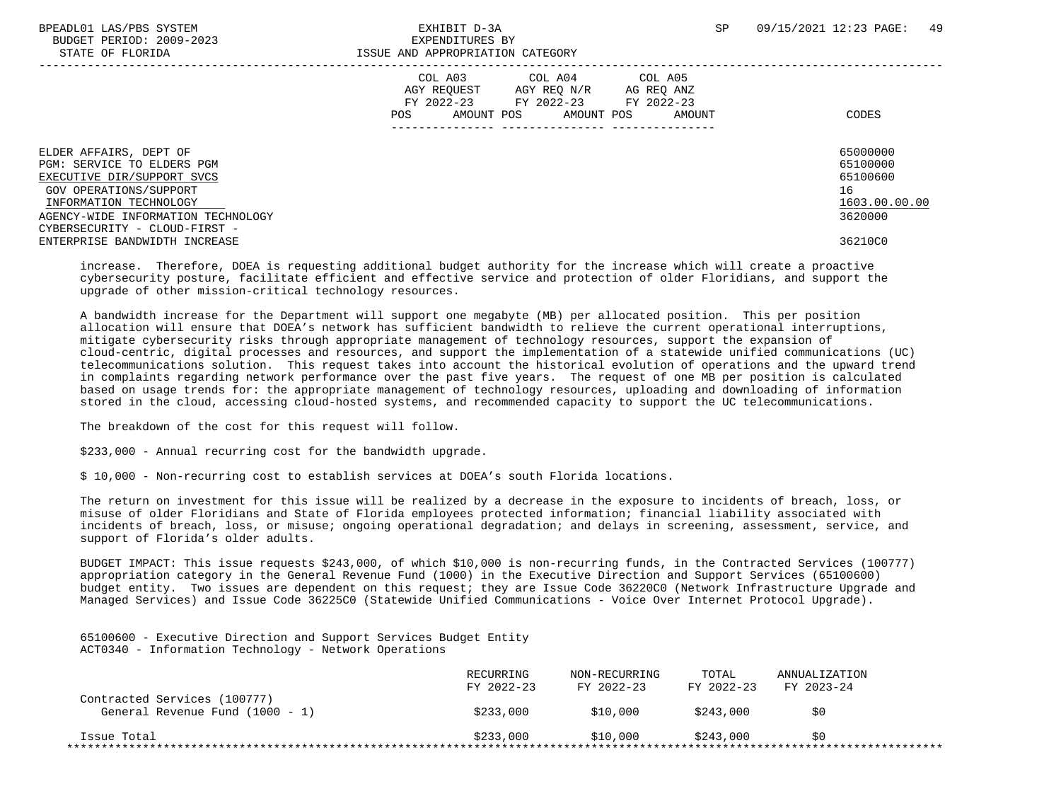BUDGET PERIOD: 2009-2023 EXPENDITURES BY

|                                                                                                                                                                                                               | COL A03<br>COL A04<br>COL A05<br>AGY REQUEST<br>AGY REQ N/R<br>AG REQ ANZ<br>FY 2022-23<br>FY 2022-23<br>FY 2022-23<br>AMOUNT POS<br>AMOUNT POS<br>AMOUNT<br>POS. | CODES                                                              |
|---------------------------------------------------------------------------------------------------------------------------------------------------------------------------------------------------------------|-------------------------------------------------------------------------------------------------------------------------------------------------------------------|--------------------------------------------------------------------|
| ELDER AFFAIRS, DEPT OF<br>PGM: SERVICE TO ELDERS PGM<br>EXECUTIVE DIR/SUPPORT SVCS<br>GOV OPERATIONS/SUPPORT<br>INFORMATION TECHNOLOGY<br>AGENCY-WIDE INFORMATION TECHNOLOGY<br>CYBERSECURITY - CLOUD-FIRST - |                                                                                                                                                                   | 65000000<br>65100000<br>65100600<br>16<br>1603.00.00.00<br>3620000 |
| ENTERPRISE BANDWIDTH INCREASE                                                                                                                                                                                 |                                                                                                                                                                   | 36210C0                                                            |

 increase. Therefore, DOEA is requesting additional budget authority for the increase which will create a proactive cybersecurity posture, facilitate efficient and effective service and protection of older Floridians, and support the upgrade of other mission-critical technology resources.

 A bandwidth increase for the Department will support one megabyte (MB) per allocated position. This per position allocation will ensure that DOEA's network has sufficient bandwidth to relieve the current operational interruptions, mitigate cybersecurity risks through appropriate management of technology resources, support the expansion of cloud-centric, digital processes and resources, and support the implementation of a statewide unified communications (UC) telecommunications solution. This request takes into account the historical evolution of operations and the upward trend in complaints regarding network performance over the past five years. The request of one MB per position is calculated based on usage trends for: the appropriate management of technology resources, uploading and downloading of information stored in the cloud, accessing cloud-hosted systems, and recommended capacity to support the UC telecommunications.

The breakdown of the cost for this request will follow.

\$233,000 - Annual recurring cost for the bandwidth upgrade.

\$ 10,000 - Non-recurring cost to establish services at DOEA's south Florida locations.

 The return on investment for this issue will be realized by a decrease in the exposure to incidents of breach, loss, or misuse of older Floridians and State of Florida employees protected information; financial liability associated with incidents of breach, loss, or misuse; ongoing operational degradation; and delays in screening, assessment, service, and support of Florida's older adults.

 BUDGET IMPACT: This issue requests \$243,000, of which \$10,000 is non-recurring funds, in the Contracted Services (100777) appropriation category in the General Revenue Fund (1000) in the Executive Direction and Support Services (65100600) budget entity. Two issues are dependent on this request; they are Issue Code 36220C0 (Network Infrastructure Upgrade and Managed Services) and Issue Code 36225C0 (Statewide Unified Communications - Voice Over Internet Protocol Upgrade).

 65100600 - Executive Direction and Support Services Budget Entity ACT0340 - Information Technology - Network Operations

|                                                                 | RECURRING<br>FY 2022-23 | NON-RECURRING<br>FY 2022-23 | TOTAL<br>FY 2022-23 | ANNUALIZATION<br>FY 2023-24 |
|-----------------------------------------------------------------|-------------------------|-----------------------------|---------------------|-----------------------------|
| Contracted Services (100777)<br>General Revenue Fund (1000 - 1) | \$233,000               | \$10,000                    | \$243,000           | \$0                         |
| Issue Total                                                     | \$233.000               | \$10.000                    | \$243.000           | \$0                         |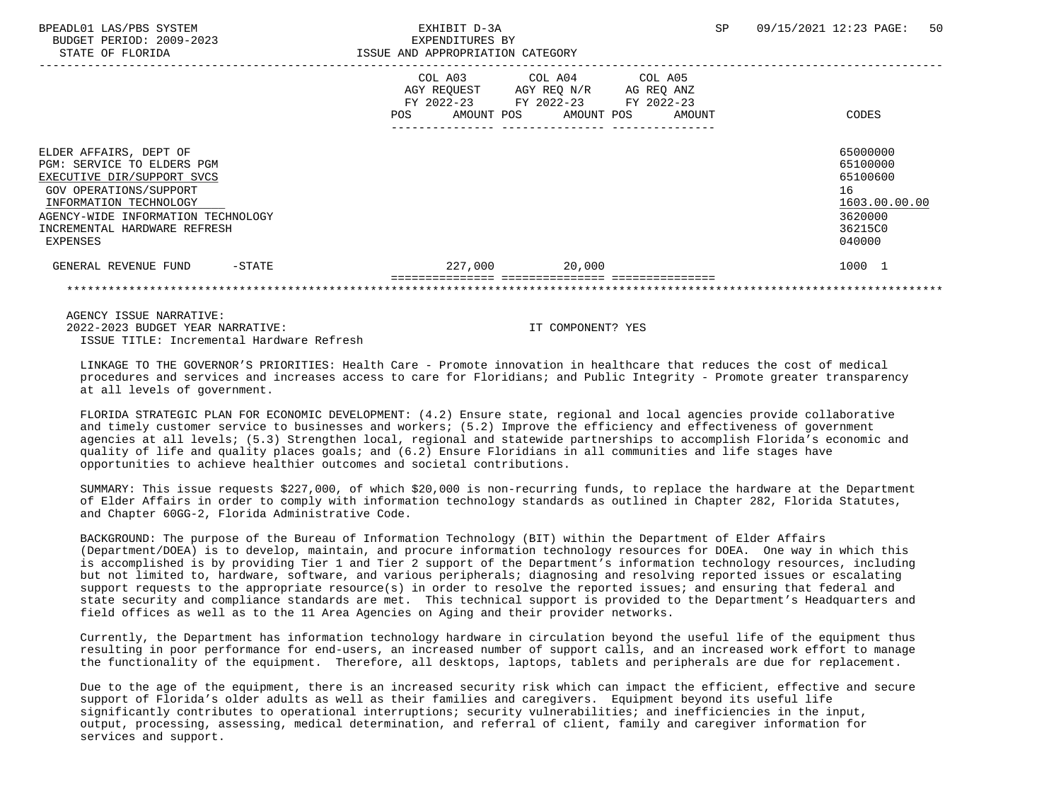BPEADL01 LAS/PBS SYSTEM EXHIBIT D-3A SP 09/15/2021 12:23 PAGE: 50 BUDGET PERIOD: 2009-2023 EXPENDITURES BY STATE OF FLORIDA **ISSUE AND APPROPRIATION CATEGORY**  ----------------------------------------------------------------------------------------------------------------------------------- COL A03 COL A04 COL A05 AGY REQUEST AGY REQ N/R AG REQ ANZ FY 2022-23 FY 2022-23 FY 2022-23 POS AMOUNT POS AMOUNT POS AMOUNT CODES --------------- --------------- --------------- ELDER AFFAIRS, DEPT OF 65000000 PGM: SERVICE TO ELDERS PGM<br>EXECUTIVE DIR/SUPPORT SVCS 65100000 CONSUMING THE SUPPORT OF STATES OF STATES AND RESERVED ASSESSED AND RESIDU EXECUTIVE DIR/SUPPORT SVCS GOV OPERATIONS/SUPPORT 16<br>
INFORMATION TECHNOLOGY 1603.00.00 POLOGY 1603.00.00 POLOGY 1603.00.00 POLOGY 1603.00.00 INFORMATION TECHNOLOGY 1603.00.00.00 \_\_\_\_\_\_\_\_\_\_\_\_\_\_\_\_\_\_\_\_\_\_\_\_\_\_ \_\_\_\_\_\_\_\_\_\_\_\_\_ AGENCY-WIDE INFORMATION TECHNOLOGY INCREMENTAL HARDWARE REFRESH 36215C0 EXPENSES 040000 GENERAL REVENUE FUND -STATE  $227,000$   $20,000$   $20,000$   $1000$   $1$  =============== =============== =============== \*\*\*\*\*\*\*\*\*\*\*\*\*\*\*\*\*\*\*\*\*\*\*\*\*\*\*\*\*\*\*\*\*\*\*\*\*\*\*\*\*\*\*\*\*\*\*\*\*\*\*\*\*\*\*\*\*\*\*\*\*\*\*\*\*\*\*\*\*\*\*\*\*\*\*\*\*\*\*\*\*\*\*\*\*\*\*\*\*\*\*\*\*\*\*\*\*\*\*\*\*\*\*\*\*\*\*\*\*\*\*\*\*\*\*\*\*\*\*\*\*\*\*\*\*\*\*

 AGENCY ISSUE NARRATIVE: 2022-2023 BUDGET YEAR NARRATIVE: IT COMPONENT? YES ISSUE TITLE: Incremental Hardware Refresh

 LINKAGE TO THE GOVERNOR'S PRIORITIES: Health Care - Promote innovation in healthcare that reduces the cost of medical procedures and services and increases access to care for Floridians; and Public Integrity - Promote greater transparency at all levels of government.

 FLORIDA STRATEGIC PLAN FOR ECONOMIC DEVELOPMENT: (4.2) Ensure state, regional and local agencies provide collaborative and timely customer service to businesses and workers; (5.2) Improve the efficiency and effectiveness of government agencies at all levels; (5.3) Strengthen local, regional and statewide partnerships to accomplish Florida's economic and quality of life and quality places goals; and (6.2) Ensure Floridians in all communities and life stages have opportunities to achieve healthier outcomes and societal contributions.

 SUMMARY: This issue requests \$227,000, of which \$20,000 is non-recurring funds, to replace the hardware at the Department of Elder Affairs in order to comply with information technology standards as outlined in Chapter 282, Florida Statutes, and Chapter 60GG-2, Florida Administrative Code.

 BACKGROUND: The purpose of the Bureau of Information Technology (BIT) within the Department of Elder Affairs (Department/DOEA) is to develop, maintain, and procure information technology resources for DOEA. One way in which this is accomplished is by providing Tier 1 and Tier 2 support of the Department's information technology resources, including but not limited to, hardware, software, and various peripherals; diagnosing and resolving reported issues or escalating support requests to the appropriate resource(s) in order to resolve the reported issues; and ensuring that federal and state security and compliance standards are met. This technical support is provided to the Department's Headquarters and field offices as well as to the 11 Area Agencies on Aging and their provider networks.

 Currently, the Department has information technology hardware in circulation beyond the useful life of the equipment thus resulting in poor performance for end-users, an increased number of support calls, and an increased work effort to manage the functionality of the equipment. Therefore, all desktops, laptops, tablets and peripherals are due for replacement.

 Due to the age of the equipment, there is an increased security risk which can impact the efficient, effective and secure support of Florida's older adults as well as their families and caregivers. Equipment beyond its useful life significantly contributes to operational interruptions; security vulnerabilities; and inefficiencies in the input, output, processing, assessing, medical determination, and referral of client, family and caregiver information for services and support.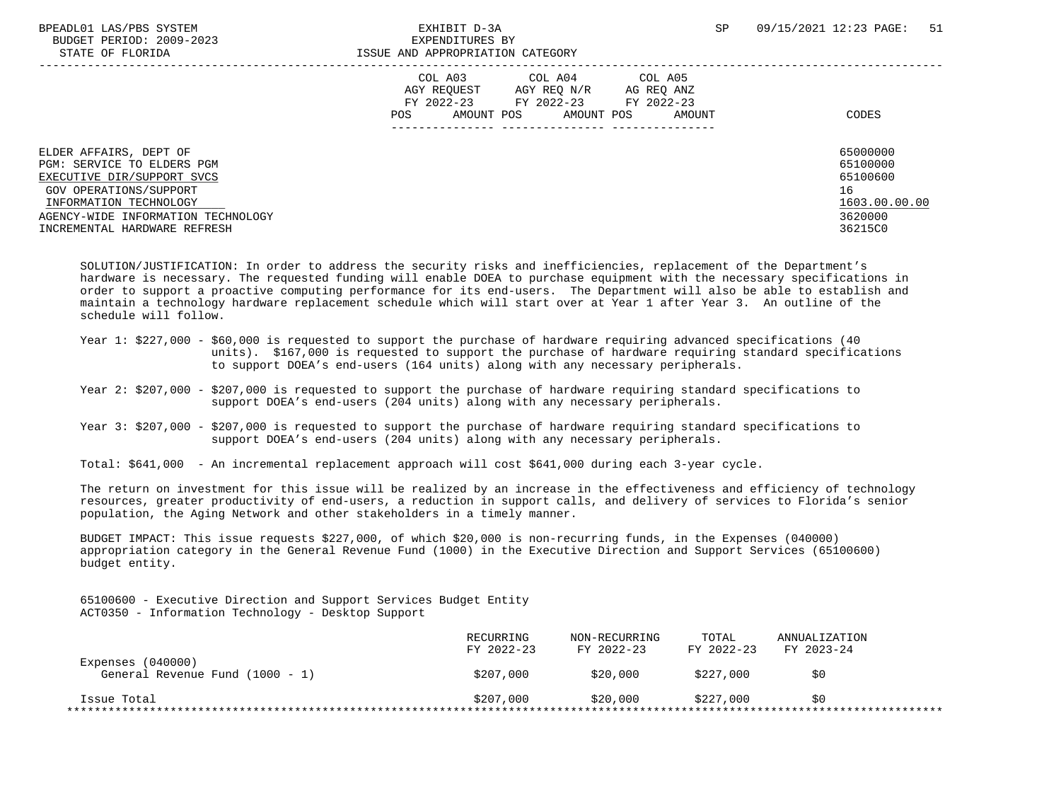|                                                                                                                                                                                                              | COL A03<br>COL A04<br>COL A05<br>AGY REQUEST<br>AGY REO N/R<br>AG REO ANZ<br>FY 2022-23<br>FY 2022-23<br>FY 2022-23<br>AMOUNT POS<br>AMOUNT<br><b>POS</b><br>AMOUNT POS | CODES                                                                         |
|--------------------------------------------------------------------------------------------------------------------------------------------------------------------------------------------------------------|-------------------------------------------------------------------------------------------------------------------------------------------------------------------------|-------------------------------------------------------------------------------|
| ELDER AFFAIRS, DEPT OF<br>PGM: SERVICE TO ELDERS PGM<br>EXECUTIVE DIR/SUPPORT SVCS<br>GOV OPERATIONS/SUPPORT<br>INFORMATION TECHNOLOGY<br>AGENCY-WIDE INFORMATION TECHNOLOGY<br>INCREMENTAL HARDWARE REFRESH |                                                                                                                                                                         | 65000000<br>65100000<br>65100600<br>16<br>1603.00.00.00<br>3620000<br>36215C0 |

 SOLUTION/JUSTIFICATION: In order to address the security risks and inefficiencies, replacement of the Department's hardware is necessary. The requested funding will enable DOEA to purchase equipment with the necessary specifications in order to support a proactive computing performance for its end-users. The Department will also be able to establish and maintain a technology hardware replacement schedule which will start over at Year 1 after Year 3. An outline of the schedule will follow.

- Year 1: \$227,000 \$60,000 is requested to support the purchase of hardware requiring advanced specifications (40 units). \$167,000 is requested to support the purchase of hardware requiring standard specifications to support DOEA's end-users (164 units) along with any necessary peripherals.
- Year 2: \$207,000 \$207,000 is requested to support the purchase of hardware requiring standard specifications to support DOEA's end-users (204 units) along with any necessary peripherals.
- Year 3: \$207,000 \$207,000 is requested to support the purchase of hardware requiring standard specifications to support DOEA's end-users (204 units) along with any necessary peripherals.
- Total: \$641,000 An incremental replacement approach will cost \$641,000 during each 3-year cycle.

 The return on investment for this issue will be realized by an increase in the effectiveness and efficiency of technology resources, greater productivity of end-users, a reduction in support calls, and delivery of services to Florida's senior population, the Aging Network and other stakeholders in a timely manner.

 BUDGET IMPACT: This issue requests \$227,000, of which \$20,000 is non-recurring funds, in the Expenses (040000) appropriation category in the General Revenue Fund (1000) in the Executive Direction and Support Services (65100600) budget entity.

 65100600 - Executive Direction and Support Services Budget Entity ACT0350 - Information Technology - Desktop Support

|                                                        | RECURRING<br>FY 2022-23 | NON-RECURRING<br>FY 2022-23 | TOTAL<br>FY 2022-23 | ANNUALIZATION<br>FY 2023-24 |  |
|--------------------------------------------------------|-------------------------|-----------------------------|---------------------|-----------------------------|--|
| Expenses $(040000)$<br>General Revenue Fund (1000 - 1) | \$207,000               | \$20,000                    | \$227,000           | \$0                         |  |
| Issue Total                                            | \$207,000               | \$20,000                    | \$227,000           | SO                          |  |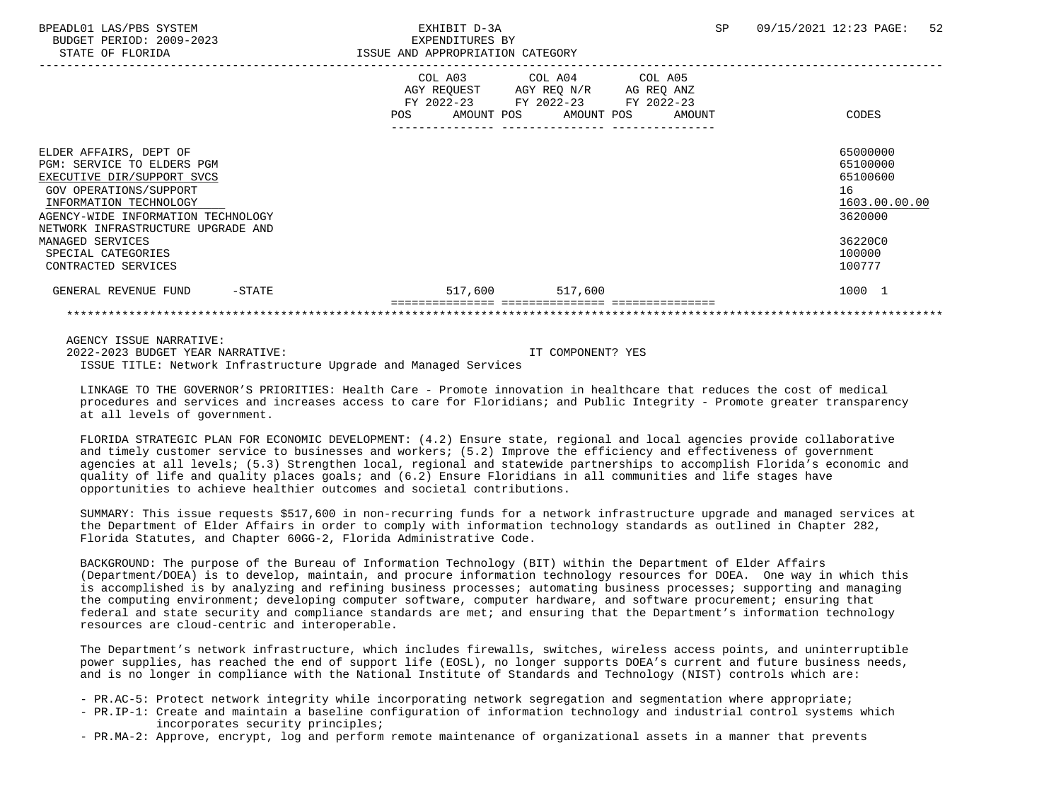|                                    | AGY REQUEST<br>FY 2022-23 FY 2022-23 | COL A03 COL A04 COL A05<br>AGY REQ N/R AG REQ ANZ<br>FY 2022-23 |        |               |
|------------------------------------|--------------------------------------|-----------------------------------------------------------------|--------|---------------|
|                                    | <b>POS</b><br>AMOUNT POS             | AMOUNT POS                                                      | AMOUNT | CODES         |
|                                    |                                      |                                                                 |        |               |
| ELDER AFFAIRS, DEPT OF             |                                      |                                                                 |        | 65000000      |
| PGM: SERVICE TO ELDERS PGM         |                                      |                                                                 |        | 65100000      |
| EXECUTIVE DIR/SUPPORT SVCS         |                                      |                                                                 |        | 65100600      |
| GOV OPERATIONS/SUPPORT             |                                      |                                                                 |        | 16            |
| INFORMATION TECHNOLOGY             |                                      |                                                                 |        | 1603.00.00.00 |
| AGENCY-WIDE INFORMATION TECHNOLOGY |                                      |                                                                 |        | 3620000       |
| NETWORK INFRASTRUCTURE UPGRADE AND |                                      |                                                                 |        |               |
| MANAGED SERVICES                   |                                      |                                                                 |        | 36220C0       |
| SPECIAL CATEGORIES                 |                                      |                                                                 |        | 100000        |
| CONTRACTED SERVICES                |                                      |                                                                 |        | 100777        |
| GENERAL REVENUE FUND<br>$-$ STATE  | 517,600                              | 517,600                                                         |        | 1000 1        |
|                                    |                                      |                                                                 |        |               |

 AGENCY ISSUE NARRATIVE: 2022-2023 BUDGET YEAR NARRATIVE: IT COMPONENT? YES ISSUE TITLE: Network Infrastructure Upgrade and Managed Services

 LINKAGE TO THE GOVERNOR'S PRIORITIES: Health Care - Promote innovation in healthcare that reduces the cost of medical procedures and services and increases access to care for Floridians; and Public Integrity - Promote greater transparency at all levels of government.

 FLORIDA STRATEGIC PLAN FOR ECONOMIC DEVELOPMENT: (4.2) Ensure state, regional and local agencies provide collaborative and timely customer service to businesses and workers; (5.2) Improve the efficiency and effectiveness of government agencies at all levels; (5.3) Strengthen local, regional and statewide partnerships to accomplish Florida's economic and quality of life and quality places goals; and (6.2) Ensure Floridians in all communities and life stages have opportunities to achieve healthier outcomes and societal contributions.

 SUMMARY: This issue requests \$517,600 in non-recurring funds for a network infrastructure upgrade and managed services at the Department of Elder Affairs in order to comply with information technology standards as outlined in Chapter 282, Florida Statutes, and Chapter 60GG-2, Florida Administrative Code.

 BACKGROUND: The purpose of the Bureau of Information Technology (BIT) within the Department of Elder Affairs (Department/DOEA) is to develop, maintain, and procure information technology resources for DOEA. One way in which this is accomplished is by analyzing and refining business processes; automating business processes; supporting and managing the computing environment; developing computer software, computer hardware, and software procurement; ensuring that federal and state security and compliance standards are met; and ensuring that the Department's information technology resources are cloud-centric and interoperable.

 The Department's network infrastructure, which includes firewalls, switches, wireless access points, and uninterruptible power supplies, has reached the end of support life (EOSL), no longer supports DOEA's current and future business needs, and is no longer in compliance with the National Institute of Standards and Technology (NIST) controls which are:

- PR.AC-5: Protect network integrity while incorporating network segregation and segmentation where appropriate;
- PR.IP-1: Create and maintain a baseline configuration of information technology and industrial control systems which incorporates security principles;
- PR.MA-2: Approve, encrypt, log and perform remote maintenance of organizational assets in a manner that prevents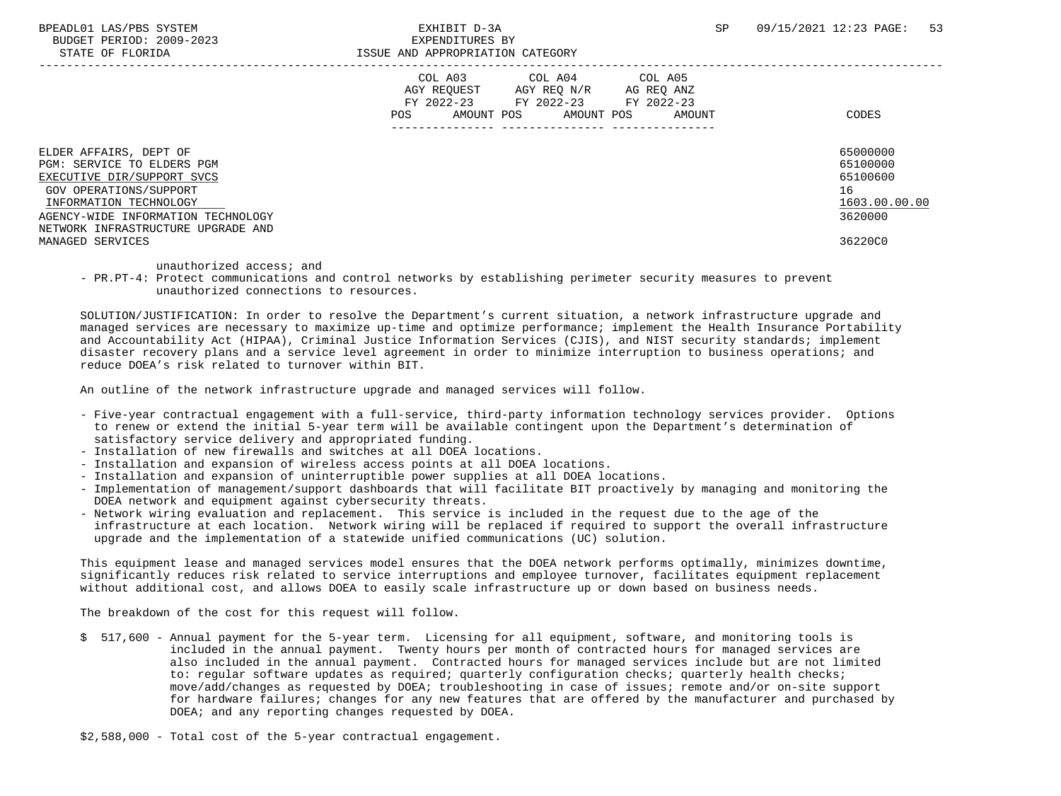BUDGET PERIOD: 2009-2023<br>
STATE OF FLORIDA

|                                                                                                                                                                                                                    | COL A03<br>AGY REQUEST<br>FY 2022-23<br>AMOUNT POS<br>POS. | COL A04<br>AGY REO N/R<br>FY 2022-23<br>AMOUNT POS | COL A05<br>AG REQ ANZ<br>FY 2022-23<br>AMOUNT | CODES                                                              |
|--------------------------------------------------------------------------------------------------------------------------------------------------------------------------------------------------------------------|------------------------------------------------------------|----------------------------------------------------|-----------------------------------------------|--------------------------------------------------------------------|
| ELDER AFFAIRS, DEPT OF<br>PGM: SERVICE TO ELDERS PGM<br>EXECUTIVE DIR/SUPPORT SVCS<br>GOV OPERATIONS/SUPPORT<br>INFORMATION TECHNOLOGY<br>AGENCY-WIDE INFORMATION TECHNOLOGY<br>NETWORK INFRASTRUCTURE UPGRADE AND |                                                            |                                                    |                                               | 65000000<br>65100000<br>65100600<br>16<br>1603.00.00.00<br>3620000 |
| MANAGED SERVICES                                                                                                                                                                                                   |                                                            |                                                    |                                               | 36220C0                                                            |

unauthorized access; and

 - PR.PT-4: Protect communications and control networks by establishing perimeter security measures to prevent unauthorized connections to resources.

 SOLUTION/JUSTIFICATION: In order to resolve the Department's current situation, a network infrastructure upgrade and managed services are necessary to maximize up-time and optimize performance; implement the Health Insurance Portability and Accountability Act (HIPAA), Criminal Justice Information Services (CJIS), and NIST security standards; implement disaster recovery plans and a service level agreement in order to minimize interruption to business operations; and reduce DOEA's risk related to turnover within BIT.

An outline of the network infrastructure upgrade and managed services will follow.

- Five-year contractual engagement with a full-service, third-party information technology services provider. Options to renew or extend the initial 5-year term will be available contingent upon the Department's determination of satisfactory service delivery and appropriated funding.
- Installation of new firewalls and switches at all DOEA locations.
- Installation and expansion of wireless access points at all DOEA locations.
- Installation and expansion of uninterruptible power supplies at all DOEA locations.
- Implementation of management/support dashboards that will facilitate BIT proactively by managing and monitoring the DOEA network and equipment against cybersecurity threats.
- Network wiring evaluation and replacement. This service is included in the request due to the age of the infrastructure at each location. Network wiring will be replaced if required to support the overall infrastructure upgrade and the implementation of a statewide unified communications (UC) solution.

 This equipment lease and managed services model ensures that the DOEA network performs optimally, minimizes downtime, significantly reduces risk related to service interruptions and employee turnover, facilitates equipment replacement without additional cost, and allows DOEA to easily scale infrastructure up or down based on business needs.

The breakdown of the cost for this request will follow.

- \$ 517,600 Annual payment for the 5-year term. Licensing for all equipment, software, and monitoring tools is included in the annual payment. Twenty hours per month of contracted hours for managed services are also included in the annual payment. Contracted hours for managed services include but are not limited to: regular software updates as required; quarterly configuration checks; quarterly health checks; move/add/changes as requested by DOEA; troubleshooting in case of issues; remote and/or on-site support for hardware failures; changes for any new features that are offered by the manufacturer and purchased by DOEA; and any reporting changes requested by DOEA.
- \$2,588,000 Total cost of the 5-year contractual engagement.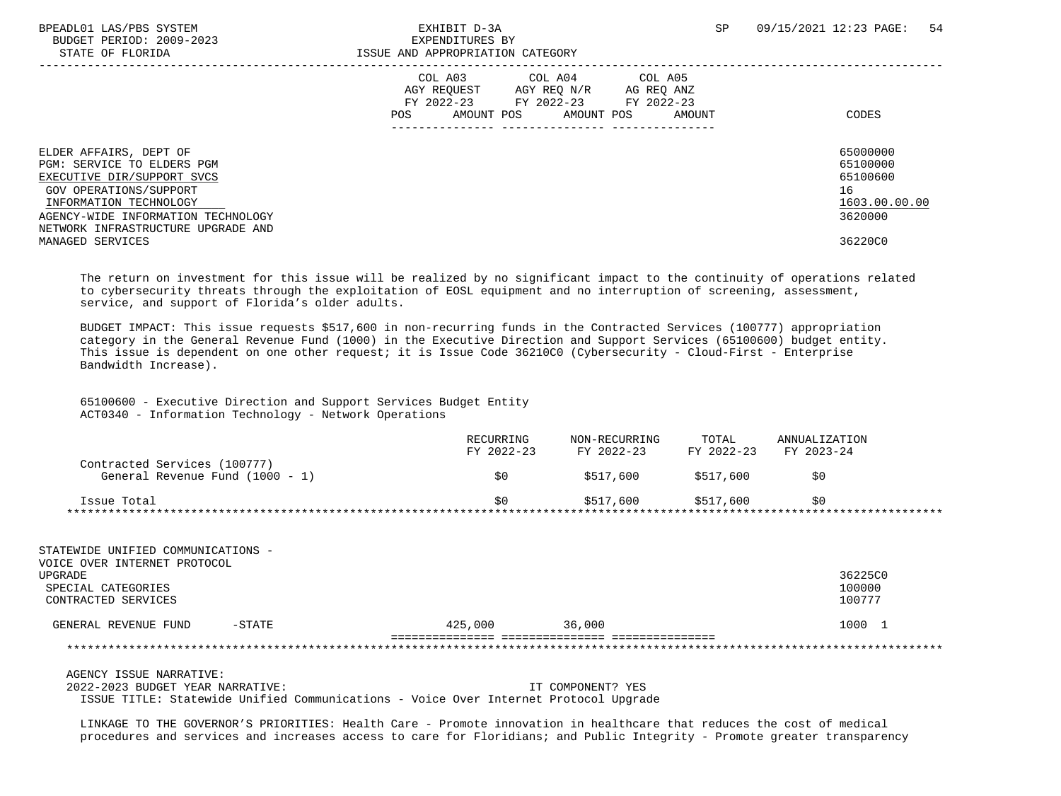BPEADL01 LAS/PBS SYSTEM EXHIBIT D-3A SP 09/15/2021 12:23 PAGE: 54 BUDGET PERIOD: 2009-2023 EXPENDITURES BY STATE OF FLORIDA **ISSUE AND APPROPRIATION CATEGORY**  ----------------------------------------------------------------------------------------------------------------------------------- COL A03 COL A04 COL A05 AGY REQUEST AGY REQ N/R AG REQ ANZ FY 2022-23 FY 2022-23 FY 2022-23 POS AMOUNT POS AMOUNT POS AMOUNT CODES --------------- --------------- --------------- ELDER AFFAIRS, DEPT OF 65000000 ELDER AFFAIRS, DEPT OF 65000000 ELDER AFFAIRS, DEPT OF 65000000 ELDER AFFAIRS, DEPT OF 65100000 ELDER AFFAIRS POWER AT LOCAL AND SELLER AT LOCAL AND SELLER AT LOCAL AND SELLER AT LOCAL AT LO PGM: SERVICE TO ELDERS PGM<br>EXECUTIVE DIR/SUPPORT SVCS 65100000 CONSUMING THE SUPPORT OF STATES OF STATES AND RESERVED ASSESSED AND RESIDU EXECUTIVE DIR/SUPPORT SVCS GOV OPERATIONS/SUPPORT 16  $\frac{\text{INFORMATION Technology}}{\text{111}\qquad \text{1603.00}} \qquad \qquad \frac{1603.00}{3620000} \qquad \qquad \frac{1603.00}{3620000}$ AGENCY-WIDE INFORMATION TECHNOLOGY NETWORK INFRASTRUCTURE UPGRADE AND MANAGED SERVICES 36220C0

 The return on investment for this issue will be realized by no significant impact to the continuity of operations related to cybersecurity threats through the exploitation of EOSL equipment and no interruption of screening, assessment, service, and support of Florida's older adults.

 BUDGET IMPACT: This issue requests \$517,600 in non-recurring funds in the Contracted Services (100777) appropriation category in the General Revenue Fund (1000) in the Executive Direction and Support Services (65100600) budget entity. This issue is dependent on one other request; it is Issue Code 36210C0 (Cybersecurity - Cloud-First - Enterprise Bandwidth Increase).

 65100600 - Executive Direction and Support Services Budget Entity ACT0340 - Information Technology - Network Operations

|                                 | RECURRING<br>FY 2022-23 | NON-RECURRING<br>FY 2022-23 | TOTAL<br>FY 2022-23 | ANNUALIZATION<br>FY 2023-24 |  |
|---------------------------------|-------------------------|-----------------------------|---------------------|-----------------------------|--|
| Contracted Services (100777)    |                         |                             |                     |                             |  |
| General Revenue Fund (1000 - 1) | S0                      | \$517,600                   | \$517,600           | \$0                         |  |
| Issue Total                     | \$0                     | \$517.600                   | \$517.600           | 50                          |  |

 STATEWIDE UNIFIED COMMUNICATIONS - VOICE OVER INTERNET PROTOCOL UPGRADE 36225C0 SPECIAL CATEGORIES 100000 CONTRACTED SERVICES GENERAL REVENUE FUND -STATE  $425,000$  36,000 36000 1000 1 =============== =============== =============== \*\*\*\*\*\*\*\*\*\*\*\*\*\*\*\*\*\*\*\*\*\*\*\*\*\*\*\*\*\*\*\*\*\*\*\*\*\*\*\*\*\*\*\*\*\*\*\*\*\*\*\*\*\*\*\*\*\*\*\*\*\*\*\*\*\*\*\*\*\*\*\*\*\*\*\*\*\*\*\*\*\*\*\*\*\*\*\*\*\*\*\*\*\*\*\*\*\*\*\*\*\*\*\*\*\*\*\*\*\*\*\*\*\*\*\*\*\*\*\*\*\*\*\*\*\*\*

AGENCY ISSUE NARRATIVE:

2022-2023 BUDGET YEAR NARRATIVE: IT COMPONENT? YES

ISSUE TITLE: Statewide Unified Communications - Voice Over Internet Protocol Upgrade

 LINKAGE TO THE GOVERNOR'S PRIORITIES: Health Care - Promote innovation in healthcare that reduces the cost of medical procedures and services and increases access to care for Floridians; and Public Integrity - Promote greater transparency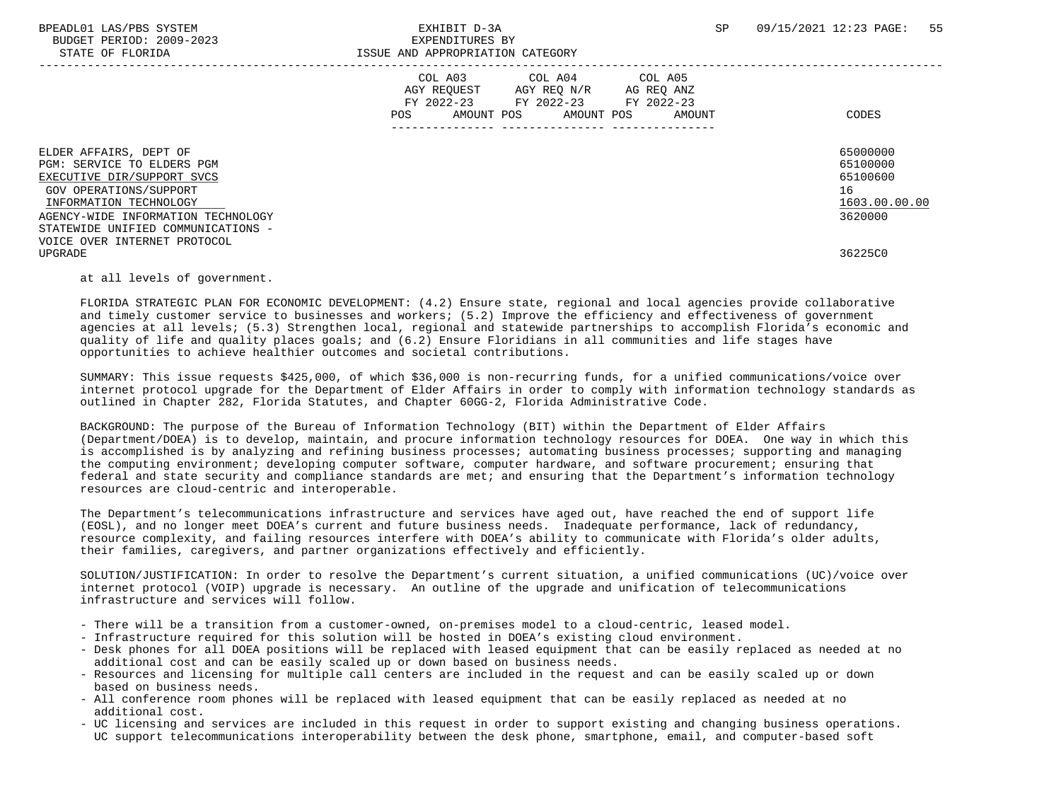|                                                                                                                                                                                                                    | AGY REQUEST<br>FY 2022-23<br>FY 2022-23<br><b>POS</b><br>AMOUNT POS | COL A03 COL A04 COL A05<br>AGY REQ N/R<br>AG REQ ANZ<br>FY 2022-23<br>AMOUNT POS<br>AMOUNT | CODES                                                              |
|--------------------------------------------------------------------------------------------------------------------------------------------------------------------------------------------------------------------|---------------------------------------------------------------------|--------------------------------------------------------------------------------------------|--------------------------------------------------------------------|
| ELDER AFFAIRS, DEPT OF<br>PGM: SERVICE TO ELDERS PGM<br>EXECUTIVE DIR/SUPPORT SVCS<br>GOV OPERATIONS/SUPPORT<br>INFORMATION TECHNOLOGY<br>AGENCY-WIDE INFORMATION TECHNOLOGY<br>STATEWIDE UNIFIED COMMUNICATIONS - |                                                                     |                                                                                            | 65000000<br>65100000<br>65100600<br>16<br>1603.00.00.00<br>3620000 |
| VOICE OVER INTERNET PROTOCOL<br><b>UPGRADE</b>                                                                                                                                                                     |                                                                     |                                                                                            | 36225C0                                                            |

## at all levels of government.

 FLORIDA STRATEGIC PLAN FOR ECONOMIC DEVELOPMENT: (4.2) Ensure state, regional and local agencies provide collaborative and timely customer service to businesses and workers; (5.2) Improve the efficiency and effectiveness of government agencies at all levels; (5.3) Strengthen local, regional and statewide partnerships to accomplish Florida's economic and quality of life and quality places goals; and (6.2) Ensure Floridians in all communities and life stages have opportunities to achieve healthier outcomes and societal contributions.

 SUMMARY: This issue requests \$425,000, of which \$36,000 is non-recurring funds, for a unified communications/voice over internet protocol upgrade for the Department of Elder Affairs in order to comply with information technology standards as outlined in Chapter 282, Florida Statutes, and Chapter 60GG-2, Florida Administrative Code.

 BACKGROUND: The purpose of the Bureau of Information Technology (BIT) within the Department of Elder Affairs (Department/DOEA) is to develop, maintain, and procure information technology resources for DOEA. One way in which this is accomplished is by analyzing and refining business processes; automating business processes; supporting and managing the computing environment; developing computer software, computer hardware, and software procurement; ensuring that federal and state security and compliance standards are met; and ensuring that the Department's information technology resources are cloud-centric and interoperable.

 The Department's telecommunications infrastructure and services have aged out, have reached the end of support life (EOSL), and no longer meet DOEA's current and future business needs. Inadequate performance, lack of redundancy, resource complexity, and failing resources interfere with DOEA's ability to communicate with Florida's older adults, their families, caregivers, and partner organizations effectively and efficiently.

 SOLUTION/JUSTIFICATION: In order to resolve the Department's current situation, a unified communications (UC)/voice over internet protocol (VOIP) upgrade is necessary. An outline of the upgrade and unification of telecommunications infrastructure and services will follow.

- There will be a transition from a customer-owned, on-premises model to a cloud-centric, leased model.
- Infrastructure required for this solution will be hosted in DOEA's existing cloud environment.
- Desk phones for all DOEA positions will be replaced with leased equipment that can be easily replaced as needed at no additional cost and can be easily scaled up or down based on business needs.
- Resources and licensing for multiple call centers are included in the request and can be easily scaled up or down based on business needs.
- All conference room phones will be replaced with leased equipment that can be easily replaced as needed at no additional cost.
- UC licensing and services are included in this request in order to support existing and changing business operations. UC support telecommunications interoperability between the desk phone, smartphone, email, and computer-based soft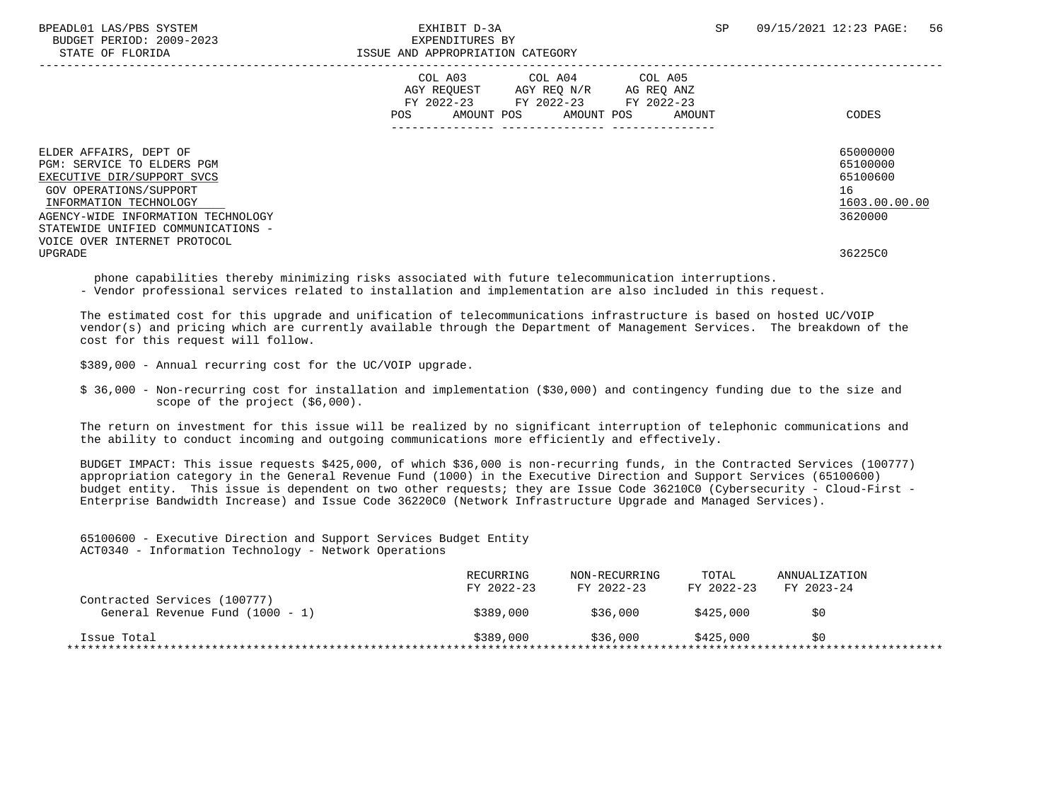BPEADL01 LAS/PBS SYSTEM SALL SO THE SEXHIBIT D-3A SP 09/15/2021 12:23 PAGE: 56 BUDGET PERIOD: 2009-2023 EXPENDITURES BY STATE OF FLORIDA **ISSUE AND APPROPRIATION CATEGORY**  ----------------------------------------------------------------------------------------------------------------------------------- COL A03 COL A04 COL A05 AGY REQUEST AGY REQ N/R AG REQ ANZ FY 2022-23 FY 2022-23 FY 2022-23 POS AMOUNT POS AMOUNT POS AMOUNT CODES --------------- --------------- --------------- ELDER AFFAIRS, DEPT OF 65000000 ELDER AFFAIRS, DEPT OF 65000000 ELDER AFFAIRS, DEPT OF 65000000 ELDER AFFAIRS, DEPT OF 65100000 ELDER AFFAIRS POWER AT LOCAL AND SELLER AT LOCAL AND SELLER AT LOCAL AND SELLER AT LOCAL AT LO PGM: SERVICE TO ELDERS PGM<br>EXECUTIVE DIR/SUPPORT SVCS 65100000<br>EXECUTIVE DIR/SUPPORT SVCS EXECUTIVE DIR/SUPPORT SVCS GOV OPERATIONS/SUPPORT 16<br>
INFORMATION TECHNOLOGY 1603.00.00 POLOGY 1603.00.00 POLOGY 1603.00.00 POLOGY 1603.00.00  $\frac{\text{INFORMATION TECHNOLOGY}}{\text{GENCY-WIDE INFORMATION TECHNOLOGY}}$ AGENCY-WIDE INFORMATION TECHNOLOGY STATEWIDE UNIFIED COMMUNICATIONS - VOICE OVER INTERNET PROTOCOL UPGRADE 36225C0

phone capabilities thereby minimizing risks associated with future telecommunication interruptions.

- Vendor professional services related to installation and implementation are also included in this request.

 The estimated cost for this upgrade and unification of telecommunications infrastructure is based on hosted UC/VOIP vendor(s) and pricing which are currently available through the Department of Management Services. The breakdown of the cost for this request will follow.

\$389,000 - Annual recurring cost for the UC/VOIP upgrade.

 \$ 36,000 - Non-recurring cost for installation and implementation (\$30,000) and contingency funding due to the size and scope of the project (\$6,000).

 The return on investment for this issue will be realized by no significant interruption of telephonic communications and the ability to conduct incoming and outgoing communications more efficiently and effectively.

 BUDGET IMPACT: This issue requests \$425,000, of which \$36,000 is non-recurring funds, in the Contracted Services (100777) appropriation category in the General Revenue Fund (1000) in the Executive Direction and Support Services (65100600) budget entity. This issue is dependent on two other requests; they are Issue Code 36210C0 (Cybersecurity - Cloud-First - Enterprise Bandwidth Increase) and Issue Code 36220C0 (Network Infrastructure Upgrade and Managed Services).

 65100600 - Executive Direction and Support Services Budget Entity ACT0340 - Information Technology - Network Operations

|                                                                 | RECURRING<br>FY 2022-23 | NON-RECURRING<br>FY 2022-23 | TOTAL<br>FY 2022-23 | ANNUALIZATION<br>FY 2023-24 |  |
|-----------------------------------------------------------------|-------------------------|-----------------------------|---------------------|-----------------------------|--|
| Contracted Services (100777)<br>General Revenue Fund (1000 - 1) | \$389,000               | \$36,000                    | \$425,000           | \$0                         |  |
| Issue Total                                                     | \$389.000               | \$36,000                    | \$425.000           | SO                          |  |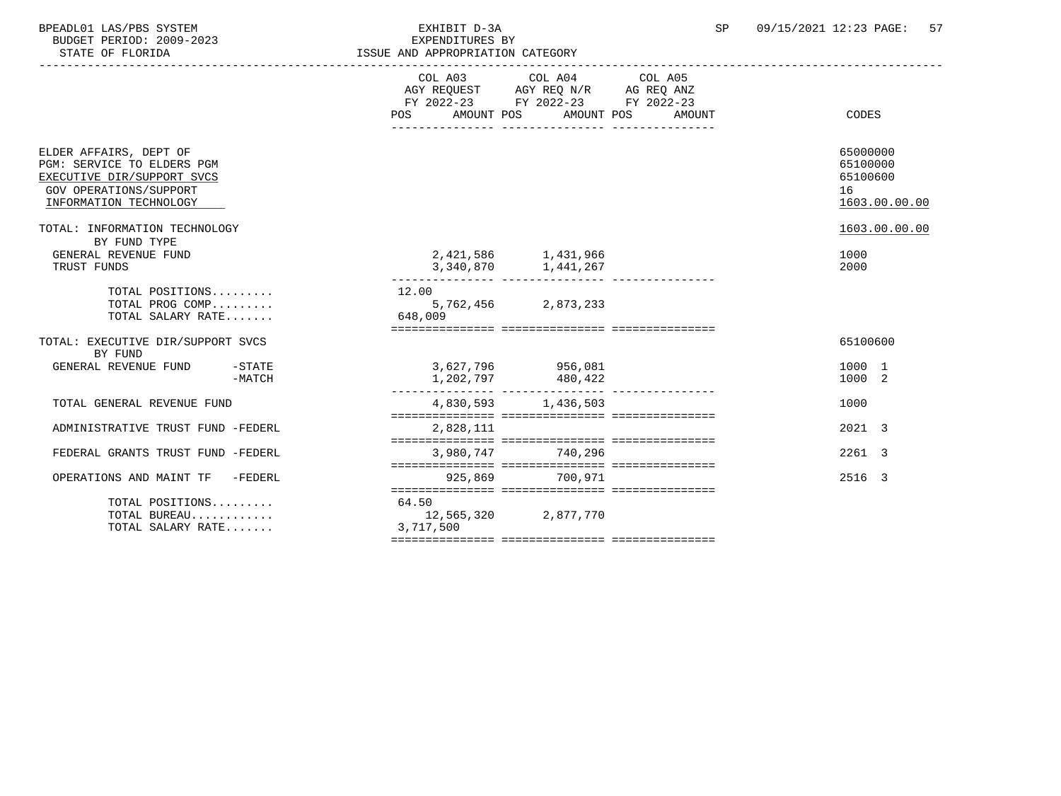| BPEADL01 LAS/PBS SYSTEM  | EXHIBIT D-3A                     | SP | 09/15/2021 12:23 PAGE: 57 |  |
|--------------------------|----------------------------------|----|---------------------------|--|
| BUDGET PERIOD: 2009-2023 | EXPENDITURES BY                  |    |                           |  |
| STATE OF FLORIDA         | ISSUE AND APPROPRIATION CATEGORY |    |                           |  |
|                          |                                  |    |                           |  |

|                                                                                                                                        |          | AMOUNT POS<br>POS  | COL A03 COL A04 COL A05<br>AGY REQUEST AGY REQ N/R AG REQ ANZ<br>FY 2022-23 FY 2022-23 FY 2022-23<br>AMOUNT POS | AMOUNT | CODES                                                   |
|----------------------------------------------------------------------------------------------------------------------------------------|----------|--------------------|-----------------------------------------------------------------------------------------------------------------|--------|---------------------------------------------------------|
| ELDER AFFAIRS, DEPT OF<br>PGM: SERVICE TO ELDERS PGM<br>EXECUTIVE DIR/SUPPORT SVCS<br>GOV OPERATIONS/SUPPORT<br>INFORMATION TECHNOLOGY |          |                    |                                                                                                                 |        | 65000000<br>65100000<br>65100600<br>16<br>1603.00.00.00 |
| TOTAL: INFORMATION TECHNOLOGY                                                                                                          |          |                    |                                                                                                                 |        | 1603.00.00.00                                           |
| BY FUND TYPE<br>GENERAL REVENUE FUND<br>TRUST FUNDS                                                                                    |          |                    | 2,421,586 1,431,966<br>3,340,870 1,441,267                                                                      |        | 1000<br>2000                                            |
| TOTAL POSITIONS<br>TOTAL PROG COMP<br>TOTAL SALARY RATE                                                                                |          | 12.00<br>648,009   | 5,762,456 2,873,233                                                                                             |        |                                                         |
| TOTAL: EXECUTIVE DIR/SUPPORT SVCS<br>BY FUND                                                                                           |          |                    |                                                                                                                 |        | 65100600                                                |
| GENERAL REVENUE FUND -STATE                                                                                                            | $-MATCH$ |                    | 3,627,796 956,081<br>1,202,797 480,422                                                                          |        | 1000 1<br>1000 2                                        |
| TOTAL GENERAL REVENUE FUND                                                                                                             |          |                    | 4,830,593 1,436,503                                                                                             |        | 1000                                                    |
| ADMINISTRATIVE TRUST FUND -FEDERL                                                                                                      |          | 2,828,111          |                                                                                                                 |        | $2021 - 3$                                              |
| FEDERAL GRANTS TRUST FUND -FEDERL                                                                                                      |          |                    | 3.980.747 740.296                                                                                               |        | 2261 3                                                  |
| OPERATIONS AND MAINT TF -FEDERL                                                                                                        |          |                    | 925,869 700,971                                                                                                 |        | 2516 3                                                  |
| TOTAL POSITIONS<br>TOTAL BUREAU<br>TOTAL SALARY RATE                                                                                   |          | 64.50<br>3,717,500 | 12,565,320 2,877,770                                                                                            |        |                                                         |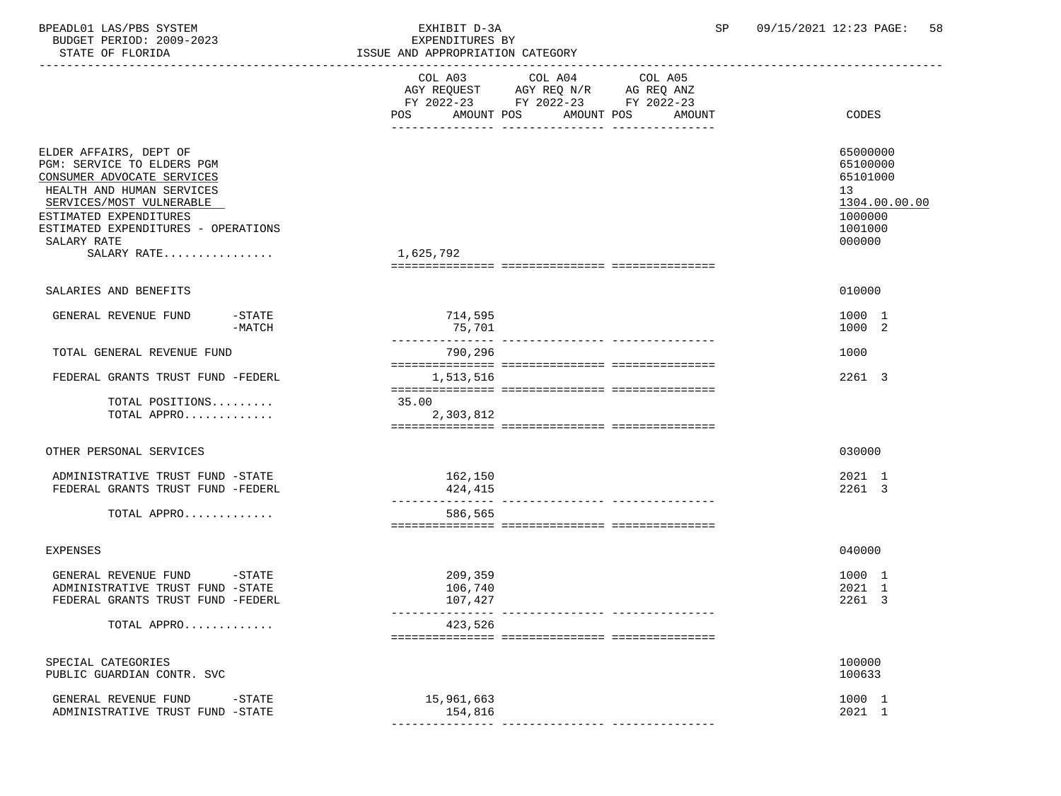| BPEADL01 LAS/PBS SYSTEM<br>BUDGET PERIOD: 2009-2023<br>STATE OF FLORIDA                                                                                                                                                                      |                    | EXHIBIT D-3A<br>EXPENDITURES BY<br>ISSUE AND APPROPRIATION CATEGORY |                                                           | SP     | 09/15/2021 12:23 PAGE:<br>58                                                            |
|----------------------------------------------------------------------------------------------------------------------------------------------------------------------------------------------------------------------------------------------|--------------------|---------------------------------------------------------------------|-----------------------------------------------------------|--------|-----------------------------------------------------------------------------------------|
|                                                                                                                                                                                                                                              |                    | POS                                                                 | FY 2022-23 FY 2022-23 FY 2022-23<br>AMOUNT POS AMOUNT POS | AMOUNT | -----------------------------------<br>CODES                                            |
| ELDER AFFAIRS, DEPT OF<br>PGM: SERVICE TO ELDERS PGM<br>CONSUMER ADVOCATE SERVICES<br>HEALTH AND HUMAN SERVICES<br>SERVICES/MOST VULNERABLE<br>ESTIMATED EXPENDITURES<br>ESTIMATED EXPENDITURES - OPERATIONS<br>SALARY RATE<br>$SALARY$ RATE |                    | 1,625,792                                                           |                                                           |        | 65000000<br>65100000<br>65101000<br>13<br>1304.00.00.00<br>1000000<br>1001000<br>000000 |
| SALARIES AND BENEFITS                                                                                                                                                                                                                        |                    |                                                                     |                                                           |        | 010000                                                                                  |
| GENERAL REVENUE FUND                                                                                                                                                                                                                         | -STATE<br>$-MATCH$ | 714,595<br>75,701                                                   |                                                           |        | 1000 1<br>1000 2                                                                        |
| TOTAL GENERAL REVENUE FUND                                                                                                                                                                                                                   |                    | --------------<br>790,296                                           |                                                           |        | 1000                                                                                    |
| FEDERAL GRANTS TRUST FUND -FEDERL                                                                                                                                                                                                            |                    | 1,513,516                                                           |                                                           |        | 2261 3                                                                                  |
| TOTAL POSITIONS<br>TOTAL APPRO                                                                                                                                                                                                               |                    | 35.00<br>2,303,812                                                  |                                                           |        |                                                                                         |
| OTHER PERSONAL SERVICES                                                                                                                                                                                                                      |                    |                                                                     |                                                           |        | 030000                                                                                  |
| ADMINISTRATIVE TRUST FUND -STATE<br>FEDERAL GRANTS TRUST FUND -FEDERL                                                                                                                                                                        |                    | 162,150<br>424,415                                                  |                                                           |        | 2021 1<br>2261 3                                                                        |
| TOTAL APPRO                                                                                                                                                                                                                                  |                    | 586,565                                                             |                                                           |        |                                                                                         |
| <b>EXPENSES</b>                                                                                                                                                                                                                              |                    |                                                                     |                                                           |        | 040000                                                                                  |
| GENERAL REVENUE FUND<br>ADMINISTRATIVE TRUST FUND -STATE<br>FEDERAL GRANTS TRUST FUND -FEDERL                                                                                                                                                | -STATE             | 209,359<br>106,740<br>107,427                                       |                                                           |        | 1000 1<br>2021 1<br>2261 3                                                              |
| TOTAL APPRO                                                                                                                                                                                                                                  |                    | 423,526                                                             |                                                           |        |                                                                                         |
| SPECIAL CATEGORIES<br>PUBLIC GUARDIAN CONTR. SVC                                                                                                                                                                                             |                    |                                                                     |                                                           |        | 100000<br>100633                                                                        |
| GENERAL REVENUE FUND<br>ADMINISTRATIVE TRUST FUND -STATE                                                                                                                                                                                     | $-STATE$           | 15,961,663<br>154,816                                               |                                                           |        | 1000 1<br>2021 1                                                                        |
|                                                                                                                                                                                                                                              |                    |                                                                     |                                                           |        |                                                                                         |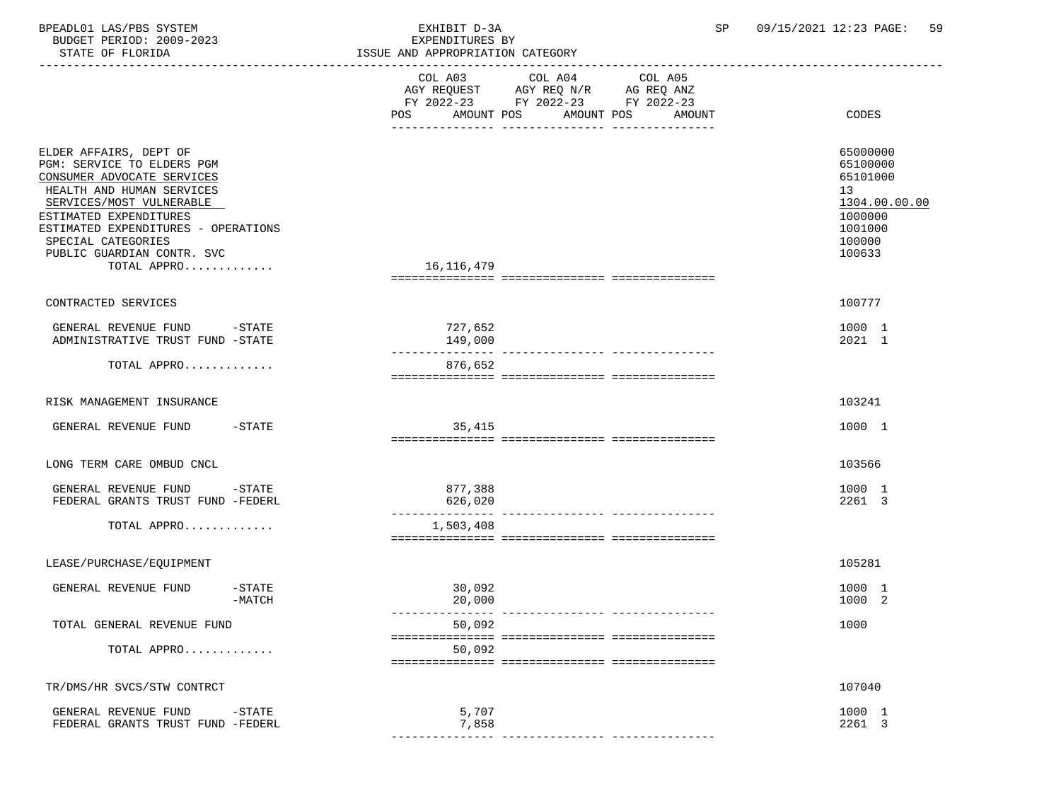| BPEADL01 LAS/PBS SYSTEM<br>BUDGET PERIOD: 2009-2023<br>STATE OF FLORIDA                                                                                                                                                                                                         | EXHIBIT D-3A<br>EXPENDITURES BY<br>ISSUE AND APPROPRIATION CATEGORY                                                                                                             | 09/15/2021 12:23 PAGE:<br>59<br>SP                                                                |
|---------------------------------------------------------------------------------------------------------------------------------------------------------------------------------------------------------------------------------------------------------------------------------|---------------------------------------------------------------------------------------------------------------------------------------------------------------------------------|---------------------------------------------------------------------------------------------------|
| ----------------------------                                                                                                                                                                                                                                                    | COL A03<br>COL A04<br>COL A05<br>COL AU3 COL AU4 COL AU5<br>AGY REQUEST AGY REQ N/R AG REQ ANZ<br>FY 2022-23 FY 2022-23 FY 2022-23<br>AMOUNT POS<br>POS<br>AMOUNT POS<br>AMOUNT | CODES                                                                                             |
| ELDER AFFAIRS, DEPT OF<br>PGM: SERVICE TO ELDERS PGM<br>CONSUMER ADVOCATE SERVICES<br>HEALTH AND HUMAN SERVICES<br>SERVICES/MOST VULNERABLE<br>ESTIMATED EXPENDITURES<br>ESTIMATED EXPENDITURES - OPERATIONS<br>SPECIAL CATEGORIES<br>PUBLIC GUARDIAN CONTR. SVC<br>TOTAL APPRO | 16,116,479                                                                                                                                                                      | 65000000<br>65100000<br>65101000<br>13<br>1304.00.00.00<br>1000000<br>1001000<br>100000<br>100633 |
| CONTRACTED SERVICES                                                                                                                                                                                                                                                             |                                                                                                                                                                                 | 100777                                                                                            |
| GENERAL REVENUE FUND -STATE<br>ADMINISTRATIVE TRUST FUND -STATE                                                                                                                                                                                                                 | 727,652<br>149,000                                                                                                                                                              | 1000 1<br>2021 1                                                                                  |
| TOTAL APPRO                                                                                                                                                                                                                                                                     | ---------------<br>876,652                                                                                                                                                      |                                                                                                   |
| RISK MANAGEMENT INSURANCE                                                                                                                                                                                                                                                       |                                                                                                                                                                                 | 103241                                                                                            |
| $-$ STATE<br>GENERAL REVENUE FUND                                                                                                                                                                                                                                               | 35,415                                                                                                                                                                          | 1000 1                                                                                            |
| LONG TERM CARE OMBUD CNCL                                                                                                                                                                                                                                                       |                                                                                                                                                                                 | 103566                                                                                            |
| GENERAL REVENUE FUND<br>$-\mathtt{STATE}$<br>FEDERAL GRANTS TRUST FUND -FEDERL                                                                                                                                                                                                  | 877,388<br>626,020                                                                                                                                                              | 1000 1<br>2261 3                                                                                  |
| TOTAL APPRO                                                                                                                                                                                                                                                                     | 1,503,408                                                                                                                                                                       |                                                                                                   |
| LEASE/PURCHASE/EQUIPMENT                                                                                                                                                                                                                                                        |                                                                                                                                                                                 | 105281                                                                                            |
| GENERAL REVENUE FUND<br>$-$ STATE<br>-MATCH                                                                                                                                                                                                                                     | 30,092<br>20,000                                                                                                                                                                | 1000 1<br>1000 2                                                                                  |
| TOTAL GENERAL REVENUE FUND                                                                                                                                                                                                                                                      | 50,092                                                                                                                                                                          | 1000                                                                                              |
| TOTAL APPRO                                                                                                                                                                                                                                                                     | 50,092                                                                                                                                                                          |                                                                                                   |
| TR/DMS/HR SVCS/STW CONTRCT                                                                                                                                                                                                                                                      |                                                                                                                                                                                 | 107040                                                                                            |
| GENERAL REVENUE FUND<br>$-STATE$<br>FEDERAL GRANTS TRUST FUND -FEDERL                                                                                                                                                                                                           | 5,707<br>7,858                                                                                                                                                                  | 1000 1<br>2261 3                                                                                  |

--------------- --------------- ---------------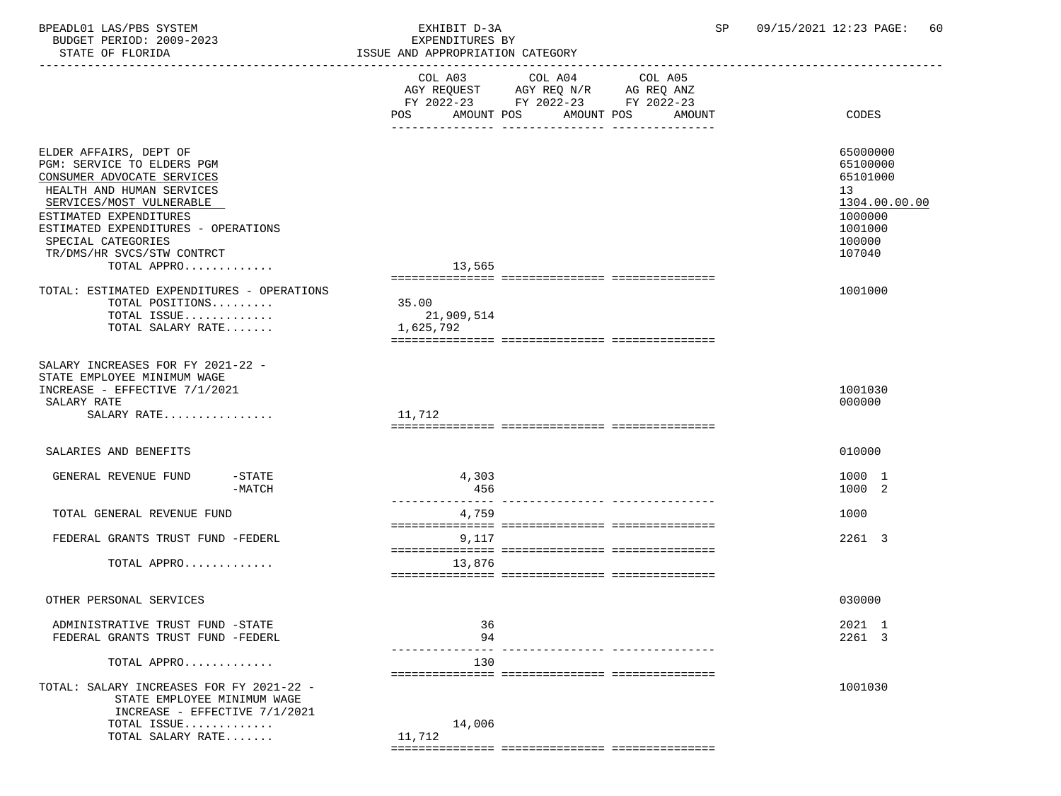BUDGET PERIOD: 2009-2023 EXPENDITURES BY STATE OF FLORIDA **ISSUE AND APPROPRIATION CATEGORY**  ----------------------------------------------------------------------------------------------------------------------------------- COL A03 COL A04 AGY REQUEST AGY REQ N/R AG REQ ANZ FY 2022-23 FY 2022-23 FY 2022-23 POS AMOUNT POS AMOUNT POS AMOUNT CODES --------------- --------------- --------------- ELDER AFFAIRS, DEPT OF 65000000 PGM: SERVICE TO ELDERS PGM 65100000 CONSUMER ADVOCATE SERVICES HEALTH AND HUMAN SERVICES 13<br>SERVICES/MOST VULNERABLE 1304.00.00 SERVICES/MOST VULNERABLE 1304.00.00.00 \_\_\_\_\_\_\_\_\_\_\_\_\_\_\_\_\_\_\_\_\_\_\_\_\_\_ \_\_\_\_\_\_\_\_\_\_\_\_\_ ESTIMATED EXPENDITURES ESTIMATED EXPENDITURES - OPERATIONS 1001000 SPECIAL CATEGORIES 100000 TR/DMS/HR SVCS/STW CONTRCT 107040<br>TOTAL APPRO (1999) (107040 TOTAL APPRO............ =============== =============== =============== TOTAL: ESTIMATED EXPENDITURES - OPERATIONS 1001000 TOTAL POSITIONS......... TOTAL ISSUE............. 21,909,514 TOTAL SALARY RATE....... =============== =============== =============== SALARY INCREASES FOR FY 2021-22 - STATE EMPLOYEE MINIMUM WAGE INCREASE – EFFECTIVE 7/1/2021<br>SALARY RATE 000000  $\texttt{SALARY RATE}$  . The contract of the contract of the contract of the contract of the contract of the contract of the contract of the contract of the contract of the contract of the contract of the contract of the contract o SALARY RATE................ 11,712 =============== =============== =============== SALARIES AND BENEFITS 010000 GENERAL REVENUE FUND -STATE - 1000 1<br>
-MATCH - 1000 2 -MATCH 456 1000 2 --------------- --------------- --------------- TOTAL GENERAL REVENUE FUND 1000 12000 12000 12000 12000 12000 12000 12000 12000 12000 12000 12000 12000 12000 1 =============== =============== =============== FEDERAL GRANTS TRUST FUND -FEDERL 8 (1999) 2001 12 =============== =============== =============== TOTAL APPRO............. 13,876

OTHER PERSONAL SERVICES 030000

 ADMINISTRATIVE TRUST FUND -STATE 36 2021 1 FEDERAL GRANTS TRUST FUND -FEDERL 1994 2261 3 --------------- --------------- --------------- TOTAL APPRO............. 130 =============== =============== =============== TOTAL: SALARY INCREASES FOR FY 2021-22 - 1001030 STATE EMPLOYEE MINIMUM WAGE INCREASE - EFFECTIVE 7/1/2021

## TOTAL ISSUE............. 14,006 TOTAL SALARY RATE....... 11,712

=============== =============== ===============

=============== =============== ===============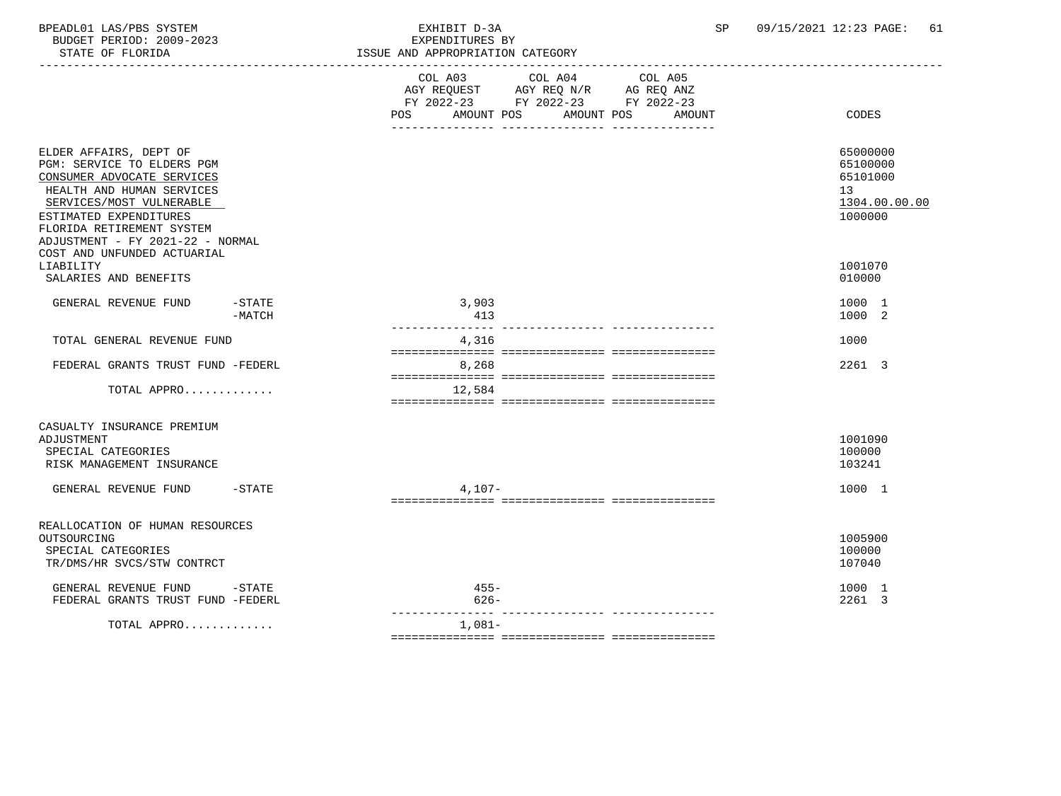| BPEADL01 LAS/PBS SYSTEM  | EXHIBIT D-3A    | 09/15/2021 12:23 PAGE: | 61 |
|--------------------------|-----------------|------------------------|----|
| BUDGET PERIOD: 2009-2023 | EXPENDITURES BY |                        |    |

| STATE OF FLORIDA                                                                                                                                                                                                                                                      | ISSUE AND APPROPRIATION CATEGORY                                                                                                                     |                                                                    |
|-----------------------------------------------------------------------------------------------------------------------------------------------------------------------------------------------------------------------------------------------------------------------|------------------------------------------------------------------------------------------------------------------------------------------------------|--------------------------------------------------------------------|
|                                                                                                                                                                                                                                                                       | COL A03<br>COL A04<br>COL A05<br>AGY REQUEST AGY REQ N/R AG REQ ANZ<br>FY 2022-23 FY 2022-23 FY 2022-23<br>AMOUNT POS<br>AMOUNT POS<br>AMOUNT<br>POS | CODES                                                              |
| ELDER AFFAIRS, DEPT OF<br>PGM: SERVICE TO ELDERS PGM<br>CONSUMER ADVOCATE SERVICES<br>HEALTH AND HUMAN SERVICES<br>SERVICES/MOST VULNERABLE<br>ESTIMATED EXPENDITURES<br>FLORIDA RETIREMENT SYSTEM<br>ADJUSTMENT - FY 2021-22 - NORMAL<br>COST AND UNFUNDED ACTUARIAL |                                                                                                                                                      | 65000000<br>65100000<br>65101000<br>13<br>1304.00.00.00<br>1000000 |
| LIABILITY<br>SALARIES AND BENEFITS                                                                                                                                                                                                                                    |                                                                                                                                                      | 1001070<br>010000                                                  |
| $-\mathtt{STATE}$<br>GENERAL REVENUE FUND<br>$-MATCH$                                                                                                                                                                                                                 | 3,903<br>413<br>----------------                                                                                                                     | 1000 1<br>1000 2                                                   |
| TOTAL GENERAL REVENUE FUND                                                                                                                                                                                                                                            | ---------------- ---------<br>4,316                                                                                                                  | 1000                                                               |
| FEDERAL GRANTS TRUST FUND -FEDERL                                                                                                                                                                                                                                     | 8,268                                                                                                                                                | 2261 3                                                             |
| TOTAL APPRO                                                                                                                                                                                                                                                           | 12,584                                                                                                                                               |                                                                    |
| CASUALTY INSURANCE PREMIUM<br>ADJUSTMENT<br>SPECIAL CATEGORIES<br>RISK MANAGEMENT INSURANCE<br>GENERAL REVENUE FUND<br>$-$ STATE                                                                                                                                      | $4,107-$                                                                                                                                             | 1001090<br>100000<br>103241<br>1000 1                              |
| REALLOCATION OF HUMAN RESOURCES<br>OUTSOURCING<br>SPECIAL CATEGORIES<br>TR/DMS/HR SVCS/STW CONTRCT                                                                                                                                                                    |                                                                                                                                                      | 1005900<br>100000<br>107040                                        |
| GENERAL REVENUE FUND<br>$-$ STATE<br>FEDERAL GRANTS TRUST FUND -FEDERL                                                                                                                                                                                                | $455 -$<br>$626 -$                                                                                                                                   | 1000 1<br>2261 3                                                   |
| TOTAL APPRO                                                                                                                                                                                                                                                           | $1,081-$                                                                                                                                             |                                                                    |

=============== =============== ===============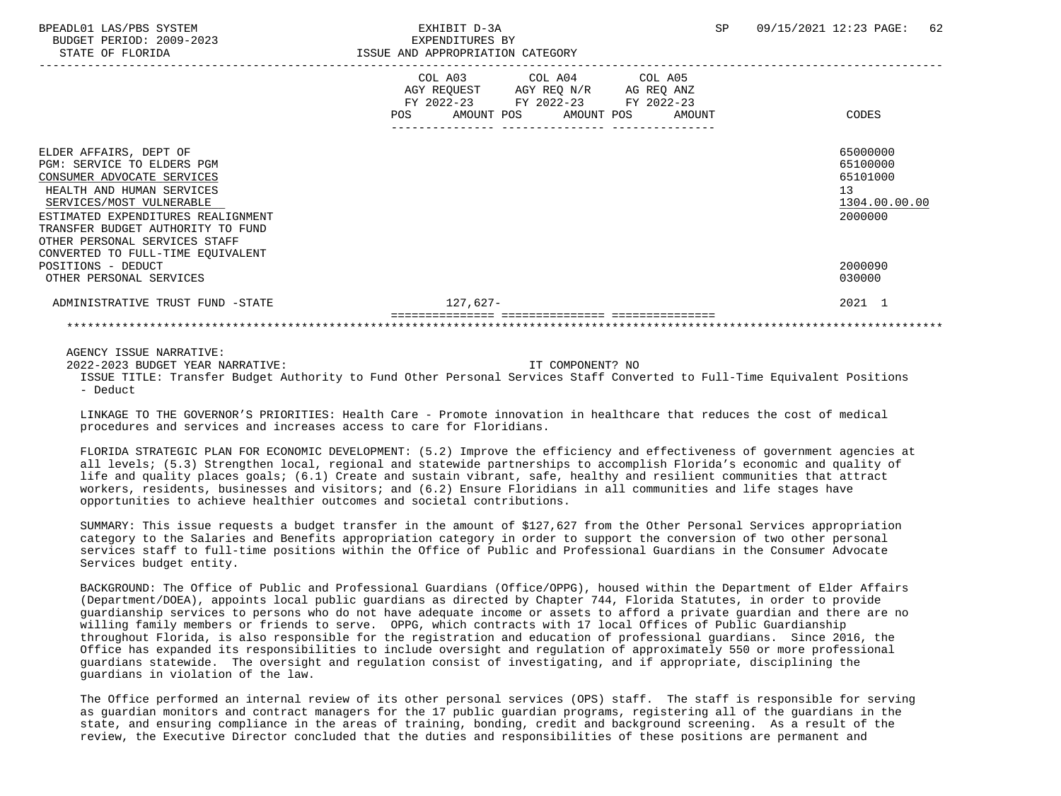|                                                                                                                                                                                                                                                                                                                                               | COL A03 COL A04 COL A05<br>AGY REQ N/R AG REQ ANZ<br>AGY REQUEST<br>FY 2022-23 FY 2022-23 FY 2022-23<br>POS<br>AMOUNT POS AMOUNT POS<br>AMOUNT | CODES                                                                                   |
|-----------------------------------------------------------------------------------------------------------------------------------------------------------------------------------------------------------------------------------------------------------------------------------------------------------------------------------------------|------------------------------------------------------------------------------------------------------------------------------------------------|-----------------------------------------------------------------------------------------|
| ELDER AFFAIRS, DEPT OF<br>PGM: SERVICE TO ELDERS PGM<br>CONSUMER ADVOCATE SERVICES<br>HEALTH AND HUMAN SERVICES<br>SERVICES/MOST VULNERABLE<br>ESTIMATED EXPENDITURES REALIGNMENT<br>TRANSFER BUDGET AUTHORITY TO FUND<br>OTHER PERSONAL SERVICES STAFF<br>CONVERTED TO FULL-TIME EQUIVALENT<br>POSITIONS - DEDUCT<br>OTHER PERSONAL SERVICES |                                                                                                                                                | 65000000<br>65100000<br>65101000<br>13<br>1304.00.00.00<br>2000000<br>2000090<br>030000 |
| ADMINISTRATIVE TRUST FUND -STATE                                                                                                                                                                                                                                                                                                              | $127.627-$                                                                                                                                     | 2021 1                                                                                  |
|                                                                                                                                                                                                                                                                                                                                               |                                                                                                                                                |                                                                                         |

AGENCY ISSUE NARRATIVE:

2022-2023 BUDGET YEAR NARRATIVE: IT COMPONENT? NO

 ISSUE TITLE: Transfer Budget Authority to Fund Other Personal Services Staff Converted to Full-Time Equivalent Positions - Deduct

 LINKAGE TO THE GOVERNOR'S PRIORITIES: Health Care - Promote innovation in healthcare that reduces the cost of medical procedures and services and increases access to care for Floridians.

 FLORIDA STRATEGIC PLAN FOR ECONOMIC DEVELOPMENT: (5.2) Improve the efficiency and effectiveness of government agencies at all levels; (5.3) Strengthen local, regional and statewide partnerships to accomplish Florida's economic and quality of life and quality places goals; (6.1) Create and sustain vibrant, safe, healthy and resilient communities that attract workers, residents, businesses and visitors; and (6.2) Ensure Floridians in all communities and life stages have opportunities to achieve healthier outcomes and societal contributions.

 SUMMARY: This issue requests a budget transfer in the amount of \$127,627 from the Other Personal Services appropriation category to the Salaries and Benefits appropriation category in order to support the conversion of two other personal services staff to full-time positions within the Office of Public and Professional Guardians in the Consumer Advocate Services budget entity.

 BACKGROUND: The Office of Public and Professional Guardians (Office/OPPG), housed within the Department of Elder Affairs (Department/DOEA), appoints local public guardians as directed by Chapter 744, Florida Statutes, in order to provide guardianship services to persons who do not have adequate income or assets to afford a private guardian and there are no willing family members or friends to serve. OPPG, which contracts with 17 local Offices of Public Guardianship throughout Florida, is also responsible for the registration and education of professional guardians. Since 2016, the Office has expanded its responsibilities to include oversight and regulation of approximately 550 or more professional guardians statewide. The oversight and regulation consist of investigating, and if appropriate, disciplining the guardians in violation of the law.

 The Office performed an internal review of its other personal services (OPS) staff. The staff is responsible for serving as guardian monitors and contract managers for the 17 public guardian programs, registering all of the guardians in the state, and ensuring compliance in the areas of training, bonding, credit and background screening. As a result of the review, the Executive Director concluded that the duties and responsibilities of these positions are permanent and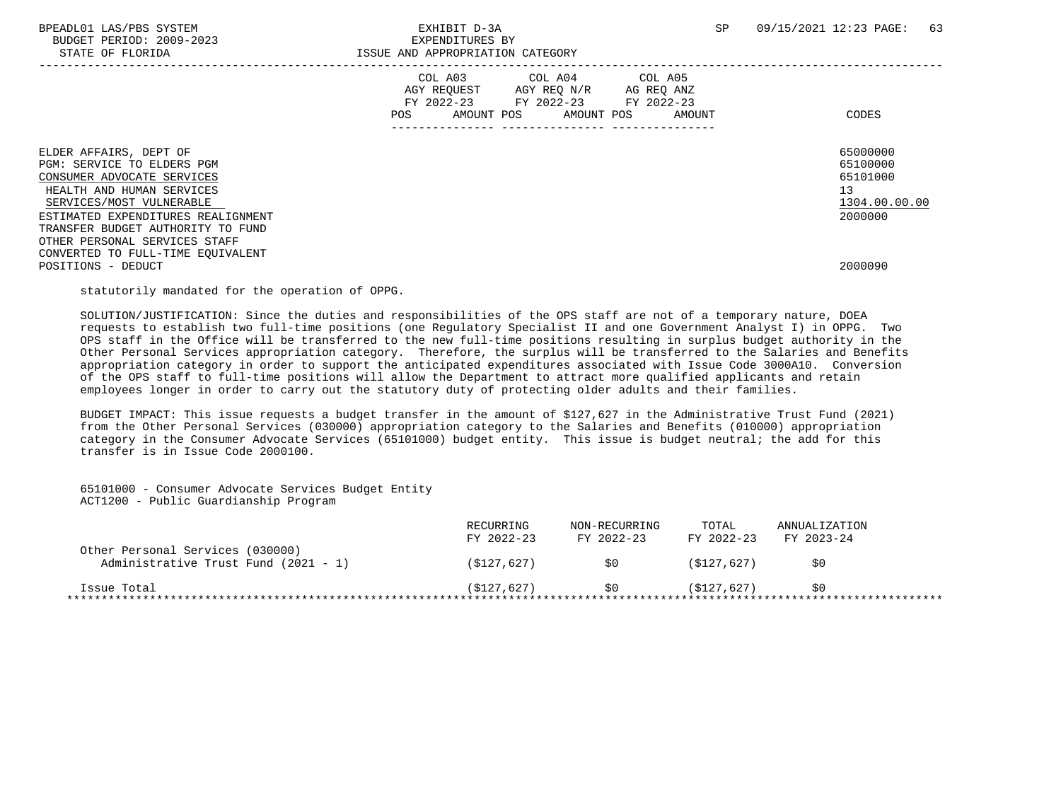BUDGET PERIOD: 2009-2023 EXPENDITURES BY

|                                                                                                                                                                                                                                                                                                                    | COL A03 COL A04 COL A05<br>AGY REQUEST AGY REQ N/R<br>AG REQ ANZ<br>FY 2022-23 FY 2022-23 FY 2022-23<br>AMOUNT POS AMOUNT POS<br><b>POS</b><br>AMOUNT | CODES                                                                         |
|--------------------------------------------------------------------------------------------------------------------------------------------------------------------------------------------------------------------------------------------------------------------------------------------------------------------|-------------------------------------------------------------------------------------------------------------------------------------------------------|-------------------------------------------------------------------------------|
| ELDER AFFAIRS, DEPT OF<br>PGM: SERVICE TO ELDERS PGM<br>CONSUMER ADVOCATE SERVICES<br>HEALTH AND HUMAN SERVICES<br>SERVICES/MOST VULNERABLE<br>ESTIMATED EXPENDITURES REALIGNMENT<br>TRANSFER BUDGET AUTHORITY TO FUND<br>OTHER PERSONAL SERVICES STAFF<br>CONVERTED TO FULL-TIME EQUIVALENT<br>POSITIONS - DEDUCT |                                                                                                                                                       | 65000000<br>65100000<br>65101000<br>13<br>1304.00.00.00<br>2000000<br>2000090 |

statutorily mandated for the operation of OPPG.

 SOLUTION/JUSTIFICATION: Since the duties and responsibilities of the OPS staff are not of a temporary nature, DOEA requests to establish two full-time positions (one Regulatory Specialist II and one Government Analyst I) in OPPG. Two OPS staff in the Office will be transferred to the new full-time positions resulting in surplus budget authority in the Other Personal Services appropriation category. Therefore, the surplus will be transferred to the Salaries and Benefits appropriation category in order to support the anticipated expenditures associated with Issue Code 3000A10. Conversion of the OPS staff to full-time positions will allow the Department to attract more qualified applicants and retain employees longer in order to carry out the statutory duty of protecting older adults and their families.

 BUDGET IMPACT: This issue requests a budget transfer in the amount of \$127,627 in the Administrative Trust Fund (2021) from the Other Personal Services (030000) appropriation category to the Salaries and Benefits (010000) appropriation category in the Consumer Advocate Services (65101000) budget entity. This issue is budget neutral; the add for this transfer is in Issue Code 2000100.

 65101000 - Consumer Advocate Services Budget Entity ACT1200 - Public Guardianship Program

|                                                                          | RECURRING<br>FY 2022-23 | NON-RECURRING<br>FY 2022-23 | TOTAL<br>FY 2022-23 | ANNUALIZATION<br>FY 2023-24 |
|--------------------------------------------------------------------------|-------------------------|-----------------------------|---------------------|-----------------------------|
| Other Personal Services (030000)<br>Administrative Trust Fund (2021 - 1) | (S127.627)              | 50                          | (S127.627)          | SO                          |
| Issue Total                                                              | (S127.627)              | 50                          | (5127.627)          | 50                          |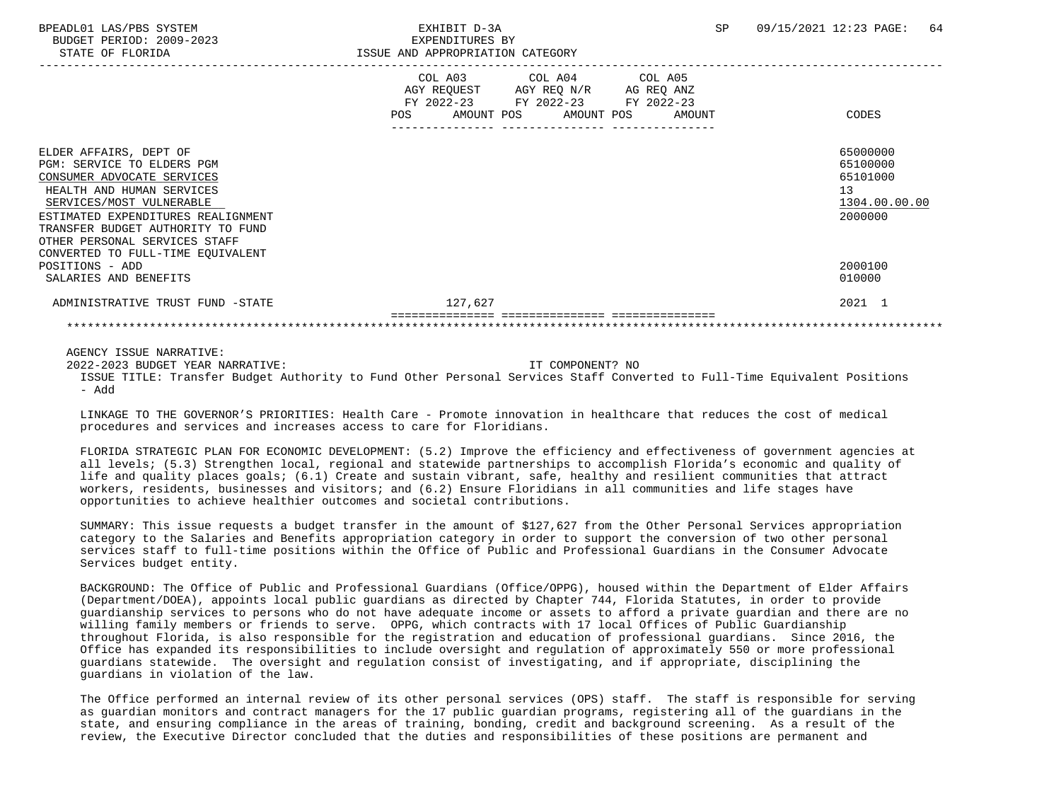BPEADL01 LAS/PBS SYSTEM EXHIBIT D-3A SP 09/15/2021 12:23 PAGE: 64 BUDGET PERIOD: 2009-2023 EXPENDITURES BY STATE OF FLORIDA **ISSUE AND APPROPRIATION CATEGORY**  ----------------------------------------------------------------------------------------------------------------------------------- COL A03 COL A04 AGY REQUEST AGY REQ N/R AG REQ ANZ FY 2022-23 FY 2022-23 FY 2022-23 POS AMOUNT POS AMOUNT POS AMOUNT CODES --------------- --------------- --------------- ELDER AFFAIRS, DEPT OF 65000000 ELDER AFFAIRS, DEPT OF 65000000 ELDER AFFAIRS, DEPT OF 65000000 ELDER AFFAIRS<br>PGM: SERVICE TO ELDERS PGM PGM: SERVICE TO ELDERS PGM<br>CONSUMER ADVOCATE SERVICES 65100000 CONSUMER ADVOCATE SERVICES HEALTH AND HUMAN SERVICES 13<br>SERVICES/MOST VULNERABLE 1304.00.00 PHOTOSHOLD SERVICES 1304.00.00.00  $\frac{\rm SERVICES/MOST~~VULNERABLE}{2000000}$ ESTIMATED EXPENDITURES REALIGNMENT TRANSFER BUDGET AUTHORITY TO FUND OTHER PERSONAL SERVICES STAFF CONVERTED TO FULL-TIME EQUIVALENT POSITIONS - ADD 2000100 SALARIES AND BENEFITS 010000 ADMINISTRATIVE TRUST FUND -STATE 127,627 127,627 129 127,627 12021 1 =============== =============== =============== \*\*\*\*\*\*\*\*\*\*\*\*\*\*\*\*\*\*\*\*\*\*\*\*\*\*\*\*\*\*\*\*\*\*\*\*\*\*\*\*\*\*\*\*\*\*\*\*\*\*\*\*\*\*\*\*\*\*\*\*\*\*\*\*\*\*\*\*\*\*\*\*\*\*\*\*\*\*\*\*\*\*\*\*\*\*\*\*\*\*\*\*\*\*\*\*\*\*\*\*\*\*\*\*\*\*\*\*\*\*\*\*\*\*\*\*\*\*\*\*\*\*\*\*\*\*\*

AGENCY ISSUE NARRATIVE:

2022-2023 BUDGET YEAR NARRATIVE: IT COMPONENT? NO

 ISSUE TITLE: Transfer Budget Authority to Fund Other Personal Services Staff Converted to Full-Time Equivalent Positions - Add

 LINKAGE TO THE GOVERNOR'S PRIORITIES: Health Care - Promote innovation in healthcare that reduces the cost of medical procedures and services and increases access to care for Floridians.

 FLORIDA STRATEGIC PLAN FOR ECONOMIC DEVELOPMENT: (5.2) Improve the efficiency and effectiveness of government agencies at all levels; (5.3) Strengthen local, regional and statewide partnerships to accomplish Florida's economic and quality of life and quality places goals; (6.1) Create and sustain vibrant, safe, healthy and resilient communities that attract workers, residents, businesses and visitors; and (6.2) Ensure Floridians in all communities and life stages have opportunities to achieve healthier outcomes and societal contributions.

 SUMMARY: This issue requests a budget transfer in the amount of \$127,627 from the Other Personal Services appropriation category to the Salaries and Benefits appropriation category in order to support the conversion of two other personal services staff to full-time positions within the Office of Public and Professional Guardians in the Consumer Advocate Services budget entity.

 BACKGROUND: The Office of Public and Professional Guardians (Office/OPPG), housed within the Department of Elder Affairs (Department/DOEA), appoints local public guardians as directed by Chapter 744, Florida Statutes, in order to provide guardianship services to persons who do not have adequate income or assets to afford a private guardian and there are no willing family members or friends to serve. OPPG, which contracts with 17 local Offices of Public Guardianship throughout Florida, is also responsible for the registration and education of professional guardians. Since 2016, the Office has expanded its responsibilities to include oversight and regulation of approximately 550 or more professional guardians statewide. The oversight and regulation consist of investigating, and if appropriate, disciplining the guardians in violation of the law.

 The Office performed an internal review of its other personal services (OPS) staff. The staff is responsible for serving as guardian monitors and contract managers for the 17 public guardian programs, registering all of the guardians in the state, and ensuring compliance in the areas of training, bonding, credit and background screening. As a result of the review, the Executive Director concluded that the duties and responsibilities of these positions are permanent and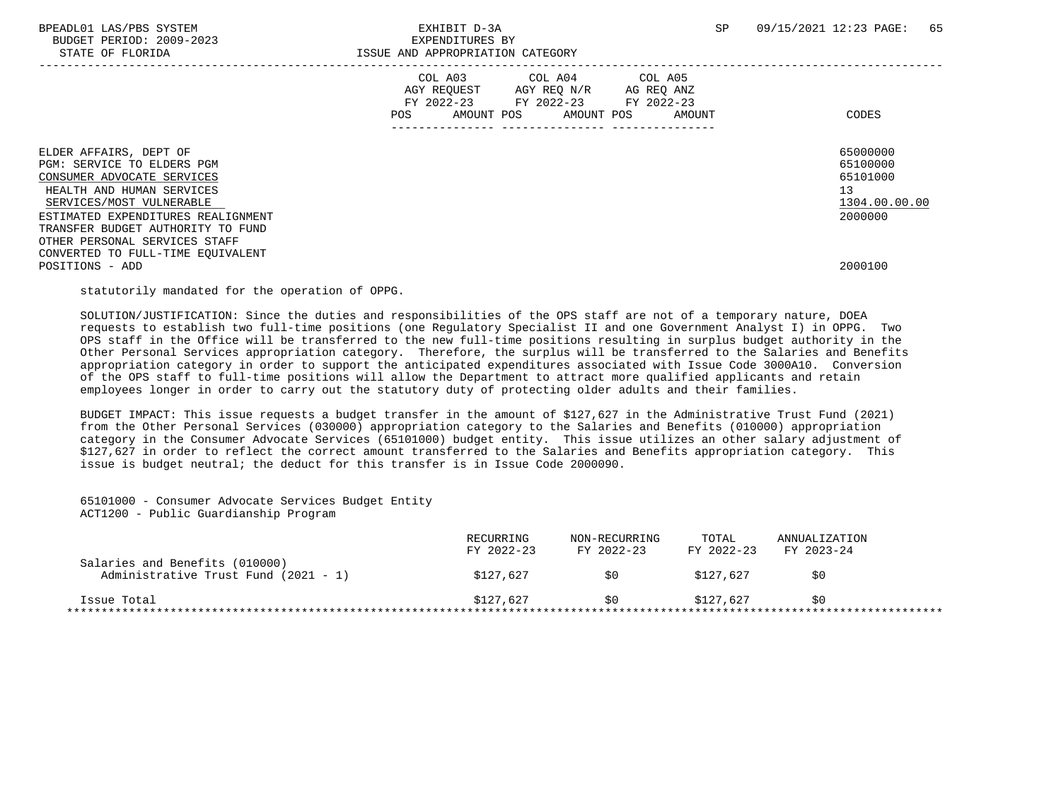BUDGET PERIOD: 2009-2023 EXPENDITURES BY

|                                                                                                                                                                                                                                                                                                                 | AGY REQUEST AGY REQ N/R | COL A03 COL A04 COL A05                                   |                      |                                                                               |
|-----------------------------------------------------------------------------------------------------------------------------------------------------------------------------------------------------------------------------------------------------------------------------------------------------------------|-------------------------|-----------------------------------------------------------|----------------------|-------------------------------------------------------------------------------|
|                                                                                                                                                                                                                                                                                                                 | POS                     | FY 2022-23 FY 2022-23 FY 2022-23<br>AMOUNT POS AMOUNT POS | AG REQ ANZ<br>AMOUNT | CODES                                                                         |
| ELDER AFFAIRS, DEPT OF<br>PGM: SERVICE TO ELDERS PGM<br>CONSUMER ADVOCATE SERVICES<br>HEALTH AND HUMAN SERVICES<br>SERVICES/MOST VULNERABLE<br>ESTIMATED EXPENDITURES REALIGNMENT<br>TRANSFER BUDGET AUTHORITY TO FUND<br>OTHER PERSONAL SERVICES STAFF<br>CONVERTED TO FULL-TIME EQUIVALENT<br>POSITIONS - ADD |                         |                                                           |                      | 65000000<br>65100000<br>65101000<br>13<br>1304.00.00.00<br>2000000<br>2000100 |

statutorily mandated for the operation of OPPG.

 SOLUTION/JUSTIFICATION: Since the duties and responsibilities of the OPS staff are not of a temporary nature, DOEA requests to establish two full-time positions (one Regulatory Specialist II and one Government Analyst I) in OPPG. Two OPS staff in the Office will be transferred to the new full-time positions resulting in surplus budget authority in the Other Personal Services appropriation category. Therefore, the surplus will be transferred to the Salaries and Benefits appropriation category in order to support the anticipated expenditures associated with Issue Code 3000A10. Conversion of the OPS staff to full-time positions will allow the Department to attract more qualified applicants and retain employees longer in order to carry out the statutory duty of protecting older adults and their families.

 BUDGET IMPACT: This issue requests a budget transfer in the amount of \$127,627 in the Administrative Trust Fund (2021) from the Other Personal Services (030000) appropriation category to the Salaries and Benefits (010000) appropriation category in the Consumer Advocate Services (65101000) budget entity. This issue utilizes an other salary adjustment of \$127,627 in order to reflect the correct amount transferred to the Salaries and Benefits appropriation category. This issue is budget neutral; the deduct for this transfer is in Issue Code 2000090.

 65101000 - Consumer Advocate Services Budget Entity ACT1200 - Public Guardianship Program

|                                                                        | RECURRING<br>FY 2022-23 | NON-RECURRING<br>FY 2022-23 | TOTAL<br>FY 2022-23 | ANNUALIZATION<br>FY 2023-24 |  |
|------------------------------------------------------------------------|-------------------------|-----------------------------|---------------------|-----------------------------|--|
| Salaries and Benefits (010000)<br>Administrative Trust Fund (2021 - 1) | \$127,627               | SO.                         | \$127.627           | S0                          |  |
| Issue Total                                                            | \$127,627               | S O                         | \$127.627           | 50                          |  |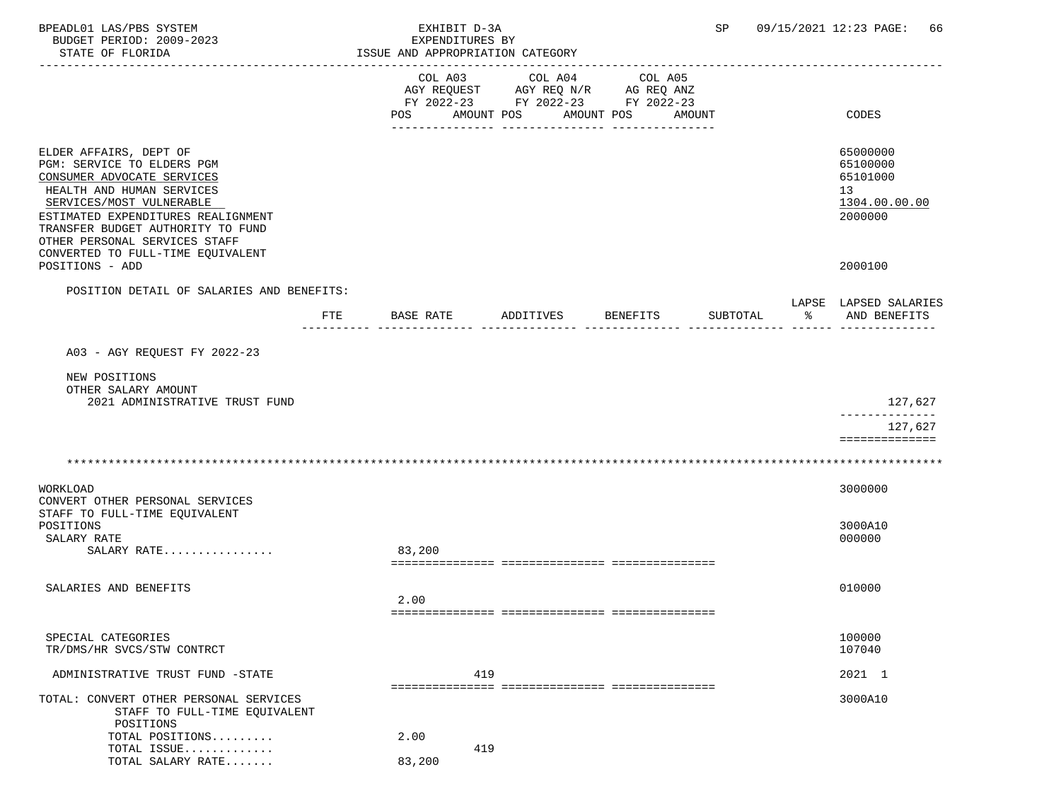| BPEADL01 LAS/PBS SYSTEM<br>BUDGET PERIOD: 2009-2023<br>STATE OF FLORIDA                                                                                                                                                                                                                      |           | EXHIBIT D-3A<br>EXPENDITURES BY<br>ISSUE AND APPROPRIATION CATEGORY               |            |                               |        | SP       |                         | 09/15/2021 12:23 PAGE:<br>66                                       |
|----------------------------------------------------------------------------------------------------------------------------------------------------------------------------------------------------------------------------------------------------------------------------------------------|-----------|-----------------------------------------------------------------------------------|------------|-------------------------------|--------|----------|-------------------------|--------------------------------------------------------------------|
|                                                                                                                                                                                                                                                                                              | POS       | COL A03<br>AGY REQUEST AGY REQ N/R AG REQ ANZ<br>FY 2022-23 FY 2022-23 FY 2022-23 | AMOUNT POS | COL A04 COL A05<br>AMOUNT POS | AMOUNT |          |                         | CODES                                                              |
| ELDER AFFAIRS, DEPT OF<br>PGM: SERVICE TO ELDERS PGM<br>CONSUMER ADVOCATE SERVICES<br>HEALTH AND HUMAN SERVICES<br>SERVICES/MOST VULNERABLE<br>ESTIMATED EXPENDITURES REALIGNMENT<br>TRANSFER BUDGET AUTHORITY TO FUND<br>OTHER PERSONAL SERVICES STAFF<br>CONVERTED TO FULL-TIME EQUIVALENT |           |                                                                                   |            |                               |        |          |                         | 65000000<br>65100000<br>65101000<br>13<br>1304.00.00.00<br>2000000 |
| POSITIONS - ADD                                                                                                                                                                                                                                                                              |           |                                                                                   |            |                               |        |          |                         | 2000100                                                            |
| POSITION DETAIL OF SALARIES AND BENEFITS:<br>FTE                                                                                                                                                                                                                                             | BASE RATE |                                                                                   | ADDITIVES  | BENEFITS                      |        | SUBTOTAL | <b>이 아이 어린 아이 어린 어린</b> | LAPSE LAPSED SALARIES<br>AND BENEFITS                              |
| A03 - AGY REOUEST FY 2022-23                                                                                                                                                                                                                                                                 |           |                                                                                   |            |                               |        |          |                         |                                                                    |
| NEW POSITIONS                                                                                                                                                                                                                                                                                |           |                                                                                   |            |                               |        |          |                         |                                                                    |
| OTHER SALARY AMOUNT<br>2021 ADMINISTRATIVE TRUST FUND                                                                                                                                                                                                                                        |           |                                                                                   |            |                               |        |          |                         | 127,627                                                            |
|                                                                                                                                                                                                                                                                                              |           |                                                                                   |            |                               |        |          |                         | --------<br>127,627<br>==============                              |
|                                                                                                                                                                                                                                                                                              |           |                                                                                   |            |                               |        |          |                         |                                                                    |
| WORKLOAD<br>CONVERT OTHER PERSONAL SERVICES                                                                                                                                                                                                                                                  |           |                                                                                   |            |                               |        |          |                         | 3000000                                                            |
| STAFF TO FULL-TIME EQUIVALENT<br>POSITIONS<br>SALARY RATE                                                                                                                                                                                                                                    |           |                                                                                   |            |                               |        |          |                         | 3000A10<br>000000                                                  |
| SALARY RATE                                                                                                                                                                                                                                                                                  | 83,200    |                                                                                   |            |                               |        |          |                         |                                                                    |
| SALARIES AND BENEFITS                                                                                                                                                                                                                                                                        | 2.00      |                                                                                   |            |                               |        |          |                         | 010000                                                             |
| SPECIAL CATEGORIES<br>TR/DMS/HR SVCS/STW CONTRCT                                                                                                                                                                                                                                             |           |                                                                                   |            |                               |        |          |                         | 100000<br>107040                                                   |
| ADMINISTRATIVE TRUST FUND -STATE                                                                                                                                                                                                                                                             |           | 419                                                                               |            |                               |        |          |                         | 2021 1                                                             |
| TOTAL: CONVERT OTHER PERSONAL SERVICES<br>STAFF TO FULL-TIME EQUIVALENT<br>POSITIONS                                                                                                                                                                                                         |           |                                                                                   |            |                               |        |          |                         | 3000A10                                                            |
| TOTAL POSITIONS                                                                                                                                                                                                                                                                              | 2.00      |                                                                                   |            |                               |        |          |                         |                                                                    |
| TOTAL ISSUE<br>TOTAL SALARY RATE                                                                                                                                                                                                                                                             | 83,200    | 419                                                                               |            |                               |        |          |                         |                                                                    |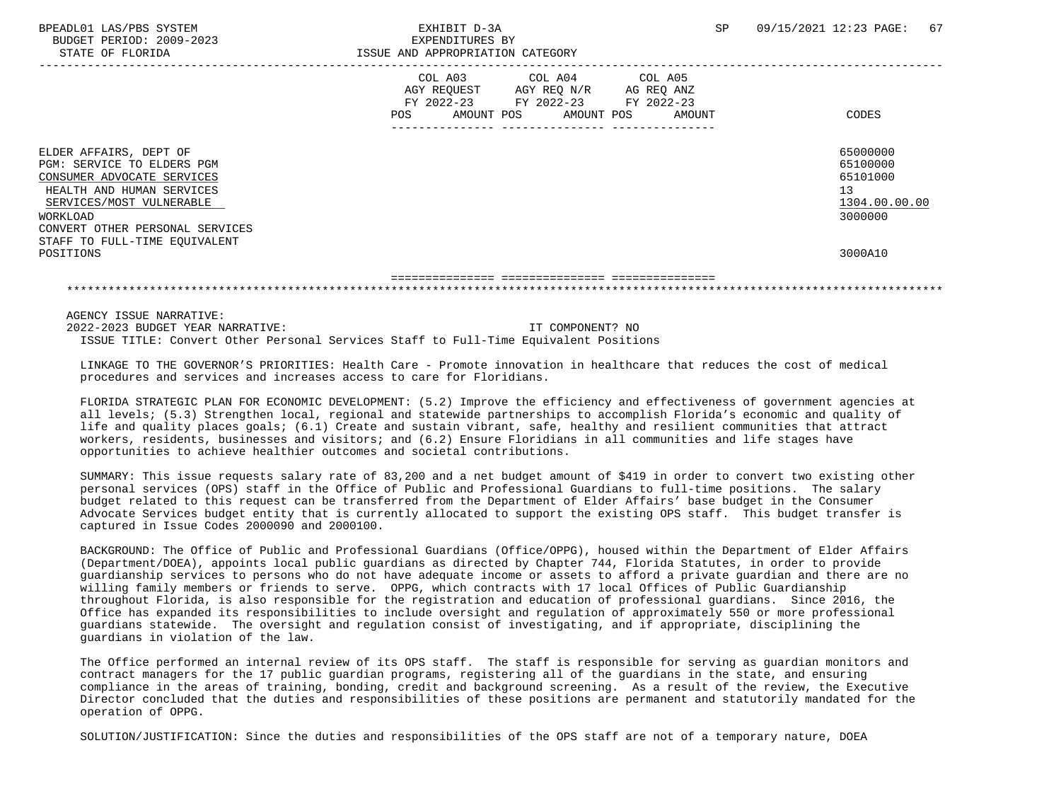|                                                                                                                                                                                            | COL A03 COL A04<br>COL A05<br>AGY REQ N/R<br>AGY REQUEST<br>AG REQ ANZ<br>FY 2022-23<br>FY 2022-23 FY 2022-23<br>AMOUNT POS<br>AMOUNT<br><b>POS</b><br>AMOUNT POS | CODES                                                              |
|--------------------------------------------------------------------------------------------------------------------------------------------------------------------------------------------|-------------------------------------------------------------------------------------------------------------------------------------------------------------------|--------------------------------------------------------------------|
| ELDER AFFAIRS, DEPT OF<br>PGM: SERVICE TO ELDERS PGM<br>CONSUMER ADVOCATE SERVICES<br>HEALTH AND HUMAN SERVICES<br>SERVICES/MOST VULNERABLE<br>WORKLOAD<br>CONVERT OTHER PERSONAL SERVICES |                                                                                                                                                                   | 65000000<br>65100000<br>65101000<br>13<br>1304.00.00.00<br>3000000 |
| STAFF TO FULL-TIME EQUIVALENT<br>POSITIONS                                                                                                                                                 |                                                                                                                                                                   | 3000A10                                                            |
|                                                                                                                                                                                            |                                                                                                                                                                   |                                                                    |

AGENCY ISSUE NARRATIVE:

 2022-2023 BUDGET YEAR NARRATIVE: IT COMPONENT? NO ISSUE TITLE: Convert Other Personal Services Staff to Full-Time Equivalent Positions

 LINKAGE TO THE GOVERNOR'S PRIORITIES: Health Care - Promote innovation in healthcare that reduces the cost of medical procedures and services and increases access to care for Floridians.

 FLORIDA STRATEGIC PLAN FOR ECONOMIC DEVELOPMENT: (5.2) Improve the efficiency and effectiveness of government agencies at all levels; (5.3) Strengthen local, regional and statewide partnerships to accomplish Florida's economic and quality of life and quality places goals; (6.1) Create and sustain vibrant, safe, healthy and resilient communities that attract workers, residents, businesses and visitors; and (6.2) Ensure Floridians in all communities and life stages have opportunities to achieve healthier outcomes and societal contributions.

 SUMMARY: This issue requests salary rate of 83,200 and a net budget amount of \$419 in order to convert two existing other personal services (OPS) staff in the Office of Public and Professional Guardians to full-time positions. The salary budget related to this request can be transferred from the Department of Elder Affairs' base budget in the Consumer Advocate Services budget entity that is currently allocated to support the existing OPS staff. This budget transfer is captured in Issue Codes 2000090 and 2000100.

 BACKGROUND: The Office of Public and Professional Guardians (Office/OPPG), housed within the Department of Elder Affairs (Department/DOEA), appoints local public guardians as directed by Chapter 744, Florida Statutes, in order to provide guardianship services to persons who do not have adequate income or assets to afford a private guardian and there are no willing family members or friends to serve. OPPG, which contracts with 17 local Offices of Public Guardianship throughout Florida, is also responsible for the registration and education of professional guardians. Since 2016, the Office has expanded its responsibilities to include oversight and regulation of approximately 550 or more professional guardians statewide. The oversight and regulation consist of investigating, and if appropriate, disciplining the guardians in violation of the law.

 The Office performed an internal review of its OPS staff. The staff is responsible for serving as guardian monitors and contract managers for the 17 public guardian programs, registering all of the guardians in the state, and ensuring compliance in the areas of training, bonding, credit and background screening. As a result of the review, the Executive Director concluded that the duties and responsibilities of these positions are permanent and statutorily mandated for the operation of OPPG.

SOLUTION/JUSTIFICATION: Since the duties and responsibilities of the OPS staff are not of a temporary nature, DOEA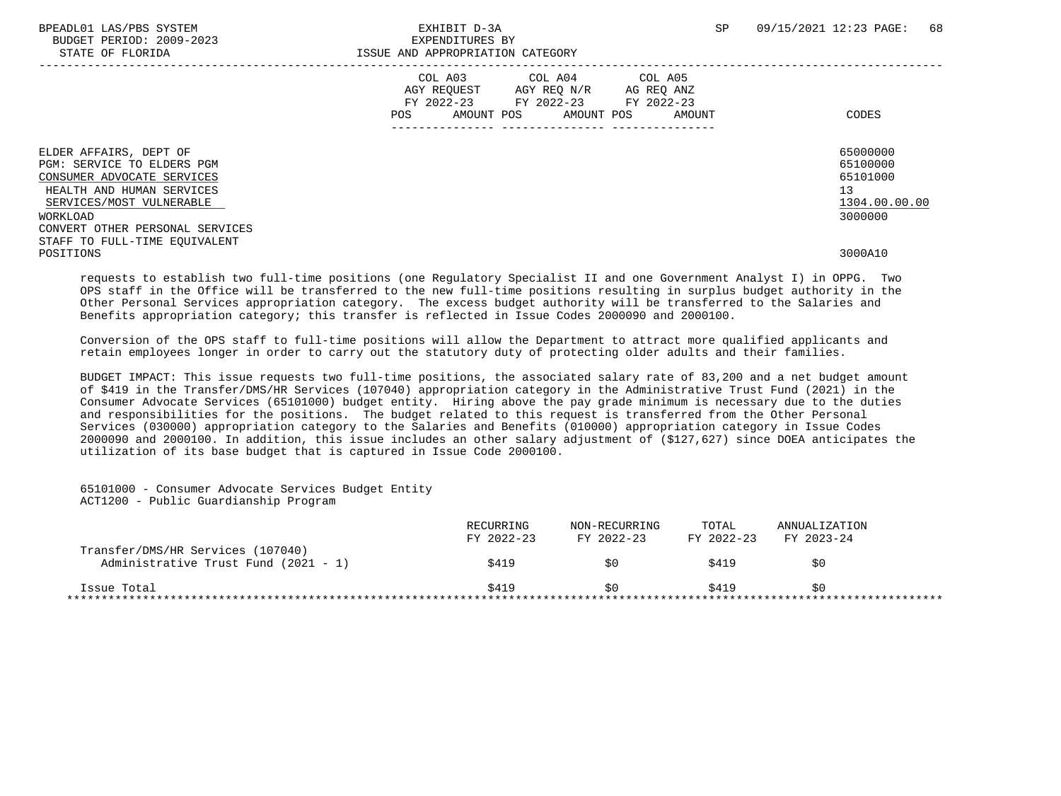| BPEADL01 LAS/PBS SYSTEM<br>BUDGET PERIOD: 2009-2023<br>STATE OF FLORIDA                                                                                                                    | EXHIBIT D-3A<br>EXPENDITURES BY<br>ISSUE AND APPROPRIATION CATEGORY                                                    | <b>SP</b>            | 09/15/2021 12:23 PAGE:<br>68                                       |
|--------------------------------------------------------------------------------------------------------------------------------------------------------------------------------------------|------------------------------------------------------------------------------------------------------------------------|----------------------|--------------------------------------------------------------------|
|                                                                                                                                                                                            | COL A03 COL A04 COL A05<br>AGY REOUEST AGY REO N/R<br>FY 2022-23 FY 2022-23 FY 2022-23<br>POS<br>AMOUNT POS AMOUNT POS | AG REO ANZ<br>AMOUNT | CODES                                                              |
| ELDER AFFAIRS, DEPT OF<br>PGM: SERVICE TO ELDERS PGM<br>CONSUMER ADVOCATE SERVICES<br>HEALTH AND HUMAN SERVICES<br>SERVICES/MOST VULNERABLE<br>WORKLOAD<br>CONVERT OTHER PERSONAL SERVICES |                                                                                                                        |                      | 65000000<br>65100000<br>65101000<br>13<br>1304.00.00.00<br>3000000 |
| STAFF TO FULL-TIME EOUIVALENT<br>POSITIONS                                                                                                                                                 |                                                                                                                        |                      | 3000A10                                                            |

 requests to establish two full-time positions (one Regulatory Specialist II and one Government Analyst I) in OPPG. Two OPS staff in the Office will be transferred to the new full-time positions resulting in surplus budget authority in the Other Personal Services appropriation category. The excess budget authority will be transferred to the Salaries and Benefits appropriation category; this transfer is reflected in Issue Codes 2000090 and 2000100.

 Conversion of the OPS staff to full-time positions will allow the Department to attract more qualified applicants and retain employees longer in order to carry out the statutory duty of protecting older adults and their families.

 BUDGET IMPACT: This issue requests two full-time positions, the associated salary rate of 83,200 and a net budget amount of \$419 in the Transfer/DMS/HR Services (107040) appropriation category in the Administrative Trust Fund (2021) in the Consumer Advocate Services (65101000) budget entity. Hiring above the pay grade minimum is necessary due to the duties and responsibilities for the positions. The budget related to this request is transferred from the Other Personal Services (030000) appropriation category to the Salaries and Benefits (010000) appropriation category in Issue Codes 2000090 and 2000100. In addition, this issue includes an other salary adjustment of (\$127,627) since DOEA anticipates the utilization of its base budget that is captured in Issue Code 2000100.

 65101000 - Consumer Advocate Services Budget Entity ACT1200 - Public Guardianship Program

|                                                                           | RECURRING<br>FY 2022-23 | NON-RECURRING<br>FY 2022-23 | TOTAL<br>FY 2022-23 | ANNUALIZATION<br>FY 2023-24 |  |
|---------------------------------------------------------------------------|-------------------------|-----------------------------|---------------------|-----------------------------|--|
| Transfer/DMS/HR Services (107040)<br>Administrative Trust Fund (2021 - 1) | \$419                   | \$0                         | \$419               | SO                          |  |
| Issue Total                                                               | \$419                   | S O                         | \$419               | SO                          |  |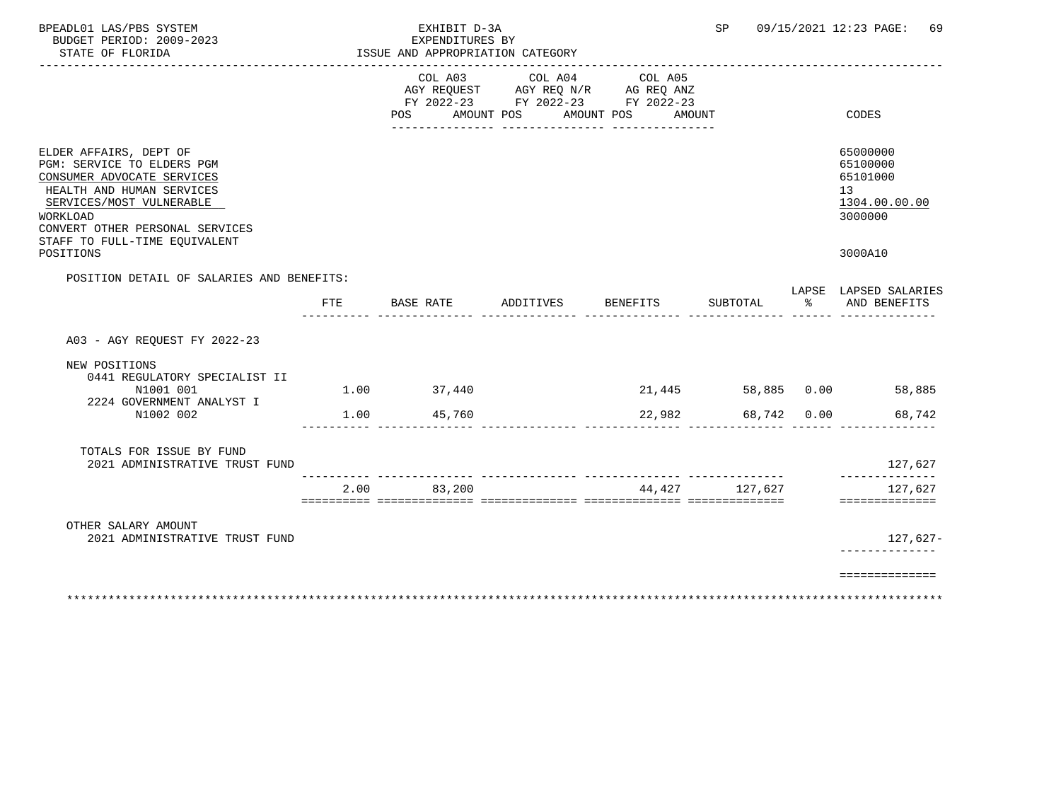| BPEADL01 LAS/PBS SYSTEM<br>BUDGET PERIOD: 2009-2023<br>STATE OF FLORIDA                                                                                                                                                                  |      | EXHIBIT D-3A<br>EXPENDITURES BY | ISSUE AND APPROPRIATION CATEGORY                                                                                           | ________________ | SP             | 09/15/2021 12:23 PAGE:<br>-69                                                 |
|------------------------------------------------------------------------------------------------------------------------------------------------------------------------------------------------------------------------------------------|------|---------------------------------|----------------------------------------------------------------------------------------------------------------------------|------------------|----------------|-------------------------------------------------------------------------------|
|                                                                                                                                                                                                                                          |      | POS                             | COL A03 COL A04 COL A05<br>AGY REQUEST AGY REQ N/R AG REQ ANZ<br>FY 2022-23 FY 2022-23 FY 2022-23<br>AMOUNT POS AMOUNT POS | AMOUNT           |                | CODES                                                                         |
| ELDER AFFAIRS, DEPT OF<br>PGM: SERVICE TO ELDERS PGM<br>CONSUMER ADVOCATE SERVICES<br>HEALTH AND HUMAN SERVICES<br>SERVICES/MOST VULNERABLE<br>WORKLOAD<br>CONVERT OTHER PERSONAL SERVICES<br>STAFF TO FULL-TIME EOUIVALENT<br>POSITIONS |      |                                 |                                                                                                                            |                  |                | 65000000<br>65100000<br>65101000<br>13<br>1304.00.00.00<br>3000000<br>3000A10 |
| POSITION DETAIL OF SALARIES AND BENEFITS:                                                                                                                                                                                                |      |                                 |                                                                                                                            |                  |                | LAPSE LAPSED SALARIES                                                         |
| FTE                                                                                                                                                                                                                                      |      |                                 | BASE RATE ADDITIVES BENEFITS                                                                                               |                  | SUBTOTAL       | % AND BENEFITS                                                                |
| A03 - AGY REQUEST FY 2022-23                                                                                                                                                                                                             |      |                                 |                                                                                                                            |                  |                |                                                                               |
| NEW POSITIONS<br>0441 REGULATORY SPECIALIST II<br>N1001 001                                                                                                                                                                              |      | 1.00 37,440                     |                                                                                                                            |                  |                | 21,445 58,885 0.00 58,885                                                     |
| 2224 GOVERNMENT ANALYST I<br>N1002 002                                                                                                                                                                                                   |      | 1.00 45,760                     |                                                                                                                            | 22,982           |                | 68,742 0.00<br>68,742                                                         |
| TOTALS FOR ISSUE BY FUND<br>2021 ADMINISTRATIVE TRUST FUND                                                                                                                                                                               |      |                                 |                                                                                                                            |                  |                | 127,627                                                                       |
|                                                                                                                                                                                                                                          | 2.00 | 83,200                          |                                                                                                                            |                  | 44,427 127,627 | ______________<br>127,627<br>==============                                   |
| OTHER SALARY AMOUNT<br>2021 ADMINISTRATIVE TRUST FUND                                                                                                                                                                                    |      |                                 |                                                                                                                            |                  |                | 127,627-                                                                      |
|                                                                                                                                                                                                                                          |      |                                 |                                                                                                                            |                  |                | =============                                                                 |

\*\*\*\*\*\*\*\*\*\*\*\*\*\*\*\*\*\*\*\*\*\*\*\*\*\*\*\*\*\*\*\*\*\*\*\*\*\*\*\*\*\*\*\*\*\*\*\*\*\*\*\*\*\*\*\*\*\*\*\*\*\*\*\*\*\*\*\*\*\*\*\*\*\*\*\*\*\*\*\*\*\*\*\*\*\*\*\*\*\*\*\*\*\*\*\*\*\*\*\*\*\*\*\*\*\*\*\*\*\*\*\*\*\*\*\*\*\*\*\*\*\*\*\*\*\*\*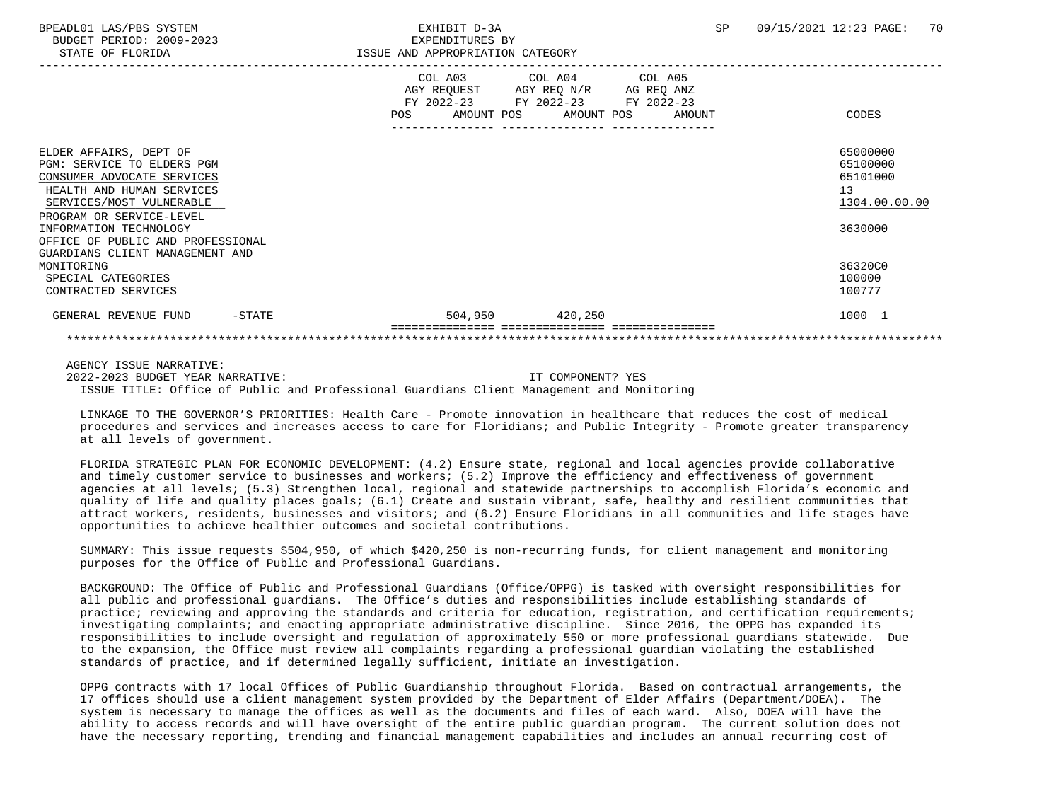|                                   |  | COL A03 COL A04 COL A05<br>AGY REQUEST AGY REQ N/R AG REQ ANZ<br>FY 2022-23 FY 2022-23 FY 2022-23<br>POS AMOUNT POS AMOUNT POS AMOUNT | CODES         |  |
|-----------------------------------|--|---------------------------------------------------------------------------------------------------------------------------------------|---------------|--|
|                                   |  |                                                                                                                                       |               |  |
|                                   |  |                                                                                                                                       |               |  |
| ELDER AFFAIRS, DEPT OF            |  |                                                                                                                                       | 65000000      |  |
| PGM: SERVICE TO ELDERS PGM        |  |                                                                                                                                       | 65100000      |  |
| CONSUMER ADVOCATE SERVICES        |  |                                                                                                                                       | 65101000      |  |
| HEALTH AND HUMAN SERVICES         |  |                                                                                                                                       | 13            |  |
| SERVICES/MOST VULNERABLE          |  |                                                                                                                                       | 1304.00.00.00 |  |
| PROGRAM OR SERVICE-LEVEL          |  |                                                                                                                                       |               |  |
| INFORMATION TECHNOLOGY            |  |                                                                                                                                       | 3630000       |  |
| OFFICE OF PUBLIC AND PROFESSIONAL |  |                                                                                                                                       |               |  |
| GUARDIANS CLIENT MANAGEMENT AND   |  |                                                                                                                                       |               |  |
| MONITORING                        |  |                                                                                                                                       | 36320C0       |  |
| SPECIAL CATEGORIES                |  |                                                                                                                                       | 100000        |  |
| CONTRACTED SERVICES               |  |                                                                                                                                       | 100777        |  |
|                                   |  |                                                                                                                                       |               |  |
| GENERAL REVENUE FUND<br>$-$ STATE |  | 504,950 420,250                                                                                                                       | 1000 1        |  |
|                                   |  |                                                                                                                                       |               |  |
|                                   |  |                                                                                                                                       |               |  |

AGENCY ISSUE NARRATIVE:

 2022-2023 BUDGET YEAR NARRATIVE: IT COMPONENT? YES ISSUE TITLE: Office of Public and Professional Guardians Client Management and Monitoring

 LINKAGE TO THE GOVERNOR'S PRIORITIES: Health Care - Promote innovation in healthcare that reduces the cost of medical procedures and services and increases access to care for Floridians; and Public Integrity - Promote greater transparency at all levels of government.

 FLORIDA STRATEGIC PLAN FOR ECONOMIC DEVELOPMENT: (4.2) Ensure state, regional and local agencies provide collaborative and timely customer service to businesses and workers; (5.2) Improve the efficiency and effectiveness of government agencies at all levels; (5.3) Strengthen local, regional and statewide partnerships to accomplish Florida's economic and quality of life and quality places goals; (6.1) Create and sustain vibrant, safe, healthy and resilient communities that attract workers, residents, businesses and visitors; and (6.2) Ensure Floridians in all communities and life stages have opportunities to achieve healthier outcomes and societal contributions.

 SUMMARY: This issue requests \$504,950, of which \$420,250 is non-recurring funds, for client management and monitoring purposes for the Office of Public and Professional Guardians.

 BACKGROUND: The Office of Public and Professional Guardians (Office/OPPG) is tasked with oversight responsibilities for all public and professional guardians. The Office's duties and responsibilities include establishing standards of practice; reviewing and approving the standards and criteria for education, registration, and certification requirements; investigating complaints; and enacting appropriate administrative discipline. Since 2016, the OPPG has expanded its responsibilities to include oversight and regulation of approximately 550 or more professional guardians statewide. Due to the expansion, the Office must review all complaints regarding a professional guardian violating the established standards of practice, and if determined legally sufficient, initiate an investigation.

 OPPG contracts with 17 local Offices of Public Guardianship throughout Florida. Based on contractual arrangements, the 17 offices should use a client management system provided by the Department of Elder Affairs (Department/DOEA). The system is necessary to manage the offices as well as the documents and files of each ward. Also, DOEA will have the ability to access records and will have oversight of the entire public guardian program. The current solution does not have the necessary reporting, trending and financial management capabilities and includes an annual recurring cost of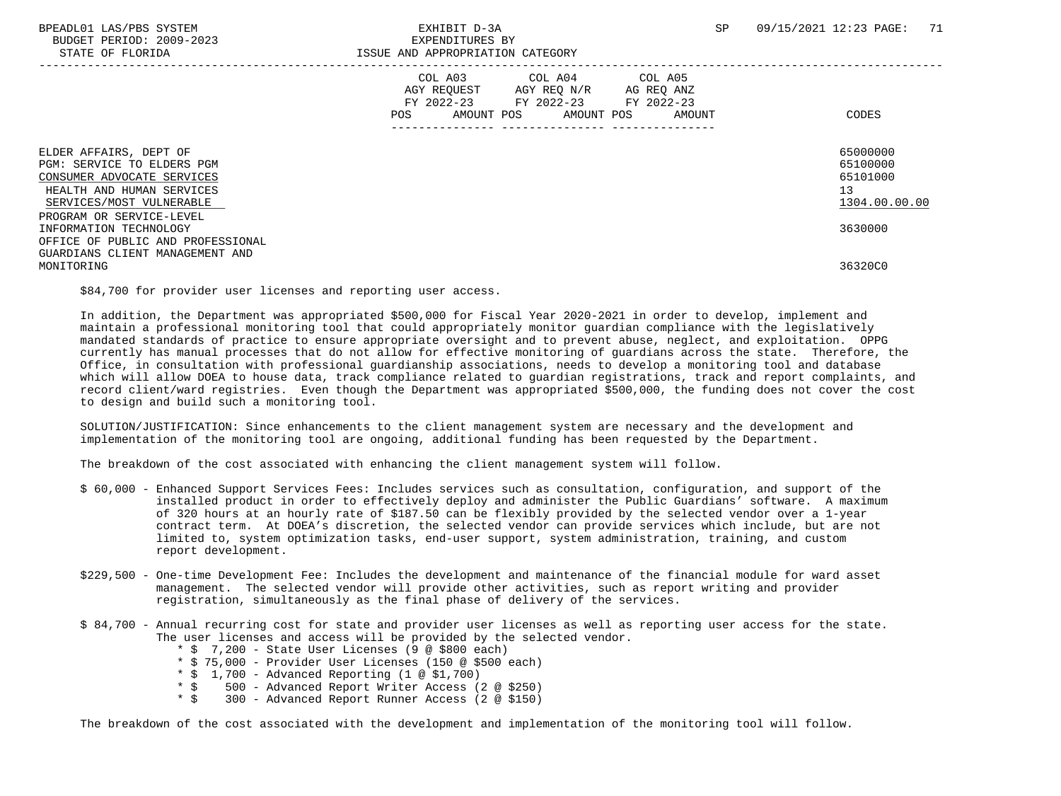|                                                                                                                                             | COL A03<br>FY 2022-23<br>POS | COL A04<br>AGY REQUEST AGY REQ N/R<br>AMOUNT POS<br>AMOUNT POS | COL A05<br>AG REQ ANZ<br>FY 2022-23 FY 2022-23<br>AMOUNT | CODES                                                   |
|---------------------------------------------------------------------------------------------------------------------------------------------|------------------------------|----------------------------------------------------------------|----------------------------------------------------------|---------------------------------------------------------|
| ELDER AFFAIRS, DEPT OF<br>PGM: SERVICE TO ELDERS PGM<br>CONSUMER ADVOCATE SERVICES<br>HEALTH AND HUMAN SERVICES<br>SERVICES/MOST VULNERABLE |                              |                                                                |                                                          | 65000000<br>65100000<br>65101000<br>13<br>1304.00.00.00 |
| PROGRAM OR SERVICE-LEVEL<br>INFORMATION TECHNOLOGY<br>OFFICE OF PUBLIC AND PROFESSIONAL                                                     |                              |                                                                |                                                          | 3630000                                                 |
| GUARDIANS CLIENT MANAGEMENT AND<br>MONITORING                                                                                               |                              |                                                                |                                                          | 36320C0                                                 |

\$84,700 for provider user licenses and reporting user access.

 In addition, the Department was appropriated \$500,000 for Fiscal Year 2020-2021 in order to develop, implement and maintain a professional monitoring tool that could appropriately monitor guardian compliance with the legislatively mandated standards of practice to ensure appropriate oversight and to prevent abuse, neglect, and exploitation. OPPG currently has manual processes that do not allow for effective monitoring of guardians across the state. Therefore, the Office, in consultation with professional guardianship associations, needs to develop a monitoring tool and database which will allow DOEA to house data, track compliance related to guardian registrations, track and report complaints, and record client/ward registries. Even though the Department was appropriated \$500,000, the funding does not cover the cost to design and build such a monitoring tool.

 SOLUTION/JUSTIFICATION: Since enhancements to the client management system are necessary and the development and implementation of the monitoring tool are ongoing, additional funding has been requested by the Department.

The breakdown of the cost associated with enhancing the client management system will follow.

- \$ 60,000 Enhanced Support Services Fees: Includes services such as consultation, configuration, and support of the installed product in order to effectively deploy and administer the Public Guardians' software. A maximum of 320 hours at an hourly rate of \$187.50 can be flexibly provided by the selected vendor over a 1-year contract term. At DOEA's discretion, the selected vendor can provide services which include, but are not limited to, system optimization tasks, end-user support, system administration, training, and custom report development.
- \$229,500 One-time Development Fee: Includes the development and maintenance of the financial module for ward asset management. The selected vendor will provide other activities, such as report writing and provider registration, simultaneously as the final phase of delivery of the services.
- \$ 84,700 Annual recurring cost for state and provider user licenses as well as reporting user access for the state. The user licenses and access will be provided by the selected vendor.
	- \* \$ 7,200 State User Licenses (9 @ \$800 each)
	- \* \$ 75,000 Provider User Licenses (150 @ \$500 each)
	- \* \$ 1,700 Advanced Reporting (1 @ \$1,700)
	- \* \$ 500 Advanced Report Writer Access (2 @ \$250)
	- 300 Advanced Report Runner Access (2 @ \$150)

The breakdown of the cost associated with the development and implementation of the monitoring tool will follow.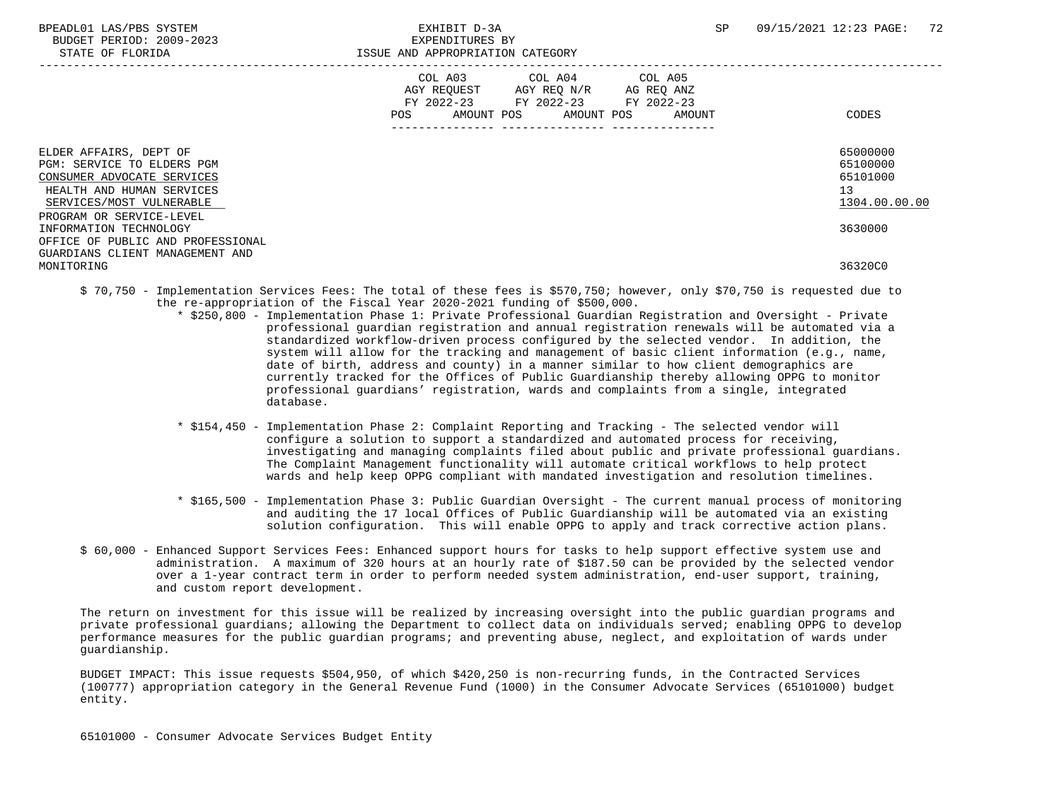|                                                                                                                                                                         | COL A03 COL A04 COL A05<br>AGY REQUEST AGY REQ N/R<br>AG REQ ANZ<br>FY 2022-23 FY 2022-23 FY 2022-23<br>POS<br>AMOUNT POS AMOUNT POS<br>AMOUNT | CODES                                                   |
|-------------------------------------------------------------------------------------------------------------------------------------------------------------------------|------------------------------------------------------------------------------------------------------------------------------------------------|---------------------------------------------------------|
| ELDER AFFAIRS, DEPT OF<br>PGM: SERVICE TO ELDERS PGM<br>CONSUMER ADVOCATE SERVICES<br>HEALTH AND HUMAN SERVICES<br>SERVICES/MOST VULNERABLE<br>PROGRAM OR SERVICE-LEVEL |                                                                                                                                                | 65000000<br>65100000<br>65101000<br>13<br>1304.00.00.00 |
| INFORMATION TECHNOLOGY<br>OFFICE OF PUBLIC AND PROFESSIONAL<br>GUARDIANS CLIENT MANAGEMENT AND<br>MONITORING                                                            |                                                                                                                                                | 3630000<br>36320C0                                      |

- \$ 70,750 Implementation Services Fees: The total of these fees is \$570,750; however, only \$70,750 is requested due to the re-appropriation of the Fiscal Year 2020-2021 funding of \$500,000.
	- \* \$250,800 Implementation Phase 1: Private Professional Guardian Registration and Oversight Private professional guardian registration and annual registration renewals will be automated via a standardized workflow-driven process configured by the selected vendor. In addition, the system will allow for the tracking and management of basic client information (e.g., name, date of birth, address and county) in a manner similar to how client demographics are currently tracked for the Offices of Public Guardianship thereby allowing OPPG to monitor professional guardians' registration, wards and complaints from a single, integrated database.
		- \* \$154,450 Implementation Phase 2: Complaint Reporting and Tracking The selected vendor will configure a solution to support a standardized and automated process for receiving, investigating and managing complaints filed about public and private professional guardians. The Complaint Management functionality will automate critical workflows to help protect wards and help keep OPPG compliant with mandated investigation and resolution timelines.
		- \* \$165,500 Implementation Phase 3: Public Guardian Oversight The current manual process of monitoring and auditing the 17 local Offices of Public Guardianship will be automated via an existing solution configuration. This will enable OPPG to apply and track corrective action plans.
- \$ 60,000 Enhanced Support Services Fees: Enhanced support hours for tasks to help support effective system use and administration. A maximum of 320 hours at an hourly rate of \$187.50 can be provided by the selected vendor over a 1-year contract term in order to perform needed system administration, end-user support, training, and custom report development.

 The return on investment for this issue will be realized by increasing oversight into the public guardian programs and private professional guardians; allowing the Department to collect data on individuals served; enabling OPPG to develop performance measures for the public guardian programs; and preventing abuse, neglect, and exploitation of wards under guardianship.

 BUDGET IMPACT: This issue requests \$504,950, of which \$420,250 is non-recurring funds, in the Contracted Services (100777) appropriation category in the General Revenue Fund (1000) in the Consumer Advocate Services (65101000) budget entity.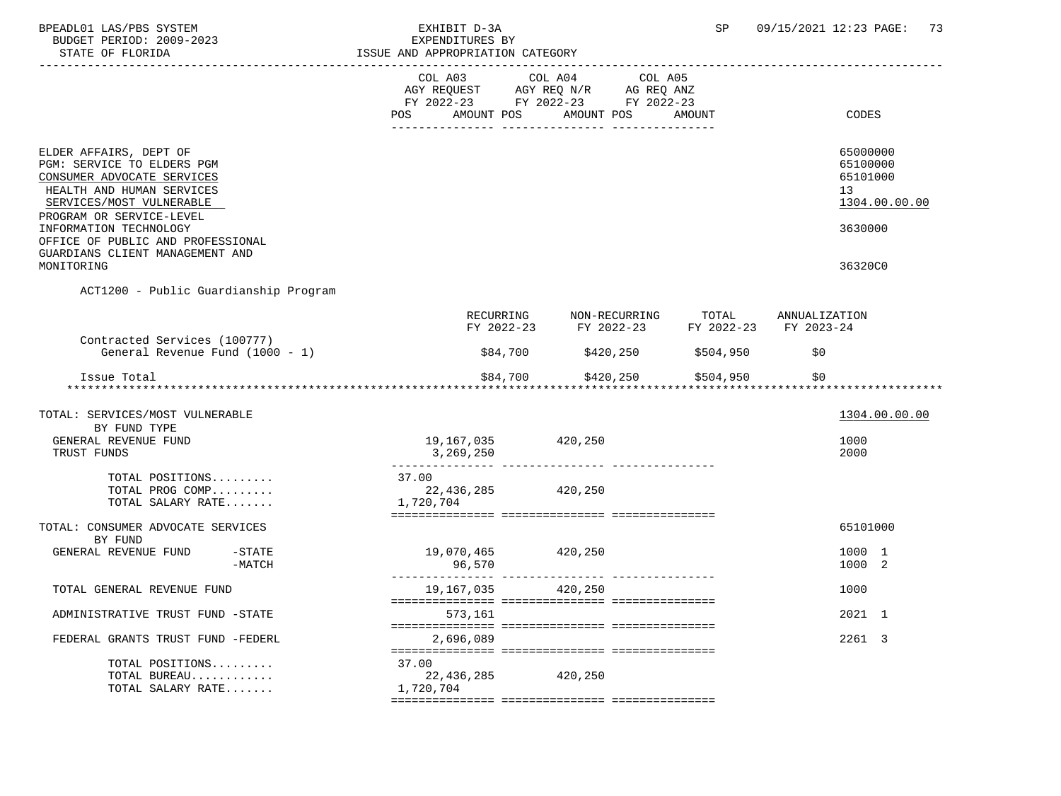| BPEADL01 LAS/PBS SYSTEM<br>BUDGET PERIOD: 2009-2023<br>STATE OF FLORIDA                                                                                                 | EXHIBIT D-3A<br>EXPENDITURES BY<br>ISSUE AND APPROPRIATION CATEGORY |                                                                                                                                                     | SP     | 09/15/2021 12:23 PAGE:<br>73                            |
|-------------------------------------------------------------------------------------------------------------------------------------------------------------------------|---------------------------------------------------------------------|-----------------------------------------------------------------------------------------------------------------------------------------------------|--------|---------------------------------------------------------|
|                                                                                                                                                                         | POS                                                                 | COL A03 COL A04 COL A05<br>AGY REQUEST       AGY REQ N/R       AG REQ ANZ<br>FY 2022-23        FY 2022-23       FY 2022-23<br>AMOUNT POS AMOUNT POS | AMOUNT | CODES                                                   |
|                                                                                                                                                                         |                                                                     |                                                                                                                                                     |        |                                                         |
| ELDER AFFAIRS, DEPT OF<br>PGM: SERVICE TO ELDERS PGM<br>CONSUMER ADVOCATE SERVICES<br>HEALTH AND HUMAN SERVICES<br>SERVICES/MOST VULNERABLE<br>PROGRAM OR SERVICE-LEVEL |                                                                     |                                                                                                                                                     |        | 65000000<br>65100000<br>65101000<br>13<br>1304.00.00.00 |
| INFORMATION TECHNOLOGY<br>OFFICE OF PUBLIC AND PROFESSIONAL<br>GUARDIANS CLIENT MANAGEMENT AND                                                                          |                                                                     |                                                                                                                                                     |        | 3630000                                                 |
| MONITORING                                                                                                                                                              |                                                                     |                                                                                                                                                     |        | 36320C0                                                 |
| ACT1200 - Public Guardianship Program                                                                                                                                   |                                                                     |                                                                                                                                                     |        |                                                         |
|                                                                                                                                                                         |                                                                     | RECURRING NON-RECURRING TOTAL ANNUALIZATION<br>FY 2022-23 FY 2022-23 FY 2022-23 FY 2023-24                                                          |        |                                                         |
| Contracted Services (100777)<br>General Revenue Fund (1000 - 1)                                                                                                         |                                                                     | \$84,700 \$420,250 \$504,950                                                                                                                        |        | \$0                                                     |
| Issue Total                                                                                                                                                             | \$84,700                                                            | $$420, 250$ $$504, 950$                                                                                                                             |        | \$0                                                     |
| TOTAL: SERVICES/MOST VULNERABLE                                                                                                                                         |                                                                     |                                                                                                                                                     |        | 1304.00.00.00                                           |
| BY FUND TYPE                                                                                                                                                            |                                                                     |                                                                                                                                                     |        |                                                         |
| GENERAL REVENUE FUND<br>TRUST FUNDS                                                                                                                                     | 19,167,035 420,250<br>3,269,250                                     |                                                                                                                                                     |        | 1000<br>2000                                            |
| TOTAL POSITIONS                                                                                                                                                         | 37.00                                                               |                                                                                                                                                     |        |                                                         |
| TOTAL PROG COMP<br>TOTAL SALARY RATE                                                                                                                                    | 22,436,285 420,250<br>22,430<br>1,720,704                           |                                                                                                                                                     |        |                                                         |
| TOTAL: CONSUMER ADVOCATE SERVICES                                                                                                                                       |                                                                     |                                                                                                                                                     |        | 65101000                                                |
| BY FUND<br>GENERAL REVENUE FUND -STATE<br>$-MATCH$                                                                                                                      | 19,070,465<br>96,570                                                | 420,250                                                                                                                                             |        | 1000 1<br>1000 2                                        |
| TOTAL GENERAL REVENUE FUND                                                                                                                                              | 19,167,035                                                          | 420,250                                                                                                                                             |        | 1000                                                    |
| ADMINISTRATIVE TRUST FUND -STATE                                                                                                                                        | 573,161                                                             |                                                                                                                                                     |        | 2021 1                                                  |
|                                                                                                                                                                         |                                                                     |                                                                                                                                                     |        |                                                         |
| FEDERAL GRANTS TRUST FUND -FEDERL                                                                                                                                       | 2,696,089                                                           |                                                                                                                                                     |        | 2261 3                                                  |
| TOTAL POSITIONS                                                                                                                                                         | 37.00                                                               |                                                                                                                                                     |        |                                                         |
| TOTAL BUREAU<br>TOTAL SALARY RATE                                                                                                                                       | 22, 436, 285<br>1,720,704                                           | 420,250                                                                                                                                             |        |                                                         |